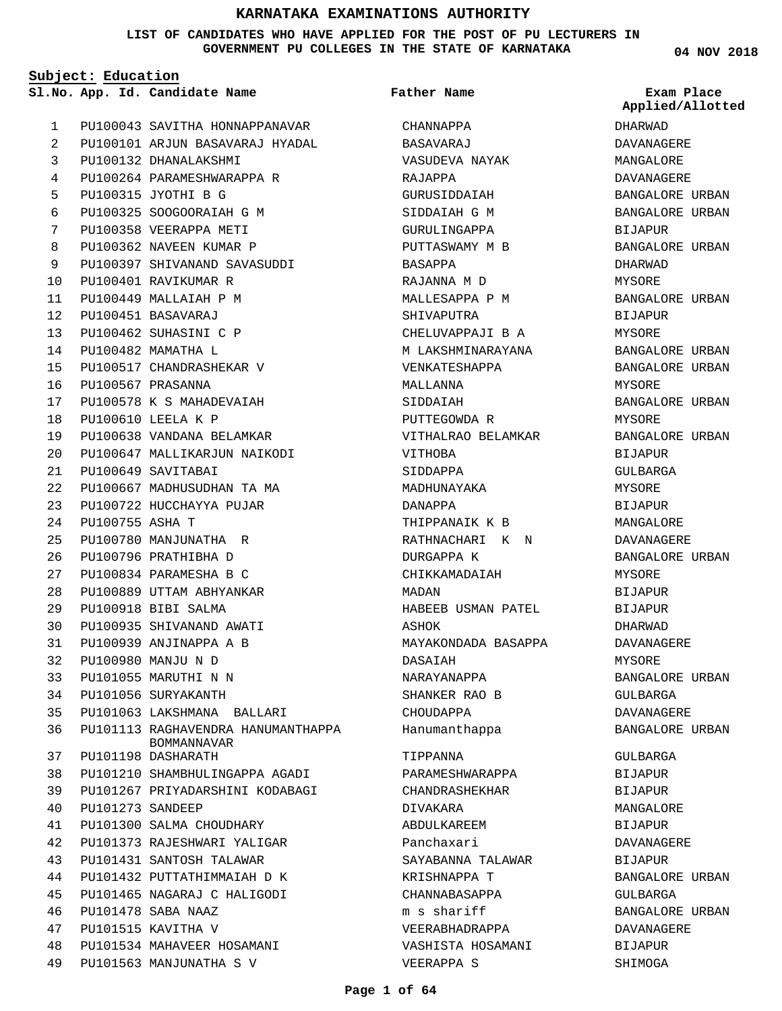**LIST OF CANDIDATES WHO HAVE APPLIED FOR THE POST OF PU LECTURERS IN GOVERNMENT PU COLLEGES IN THE STATE OF KARNATAKA**

**Subject: Education**

PU100043 SAVITHA HONNAPPANAVAR PU100101 ARJUN BASAVARAJ HYADAL PU100132 DHANALAKSHMI PU100264 PARAMESHWARAPPA R PU100315 JYOTHI B G PU100325 SOOGOORAIAH G M PU100358 VEERAPPA METI PU100362 NAVEEN KUMAR P PU100397 SHIVANAND SAVASUDDI PU100401 RAVIKUMAR R PU100449 MALLAIAH P M PU100451 BASAVARAJ PU100462 SUHASINI C P PU100482 MAMATHA L PU100517 CHANDRASHEKAR V PU100567 PRASANNA PU100578 K S MAHADEVAIAH PU100610 LEELA K P PU100638 VANDANA BELAMKAR PU100647 MALLIKARJUN NAIKODI PU100649 SAVITABAI PU100667 MADHUSUDHAN TA MA PU100722 HUCCHAYYA PUJAR PU100755 ASHA T PU100780 MANJUNATHA R PU100796 PRATHIBHA D PU100834 PARAMESHA B C PU100889 UTTAM ABHYANKAR PU100918 BIBI SALMA PU100935 SHIVANAND AWATI PU100939 ANJINAPPA A B PU100980 MANJU N D PU101055 MARUTHI N N PU101056 SURYAKANTH PU101063 LAKSHMANA BALLARI PU101113 RAGHAVENDRA HANUMANTHAPPA PU101198 DASHARATH PU101210 SHAMBHULINGAPPA AGADI PU101267 PRIYADARSHINI KODABAGI PU101273 SANDEEP PU101300 SALMA CHOUDHARY PU101373 RAJESHWARI YALIGAR PU101431 SANTOSH TALAWAR PU101432 PUTTATHIMMAIAH D K PU101465 NAGARAJ C HALIGODI PU101478 SABA NAAZ PU101515 KAVITHA V PU101534 MAHAVEER HOSAMANI BOMMANNAVAR 1  $\overline{2}$ 3 4 5 6 7 8 9  $1<sub>0</sub>$ 11 12 13 14 15 16 17 18 19  $20$ 21 22 23 24  $25$ 26  $27$  $28$  $29$ 30 31 32 33 34 35 36 37 38 39 40 41 42 43 44 45 46 47 48

PU101563 MANJUNATHA S V

49

**App. Id. Candidate Name Sl.No. Exam Place CHANNAPPA** BASAVARAJ VASUDEVA NAYAK RAJAPPA GURUSIDDAIAH SIDDAIAH G M GURULINGAPPA PUTTASWAMY M B BASAPPA RAJANNA M D MALLESAPPA P M SHIVAPUTRA CHELUVAPPAJI B A M LAKSHMINARAYANA VENKATESHAPPA MALLANNA SIDDAIAH PUTTEGOWDA R VITHALRAO BELAMKAR VITHOBA SIDDAPPA MADHUNAYAKA DANAPPA THIPPANAIK K B RATHNACHARI K N DURGAPPA K CHIKKAMADAIAH MADAN HABEEB USMAN PATEL ASHOK MAYAKONDADA BASAPPA DASAIAH NARAYANAPPA SHANKER RAO B CHOUDAPPA Hanumanthappa TIPPANNA PARAMESHWARAPPA CHANDRASHEKHAR DIVAKARA ABDULKAREEM Panchaxari SAYABANNA TALAWAR KRISHNAPPA T CHANNABASAPPA m s shariff VEERABHADRAPPA VASHISTA HOSAMANI **Father Name**

**04 NOV 2018**

DHARWAD DAVANAGERE MANGALORE DAVANAGERE BANGALORE URBAN BANGALORE URBAN BIJAPUR BANGALORE URBAN DHARWAD MYSORE BANGALORE URBAN BIJAPUR MYSORE BANGALORE URBAN BANGALORE URBAN MYSORE BANGALORE URBAN MYSORE BANGALORE URBAN BIJAPUR GULBARGA MYSORE BIJAPUR MANGALORE DAVANAGERE BANGALORE URBAN MYSORE BIJAPUR BIJAPUR DHARWAD DAVANAGERE MYSORE BANGALORE URBAN GULBARGA DAVANAGERE BANGALORE URBAN GULBARGA BIJAPUR BIJAPUR MANGALORE BIJAPUR DAVANAGERE BIJAPUR BANGALORE URBAN GULBARGA BANGALORE URBAN DAVANAGERE BIJAPUR SHIMOGA **Applied/Allotted**

VEERAPPA S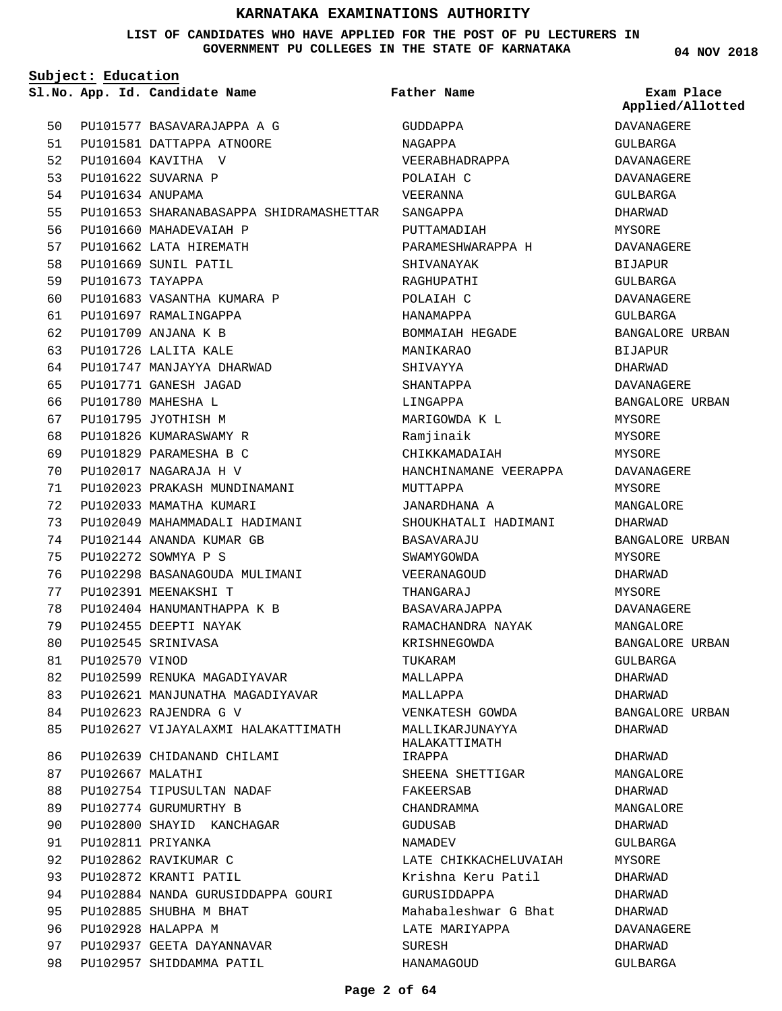#### **LIST OF CANDIDATES WHO HAVE APPLIED FOR THE POST OF PU LECTURERS IN GOVERNMENT PU COLLEGES IN THE STATE OF KARNATAKA**

**04 NOV 2018**

|    | Subject: Education |                                         |                                  |                             |  |
|----|--------------------|-----------------------------------------|----------------------------------|-----------------------------|--|
|    |                    | Sl.No. App. Id. Candidate Name          | Father Name                      | Exam Place<br>Applied/Allot |  |
| 50 |                    | PU101577 BASAVARAJAPPA A G              | GUDDAPPA                         | DAVANAGERE                  |  |
| 51 |                    | PU101581 DATTAPPA ATNOORE               | NAGAPPA                          | GULBARGA                    |  |
| 52 |                    | PU101604 KAVITHA V                      | VEERABHADRAPPA                   | <b>DAVANAGERE</b>           |  |
| 53 |                    | PU101622 SUVARNA P                      | POLAIAH C                        | DAVANAGERE                  |  |
| 54 | PU101634 ANUPAMA   |                                         | VEERANNA                         | <b>GULBARGA</b>             |  |
| 55 |                    | PU101653 SHARANABASAPPA SHIDRAMASHETTAR | SANGAPPA                         | DHARWAD                     |  |
| 56 |                    | PU101660 MAHADEVAIAH P                  | PUTTAMADIAH                      | MYSORE                      |  |
| 57 |                    | PU101662 LATA HIREMATH                  | PARAMESHWARAPPA H                | DAVANAGERE                  |  |
| 58 |                    | PU101669 SUNIL PATIL                    | SHIVANAYAK                       | <b>BIJAPUR</b>              |  |
| 59 | PU101673 TAYAPPA   |                                         | RAGHUPATHI                       | GULBARGA                    |  |
| 60 |                    | PU101683 VASANTHA KUMARA P              | POLAIAH C                        | DAVANAGERE                  |  |
| 61 |                    | PU101697 RAMALINGAPPA                   | HANAMAPPA                        | GULBARGA                    |  |
| 62 |                    | PU101709 ANJANA K B                     | BOMMAIAH HEGADE                  | <b>BANGALORE URBA</b>       |  |
| 63 |                    | PU101726 LALITA KALE                    | MANIKARAO                        | <b>BIJAPUR</b>              |  |
| 64 |                    | PU101747 MANJAYYA DHARWAD               | SHIVAYYA                         | DHARWAD                     |  |
| 65 |                    | PU101771 GANESH JAGAD                   | SHANTAPPA                        | DAVANAGERE                  |  |
| 66 |                    | PU101780 MAHESHA L                      | LINGAPPA                         | <b>BANGALORE URBA</b>       |  |
| 67 |                    | PU101795 JYOTHISH M                     | MARIGOWDA K L                    | MYSORE                      |  |
| 68 |                    | PU101826 KUMARASWAMY R                  | Ramjinaik                        | MYSORE                      |  |
| 69 |                    | PU101829 PARAMESHA B C                  | CHIKKAMADAIAH                    | MYSORE                      |  |
| 70 |                    | PU102017 NAGARAJA H V                   | HANCHINAMANE VEERAPPA            | DAVANAGERE                  |  |
| 71 |                    | PU102023 PRAKASH MUNDINAMANI            | MUTTAPPA                         | MYSORE                      |  |
| 72 |                    | PU102033 MAMATHA KUMARI                 | JANARDHANA A                     | MANGALORE                   |  |
| 73 |                    | PU102049 MAHAMMADALI HADIMANI           | SHOUKHATALI HADIMANI             | DHARWAD                     |  |
| 74 |                    | PU102144 ANANDA KUMAR GB                | BASAVARAJU                       | <b>BANGALORE URBA</b>       |  |
| 75 |                    | PU102272 SOWMYA P S                     | SWAMYGOWDA                       | MYSORE                      |  |
| 76 |                    | PU102298 BASANAGOUDA MULIMANI           | VEERANAGOUD                      | DHARWAD                     |  |
| 77 |                    | PU102391 MEENAKSHI T                    | THANGARAJ                        | MYSORE                      |  |
| 78 |                    | PU102404 HANUMANTHAPPA K B              | BASAVARAJAPPA                    | <b>DAVANAGERE</b>           |  |
| 79 |                    | PU102455 DEEPTI NAYAK                   | RAMACHANDRA NAYAK                | MANGALORE                   |  |
| 80 |                    | PU102545 SRINIVASA                      | KRISHNEGOWDA                     | <b>BANGALORE URBA</b>       |  |
| 81 | PU102570 VINOD     |                                         | TUKARAM                          | GULBARGA                    |  |
| 82 |                    | PU102599 RENUKA MAGADIYAVAR             | MALLAPPA                         | DHARWAD                     |  |
| 83 |                    | PU102621 MANJUNATHA MAGADIYAVAR         | MALLAPPA                         | DHARWAD                     |  |
| 84 |                    | PU102623 RAJENDRA G V                   | VENKATESH GOWDA                  | <b>BANGALORE URBA</b>       |  |
| 85 |                    | PU102627 VIJAYALAXMI HALAKATTIMATH      | MALLIKARJUNAYYA<br>HALAKATTIMATH | DHARWAD                     |  |
| 86 |                    | PU102639 CHIDANAND CHILAMI              | IRAPPA                           | DHARWAD                     |  |
| 87 | PU102667 MALATHI   |                                         | SHEENA SHETTIGAR                 | MANGALORE                   |  |
| 88 |                    | PU102754 TIPUSULTAN NADAF               | FAKEERSAB                        | <b>DHARWAD</b>              |  |
| 89 |                    | PU102774 GURUMURTHY B                   | CHANDRAMMA                       | MANGALORE                   |  |
| 90 |                    | PU102800 SHAYID KANCHAGAR               | GUDUSAB                          | DHARWAD                     |  |
| 91 |                    | PU102811 PRIYANKA                       | NAMADEV                          | GULBARGA                    |  |
| 92 |                    | PU102862 RAVIKUMAR C                    | LATE CHIKKACHELUVAIAH            | MYSORE                      |  |
| 93 |                    | PU102872 KRANTI PATIL                   | Krishna Keru Patil               | DHARWAD                     |  |
| 94 |                    | PU102884 NANDA GURUSIDDAPPA GOURI       | GURUSIDDAPPA                     | DHARWAD                     |  |
| 95 |                    | PU102885 SHUBHA M BHAT                  | Mahabaleshwar G Bhat             | DHARWAD                     |  |
| 96 |                    | PU102928 HALAPPA M                      | LATE MARIYAPPA                   | DAVANAGERE                  |  |
| 97 |                    | PU102937 GEETA DAYANNAVAR               | SURESH                           | DHARWAD                     |  |
| 98 |                    | PU102957 SHIDDAMMA PATIL                | HANAMAGOUD                       | GULBARGA                    |  |

# DAVANAGERE **Applied/Allotted**

GULBARGA DAVANAGERE DAVANAGERE GULBARGA DHARWAD MYSORE DAVANAGERE BIJAPUR GULBARGA DAVANAGERE GULBARGA BANGALORE URBAN BIJAPUR DHARWAD DAVANAGERE BANGALORE URBAN MYSORE MYSORE MYSORE DAVANAGERE MYSORE MANGALORE DHARWAD BANGALORE URBAN MYSORE DHARWAD MYSORE DAVANAGERE MANGALORE BANGALORE URBAN GULBARGA DHARWAD DHARWAD BANGALORE URBAN DHARWAD DHARWAD MANGALORE DHARWAD MANGALORE DHARWAD GULBARGA MYSORE DHARWAD DHARWAD DHARWAD DAVANAGERE DHARWAD GULBARGA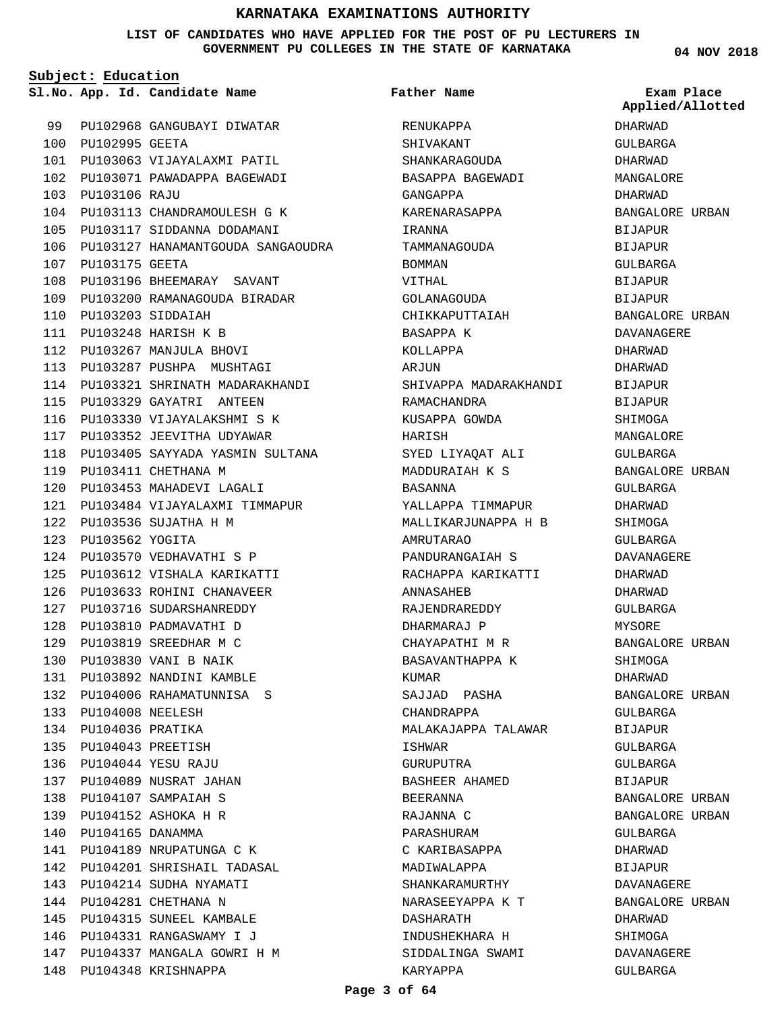#### **LIST OF CANDIDATES WHO HAVE APPLIED FOR THE POST OF PU LECTURERS IN GOVERNMENT PU COLLEGES IN THE STATE OF KARNATAKA**

**Subject: Education**

100 PU102995 GEETA

PU103106 RAJU 103

107 PU103175 GEETA

PU103203 SIDDAIAH 110 PU103248 HARISH K B 111 PU103267 MANJULA BHOVI 112 113 PU103287 PUSHPA MUSHTAGI

PU103329 GAYATRI ANTEEN 115

117 PU103352 JEEVITHA UDYAWAR

PU103453 MAHADEVI LAGALI 120

124 PU103570 VEDHAVATHI S P

PU103633 ROHINI CHANAVEER 126 127 PU103716 SUDARSHANREDDY 128 PU103810 PADMAVATHI D PU103819 SREEDHAR M C 129 PU103830 VANI B NAIK 130 PU103892 NANDINI KAMBLE 131 PU104006 RAHAMATUNNISA S 132

119 PU103411 CHETHANA M

PU103536 SUJATHA H M 122

PU103562 YOGITA 123

PU104008 NEELESH 133 PU104036 PRATIKA 134 PU104043 PREETISH 135 PU104044 YESU RAJU 136 137 PU104089 NUSRAT JAHAN PU104107 SAMPAIAH S 138 PU104152 ASHOKA H R 139 PU104165 DANAMMA 140

141 PU104189 NRUPATUNGA C K

143 PU104214 SUDHA NYAMATI 144 PU104281 CHETHANA N 145 PU104315 SUNEEL KAMBALE PU104331 RANGASWAMY I J 146

148 PU104348 KRISHNAPPA

**App. Id. Candidate Name Sl.No. Exam Place**

**Father Name**

99 PU102968 GANGUBAYI DIWATAR PU103063 VIJAYALAXMI PATIL 101 PU103071 PAWADAPPA BAGEWADI 102 PU103113 CHANDRAMOULESH G K 104 PU103117 SIDDANNA DODAMANI 105 106 PU103127 HANAMANTGOUDA SANGAOUDRA PU103196 BHEEMARAY SAVANT 108 PU103200 RAMANAGOUDA BIRADAR 109 PU103321 SHRINATH MADARAKHANDI 114 116 PU103330 VIJAYALAKSHMI S K 118 PU103405 SAYYADA YASMIN SULTANA PU103484 VIJAYALAXMI TIMMAPUR 121 PU103612 VISHALA KARIKATTI 125 PU104201 SHRISHAIL TADASAL 142 PU104337 MANGALA GOWRI H M 147 RENUKAPPA SHIVAKANT SHANKARAGOUDA BASAPPA BAGEWADI GANGAPPA KARENARASAPPA IRANNA TAMMANAGOUDA BOMMAN VITTHAL GOLANAGOUDA CHIKKAPUTTAIAH BASAPPA K KOLLAPPA AR<sub>J</sub>IIN SHIVAPPA MADARAKHANDI RAMACHANDRA KUSAPPA GOWDA HARISH SYED LIYAQAT ALI MADDURAIAH K S BASANNA YALLAPPA TIMMAPUR MALLIKARJUNAPPA H B AMRUTARAO PANDURANGAIAH S RACHAPPA KARIKATTI ANNASAHEB RAJENDRAREDDY DHARMARAJ P CHAYAPATHI M R BASAVANTHAPPA K KIIMAR SAJJAD PASHA CHANDRAPPA MALAKAJAPPA TALAWAR ISHWAR GURUPUTRA BASHEER AHAMED BEERANNA RAJANNA C PARASHURAM C KARIBASAPPA MADIWALAPPA SHANKARAMURTHY NARASEEYAPPA K T DASHARATH INDUSHEKHARA H SIDDALINGA SWAMI KARYAPPA

DHARWAD GULBARGA DHARWAD MANGALORE DHARWAD BANGALORE URBAN BIJAPUR BIJAPUR GULBARGA BIJAPUR **BIJAPUR** BANGALORE URBAN DAVANAGERE DHARWAD DHARWAD BIJAPUR BIJAPUR **SHIMOGA** MANGALORE GULBARGA BANGALORE URBAN GULBARGA DHARWAD SHIMOGA GULBARGA DAVANAGERE DHARWAD DHARWAD GULBARGA MYSORE BANGALORE URBAN SHIMOGA DHARWAD BANGALORE URBAN GULBARGA BIJAPUR GULBARGA GULBARGA BIJAPUR BANGALORE URBAN BANGALORE URBAN GULBARGA DHARWAD **BIJAPUR** DAVANAGERE BANGALORE URBAN DHARWAD SHIMOGA DAVANAGERE **Applied/Allotted**

GULBARGA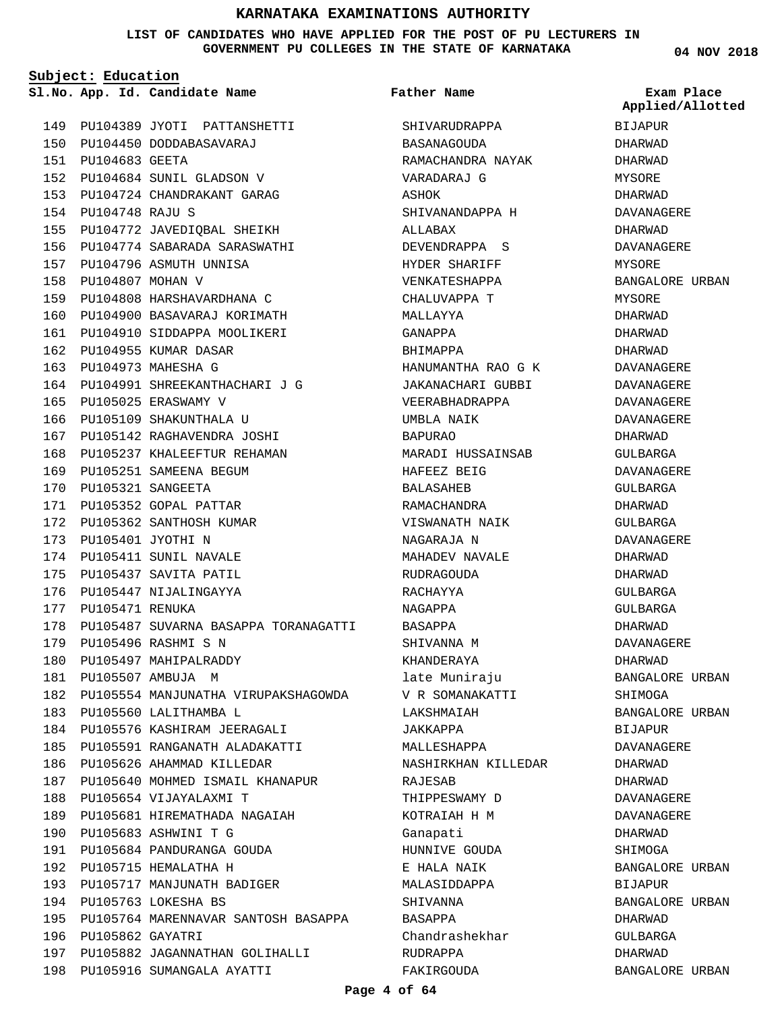**LIST OF CANDIDATES WHO HAVE APPLIED FOR THE POST OF PU LECTURERS IN GOVERNMENT PU COLLEGES IN THE STATE OF KARNATAKA**

**Subject: Education**

**App. Id. Candidate Name Sl.No. Exam Place**

149 PU104389 JYOTI PATTANSHETTI PU104450 DODDABASAVARAJ 150 PU104683 GEETA 151 PU104684 SUNIL GLADSON V 152 PU104724 CHANDRAKANT GARAG 153 PU104748 RAJU S 154 PU104772 JAVEDIQBAL SHEIKH 155 PU104774 SABARADA SARASWATHI 156 PU104796 ASMUTH UNNISA 157 PU104807 MOHAN V 158 PU104808 HARSHAVARDHANA C 159 PU104900 BASAVARAJ KORIMATH 160 PU104910 SIDDAPPA MOOLIKERI 161 162 PU104955 KUMAR DASAR PU104973 MAHESHA G 163 164 PU104991 SHREEKANTHACHARI J G 165 PU105025 ERASWAMY V 166 PU105109 SHAKUNTHALA U PU105142 RAGHAVENDRA JOSHI 167 168 PU105237 KHALEEFTUR REHAMAN 169 PU105251 SAMEENA BEGUM PU105321 SANGEETA 170 171 PU105352 GOPAL PATTAR PU105362 SANTHOSH KUMAR 172 PU105401 JYOTHI N 173 174 PU105411 SUNIL NAVALE 175 PU105437 SAVITA PATIL 176 PU105447 NIJALINGAYYA 177 PU105471 RENUKA PU105487 SUVARNA BASAPPA TORANAGATTI 178 PU105496 RASHMI S N 179 180 PU105497 MAHIPALRADDY PU105507 AMBUJA M 181 182 PU105554 MANJUNATHA VIRUPAKSHAGOWDA 183 PU105560 LALITHAMBA L PU105576 KASHIRAM JEERAGALI 184 PU105591 RANGANATH ALADAKATTI 185 186 PU105626 AHAMMAD KILLEDAR 187 PU105640 MOHMED ISMAIL KHANAPUR 188 PU105654 VIJAYALAXMI T PU105681 HIREMATHADA NAGAIAH 189 PU105683 ASHWINI T G 190 PU105684 PANDURANGA GOUDA 191 192 PU105715 HEMALATHA H 193 PU105717 MANJUNATH BADIGER PU105763 LOKESHA BS 194 PU105764 MARENNAVAR SANTOSH BASAPPA 195 196 PU105862 GAYATRI 197 PU105882 JAGANNATHAN GOLIHALLI PU105916 SUMANGALA AYATTI 198

SHIVARUDRAPPA BASANAGOUDA RAMACHANDRA NAYAK VARADARAJ G ASHOK SHIVANANDAPPA H ALLABAX DEVENDRAPPA S HYDER SHARIFF VENKATESHAPPA CHALUVAPPA T MALLAYYA GANAPPA BHIMAPPA HANUMANTHA RAO G K JAKANACHARI GUBBI VEERABHADRAPPA UMBLA NAIK BAPURAO MARADI HUSSAINSAB HAFEEZ BEIG BALASAHEB RAMACHANDRA VISWANATH NAIK NAGARAJA N MAHADEV NAVALE RIJDRAGOUDA RACHAYYA NAGAPPA BASAPPA SHIVANNA M KHANDERAYA late Muniraju V R SOMANAKATTI LAKSHMAIAH JAKKAPPA MALLESHAPPA NASHIRKHAN KILLEDAR RAJESAB THIPPESWAMY D KOTRAIAH H M Ganapati HUNNIVE GOUDA E HALA NAIK MALASIDDAPPA SHIVANNA BASAPPA Chandrashekhar RUDRAPPA FAKIRGOUDA **Father Name**

**04 NOV 2018**

BIJAPUR DHARWAD DHARWAD MYSORE DHARWAD DAVANAGERE DHARWAD DAVANAGERE MYSORE BANGALORE URBAN MYSORE DHARWAD DHARWAD DHARWAD DAVANAGERE DAVANAGERE DAVANAGERE DAVANAGERE DHARWAD GULBARGA DAVANAGERE GULBARGA DHARWAD GULBARGA DAVANAGERE DHARWAD DHARWAD GULBARGA GULBARGA DHARWAD DAVANAGERE DHARWAD BANGALORE URBAN SHIMOGA BANGALORE URBAN BIJAPUR DAVANAGERE DHARWAD DHARWAD DAVANAGERE DAVANAGERE DHARWAD SHIMOGA BANGALORE URBAN BIJAPUR BANGALORE URBAN DHARWAD GULBARGA DHARWAD BANGALORE URBAN **Applied/Allotted**

#### **Page 4 of 64**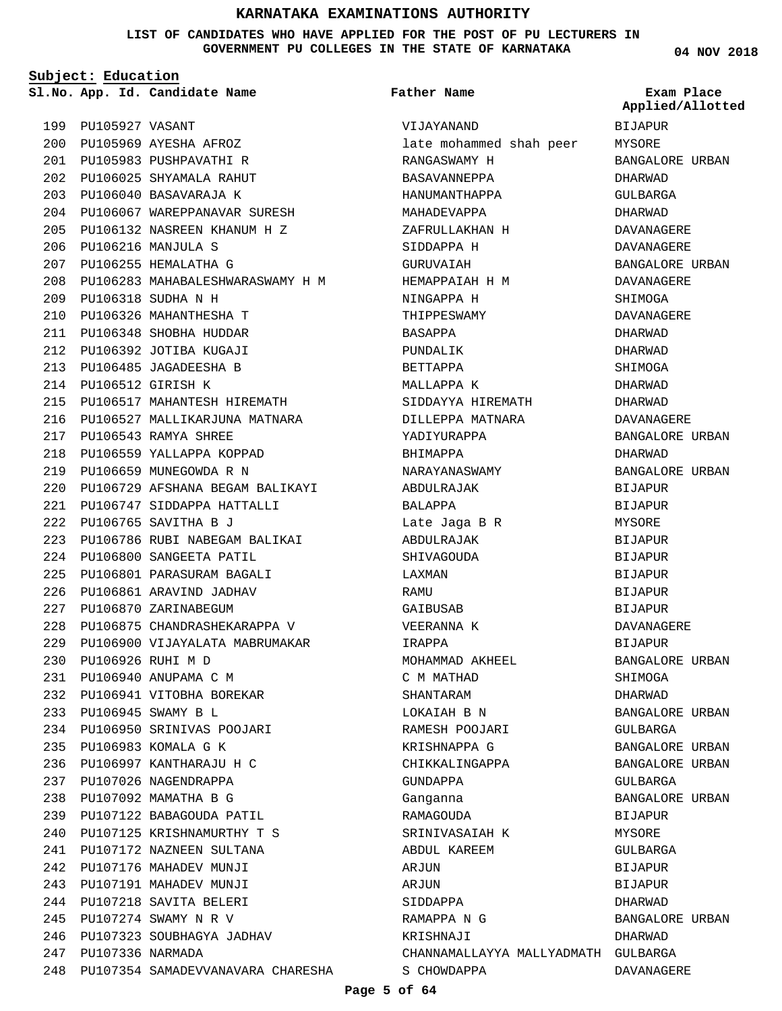**LIST OF CANDIDATES WHO HAVE APPLIED FOR THE POST OF PU LECTURERS IN GOVERNMENT PU COLLEGES IN THE STATE OF KARNATAKA**

**Subject: Education**

199 PU105927 VASANT

PU105969 AYESHA AFROZ 200 PU105983 PUSHPAVATHI R 201 PU106025 SHYAMALA RAHUT 202 **Father Name**

VIJAYANAND

RANGASWAMY H BASAVANNEPPA HANUMANTHAPPA MAHADEVAPPA ZAFRULLAKHAN H

late mohammed shah peer

**App. Id. Candidate Name Sl.No. Exam Place** BIJAPUR **MYSORE** BANGALORE URBAN DHARWAD GULBARGA DHARWAD DAVANAGERE DAVANAGERE BANGALORE URBAN DAVANAGERE SHIMOGA DAVANAGERE DHARWAD DHARWAD SHIMOGA DHARWAD DHARWAD DAVANAGERE BANGALORE URBAN DHARWAD BANGALORE URBAN BIJAPUR BIJAPUR MYSORE BIJAPUR BIJAPUR BIJAPUR BIJAPUR BIJAPUR DAVANAGERE BIJAPUR BANGALORE URBAN SHIMOGA DHARWAD BANGALORE URBAN GULBARGA BANGALORE URBAN BANGALORE URBAN GULBARGA BANGALORE URBAN BIJAPUR MYSORE GULBARGA **BIJAPUR** BIJAPUR DHARWAD BANGALORE URBAN DHARWAD **Applied/Allotted**

DAVANAGERE

PU106040 BASAVARAJA K 203 PU106067 WAREPPANAVAR SURESH 204 PU106132 NASREEN KHANUM H Z 205 PU106216 MANJULA S 206 PU106255 HEMALATHA G 207 PU106283 MAHABALESHWARASWAMY H M 208 PU106318 SUDHA N H 209 PU106326 MAHANTHESHA T 210 PU106348 SHOBHA HUDDAR 211 PU106392 JOTIBA KUGAJI 212 PU106485 JAGADEESHA B 213 PU106512 GIRISH K 214 PU106517 MAHANTESH HIREMATH 215 216 PU106527 MALLIKARJUNA MATNARA PU106543 RAMYA SHREE 217 PU106559 YALLAPPA KOPPAD 218 PU106659 MUNEGOWDA R N 219 PU106729 AFSHANA BEGAM BALIKAYI 220 PU106747 SIDDAPPA HATTALLI 221 PU106765 SAVITHA B J 222 PU106786 RUBI NABEGAM BALIKAI 223 PU106800 SANGEETA PATIL 224 PU106801 PARASURAM BAGALI 225 PU106861 ARAVIND JADHAV 226 227 PU106870 ZARINABEGUM PU106875 CHANDRASHEKARAPPA V 228 PU106900 VIJAYALATA MABRUMAKAR 229 PU106926 RUHI M D 230 PU106940 ANUPAMA C M 231 PU106941 VITOBHA BOREKAR 232 PU106945 SWAMY B L 233 PU106950 SRINIVAS POOJARI 234 PU106983 KOMALA G K 235 PU106997 KANTHARAJU H C 236 237 PU107026 NAGENDRAPPA PU107092 MAMATHA B G 238 PU107122 BABAGOUDA PATIL 239 PU107125 KRISHNAMURTHY T S 240 PU107172 NAZNEEN SULTANA 241 242 PU107176 MAHADEV MUNJI 243 PU107191 MAHADEV MUNJI PU107218 SAVITA BELERI 244 PU107274 SWAMY N R V 245 PU107323 SOUBHAGYA JADHAV 246 PU107336 NARMADA 247 248 PU107354 SAMADEVVANAVARA CHARESHA

SIDDAPPA H GURUVAIAH HEMAPPAIAH H M NINGAPPA H THIPPESWAMY BASAPPA PUNDALIK BETTAPPA MALLAPPA K SIDDAYYA HIREMATH DILLEPPA MATNARA YADIYURAPPA BHIMAPPA NARAYANASWAMY ABDULRAJAK BALAPPA Late Jaga B R ABDULRAJAK SHIVAGOUDA LAXMAN **RAMIT** GAIBUSAB VEERANNA K IRAPPA MOHAMMAD AKHEEL C M MATHAD SHANTARAM LOKAIAH B N RAMESH POOJARI KRISHNAPPA G CHIKKALINGAPPA GUNDAPPA Ganganna RAMAGOUDA SRINIVASAIAH K ABDUL KAREEM AR<sub>J</sub>IIN ARJUN SIDDAPPA RAMAPPA N G KRISHNAJI CHANNAMALLAYYA MALLYADMATH GULBARGA S CHOWDAPPA

#### **Page 5 of 64**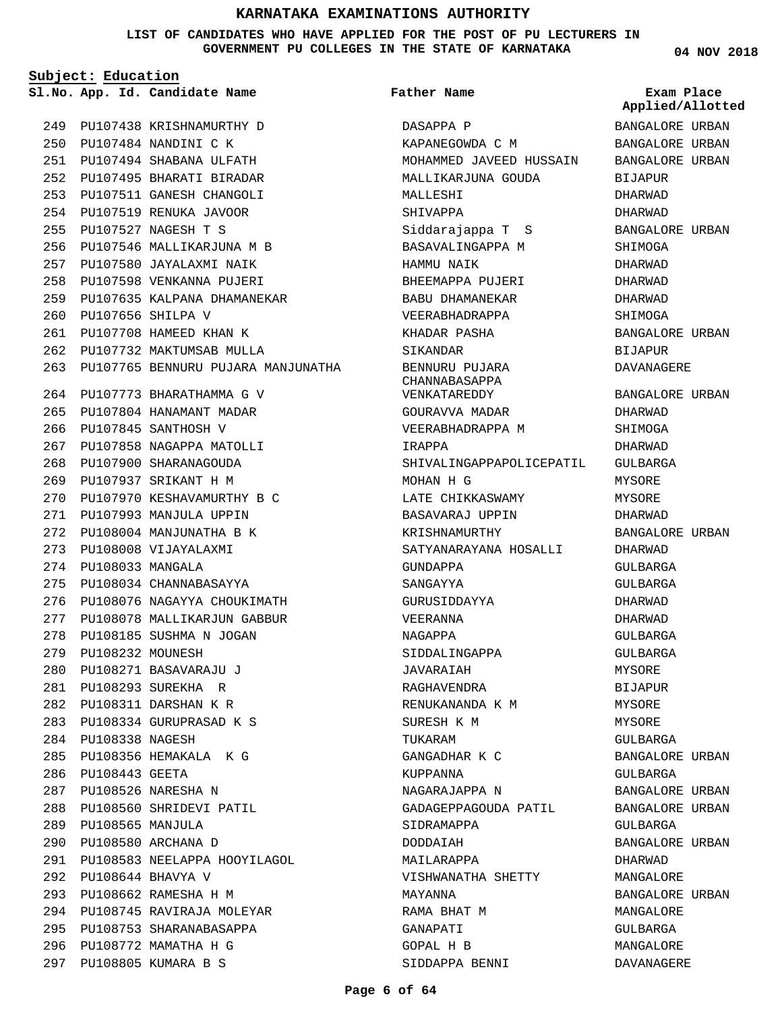**LIST OF CANDIDATES WHO HAVE APPLIED FOR THE POST OF PU LECTURERS IN GOVERNMENT PU COLLEGES IN THE STATE OF KARNATAKA**

**Subject: Education**

PU108745 RAVIRAJA MOLEYAR 294 PU108753 SHARANABASAPPA 295 PU108772 MAMATHA H G 296 PU108805 KUMARA B S 297

**04 NOV 2018**

|     | <u> Subject: Education</u> |                                    |                                 |                                |
|-----|----------------------------|------------------------------------|---------------------------------|--------------------------------|
|     |                            | Sl.No. App. Id. Candidate Name     | <b>Father Name</b>              | Exam Place<br>Applied/Allotted |
| 249 |                            | PU107438 KRISHNAMURTHY D           | DASAPPA P                       | BANGALORE URBAN                |
| 250 |                            | PU107484 NANDINI C K               | KAPANEGOWDA C M                 | BANGALORE URBAN                |
| 251 |                            | PU107494 SHABANA ULFATH            | MOHAMMED JAVEED HUSSAIN         | BANGALORE URBAN                |
| 252 |                            | PU107495 BHARATI BIRADAR           | MALLIKARJUNA GOUDA              | BIJAPUR                        |
| 253 |                            | PU107511 GANESH CHANGOLI           | MALLESHI                        | DHARWAD                        |
| 254 |                            | PU107519 RENUKA JAVOOR             | SHIVAPPA                        | DHARWAD                        |
| 255 |                            | PU107527 NAGESH T S                | Siddarajappa T S                | BANGALORE URBAN                |
| 256 |                            | PU107546 MALLIKARJUNA M B          | BASAVALINGAPPA M                | SHIMOGA                        |
| 257 |                            | PU107580 JAYALAXMI NAIK            | HAMMU NAIK                      | DHARWAD                        |
| 258 |                            | PU107598 VENKANNA PUJERI           | BHEEMAPPA PUJERI                | DHARWAD                        |
| 259 |                            | PU107635 KALPANA DHAMANEKAR        | BABU DHAMANEKAR                 | DHARWAD                        |
| 260 |                            | PU107656 SHILPA V                  | VEERABHADRAPPA                  | SHIMOGA                        |
| 261 |                            | PU107708 HAMEED KHAN K             | KHADAR PASHA                    | BANGALORE URBAN                |
| 262 |                            | PU107732 MAKTUMSAB MULLA           | SIKANDAR                        | <b>BIJAPUR</b>                 |
| 263 |                            | PU107765 BENNURU PUJARA MANJUNATHA | BENNURU PUJARA<br>CHANNABASAPPA | DAVANAGERE                     |
| 264 |                            | PU107773 BHARATHAMMA G V           | VENKATAREDDY                    | BANGALORE URBAN                |
| 265 |                            | PU107804 HANAMANT MADAR            | GOURAVVA MADAR                  | DHARWAD                        |
| 266 |                            | PU107845 SANTHOSH V                | VEERABHADRAPPA M                | SHIMOGA                        |
| 267 |                            | PU107858 NAGAPPA MATOLLI           | IRAPPA                          | DHARWAD                        |
| 268 |                            | PU107900 SHARANAGOUDA              | SHIVALINGAPPAPOLICEPATIL        | GULBARGA                       |
| 269 |                            | PU107937 SRIKANT H M               | MOHAN H G                       | MYSORE                         |
| 270 |                            | PU107970 KESHAVAMURTHY B C         | LATE CHIKKASWAMY                | MYSORE                         |
| 271 |                            | PU107993 MANJULA UPPIN             | BASAVARAJ UPPIN                 | DHARWAD                        |
| 272 |                            | PU108004 MANJUNATHA B K            | KRISHNAMURTHY                   | BANGALORE URBAN                |
| 273 |                            | PU108008 VIJAYALAXMI               | SATYANARAYANA HOSALLI           | DHARWAD                        |
| 274 | PU108033 MANGALA           |                                    | GUNDAPPA                        | GULBARGA                       |
| 275 |                            | PU108034 CHANNABASAYYA             | SANGAYYA                        | GULBARGA                       |
| 276 |                            | PU108076 NAGAYYA CHOUKIMATH        | GURUSIDDAYYA                    | DHARWAD                        |
| 277 |                            | PU108078 MALLIKARJUN GABBUR        | VEERANNA                        | DHARWAD                        |
| 278 |                            | PU108185 SUSHMA N JOGAN            | NAGAPPA                         | GULBARGA                       |
| 279 | PU108232 MOUNESH           |                                    | SIDDALINGAPPA                   | GULBARGA                       |
| 280 |                            | PU108271 BASAVARAJU J              | JAVARAIAH                       | MYSORE                         |
| 281 |                            | PU108293 SUREKHA R                 | RAGHAVENDRA                     | BIJAPUR                        |
| 282 |                            | PU108311 DARSHAN K R               | RENUKANANDA K M                 | MYSORE                         |
| 283 |                            | PU108334 GURUPRASAD K S            | SURESH K M                      | MYSORE                         |
|     | 284 PU108338 NAGESH        |                                    | TUKARAM                         | GULBARGA                       |
| 285 |                            | PU108356 HEMAKALA K G              | GANGADHAR K C                   | BANGALORE URBAN                |
| 286 | PU108443 GEETA             |                                    | KUPPANNA                        | GULBARGA                       |
| 287 |                            | PU108526 NARESHA N                 | NAGARAJAPPA N                   | BANGALORE URBAN                |
| 288 |                            | PU108560 SHRIDEVI PATIL            | GADAGEPPAGOUDA PATIL            | BANGALORE URBAN                |
| 289 | PU108565 MANJULA           |                                    | SIDRAMAPPA                      | GULBARGA                       |
| 290 |                            | PU108580 ARCHANA D                 | DODDAIAH                        | BANGALORE URBAN                |
| 291 |                            | PU108583 NEELAPPA HOOYILAGOL       | MAILARAPPA                      | DHARWAD                        |
| 292 | PU108644 BHAVYA V          |                                    | VISHWANATHA SHETTY              | MANGALORE                      |
| 293 |                            | PU108662 RAMESHA H M               | MAYANNA                         | BANGALORE URBAN                |
|     |                            | 294 PU108745 RAVIRAJA MOLEYAR      | RAMA BHAT M                     | MANGALORE                      |
| 295 |                            | PU108753 SHARANABASAPPA            | GANAPATI                        | GULBARGA                       |
|     |                            | 296 PU108772 MAMATHA H G           | GOPAL H B                       | MANGALORE                      |

SIDDAPPA BENNI

DAVANAGERE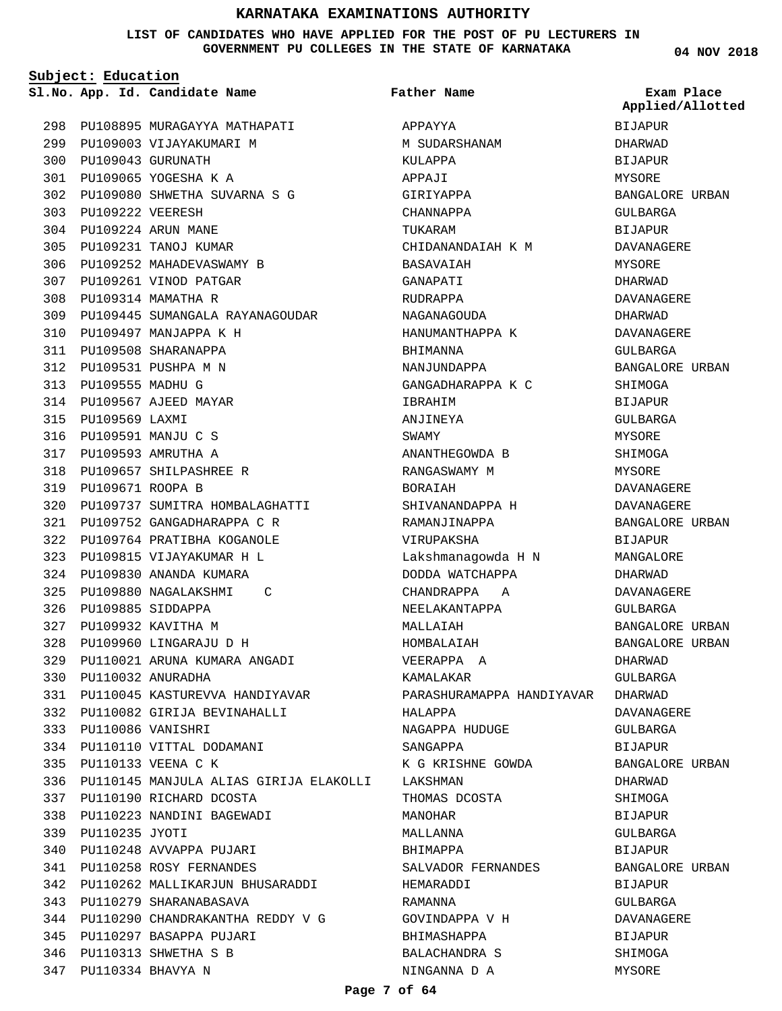#### **LIST OF CANDIDATES WHO HAVE APPLIED FOR THE POST OF PU LECTURERS IN GOVERNMENT PU COLLEGES IN THE STATE OF KARNATAKA**

**Subject: Education**

**App. Id. Candidate Name Sl.No. Exam Place**

298 PU108895 MURAGAYYA MATHAPATI 299 PU109003 VIJAYAKUMARI M PU109043 GURUNATH 300 PU109065 YOGESHA K A 301 PU109080 SHWETHA SUVARNA S G 302 PU109222 VEERESH 303 PU109224 ARUN MANE 304 PU109231 TANOJ KUMAR 305 306 PU109252 MAHADEVASWAMY B 307 PU109261 VINOD PATGAR PU109314 MAMATHA R 308 PU109445 SUMANGALA RAYANAGOUDAR 309 310 PU109497 MANJAPPA K H PU109508 SHARANAPPA 311 PU109531 PUSHPA M N 312 PU109555 MADHU G 313 PU109567 AJEED MAYAR 314 315 PU109569 LAXMI PU109591 MANJU C S 316 PU109593 AMRUTHA A 317 PU109657 SHILPASHREE R 318 PU109671 ROOPA B 319 PU109737 SUMITRA HOMBALAGHATTI 320 PU109752 GANGADHARAPPA C R 321 PU109764 PRATIBHA KOGANOLE 322 PU109815 VIJAYAKUMAR H L 323 PU109830 ANANDA KUMARA 324 PU109880 NAGALAKSHMI C 325 PU109885 SIDDAPPA 326 PU109932 KAVITHA M 327 PU109960 LINGARAJU D H 328 PU110021 ARUNA KUMARA ANGADI 329 PU110032 ANURADHA 330 PU110045 KASTUREVVA HANDIYAVAR 331 PU110082 GIRIJA BEVINAHALLI 332 PU110086 VANISHRI 333 PU110110 VITTAL DODAMANI 334 PU110133 VEENA C K 335 PU110145 MANJULA ALIAS GIRIJA ELAKOLLI 336 PU110190 RICHARD DCOSTA 337 PU110223 NANDINI BAGEWADI 338 339 PU110235 JYOTI PU110248 AVVAPPA PUJARI 340 PU110258 ROSY FERNANDES 341 PU110262 MALLIKARJUN BHUSARADDI 342 PU110279 SHARANABASAVA 343 PU110290 CHANDRAKANTHA REDDY V G 344 PU110297 BASAPPA PUJARI 345 PU110313 SHWETHA S B 346

PU110334 BHAVYA N 347

APPAYYA M SUDARSHANAM KULAPPA APPAJI GIRIYAPPA CHANNAPPA TUKARAM CHIDANANDAIAH K M BASAVAIAH GANAPATI RUDRAPPA NAGANAGOUDA HANUMANTHAPPA K BHIMANNA NANJUNDAPPA GANGADHARAPPA K C IBRAHIM ANJINEYA SWAMY ANANTHEGOWDA B RANGASWAMY M BORAIAH SHIVANANDAPPA H RAMANJINAPPA VIRUPAKSHA Lakshmanagowda H N DODDA WATCHAPPA CHANDRAPPA A NEELAKANTAPPA MALLAIAH HOMBALAIAH VEERAPPA A KAMALAKAR PARASHURAMAPPA HANDIYAVAR HALAPPA NAGAPPA HUDUGE SANGAPPA K G KRISHNE GOWDA LAKSHMAN THOMAS DCOSTA MANOHAR MALLANNA BHIMAPPA SALVADOR FERNANDES HEMARADDI RAMANNA GOVINDAPPA V H BHIMASHAPPA BALACHANDRA S NINGANNA D A **Father Name**

**04 NOV 2018**

BIJAPUR DHARWAD BIJAPUR MYSORE BANGALORE URBAN GULBARGA BIJAPUR DAVANAGERE MYSORE DHARWAD DAVANAGERE DHARWAD DAVANAGERE GULBARGA BANGALORE URBAN SHIMOGA BIJAPUR GULBARGA MYSORE SHIMOGA MYSORE. DAVANAGERE DAVANAGERE BANGALORE URBAN BIJAPUR MANGALORE DHARWAD DAVANAGERE GULBARGA BANGALORE URBAN BANGALORE URBAN DHARWAD GULBARGA DHARWAD DAVANAGERE GULBARGA **BIJAPUR** BANGALORE URBAN DHARWAD SHIMOGA **BIJAPUR** GULBARGA BIJAPUR BANGALORE URBAN BIJAPUR GULBARGA DAVANAGERE BIJAPUR SHIMOGA MYSORE **Applied/Allotted**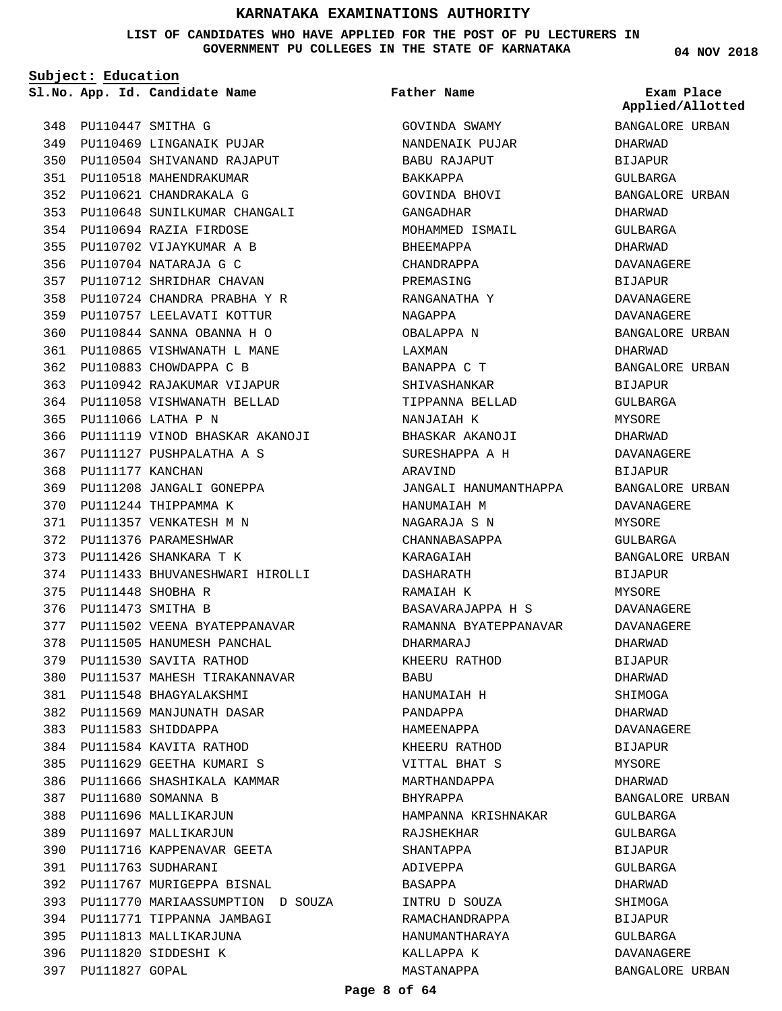**LIST OF CANDIDATES WHO HAVE APPLIED FOR THE POST OF PU LECTURERS IN GOVERNMENT PU COLLEGES IN THE STATE OF KARNATAKA**

**Subject: Education**

**App. Id. Candidate Name Sl.No. Exam Place**

PU110469 LINGANAIK PUJAR 349 PU110504 SHIVANAND RAJAPUT 350 PU110518 MAHENDRAKUMAR 351 PU110621 CHANDRAKALA G 352

PU110694 RAZIA FIRDOSE 354 PU110702 VIJAYKUMAR A B 355 PU110704 NATARAJA G C 356 PU110712 SHRIDHAR CHAVAN 357 PU110724 CHANDRA PRABHA Y R 358 PU110757 LEELAVATI KOTTUR 359 PU110844 SANNA OBANNA H O 360 PU110865 VISHWANATH L MANE 361 PU110883 CHOWDAPPA C B 362 PU110942 RAJAKUMAR VIJAPUR 363 PU111058 VISHWANATH BELLAD 364

PU111066 LATHA P N 365

368 PU111177 KANCHAN

PU111448 SHOBHA R 375 376 PU111473 SMITHA B

366 PU111119 VINOD BHASKAR AKANOJI

PU111433 BHUVANESHWARI HIROLLI 374

377 PU111502 VEENA BYATEPPANAVAR 378 PU111505 HANUMESH PANCHAL PU111530 SAVITA RATHOD 379

PU111537 MAHESH TIRAKANNAVAR 380

PU111548 BHAGYALAKSHMI 381 PU111569 MANJUNATH DASAR 382

PU111583 SHIDDAPPA 383 PU111584 KAVITA RATHOD 384 PU111629 GEETHA KUMARI S 385 386 PU111666 SHASHIKALA KAMMAR

PU111680 SOMANNA B 387 388 PU111696 MALLIKARJUN 389 PU111697 MALLIKARJUN

PU111763 SUDHARANI 391

397 PU111827 GOPAL

PU111716 KAPPENAVAR GEETA 390

PU111767 MURIGEPPA BISNAL 392

394 PU111771 TIPPANNA JAMBAGI 395 PU111813 MALLIKARJUNA PU111820 SIDDESHI K 396

393 PU111770 MARIAASSUMPTION D SOUZA

PU111127 PUSHPALATHA A S 367

PU111208 JANGALI GONEPPA 369 370 PU111244 THIPPAMMA K PU111357 VENKATESH M N 371 372 PU111376 PARAMESHWAR PU111426 SHANKARA T K 373

PU110648 SUNILKUMAR CHANGALI 353

PU110447 SMITHA G 348

**Father Name**

GOVINDA SWAMY NANDENAIK PUJAR BABU RAJAPUT BAKKAPPA GOVINDA BHOVI GANGADHAR MOHAMMED ISMAIL BHEEMAPPA CHANDRAPPA PREMASING RANGANATHA Y NAGAPPA OBALAPPA N LAXMAN BANAPPA C T SHIVASHANKAR TIPPANNA BELLAD NANJAIAH K BHASKAR AKANOJI SURESHAPPA A H ARAVIND JANGALI HANUMANTHAPPA HANUMAIAH M NAGARAJA S N CHANNABASAPPA KARAGAIAH DASHARATH RAMAIAH K BASAVARAJAPPA H S RAMANNA BYATEPPANAVAR DHARMARAJ KHEERU RATHOD **BABU** HANUMAIAH H PANDAPPA HAMEENAPPA KHEERU RATHOD VITTAL BHAT S MARTHANDAPPA BHYRAPPA HAMPANNA KRISHNAKAR RAJSHEKHAR SHANTAPPA ADIVEPPA BASAPPA INTRU D SOUZA RAMACHANDRAPPA HANUMANTHARAYA KALLAPPA K MASTANAPPA

**04 NOV 2018**

BANGALORE URBAN DHARWAD BIJAPUR GULBARGA BANGALORE URBAN DHARWAD GULBARGA DHARWAD DAVANAGERE BIJAPUR DAVANAGERE DAVANAGERE BANGALORE URBAN DHARWAD BANGALORE URBAN BIJAPUR GULBARGA MYSORE DHARWAD DAVANAGERE BIJAPUR BANGALORE URBAN DAVANAGERE MYSORE GULBARGA BANGALORE URBAN **BIJAPUR** MYSORE DAVANAGERE DAVANAGERE DHARWAD BIJAPUR DHARWAD SHIMOGA DHARWAD DAVANAGERE BIJAPUR MYSORE DHARWAD BANGALORE URBAN GULBARGA GULBARGA BIJAPUR GULBARGA DHARWAD SHIMOGA BIJAPUR GULBARGA DAVANAGERE BANGALORE URBAN **Applied/Allotted**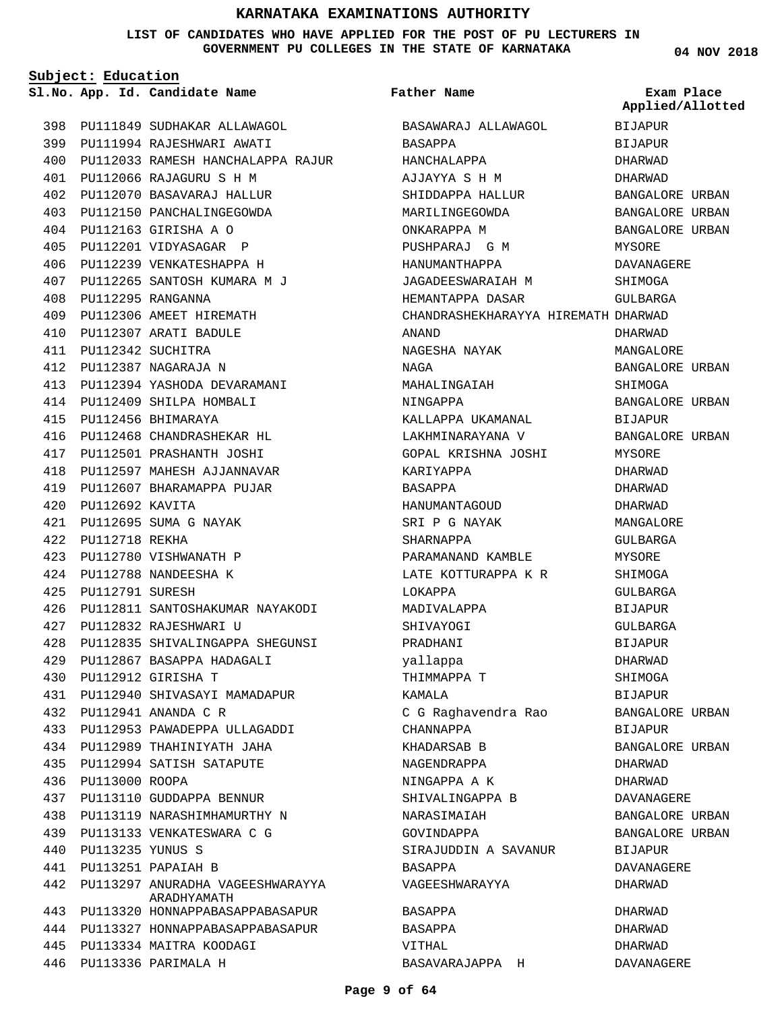#### **LIST OF CANDIDATES WHO HAVE APPLIED FOR THE POST OF PU LECTURERS IN GOVERNMENT PU COLLEGES IN THE STATE OF KARNATAKA**

**Subject: Education**

**App. Id. Candidate Name Sl.No. Exam Place**

PU111849 SUDHAKAR ALLAWAGOL 398

**Father Name**

**Applied/Allotted**

**04 NOV 2018**

| 399 | PU111994        | RAJESHWARI AWATI                       |
|-----|-----------------|----------------------------------------|
| 400 |                 | PU112033 RAMESH HANCHALAPPA RAJUR      |
| 401 | PU112066        | RAJAGURU S H M                         |
| 402 | PU112070        | BASAVARAJ HALLUR                       |
| 403 | PU112150        | PANCHALINGEGOWDA                       |
| 404 |                 | PU112163 GIRISHA A O                   |
| 405 |                 | PU112201 VIDYASAGAR P                  |
| 406 |                 | PU112239 VENKATESHAPPA H               |
| 407 | PU112265        | SANTOSH KUMARA M J                     |
| 408 |                 | PU112295 RANGANNA                      |
| 409 |                 | PU112306 AMEET HIREMATH                |
| 410 |                 | PU112307 ARATI BADULE                  |
| 411 | PU112342        | SUCHITRA                               |
| 412 | PU112387        | NAGARAJA N                             |
| 413 | PU112394        | YASHODA DEVARAMANI                     |
| 414 | PU112409        | SHILPA HOMBALI                         |
| 415 | PU112456        | BHIMARAYA                              |
| 416 | PU112468        | CHANDRASHEKAR HL                       |
| 417 | PU112501        | PRASHANTH JOSHI                        |
| 418 | PU112597        | MAHESH AJJANNAVAR                      |
| 419 | PU112607        | BHARAMAPPA PUJAR                       |
| 420 | PU112692 KAVITA |                                        |
| 421 | PU112695        | SUMA G NAYAK                           |
| 422 | PU112718        | REKHA                                  |
| 423 | PU112780        | VISHWANATH P                           |
| 424 | PU112788        | NANDEESHA K                            |
| 425 | PU112791        | SURESH                                 |
| 426 | PU112811        | SANTOSHAKUMAR NAYAKODI                 |
| 427 |                 | PU112832 RAJESHWARI U                  |
| 428 | PU112835        | SHIVALINGAPPA SHEGUNSI                 |
| 429 | PU112867        | BASAPPA HADAGALI                       |
| 430 | PU112912        | GIRISHA T                              |
| 431 |                 | PU112940 SHIVASAYI MAMADAPUR           |
| 432 |                 | PU112941 ANANDA C R                    |
| 433 | PU112953        | PAWADEPPA ULLAGADDI                    |
| 434 | PU112989        | THAHINIYATH JAHA                       |
| 435 | PU112994        | SATISH SATAPUTE                        |
| 436 | PU113000        | <b>ROOPA</b>                           |
| 437 | PU113110        | GUDDAPPA BENNUR                        |
| 438 | PU113119        | NARASHIMHAMURTHY N                     |
| 439 | PU113133        | VENKATESWARA C G                       |
| 440 | PU113235        | YUNUS S                                |
| 441 | PU113251        | PAPAIAH B                              |
| 442 | PU113297        | ANURADHA VAGEESHWARAYYA<br>ARADHYAMATH |
| 443 | PU113320        | HONNAPPABASAPPABASAPUR                 |
| 444 | PU113327        | HONNAPPABASAPPABASAPUR                 |
| 445 | PU113334        | MAITRA KOODAGI                         |
| 446 |                 | PU113336 PARIMALA H                    |

| BASAWARAJ ALLAWAGOL                 | <b>BIJAPUR</b>    |
|-------------------------------------|-------------------|
| BASAPPA                             | BIJAPUR           |
| HANCHALAPPA                         | DHARWAD           |
| AJJAYYA S H M                       | DHARWAD           |
| SHIDDAPPA HALLUR                    | BANGALORE URBAN   |
| MARILINGEGOWDA                      | BANGALORE URBAN   |
| ONKARAPPA M                         | BANGALORE URBAN   |
| PUSHPARAJ G M                       | MYSORE            |
| HANUMANTHAPPA                       | DAVANAGERE        |
| JAGADEESWARAIAH M                   | SHIMOGA           |
| HEMANTAPPA DASAR                    | GULBARGA          |
| CHANDRASHEKHARAYYA HIREMATH DHARWAD |                   |
| ANAND                               | DHARWAD           |
| NAGESHA NAYAK                       | MANGALORE         |
| NAGA                                | BANGALORE URBAN   |
| MAHALINGAIAH                        | SHIMOGA           |
| NINGAPPA                            | BANGALORE URBAN   |
| KALLAPPA UKAMANAL                   | BIJAPUR           |
| LAKHMINARAYANA V                    | BANGALORE URBAN   |
| GOPAL KRISHNA JOSHI                 | MYSORE            |
| KARIYAPPA                           | DHARWAD           |
| <b>BASAPPA</b>                      | <b>DHARWAD</b>    |
| HANUMANTAGOUD                       | DHARWAD           |
| SRI P G NAYAK                       | MANGALORE         |
| SHARNAPPA                           | GULBARGA          |
| PARAMANAND KAMBLE                   | MYSORE            |
| LATE KOTTURAPPA K R                 | SHIMOGA           |
| LOKAPPA                             | GULBARGA          |
| MADIVALAPPA                         | <b>BIJAPUR</b>    |
| SHIVAYOGI                           | GULBARGA          |
| PRADHANI                            | <b>BIJAPUR</b>    |
| yallappa                            | DHARWAD           |
| THIMMAPPA T                         | SHIMOGA           |
| KAMALA                              | <b>BIJAPUR</b>    |
| C G Raghavendra Rao                 | BANGALORE URBAN   |
| CHANNAPPA                           | <b>BIJAPUR</b>    |
| KHADARSAB B                         | BANGALORE URBAN   |
| NAGENDRAPPA                         | DHARWAD           |
| NINGAPPA A K                        | DHARWAD           |
| SHIVALINGAPPA B                     | <b>DAVANAGERE</b> |
| NARASIMAIAH                         | BANGALORE URBAN   |
| GOVINDAPPA                          | BANGALORE URBAN   |
| SIRAJUDDIN A SAVANUR                | BIJAPUR           |
| BASAPPA                             | DAVANAGERE        |
| VAGEESHWARAYYA                      | DHARWAD           |
| BASAPPA                             | DHARWAD           |
| BASAPPA                             | DHARWAD           |
| VITHAL                              | DHARWAD           |
| BASAVARAJAPPA H                     | DAVANAGERE        |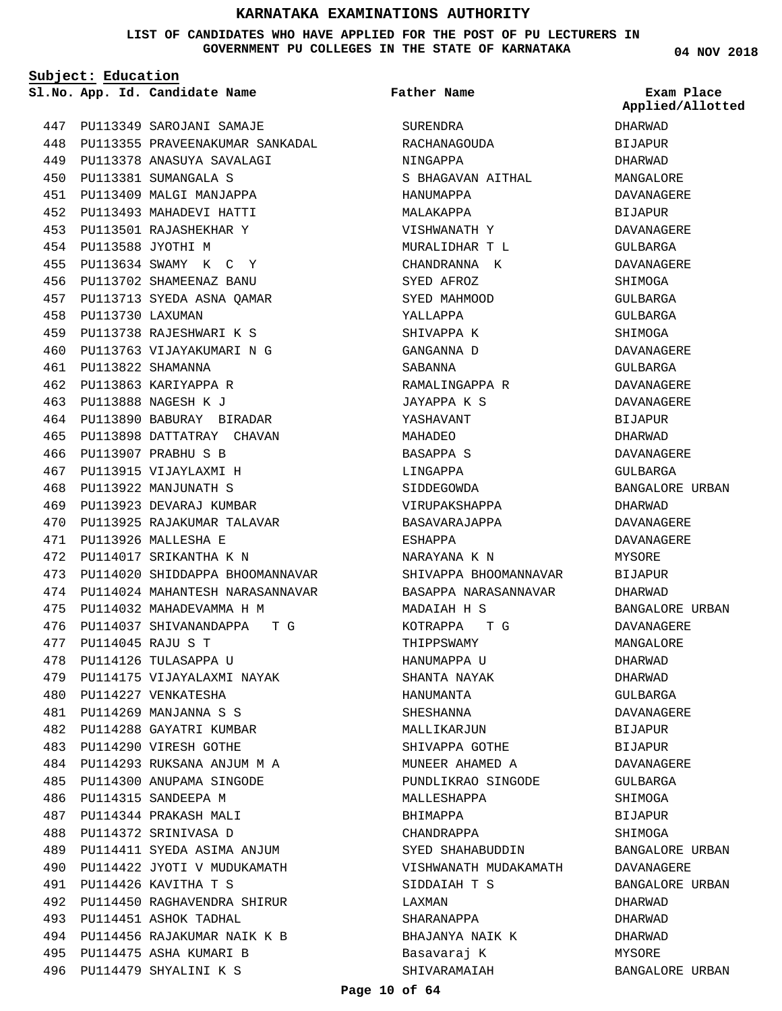#### **LIST OF CANDIDATES WHO HAVE APPLIED FOR THE POST OF PU LECTURERS IN GOVERNMENT PU COLLEGES IN THE STATE OF KARNATAKA**

**Subject: Education**

PU113349 SAROJANI SAMAJE 447 448 PU113355 PRAVEENAKUMAR SANKADAL PU113378 ANASUYA SAVALAGI 449 PU113381 SUMANGALA S 450 PU113409 MALGI MANJAPPA 451 PU113493 MAHADEVI HATTI 452 PU113501 RAJASHEKHAR Y 453 PU113588 JYOTHI M 454 PU113634 SWAMY K C Y 455 PU113702 SHAMEENAZ BANU 456 PU113713 SYEDA ASNA QAMAR 457 PU113730 LAXUMAN 458 PU113738 RAJESHWARI K S 459 PU113763 VIJAYAKUMARI N G 460 PU113822 SHAMANNA 461 PU113863 KARIYAPPA R 462 PU113888 NAGESH K J 463 PU113890 BABURAY BIRADAR 464 PU113898 DATTATRAY CHAVAN 465 PU113907 PRABHU S B 466 467 PU113915 VIJAYLAXMI H PU113922 MANJUNATH S 468 PU113923 DEVARAJ KUMBAR 469 PU113925 RAJAKUMAR TALAVAR 470 PU113926 MALLESHA E 471 PU114017 SRIKANTHA K N 472 473 PU114020 SHIDDAPPA BHOOMANNAVAR 474 PU114024 MAHANTESH NARASANNAVAR PU114032 MAHADEVAMMA H M 475 476 PU114037 SHIVANANDAPPA T G PU114045 RAJU S T 477 PU114126 TULASAPPA U 478 PU114175 VIJAYALAXMI NAYAK 479 PU114227 VENKATESHA 480 PU114269 MANJANNA S S 481 PU114288 GAYATRI KUMBAR 482 483 PU114290 VIRESH GOTHE PU114293 RUKSANA ANJUM M A 484 PU114300 ANUPAMA SINGODE 485 PU114315 SANDEEPA M 486 PU114344 PRAKASH MALI 487 488 PU114372 SRINIVASA D PU114411 SYEDA ASIMA ANJUM 489 PU114422 JYOTI V MUDUKAMATH 490 PU114426 KAVITHA T S 491 PU114450 RAGHAVENDRA SHIRUR 492 493 PU114451 ASHOK TADHAL PU114456 RAJAKUMAR NAIK K B 494 PU114475 ASHA KUMARI B 495 PU114479 SHYALINI K S 496

**App. Id. Candidate Name Sl.No. Exam Place** SURENDRA RACHANAGOUDA NINGAPPA S BHAGAVAN AITHAL HANUMAPPA MALAKAPPA VISHWANATH Y MURALIDHAR T L CHANDRANNA K SYED AFROZ SYED MAHMOOD YALLAPPA SHIVAPPA K GANGANNA D SABANNA RAMALINGAPPA R JAYAPPA K S YASHAVANT MAHADEO BASAPPA S LINGAPPA SIDDEGOWDA VIRUPAKSHAPPA BASAVARAJAPPA ESHAPPA NARAYANA K N SHIVAPPA BHOOMANNAVAR BASAPPA NARASANNAVAR MADAIAH H S KOTRAPPA T G THIPPSWAMY HANUMAPPA U SHANTA NAYAK HANUMANTA SHESHANNA MALLIKARJIIN SHIVAPPA GOTHE MUNEER AHAMED A PUNDLIKRAO SINGODE MALLESHAPPA BHIMAPPA CHANDRAPPA SYED SHAHABUDDIN VISHWANATH MUDAKAMATH SIDDAIAH T S LAXMAN SHARANAPPA BHAJANYA NAIK K Basavaraj K SHIVARAMAIAH **Father Name**

**04 NOV 2018**

DHARWAD **BIJAPUR** DHARWAD MANGALORE DAVANAGERE BIJAPUR DAVANAGERE GULBARGA DAVANAGERE **SHIMOGA** GULBARGA GULBARGA SHIMOGA DAVANAGERE GULBARGA DAVANAGERE DAVANAGERE **BIJAPUR** DHARWAD DAVANAGERE GULBARGA BANGALORE URBAN DHARWAD DAVANAGERE DAVANAGERE MYSORE BIJAPUR DHARWAD BANGALORE URBAN DAVANAGERE MANGALORE DHARWAD DHARWAD GULBARGA DAVANAGERE BIJAPUR BIJAPUR DAVANAGERE GULBARGA SHIMOGA BIJAPUR SHIMOGA BANGALORE URBAN DAVANAGERE BANGALORE URBAN DHARWAD DHARWAD DHARWAD MYSORE BANGALORE URBAN **Applied/Allotted**

#### **Page 10 of 64**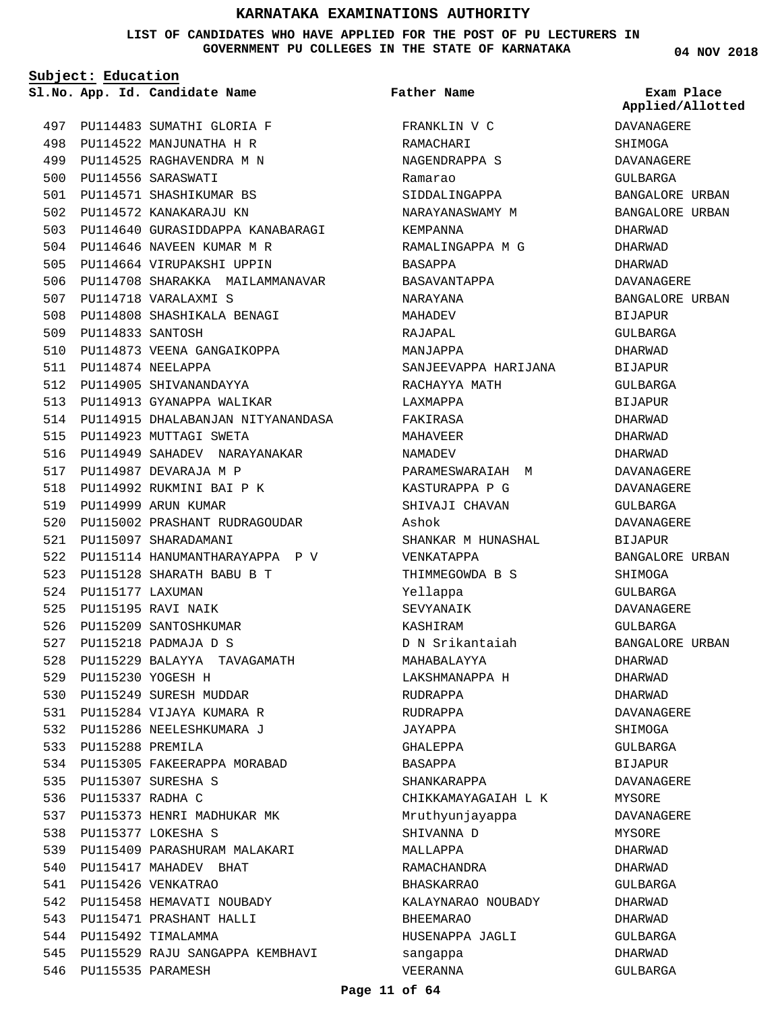**LIST OF CANDIDATES WHO HAVE APPLIED FOR THE POST OF PU LECTURERS IN GOVERNMENT PU COLLEGES IN THE STATE OF KARNATAKA**

**Subject: Education**

**App. Id. Candidate Name Sl.No. Exam Place**

**Father Name**

PU114483 SUMATHI GLORIA F 497 PU114522 MANJUNATHA H R 498 PU114525 RAGHAVENDRA M N 499 PU114556 SARASWATI 500 PU114571 SHASHIKUMAR BS 501 502 PU114572 KANAKARAJU KN 503 PU114640 GURASIDDAPPA KANABARAGI 504 PU114646 NAVEEN KUMAR M R 505 PU114664 VIRUPAKSHI UPPIN 506 PU114708 SHARAKKA MAILAMMANAVAR 507 PU114718 VARALAXMI S PU114808 SHASHIKALA BENAGI 508 PU114833 SANTOSH 509 510 PU114873 VEENA GANGAIKOPPA PU114874 NEELAPPA 511 512 PU114905 SHIVANANDAYYA 513 PU114913 GYANAPPA WALIKAR 514 PU114915 DHALABANJAN NITYANANDASA 515 PU114923 MUTTAGI SWETA 516 PU114949 SAHADEV NARAYANAKAR 517 PU114987 DEVARAJA M P 518 PU114992 RUKMINI BAI P K 519 PU114999 ARUN KUMAR 520 PU115002 PRASHANT RUDRAGOUDAR 521 PU115097 SHARADAMANI 522 PU115114 HANUMANTHARAYAPPA P V PU115128 SHARATH BABU B T 523 524 PU115177 LAXUMAN PU115195 RAVI NAIK 525 526 PU115209 SANTOSHKUMAR PU115218 PADMAJA D S 527 PU115229 BALAYYA TAVAGAMATH 528 PU115230 YOGESH H 529 530 PU115249 SURESH MUDDAR PU115284 VIJAYA KUMARA R 531 PU115286 NEELESHKUMARA J 532 PU115288 PREMILA 533 534 PU115305 FAKEERAPPA MORABAD PU115307 SURESHA S 535 536 PU115337 RADHA C 537 PU115373 HENRI MADHUKAR MK PU115377 LOKESHA S 538 PU115409 PARASHURAM MALAKARI 539 540 PU115417 MAHADEV BHAT PU115426 VENKATRAO 541 542 PU115458 HEMAVATI NOUBADY 543 PU115471 PRASHANT HALLI 544 PU115492 TIMALAMMA 545 PU115529 RAJU SANGAPPA KEMBHAVI 546 PU115535 PARAMESH

FRANKLIN V C RAMACHARI NAGENDRAPPA S Ramarao SIDDALINGAPPA NARAYANASWAMY M KEMPANNA RAMALINGAPPA M G BASAPPA BASAVANTAPPA NARAYANA MAHADEV RAJAPAL MANJAPPA SANJEEVAPPA HARIJANA RACHAYYA MATH LAXMAPPA FAKIRASA MAHAVEER NAMADEV PARAMESWARAIAH M KASTURAPPA P G SHIVAJI CHAVAN Ashok SHANKAR M HUNASHAL VENKATAPPA THIMMEGOWDA B S Yellappa SEVYANAIK KASHIRAM D N Srikantaiah MAHABALAYYA LAKSHMANAPPA H RUDRAPPA RUDRAPPA JAYAPPA GHALEPPA BASAPPA SHANKARAPPA CHIKKAMAYAGAIAH L K Mruthyunjayappa SHIVANNA D MALLAPPA RAMACHANDRA BHASKARRAO KALAYNARAO NOUBADY BHEEMARAO HUSENAPPA JAGLI sangappa VEERANNA

**04 NOV 2018**

DAVANAGERE SHIMOGA DAVANAGERE GULBARGA BANGALORE URBAN BANGALORE URBAN DHARWAD DHARWAD DHARWAD DAVANAGERE BANGALORE URBAN BIJAPUR GULBARGA DHARWAD BIJAPUR GULBARGA BIJAPUR DHARWAD DHARWAD DHARWAD DAVANAGERE DAVANAGERE GULBARGA DAVANAGERE BIJAPUR BANGALORE URBAN SHIMOGA GULBARGA DAVANAGERE GULBARGA BANGALORE URBAN DHARWAD DHARWAD DHARWAD DAVANAGERE **SHIMOGA** GULBARGA BIJAPUR DAVANAGERE MYSORE DAVANAGERE MYSORE DHARWAD DHARWAD GULBARGA DHARWAD DHARWAD GULBARGA DHARWAD GULBARGA **Applied/Allotted**

#### **Page 11 of 64**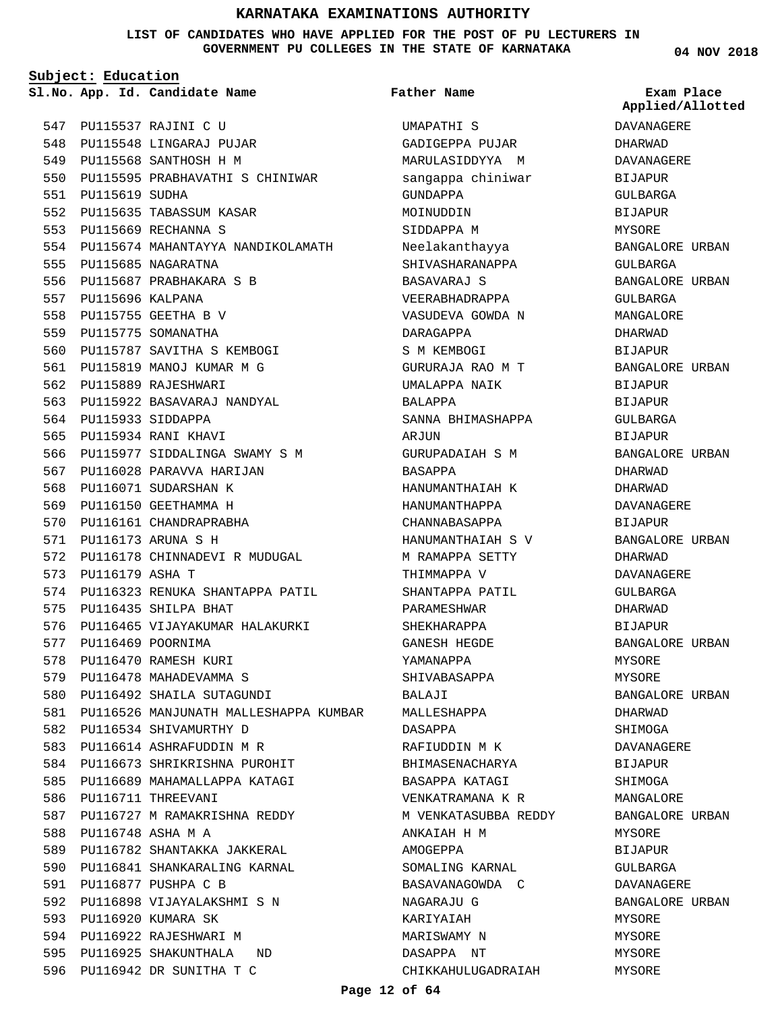**LIST OF CANDIDATES WHO HAVE APPLIED FOR THE POST OF PU LECTURERS IN GOVERNMENT PU COLLEGES IN THE STATE OF KARNATAKA**

**Subject: Education**

**App. Id. Candidate Name Sl.No. Exam Place**

PU115537 RAJINI C U 547 548 PU115548 LINGARAJ PUJAR 549 PU115568 SANTHOSH H M 550 PU115595 PRABHAVATHI S CHINIWAR 551 PU115619 SUDHA 552 PU115635 TABASSUM KASAR PU115669 RECHANNA S 553 554 PU115674 MAHANTAYYA NANDIKOLAMATH 555 PU115685 NAGARATNA PU115687 PRABHAKARA S B 556 557 PU115696 KALPANA PU115755 GEETHA B V 558 559 PU115775 SOMANATHA PU115787 SAVITHA S KEMBOGI 560 PU115819 MANOJ KUMAR M G 561 562 PU115889 RAJESHWARI PU115922 BASAVARAJ NANDYAL 563 564 PU115933 SIDDAPPA 565 PU115934 RANI KHAVI 566 PU115977 SIDDALINGA SWAMY S M 567 PU116028 PARAVVA HARIJAN 568 PU116071 SUDARSHAN K 569 PU116150 GEETHAMMA H 570 PU116161 CHANDRAPRABHA PU116173 ARUNA S H 571 572 PU116178 CHINNADEVI R MUDUGAL 573 PU116179 ASHA T 574 PU116323 RENUKA SHANTAPPA PATIL 575 PU116435 SHILPA BHAT 576 PU116465 VIJAYAKUMAR HALAKURKI 577 PU116469 POORNIMA 578 PU116470 RAMESH KURI 579 PU116478 MAHADEVAMMA S PU116492 SHAILA SUTAGUNDI 580 PU116526 MANJUNATH MALLESHAPPA KUMBAR 581 582 PU116534 SHIVAMURTHY D 583 PU116614 ASHRAFUDDIN M R 584 PU116673 SHRIKRISHNA PUROHIT 585 PU116689 MAHAMALLAPPA KATAGI 586 PU116711 THREEVANI PU116727 M RAMAKRISHNA REDDY PU116748 ASHA M A 588 PU116782 SHANTAKKA JAKKERAL 589 590 PU116841 SHANKARALING KARNAL PU116877 PUSHPA C B 591 PU116898 VIJAYALAKSHMI S N 592 593 PU116920 KUMARA SK 594 PU116922 RAJESHWARI M PU116925 SHAKUNTHALA ND 595 PU116942 DR SUNITHA T C 596 587

**Father Name**

UMAPATHI S GADIGEPPA PUJAR MARULASIDDYYA M sangappa chiniwar GUNDAPPA MOINUDDIN SIDDAPPA M Neelakanthayya SHIVASHARANAPPA BASAVARAJ S VEERABHADRAPPA VASUDEVA GOWDA N DARAGAPPA S M KEMBOGI GURURAJA RAO M T UMALAPPA NAIK BALAPPA SANNA BHIMASHAPPA AR.TITN GURUPADAIAH S M BASAPPA HANUMANTHAIAH K HANUMANTHAPPA CHANNABASAPPA HANUMANTHAIAH S V M RAMAPPA SETTY THIMMAPPA V SHANTAPPA PATIL PARAMESHWAR SHEKHARAPPA GANESH HEGDE YAMANAPPA SHIVABASAPPA BALAJI MALLESHAPPA DASAPPA RAFIUDDIN M K BHIMASENACHARYA BASAPPA KATAGI VENKATRAMANA K R M VENKATASUBBA REDDY ANKAIAH H M AMOGEPPA SOMALING KARNAL BASAVANAGOWDA C NAGARAJU G KARIYAIAH MARISWAMY N DASAPPA NT CHIKKAHULUGADRAIAH **04 NOV 2018**

**Applied/Allotted**

DAVANAGERE DHARWAD DAVANAGERE BIJAPUR GULBARGA BIJAPUR MYSORE BANGALORE URBAN GULBARGA BANGALORE URBAN GULBARGA MANGALORE DHARWAD BIJAPUR BANGALORE URBAN BIJAPUR BIJAPUR  $CITIRARGA$ **BIJAPUR** BANGALORE URBAN DHARWAD DHARWAD DAVANAGERE BIJAPUR BANGALORE URBAN DHARWAD DAVANAGERE GULBARGA DHARWAD BIJAPUR BANGALORE URBAN MYSORE MYSORE BANGALORE URBAN DHARWAD **SHIMOGA** DAVANAGERE BIJAPUR SHIMOGA MANGALORE BANGALORE URBAN MYSORE BIJAPUR GULBARGA DAVANAGERE BANGALORE URBAN MYSORE MYSORE MYSORE

MYSORE

**Page 12 of 64**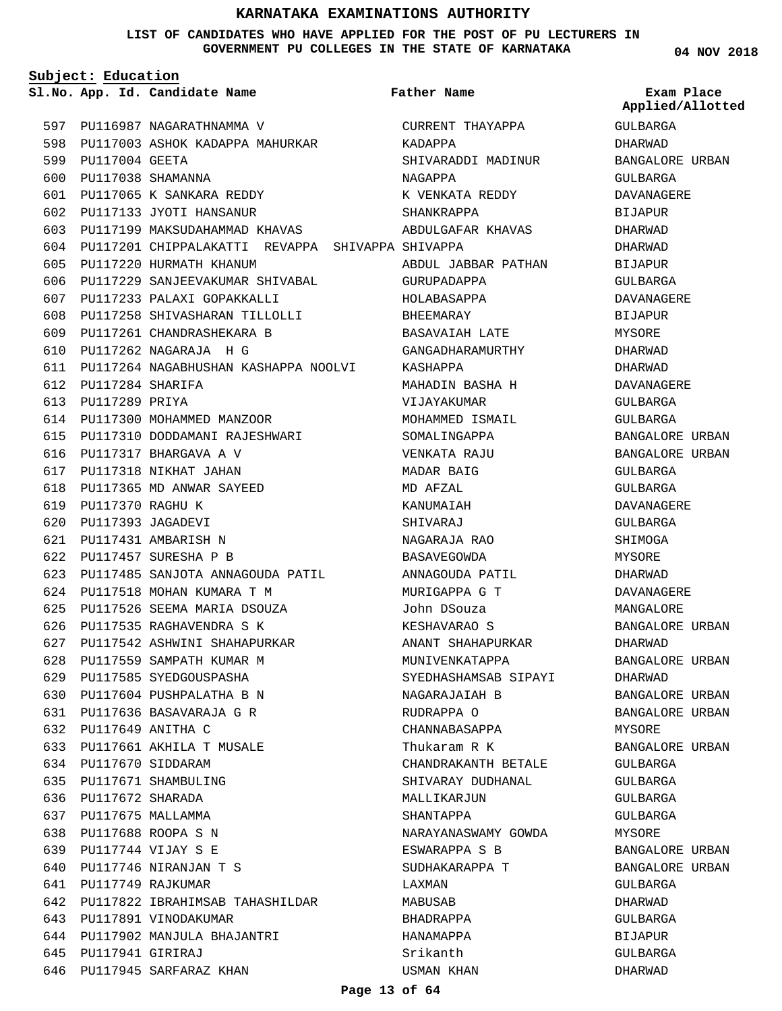**LIST OF CANDIDATES WHO HAVE APPLIED FOR THE POST OF PU LECTURERS IN GOVERNMENT PU COLLEGES IN THE STATE OF KARNATAKA**

**Subject: Education**

**App. Id. Candidate Name Sl.No. Exam Place**

597 PU116987 NAGARATHNAMMA V 598 PU117003 ASHOK KADAPPA MAHURKAR 599 PU117004 GEETA PU117038 SHAMANNA 600 PU117065 K SANKARA REDDY 601 PU117133 JYOTI HANSANUR 602 603 PU117199 MAKSUDAHAMMAD KHAVAS PU117201 CHIPPALAKATTI REVAPPA SHIVAPPA SHIVAPPA 604 605 PU117220 HURMATH KHANUM 606 PU117229 SANJEEVAKUMAR SHIVABAL PU117233 PALAXI GOPAKKALLI 607 PU117258 SHIVASHARAN TILLOLLI 608 PU117261 CHANDRASHEKARA B 609 PU117262 NAGARAJA H G 610 PU117264 NAGABHUSHAN KASHAPPA NOOLVI 611 PU117284 SHARIFA 612 613 PU117289 PRIYA 614 PU117300 MOHAMMED MANZOOR PU117310 DODDAMANI RAJESHWARI 615 616 PU117317 BHARGAVA A V 617 PU117318 NIKHAT JAHAN 618 PU117365 MD ANWAR SAYEED PU117370 RAGHU K 619 PU117393 JAGADEVI 620 PU117431 AMBARISH N 621 PU117457 SURESHA P B 622 623 PU117485 SANJOTA ANNAGOUDA PATIL PU117518 MOHAN KUMARA T M 624 PU117526 SEEMA MARIA DSOUZA 625 PU117535 RAGHAVENDRA S K 626 PU117542 ASHWINI SHAHAPURKAR 627 628 PU117559 SAMPATH KUMAR M 629 PU117585 SYEDGOUSPASHA 630 PU117604 PUSHPALATHA B N PU117636 BASAVARAJA G R 631 PU117649 ANITHA C 632 PU117661 AKHILA T MUSALE 633 634 PU117670 SIDDARAM 635 PU117671 SHAMBULING PU117672 SHARADA 636 637 PU117675 MALLAMMA PU117688 ROOPA S N 638 PU117744 VIJAY S E 639 PU117746 NIRANJAN T S 640 PU117749 RAJKUMAR 641 642 PU117822 IBRAHIMSAB TAHASHILDAR 643 PU117891 VINODAKUMAR 644 PU117902 MANJULA BHAJANTRI PU117941 GIRIRAJ 645

646 PU117945 SARFARAZ KHAN

CURRENT THAYAPPA KADAPPA SHIVARADDI MADINUR NAGAPPA K VENKATA REDDY SHANKRAPPA ABDULGAFAR KHAVAS ABDUL JABBAR PATHAN GURUPADAPPA HOLABASAPPA BHEEMARAY BASAVAIAH LATE GANGADHARAMURTHY KASHAPPA MAHADIN BASHA H VIJAYAKUMAR MOHAMMED ISMAIL SOMALINGAPPA VENKATA RAJU MADAR BAIG MD AFZAL KANUMAIAH SHIVARAJ NAGARAJA RAO BASAVEGOWDA ANNAGOUDA PATIL MURIGAPPA G T John DSouza KESHAVARAO S ANANT SHAHAPURKAR MUNIVENKATAPPA SYEDHASHAMSAB SIPAYI NAGARAJAIAH B RUDRAPPA O CHANNABASAPPA Thukaram R K CHANDRAKANTH BETALE SHIVARAY DUDHANAL MALLIKARJUN SHANTAPPA NARAYANASWAMY GOWDA ESWARAPPA S B SUDHAKARAPPA T LAXMAN MABUSAB BHADRAPPA HANAMAPPA Srikanth USMAN KHAN **Father Name**

**04 NOV 2018**

**Applied/Allotted**

GULBARGA DHARWAD BANGALORE URBAN GULBARGA DAVANAGERE BIJAPUR DHARWAD DHARWAD **BIJAPUR GULBARGA** DAVANAGERE BIJAPUR MYSORE DHARWAD DHARWAD DAVANAGERE GULBARGA GULBARGA BANGALORE URBAN BANGALORE URBAN GULBARGA GULBARGA DAVANAGERE GULBARGA SHIMOGA MYSORE DHARWAD DAVANAGERE MANGALORE BANGALORE URBAN DHARWAD BANGALORE URBAN DHARWAD BANGALORE URBAN BANGALORE URBAN MYSORE BANGALORE URBAN GULBARGA GULBARGA GULBARGA GULBARGA MYSORE BANGALORE URBAN BANGALORE URBAN GULBARGA DHARWAD GULBARGA BIJAPUR GULBARGA DHARWAD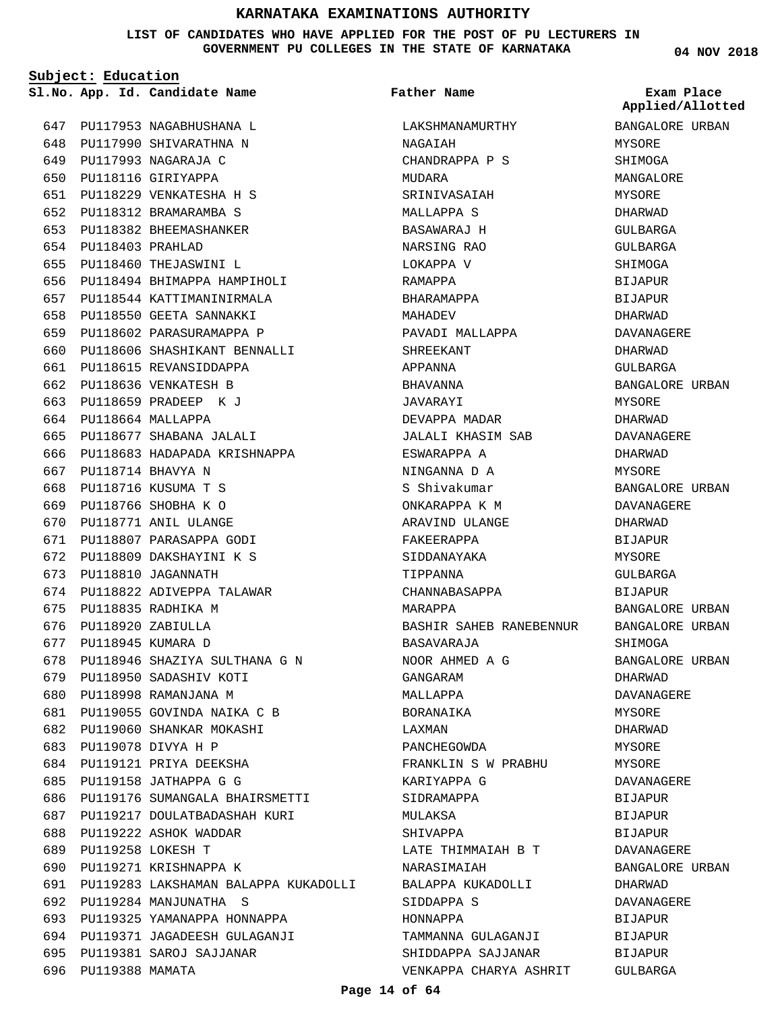**LIST OF CANDIDATES WHO HAVE APPLIED FOR THE POST OF PU LECTURERS IN GOVERNMENT PU COLLEGES IN THE STATE OF KARNATAKA**

**Subject: Education**

647 PU117953 NAGABHUSHANA L 648 PU117990 SHIVARATHNA N PU117993 NAGARAJA C 649 650 PU118116 GIRIYAPPA PU118229 VENKATESHA H S 651 PU118312 BRAMARAMBA S 652 653 PU118382 BHEEMASHANKER PU118403 PRAHLAD 654 655 PU118460 THEJASWINI L PU118494 BHIMAPPA HAMPIHOLI 656 PU118544 KATTIMANINIRMALA 657 658 PU118550 GEETA SANNAKKI 659 PU118602 PARASURAMAPPA P PU118606 SHASHIKANT BENNALLI 660 661 PU118615 REVANSIDDAPPA 662 PU118636 VENKATESH B 663 PU118659 PRADEEP K J PU118664 MALLAPPA 664 PU118677 SHABANA JALALI 665 666 PU118683 HADAPADA KRISHNAPPA 667 PU118714 BHAVYA N PU118716 KUSUMA T S 668 PU118766 SHOBHA K O 669 670 PU118771 ANIL ULANGE PU118807 PARASAPPA GODI 671 PU118809 DAKSHAYINI K S 672 PU118810 JAGANNATH 673 674 PU118822 ADIVEPPA TALAWAR 675 PU118835 RADHIKA M 676 PU118920 ZABIULLA 677 PU118945 KUMARA D 678 PU118946 SHAZIYA SULTHANA G N 679 PU118950 SADASHIV KOTI 680 PU118998 RAMANJANA M PU119055 GOVINDA NAIKA C B 681 PU119060 SHANKAR MOKASHI 682 PU119078 DIVYA H P 683 684 PU119121 PRIYA DEEKSHA 685 PU119158 JATHAPPA G G 686 PU119176 SUMANGALA BHAIRSMETTI PU119217 DOULATBADASHAH KURI 688 PU119222 ASHOK WADDAR PU119258 LOKESH T 689 690 PU119271 KRISHNAPPA K PU119283 LAKSHAMAN BALAPPA KUKADOLLI 691 PU119284 MANJUNATHA S 692 693 PU119325 YAMANAPPA HONNAPPA PU119371 JAGADEESH GULAGANJI 694 PU119381 SAROJ SAJJANAR 695 696 PU119388 MAMATA 687

**App. Id. Candidate Name Sl.No. Exam Place** LAKSHMANAMURTHY NAGAIAH CHANDRAPPA P S MUDARA SRINIVASAIAH MALLAPPA S BASAWARAJ H NARSING RAO LOKAPPA V RAMAPPA BHARAMAPPA MAHADEV PAVADI MALLAPPA SHREEKANT APPANNA BHAVANNA JAVARAYI DEVAPPA MADAR JALALI KHASIM SAB ESWARAPPA A NINGANNA D A S Shivakumar ONKARAPPA K M ARAVIND ULANGE FAKEERAPPA SIDDANAYAKA TIPPANNA CHANNABASAPPA MARAPPA BASHIR SAHEB RANEBENNUR BASAVARAJA NOOR AHMED A G GANGARAM MALLAPPA BORANAIKA LAXMAN PANCHEGOWDA FRANKLIN S W PRABHU KARIYAPPA G SIDRAMAPPA MULAKSA SHIVAPPA LATE THIMMAIAH B T NARASIMAIAH BALAPPA KUKADOLLI SIDDAPPA S HONNAPPA TAMMANNA GULAGANJI SHIDDAPPA SAJJANAR VENKAPPA CHARYA ASHRIT **Father Name**

**04 NOV 2018**

**Applied/Allotted**

BANGALORE URBAN MYSORE SHIMOGA MANGALORE MYSORE DHARWAD GULBARGA GULBARGA SHIMOGA BIJAPUR **BIJAPUR** DHARWAD DAVANAGERE DHARWAD GULBARGA BANGALORE URBAN MYSORE DHARWAD DAVANAGERE DHARWAD MYSORE BANGALORE URBAN DAVANAGERE DHARWAD BIJAPUR MYSORE  $CITIRARCA$ BIJAPUR BANGALORE URBAN BANGALORE URBAN SHIMOGA BANGALORE URBAN DHARWAD DAVANAGERE MYSORE DHARWAD MYSORE MYSORE DAVANAGERE BIJAPUR BIJAPUR BIJAPUR DAVANAGERE BANGALORE URBAN DHARWAD DAVANAGERE BIJAPUR BIJAPUR BIJAPUR GULBARGA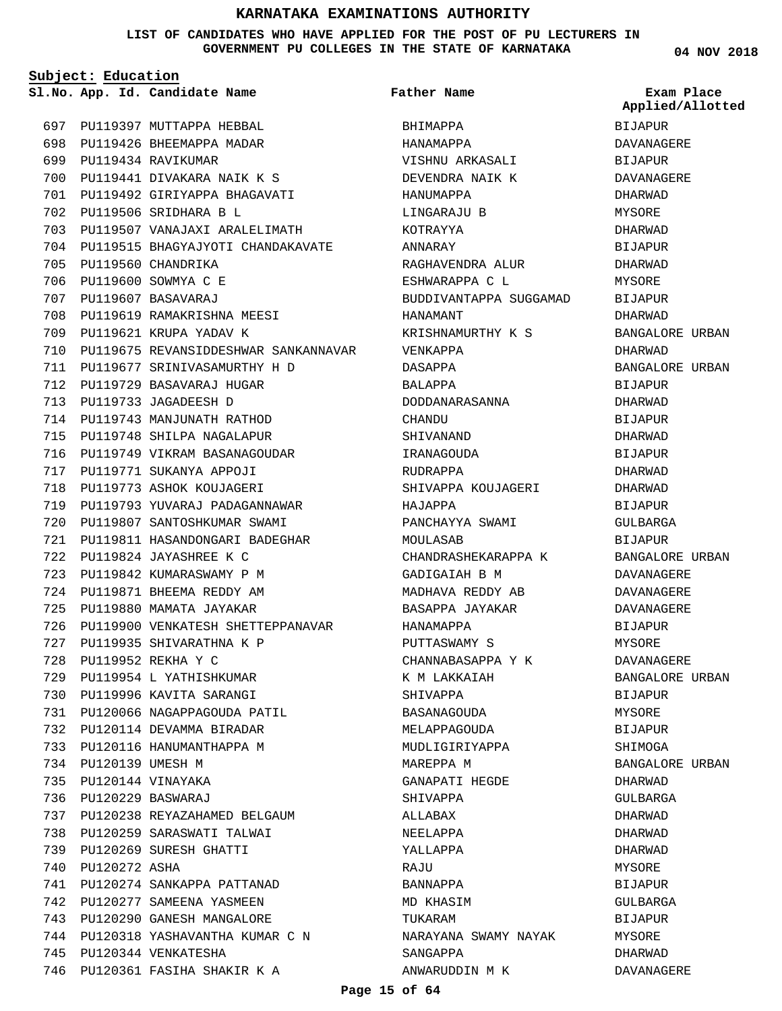#### **LIST OF CANDIDATES WHO HAVE APPLIED FOR THE POST OF PU LECTURERS IN GOVERNMENT PU COLLEGES IN THE STATE OF KARNATAKA**

**Subject: Education**

**Father Name**

**04 NOV 2018**

|     |                       | Sl.No. App. Id. Candidate Name       | Father Name            | Exam Place<br>Applied/Allotted |
|-----|-----------------------|--------------------------------------|------------------------|--------------------------------|
|     |                       | 697 PU119397 MUTTAPPA HEBBAL         | BHIMAPPA               | <b>BIJAPUR</b>                 |
| 698 |                       | PU119426 BHEEMAPPA MADAR             | HANAMAPPA              | DAVANAGERE                     |
| 699 |                       | PU119434 RAVIKUMAR                   | VISHNU ARKASALI        | <b>BIJAPUR</b>                 |
| 700 |                       | PU119441 DIVAKARA NAIK K S           | DEVENDRA NAIK K        | DAVANAGERE                     |
| 701 |                       | PU119492 GIRIYAPPA BHAGAVATI         | HANUMAPPA              | DHARWAD                        |
| 702 |                       | PU119506 SRIDHARA B L                | LINGARAJU B            | MYSORE                         |
| 703 |                       | PU119507 VANAJAXI ARALELIMATH        | KOTRAYYA               | DHARWAD                        |
| 704 |                       | PU119515 BHAGYAJYOTI CHANDAKAVATE    | ANNARAY                | <b>BIJAPUR</b>                 |
| 705 |                       | PU119560 CHANDRIKA                   | RAGHAVENDRA ALUR       | DHARWAD                        |
| 706 |                       | PU119600 SOWMYA C E                  | ESHWARAPPA C L         | MYSORE                         |
| 707 |                       | PU119607 BASAVARAJ                   | BUDDIVANTAPPA SUGGAMAD | <b>BIJAPUR</b>                 |
| 708 |                       | PU119619 RAMAKRISHNA MEESI           | HANAMANT               | DHARWAD                        |
| 709 |                       | PU119621 KRUPA YADAV K               | KRISHNAMURTHY K S      | BANGALORE URBAN                |
| 710 |                       | PU119675 REVANSIDDESHWAR SANKANNAVAR | VENKAPPA               | DHARWAD                        |
| 711 |                       | PU119677 SRINIVASAMURTHY H D         | DASAPPA                | BANGALORE URBAN                |
| 712 |                       | PU119729 BASAVARAJ HUGAR             | BALAPPA                | BIJAPUR                        |
| 713 |                       | PU119733 JAGADEESH D                 | DODDANARASANNA         | DHARWAD                        |
|     |                       | 714 PU119743 MANJUNATH RATHOD        | CHANDU                 | <b>BIJAPUR</b>                 |
| 715 |                       | PU119748 SHILPA NAGALAPUR            | SHIVANAND              | DHARWAD                        |
| 716 |                       | PU119749 VIKRAM BASANAGOUDAR         | IRANAGOUDA             | BIJAPUR                        |
| 717 |                       | PU119771 SUKANYA APPOJI              | RUDRAPPA               | DHARWAD                        |
| 718 |                       | PU119773 ASHOK KOUJAGERI             | SHIVAPPA KOUJAGERI     | DHARWAD                        |
| 719 |                       | PU119793 YUVARAJ PADAGANNAWAR        | HAJAPPA                | <b>BIJAPUR</b>                 |
| 720 |                       | PU119807 SANTOSHKUMAR SWAMI          | PANCHAYYA SWAMI        | GULBARGA                       |
| 721 |                       | PU119811 HASANDONGARI BADEGHAR       | MOULASAB               | <b>BIJAPUR</b>                 |
| 722 |                       | PU119824 JAYASHREE K C               | CHANDRASHEKARAPPA K    | BANGALORE URBAN                |
| 723 |                       | PU119842 KUMARASWAMY P M             | GADIGAIAH B M          | DAVANAGERE                     |
|     |                       | 724 PU119871 BHEEMA REDDY AM         | MADHAVA REDDY AB       | DAVANAGERE                     |
| 725 |                       | PU119880 MAMATA JAYAKAR              | BASAPPA JAYAKAR        | DAVANAGERE                     |
| 726 |                       |                                      |                        | <b>BIJAPUR</b>                 |
| 727 |                       | PU119935 SHIVARATHNA K P             | PUTTASWAMY S           | MYSORE                         |
|     |                       | 728 PU119952 REKHA Y C               | CHANNABASAPPA Y K      | DAVANAGERE                     |
|     |                       | 729 PU119954 L YATHISHKUMAR          | K M LAKKAIAH           | BANGALORE URBAN                |
|     |                       | 730 PU119996 KAVITA SARANGI          | SHIVAPPA               | BIJAPUR                        |
| 731 |                       | PU120066 NAGAPPAGOUDA PATIL          | BASANAGOUDA            | MYSORE                         |
| 732 |                       | PU120114 DEVAMMA BIRADAR             | MELAPPAGOUDA           | BIJAPUR                        |
| 733 |                       | PU120116 HANUMANTHAPPA M             | MUDLIGIRIYAPPA         | SHIMOGA                        |
|     | 734 PU120139 UMESH M  |                                      | MAREPPA M              | BANGALORE URBAN                |
|     |                       | 735 PU120144 VINAYAKA                | GANAPATI HEGDE         | DHARWAD                        |
|     | 736 PU120229 BASWARAJ |                                      | SHIVAPPA               | GULBARGA                       |
|     |                       | 737 PU120238 REYAZAHAMED BELGAUM     | ALLABAX                | DHARWAD                        |
|     |                       | 738 PU120259 SARASWATI TALWAI        | NEELAPPA               | DHARWAD                        |
| 739 |                       | PU120269 SURESH GHATTI               | YALLAPPA               | DHARWAD                        |
| 740 | PU120272 ASHA         |                                      | RAJU                   | MYSORE                         |
| 741 |                       | PU120274 SANKAPPA PATTANAD           | BANNAPPA               | BIJAPUR                        |
|     |                       | 742 PU120277 SAMEENA YASMEEN         | MD KHASIM              | GULBARGA                       |
| 743 |                       | PU120290 GANESH MANGALORE            | TUKARAM                | BIJAPUR                        |
|     |                       | 744 PU120318 YASHAVANTHA KUMAR C N   | NARAYANA SWAMY NAYAK   | MYSORE                         |
| 745 |                       | PU120344 VENKATESHA                  | SANGAPPA               | DHARWAD                        |
|     |                       | 746 PU120361 FASIHA SHAKIR K A       | ANWARUDDIN M K         | DAVANAGERE                     |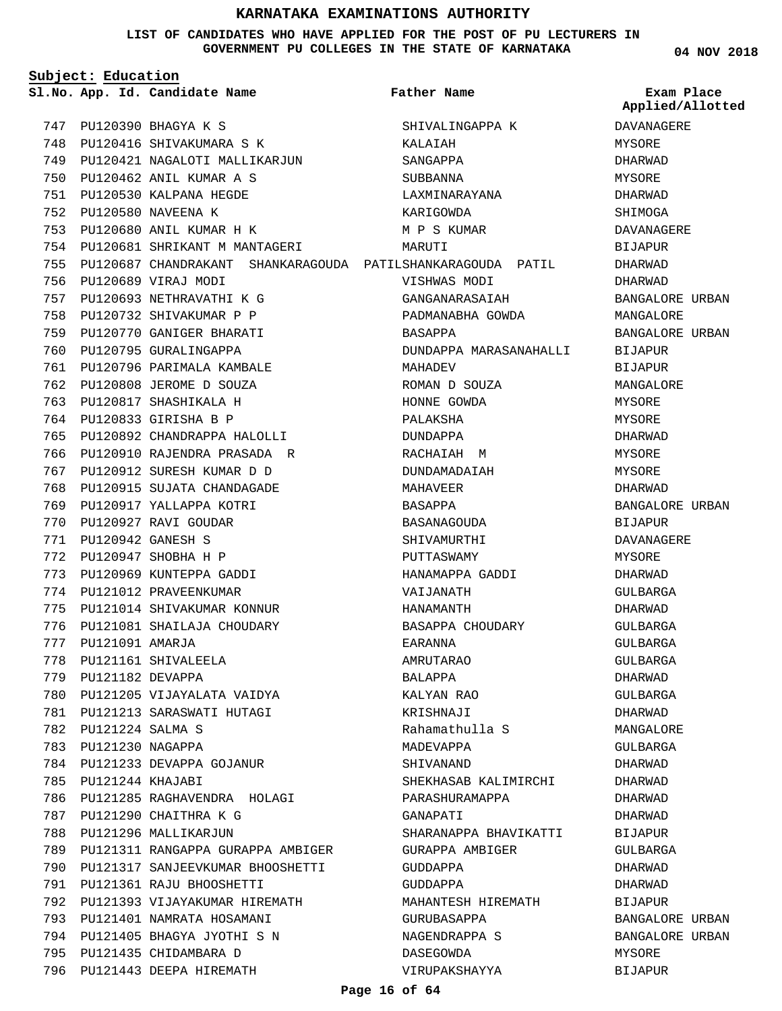**LIST OF CANDIDATES WHO HAVE APPLIED FOR THE POST OF PU LECTURERS IN GOVERNMENT PU COLLEGES IN THE STATE OF KARNATAKA**

**04 NOV 2018**

|     | Subject: Education   |                                                                 |                               |                                |
|-----|----------------------|-----------------------------------------------------------------|-------------------------------|--------------------------------|
|     |                      | Sl.No. App. Id. Candidate Name                                  | Father Name                   | Exam Place<br>Applied/Allotted |
|     |                      | 747 PU120390 BHAGYA K S                                         | SHIVALINGAPPA K               | DAVANAGERE                     |
|     |                      | 748 PU120416 SHIVAKUMARA S K                                    | KALAIAH                       | MYSORE                         |
|     |                      | 749 PU120421 NAGALOTI MALLIKARJUN                               | SANGAPPA                      | DHARWAD                        |
| 750 |                      | PU120462 ANIL KUMAR A S                                         | SUBBANNA                      | MYSORE                         |
| 751 |                      | PU120530 KALPANA HEGDE                                          | LAXMINARAYANA                 | DHARWAD                        |
| 752 |                      | PU120580 NAVEENA K                                              | KARIGOWDA                     | SHIMOGA                        |
| 753 |                      | PU120680 ANIL KUMAR H K                                         | M P S KUMAR                   | <b>DAVANAGERE</b>              |
| 754 |                      | PU120681 SHRIKANT M MANTAGERI                                   | MARUTI                        | <b>BIJAPUR</b>                 |
|     |                      | 755 PU120687 CHANDRAKANT SHANKARAGOUDA PATILSHANKARAGOUDA PATIL |                               | DHARWAD                        |
|     |                      | 756 PU120689 VIRAJ MODI                                         | VISHWAS MODI                  | DHARWAD                        |
|     |                      | 757 PU120693 NETHRAVATHI K G                                    | GANGANARASAIAH                | BANGALORE URBAN                |
| 758 |                      | PU120732 SHIVAKUMAR P P                                         | PADMANABHA GOWDA              | MANGALORE                      |
| 759 |                      | PU120770 GANIGER BHARATI                                        | BASAPPA                       | BANGALORE URBAN                |
| 760 |                      | PU120795 GURALINGAPPA                                           | DUNDAPPA MARASANAHALLI        | BIJAPUR                        |
| 761 |                      | PU120796 PARIMALA KAMBALE                                       | MAHADEV                       | <b>BIJAPUR</b>                 |
| 762 |                      | PU120808 JEROME D SOUZA                                         | ROMAN D SOUZA                 | MANGALORE                      |
| 763 |                      | PU120817 SHASHIKALA H                                           | HONNE GOWDA                   | MYSORE                         |
|     |                      | 764 PU120833 GIRISHA B P                                        | PALAKSHA                      | MYSORE                         |
|     |                      | 765 PU120892 CHANDRAPPA HALOLLI                                 | DUNDAPPA                      | DHARWAD                        |
| 766 |                      | PU120910 RAJENDRA PRASADA R                                     | RACHAIAH M                    | MYSORE                         |
| 767 |                      | PU120912 SURESH KUMAR D D                                       | DUNDAMADAIAH                  | MYSORE                         |
| 768 |                      | PU120915 SUJATA CHANDAGADE                                      | MAHAVEER                      | DHARWAD                        |
| 769 |                      | PU120917 YALLAPPA KOTRI                                         | BASAPPA                       | BANGALORE URBAN                |
| 770 |                      | PU120927 RAVI GOUDAR                                            | BASANAGOUDA                   | <b>BIJAPUR</b>                 |
| 771 |                      | PU120942 GANESH S                                               | SHIVAMURTHI                   | DAVANAGERE                     |
|     |                      | 772 PU120947 SHOBHA H P                                         |                               |                                |
| 773 |                      | PU120969 KUNTEPPA GADDI                                         | PUTTASWAMY<br>HANAMAPPA GADDI | MYSORE                         |
| 774 |                      | PU121012 PRAVEENKUMAR                                           |                               | DHARWAD<br>GULBARGA            |
|     |                      | PU121014 SHIVAKUMAR KONNUR                                      | VAIJANATH                     |                                |
| 775 |                      |                                                                 | HANAMANTH                     | DHARWAD                        |
| 776 |                      | PU121081 SHAILAJA CHOUDARY                                      | BASAPPA CHOUDARY              | GULBARGA                       |
|     | 777 PU121091 AMARJA  |                                                                 | EARANNA                       | <b>GULBARGA</b>                |
| 778 |                      | PU121161 SHIVALEELA                                             | AMRUTARAO                     | GULBARGA                       |
|     | 779 PU121182 DEVAPPA |                                                                 | BALAPPA                       | DHARWAD                        |
|     |                      | 780 PU121205 VIJAYALATA VAIDYA                                  | KALYAN RAO                    | GULBARGA                       |
|     |                      | 781 PU121213 SARASWATI HUTAGI                                   | KRISHNAJI                     | DHARWAD                        |
|     | 782 PU121224 SALMA S |                                                                 | Rahamathulla S                | MANGALORE                      |
|     | 783 PU121230 NAGAPPA |                                                                 | MADEVAPPA                     | GULBARGA                       |
|     |                      | 784 PU121233 DEVAPPA GOJANUR                                    | SHIVANAND                     | DHARWAD                        |
|     | 785 PU121244 KHAJABI |                                                                 | SHEKHASAB KALIMIRCHI          | DHARWAD                        |
| 786 |                      | PU121285 RAGHAVENDRA HOLAGI                                     | PARASHURAMAPPA                | DHARWAD                        |
| 787 |                      | PU121290 CHAITHRA K G                                           | GANAPATI                      | DHARWAD                        |
| 788 |                      | PU121296 MALLIKARJUN                                            | SHARANAPPA BHAVIKATTI         | BIJAPUR                        |
|     |                      | 789 PU121311 RANGAPPA GURAPPA AMBIGER                           | GURAPPA AMBIGER               | GULBARGA                       |
|     |                      | 790 PU121317 SANJEEVKUMAR BHOOSHETTI                            | GUDDAPPA                      | DHARWAD                        |
|     |                      | 791 PU121361 RAJU BHOOSHETTI                                    | GUDDAPPA                      | DHARWAD                        |
|     |                      | 792 PU121393 VIJAYAKUMAR HIREMATH                               | MAHANTESH HIREMATH            | BIJAPUR                        |
|     |                      | 793 PU121401 NAMRATA HOSAMANI                                   | GURUBASAPPA                   | BANGALORE URBAN                |
|     |                      | 794 PU121405 BHAGYA JYOTHI S N                                  | NAGENDRAPPA S                 | BANGALORE URBAN                |
| 795 |                      | PU121435 CHIDAMBARA D                                           | DASEGOWDA                     | MYSORE                         |
|     |                      | 796 PU121443 DEEPA HIREMATH                                     | VIRUPAKSHAYYA                 | BIJAPUR                        |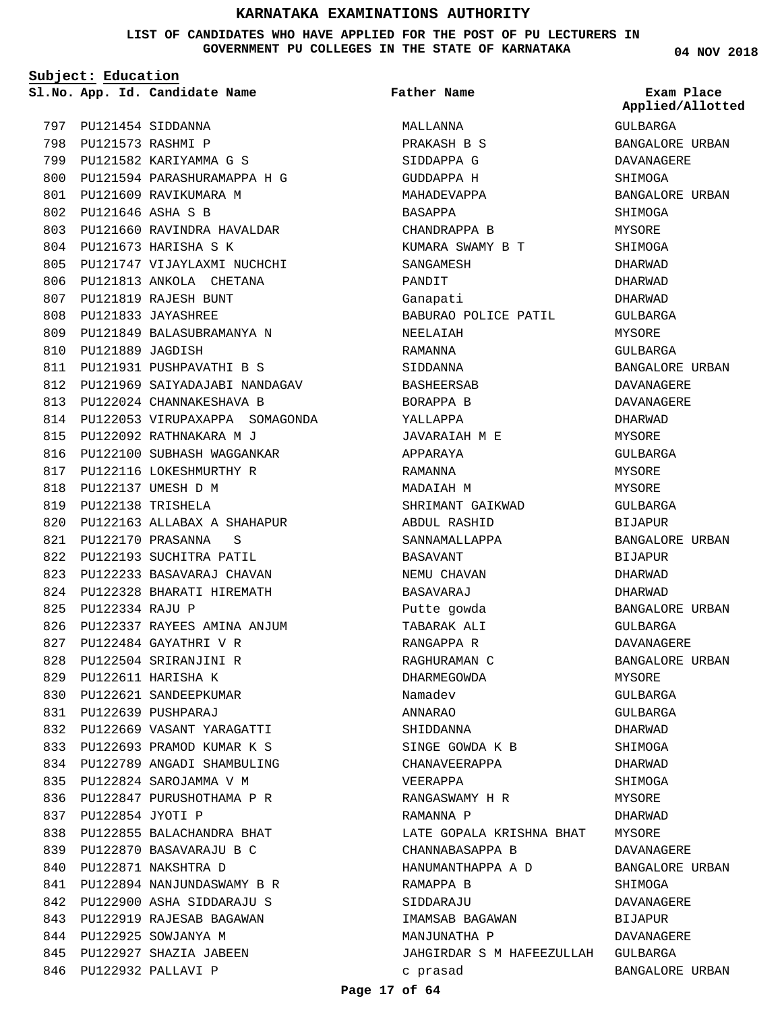**LIST OF CANDIDATES WHO HAVE APPLIED FOR THE POST OF PU LECTURERS IN GOVERNMENT PU COLLEGES IN THE STATE OF KARNATAKA**

**Subject: Education**

PU121454 SIDDANNA 797 798 PU121573 RASHMI P PU121582 KARIYAMMA G S 799 800 PU121594 PARASHURAMAPPA H G 801 PU121609 RAVIKUMARA M PU121646 ASHA S B 802 PU121660 RAVINDRA HAVALDAR 803 PU121673 HARISHA S K 804 805 PU121747 VIJAYLAXMI NUCHCHI 806 PU121813 ANKOLA CHETANA PU121819 RAJESH BUNT 807 PU121833 JAYASHREE 808 PU121849 BALASUBRAMANYA N 809 PU121889 JAGDISH 810 811 PU121931 PUSHPAVATHI B S 812 PU121969 SAIYADAJABI NANDAGAV PU122024 CHANNAKESHAVA B 813 814 PU122053 VIRUPAXAPPA SOMAGONDA PU122092 RATHNAKARA M J 815 816 PU122100 SUBHASH WAGGANKAR 817 PU122116 LOKESHMURTHY R PU122137 UMESH D M 818 PU122138 TRISHELA 819 PU122163 ALLABAX A SHAHAPUR 820 PU122170 PRASANNA S 821 822 PU122193 SUCHITRA PATIL PU122233 BASAVARAJ CHAVAN 823 824 PU122328 BHARATI HIREMATH PU122334 RAJU P 825 PU122337 RAYEES AMINA ANJUM 826 827 PU122484 GAYATHRI V R PU122504 SRIRANJINI R 828 PU122611 HARISHA K 829 830 PU122621 SANDEEPKUMAR PU122639 PUSHPARAJ 831 PU122669 VASANT YARAGATTI 832 PU122693 PRAMOD KUMAR K S 833 834 PU122789 ANGADI SHAMBULING PU122824 SAROJAMMA V M 835 836 PU122847 PURUSHOTHAMA P R PU122854 JYOTI P 837 838 PU122855 BALACHANDRA BHAT PU122870 BASAVARAJU B C 839 PU122871 NAKSHTRA D 840 PU122894 NANJUNDASWAMY B R 841 PU122900 ASHA SIDDARAJU S 842 843 PU122919 RAJESAB BAGAWAN 844 PU122925 SOWJANYA M 845 PU122927 SHAZIA JABEEN 846 PU122932 PALLAVI P

**App. Id. Candidate Name Sl.No. Exam Place** MALLANNA PRAKASH B S SIDDAPPA G GUDDAPPA H MAHADEVAPPA BASAPPA CHANDRAPPA B KUMARA SWAMY B T SANGAMESH PANDIT Ganapati BABURAO POLICE PATIL NEELAIAH RAMANNA SIDDANNA BASHEERSAB BORAPPA B YALLAPPA JAVARAIAH M E APPARAYA RAMANNA MADAIAH M SHRIMANT GAIKWAD ABDUL RASHID SANNAMALLAPPA BASAVANT NEMU CHAVAN BASAVARAJ Putte gowda TABARAK ALI RANGAPPA R RAGHURAMAN C DHARMEGOWDA Namadev ANNARAO **SHIDDANNA** SINGE GOWDA K B CHANAVEERAPPA VEERAPPA RANGASWAMY H R RAMANNA P LATE GOPALA KRISHNA BHAT MYSORE CHANNABASAPPA B HANUMANTHAPPA A D RAMAPPA B SIDDARAJU IMAMSAB BAGAWAN MANJUNATHA P JAHGIRDAR S M HAFEEZULLAH GULBARGA c prasad **Father Name** GULBARGA BANGALORE URBAN DAVANAGERE SHIMOGA BANGALORE URBAN SHIMOGA MYSORE SHIMOGA DHARWAD DHARWAD DHARWAD GULBARGA MYSORE GULBARGA BANGALORE URBAN DAVANAGERE DAVANAGERE DHARWAD MYSORE GULBARGA MYSORE MYSORE GULBARGA BIJAPUR BANGALORE URBAN BIJAPUR DHARWAD DHARWAD BANGALORE URBAN GULBARGA DAVANAGERE BANGALORE URBAN **MYSORE** GULBARGA GULBARGA DHARWAD SHIMOGA DHARWAD SHIMOGA MYSORE DHARWAD DAVANAGERE BANGALORE URBAN **SHIMOGA** DAVANAGERE BIJAPUR DAVANAGERE BANGALORE URBAN **Applied/Allotted**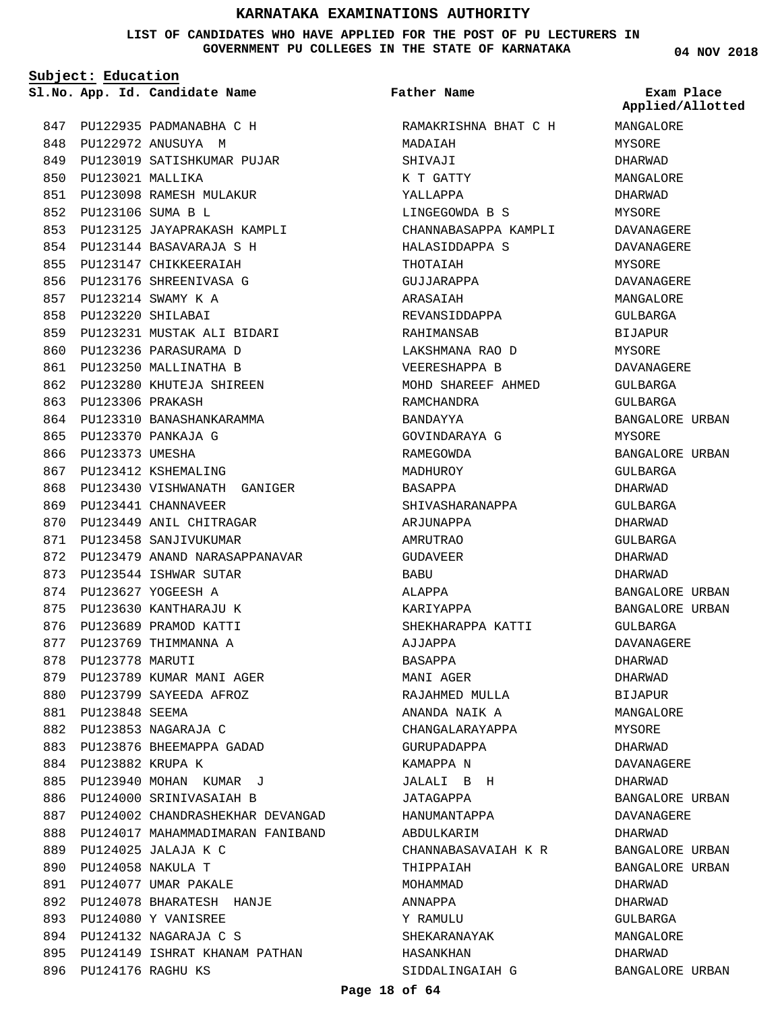**LIST OF CANDIDATES WHO HAVE APPLIED FOR THE POST OF PU LECTURERS IN GOVERNMENT PU COLLEGES IN THE STATE OF KARNATAKA**

**Father Name**

**Subject: Education**

847 PU122935 PADMANABHA C H PU122972 ANUSUYA M 848 849 PU123019 SATISHKUMAR PUJAR 850 PU123021 MALLIKA PU123098 RAMESH MULAKUR 851 PU123106 SUMA B L 852 PU123125 JAYAPRAKASH KAMPLI 853 PU123144 BASAVARAJA S H 854 855 PU123147 CHIKKEERAIAH 856 PU123176 SHREENIVASA G PU123214 SWAMY K A 857 PU123220 SHILABAI 858 PU123231 MUSTAK ALI BIDARI 859 860 PU123236 PARASURAMA D 861 PU123250 MALLINATHA B PU123280 KHUTEJA SHIREEN 862 863 PU123306 PRAKASH 864 PU123310 BANASHANKARAMMA PU123370 PANKAJA G 865 866 PU123373 UMESHA 867 PU123412 KSHEMALING 868 PU123430 VISHWANATH GANIGER 869 PU123441 CHANNAVEER 870 PU123449 ANIL CHITRAGAR 871 PU123458 SANJIVUKUMAR 872 PU123479 ANAND NARASAPPANAVAR 873 PU123544 ISHWAR SUTAR PU123627 YOGEESH A 874 875 PU123630 KANTHARAJU K 876 PU123689 PRAMOD KATTI 877 PU123769 THIMMANNA A 878 PU123778 MARUTI 879 PU123789 KUMAR MANI AGER 880 PU123799 SAYEEDA AFROZ 881 PU123848 SEEMA PU123853 NAGARAJA C 882 883 PU123876 BHEEMAPPA GADAD 884 PU123882 KRUPA K PU123940 MOHAN KUMAR J 885 886 PU124000 SRINIVASAIAH B 887 PU124002 CHANDRASHEKHAR DEVANGAD 888 PU124017 MAHAMMADIMARAN FANIBAND PU124025 JALAJA K C 889 PU124058 NAKULA T 890 PU124077 UMAR PAKALE 891 PU124078 BHARATESH HANJE 892 PU124080 Y VANISREE 893 PU124132 NAGARAJA C S 894 895 PU124149 ISHRAT KHANAM PATHAN **App. Id. Candidate Name Sl.No. Exam Place**

896 PU124176 RAGHU KS

RAMAKRISHNA BHAT C H MADAIAH SHIVAJI K T GATTY YALLAPPA LINGEGOWDA B S CHANNABASAPPA KAMPLI HALASIDDAPPA S THOTAIAH GUJJARAPPA ARASAIAH REVANSIDDAPPA RAHIMANSAB LAKSHMANA RAO D VEERESHAPPA B MOHD SHAREEF AHMED RAMCHANDRA BANDAYYA GOVINDARAYA G RAMEGOWDA MADHUROY BASAPPA SHIVASHARANAPPA ARJUNAPPA AMRUTRAO GUDAVEER **BABU** ALAPPA KARIYAPPA SHEKHARAPPA KATTI AJJAPPA BASAPPA MANI AGER RAJAHMED MULLA ANANDA NAIK A CHANGALARAYAPPA GURUPADAPPA KAMAPPA N JALALI B H JATAGAPPA HANUMANTAPPA ABDULKARIM CHANNABASAVAIAH K R THIPPAIAH MOHAMMAD ANNAPPA Y RAMULU SHEKARANAYAK HASANKHAN SIDDALINGAIAH G

**04 NOV 2018** MANGALORE MYSORE DHARWAD MANGALORE DHARWAD MYSORE DAVANAGERE DAVANAGERE MYSORE DAVANAGERE MANGALORE GULBARGA BIJAPUR MYSORE DAVANAGERE GULBARGA GULBARGA BANGALORE URBAN MYSORE BANGALORE URBAN GULBARGA DHARWAD GULBARGA DHARWAD GULBARGA DHARWAD DHARWAD BANGALORE URBAN BANGALORE URBAN GULBARGA DAVANAGERE DHARWAD DHARWAD BIJAPUR MANGALORE MYSORE DHARWAD DAVANAGERE DHARWAD **Applied/Allotted**

BANGALORE URBAN DAVANAGERE DHARWAD

BANGALORE URBAN BANGALORE URBAN

BANGALORE URBAN

DHARWAD DHARWAD GULBARGA MANGALORE DHARWAD

#### **Page 18 of 64**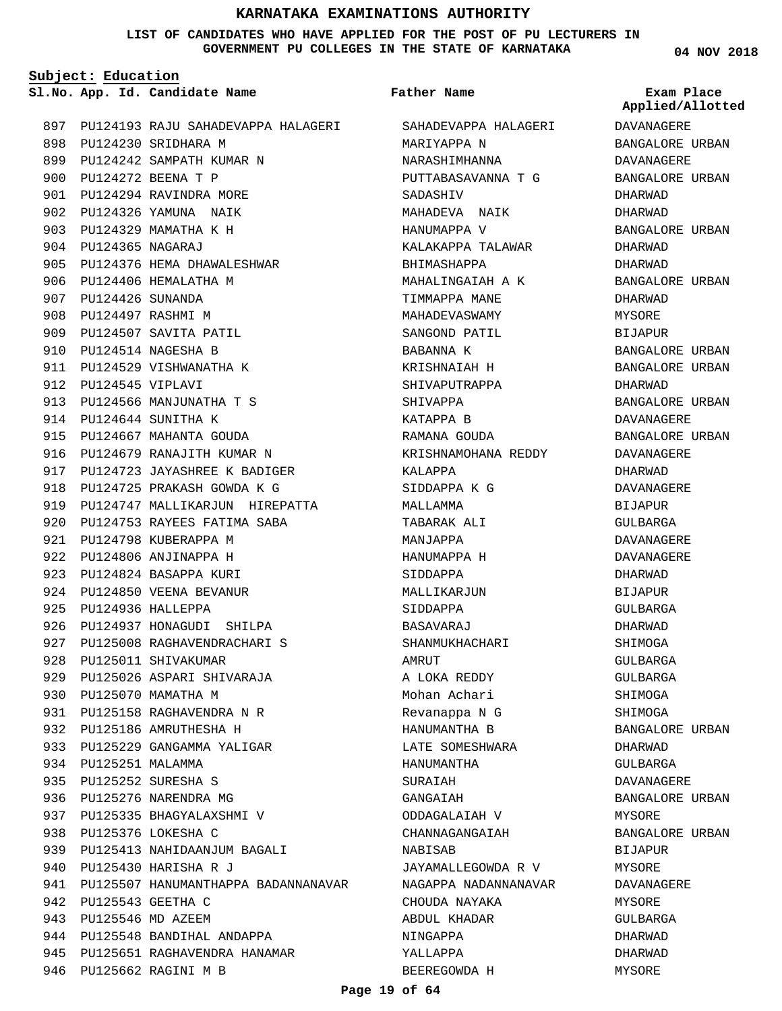**LIST OF CANDIDATES WHO HAVE APPLIED FOR THE POST OF PU LECTURERS IN GOVERNMENT PU COLLEGES IN THE STATE OF KARNATAKA**

**Subject: Education**

**App. Id. Candidate Name Sl.No. Exam Place**

897 PU124193 RAJU SAHADEVAPPA HALAGERI SAHADEVAPPA HALAGERI 898 PU124230 SRIDHARA M PU124242 SAMPATH KUMAR N 899 PU124272 BEENA T P 900 901 PU124294 RAVINDRA MORE 902 PU124326 YAMUNA NAIK PU124329 MAMATHA K H 903 PU124365 NAGARAJ 904 905 PU124376 HEMA DHAWALESHWAR 906 PU124406 HEMALATHA M PU124426 SUNANDA 907 908 PU124497 RASHMI M 909 PU124507 SAVITA PATIL PU124514 NAGESHA B 910 911 PU124529 VISHWANATHA K PU124545 VIPLAVI 912 913 PU124566 MANJUNATHA T S PU124644 SUNITHA K 914 915 PU124667 MAHANTA GOUDA 916 PU124679 RANAJITH KUMAR N 917 PU124723 JAYASHREE K BADIGER PU124725 PRAKASH GOWDA K G 918 919 PU124747 MALLIKARJUN HIREPATTA 920 PU124753 RAYEES FATIMA SABA 921 PU124798 KUBERAPPA M 922 PU124806 ANJINAPPA H 923 PU124824 BASAPPA KURI 924 PU124850 VEENA BEVANUR PU124936 HALLEPPA 925 926 PU124937 HONAGUDI SHILPA 927 PU125008 RAGHAVENDRACHARI S 928 PU125011 SHIVAKUMAR 929 PU125026 ASPARI SHIVARAJA 930 PU125070 MAMATHA M PU125158 RAGHAVENDRA N R 931 932 PU125186 AMRUTHESHA H 933 PU125229 GANGAMMA YALIGAR 934 PU125251 MALAMMA PU125252 SURESHA S 935 936 PU125276 NARENDRA MG PU125335 BHAGYALAXSHMI V 937 PU125376 LOKESHA C 938 939 PU125413 NAHIDAANJUM BAGALI PU125430 HARISHA R J 940 941 PU125507 HANUMANTHAPPA BADANNANAVAR PU125543 GEETHA C 942 PU125546 MD AZEEM 943 944 PU125548 BANDIHAL ANDAPPA 945 PU125651 RAGHAVENDRA HANAMAR 946 PU125662 RAGINI M B

#### **Father Name**

MARIYAPPA N NARASHIMHANNA PUTTABASAVANNA T G SADASHIV MAHADEVA NAIK HANUMAPPA V KALAKAPPA TALAWAR BHIMASHAPPA MAHALINGAIAH A K TIMMAPPA MANE MAHADEVASWAMY SANGOND PATIL BABANNA K KRISHNAIAH H SHIVAPUTRAPPA SHIVAPPA KATAPPA B RAMANA GOUDA KRISHNAMOHANA REDDY KALAPPA SIDDAPPA K G MALLAMMA TABARAK ALI MANJAPPA HANUMAPPA H SIDDAPPA MALLIKARJUN SIDDAPPA BASAVARAJ SHANMUKHACHARI AMRUT A LOKA REDDY Mohan Achari Revanappa N G HANUMANTHA B LATE SOMESHWARA HANUMANTHA SURAIAH GANGAIAH ODDAGALAIAH V CHANNAGANGAIAH NABISAB JAYAMALLEGOWDA R V NAGAPPA NADANNANAVAR CHOUDA NAYAKA ABDUL KHADAR NINGAPPA YALLAPPA BEEREGOWDA H

**04 NOV 2018**

**Applied/Allotted**

DAVANAGERE BANGALORE URBAN DAVANAGERE BANGALORE URBAN DHARWAD DHARWAD BANGALORE URBAN DHARWAD DHARWAD BANGALORE URBAN DHARWAD MYSORE BIJAPUR BANGALORE URBAN BANGALORE URBAN DHARWAD BANGALORE URBAN DAVANAGERE BANGALORE URBAN DAVANAGERE DHARWAD DAVANAGERE BIJAPUR GULBARGA DAVANAGERE DAVANAGERE DHARWAD BIJAPUR GULBARGA DHARWAD SHIMOGA GULBARGA GULBARGA SHIMOGA SHIMOGA BANGALORE URBAN DHARWAD GULBARGA DAVANAGERE BANGALORE URBAN MYSORE BANGALORE URBAN BIJAPUR **MYSORE DAVANAGERE** MYSORE GULBARGA DHARWAD DHARWAD

MYSORE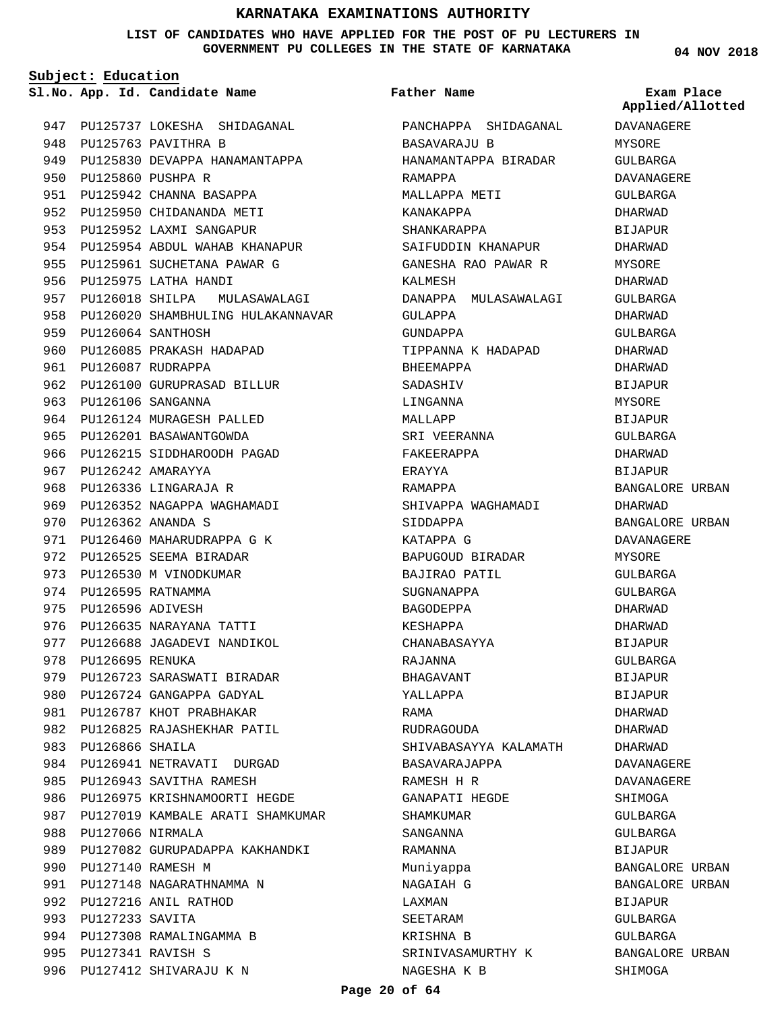**LIST OF CANDIDATES WHO HAVE APPLIED FOR THE POST OF PU LECTURERS IN GOVERNMENT PU COLLEGES IN THE STATE OF KARNATAKA**

**Subject: Education**

993 PU127233 SAVITA

PU127341 RAVISH S 995

994 PU127308 RAMALINGAMMA B

996 PU127412 SHIVARAJU K N

**App. Id. Candidate Name Sl.No. Exam Place**

947 PU125737 LOKESHA SHIDAGANAL 948 PU125763 PAVITHRA B 949 PU125830 DEVAPPA HANAMANTAPPA PU125860 PUSHPA R 950 951 PU125942 CHANNA BASAPPA 952 PU125950 CHIDANANDA METI 953 PU125952 LAXMI SANGAPUR 954 PU125954 ABDUL WAHAB KHANAPUR 955 PU125961 SUCHETANA PAWAR G 956 PU125975 LATHA HANDI 957 PU126018 SHILPA MULASAWALAGI 958 PU126020 SHAMBHULING HULAKANNAVAR PU126064 SANTHOSH 959 960 PU126085 PRAKASH HADAPAD 961 PU126087 RUDRAPPA 962 PU126100 GURUPRASAD BILLUR PU126106 SANGANNA 963 964 PU126124 MURAGESH PALLED 965 PU126201 BASAWANTGOWDA 966 PU126215 SIDDHAROODH PAGAD 967 PU126242 AMARAYYA 968 PU126336 LINGARAJA R 969 PU126352 NAGAPPA WAGHAMADI PU126362 ANANDA S 970 971 PU126460 MAHARUDRAPPA G K 972 PU126525 SEEMA BIRADAR 973 PU126530 M VINODKUMAR 974 PU126595 RATNAMMA 975 PU126596 ADIVESH 976 PU126635 NARAYANA TATTI 977 PU126688 JAGADEVI NANDIKOL 978 PU126695 RENUKA 979 PU126723 SARASWATI BIRADAR 980 PU126724 GANGAPPA GADYAL 981 PU126787 KHOT PRABHAKAR 982 PU126825 RAJASHEKHAR PATIL PU126866 SHAILA 983 984 PU126941 NETRAVATI DURGAD 985 PU126943 SAVITHA RAMESH 986 PU126975 KRISHNAMOORTI HEGDE 987 PU127019 KAMBALE ARATI SHAMKUMAR 988 PU127066 NIRMALA 989 PU127082 GURUPADAPPA KAKHANDKI 990 PU127140 RAMESH M 991 PU127148 NAGARATHNAMMA N PU127216 ANIL RATHOD 992

PANCHAPPA SHIDAGANAL BASAVARAJU B HANAMANTAPPA BIRADAR RAMAPPA MALLAPPA METI KANAKAPPA SHANKARAPPA SAIFUDDIN KHANAPUR GANESHA RAO PAWAR R KALMESH DANAPPA MULASAWALAGI GULAPPA GUNDAPPA TIPPANNA K HADAPAD BHEEMAPPA SADASHIV LINGANNA MAT.T.ADD SRI VEERANNA FAKEERAPPA ERAYYA RAMAPPA SHIVAPPA WAGHAMADI SIDDAPPA KATAPPA G BAPUGOUD BIRADAR BAJIRAO PATIL SUGNANAPPA BAGODEPPA KESHAPPA CHANABASAYYA RAJANNA BHAGAVANT YALLAPPA RAMA RUDRAGOUDA SHIVABASAYYA KALAMATH BASAVARAJAPPA RAMESH H R GANAPATI HEGDE SHAMKUMAR SANGANNA RAMANNA Muniyappa NAGAIAH G LAXMAN SEETARAM KRISHNA B SRINIVASAMURTHY K NAGESHA K B **Father Name**

**04 NOV 2018**

**Applied/Allotted**

# DAVANAGERE MYSORE GULBARGA DAVANAGERE GULBARGA DHARWAD BIJAPUR DHARWAD MYSORE DHARWAD GULBARGA DHARWAD GULBARGA DHARWAD DHARWAD BIJAPUR MYSORE **BIJAPUR** GULBARGA DHARWAD BIJAPUR BANGALORE URBAN DHARWAD BANGALORE URBAN DAVANAGERE MYSORE CIILRARCA GULBARGA DHARWAD DHARWAD BIJAPUR GULBARGA **BIJAPUR** BIJAPUR DHARWAD DHARWAD DHARWAD DAVANAGERE DAVANAGERE SHIMOGA GULBARGA GULBARGA BIJAPUR BANGALORE URBAN BANGALORE URBAN BIJAPUR GULBARGA GULBARGA BANGALORE URBAN

SHIMOGA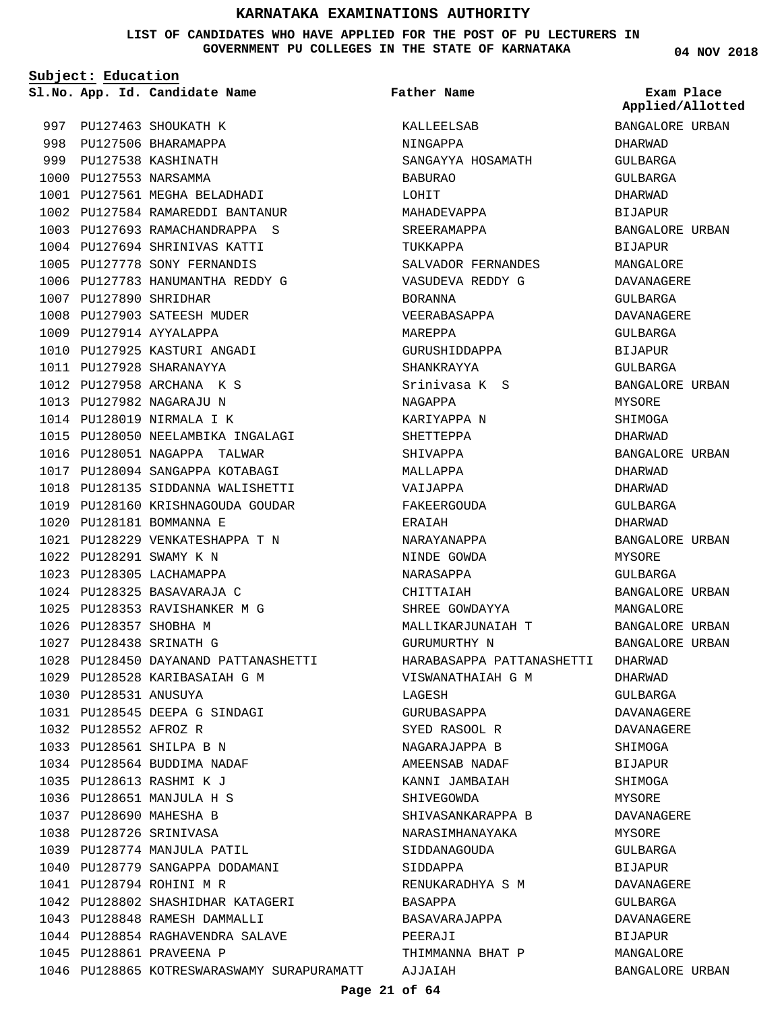**LIST OF CANDIDATES WHO HAVE APPLIED FOR THE POST OF PU LECTURERS IN GOVERNMENT PU COLLEGES IN THE STATE OF KARNATAKA**

**Subject: Education**

997 PU127463 SHOUKATH K 998 PU127506 BHARAMAPPA 999 PU127538 KASHINATH 1000 PU127553 NARSAMMA 1001 PU127561 MEGHA BELADHADI PU127584 RAMAREDDI BANTANUR 1002 PU127693 RAMACHANDRAPPA S 1003 1004 PU127694 SHRINIVAS KATTI 1005 PU127778 SONY FERNANDIS 1006 PU127783 HANUMANTHA REDDY G 1007 PU127890 SHRIDHAR 1008 PU127903 SATEESH MUDER 1009 PU127914 AYYALAPPA 1010 PU127925 KASTURI ANGADI PU127928 SHARANAYYA 1011 PU127958 ARCHANA K S 1012 1013 PU127982 NAGARAJU N 1014 PU128019 NIRMALA I K 1015 PU128050 NEELAMBIKA INGALAGI 1016 PU128051 NAGAPPA TALWAR PU128094 SANGAPPA KOTABAGI 1017 1018 PU128135 SIDDANNA WALISHETTI 1019 PU128160 KRISHNAGOUDA GOUDAR PU128181 BOMMANNA E 1020 PU128229 VENKATESHAPPA T N 1021 PU128291 SWAMY K N 1022 1023 PU128305 LACHAMAPPA PU128325 BASAVARAJA C 1024 1025 PU128353 RAVISHANKER M G 1026 PU128357 SHOBHA M PU128438 SRINATH G 1027 PU128450 DAYANAND PATTANASHETTI 1028 1029 PU128528 KARIBASAIAH G M 1030 PU128531 ANUSUYA PU128545 DEEPA G SINDAGI 1031 1032 PU128552 AFROZ R PU128561 SHILPA B N 1033 1034 PU128564 BUDDIMA NADAF PU128613 RASHMI K J 1035 PU128651 MANJULA H S 1036 1037 PU128690 MAHESHA B PU128726 SRINIVASA 1038 1039 PU128774 MANJULA PATIL 1040 PU128779 SANGAPPA DODAMANI PU128794 ROHINI M R 1041 PU128802 SHASHIDHAR KATAGERI 1042 1043 PU128848 RAMESH DAMMALLI PU128854 RAGHAVENDRA SALAVE 1044 1045 PU128861 PRAVEENA P

1046 PU128865 KOTRESWARASWAMY SURAPURAMATT

**App. Id. Candidate Name Sl.No. Exam Place** KALLEELSAB NINGAPPA SANGAYYA HOSAMATH BABURAO LOHIT MAHADEVAPPA SREERAMAPPA TUKKAPPA SALVADOR FERNANDES VASUDEVA REDDY G BORANNA VEERABASAPPA MAREPPA GURUSHIDDAPPA SHANKRAYYA Srinivasa K S NAGAPPA KARIYAPPA N SHETTEPPA SHIVAPPA MALLAPPA VAIJAPPA FAKEERGOUDA ERAIAH NARAYANAPPA NINDE GOWDA NARASAPPA CHITTAIAH SHREE GOWDAYYA MALLIKARJUNAIAH T GURUMURTHY N HARABASAPPA PATTANASHETTI DHARWAD VISWANATHAIAH G M LAGESH GURUBASAPPA SYED RASOOL R NAGARAJAPPA B AMEENSAB NADAF KANNI JAMBAIAH SHIVEGOWDA SHIVASANKARAPPA B NARASIMHANAYAKA SIDDANAGOUDA SIDDAPPA RENUKARADHYA S M BASAPPA BASAVARAJAPPA PEERAJI THIMMANNA BHAT P AJJAIAH **Father Name** GULBARGA DHARWAD BIJAPUR BANGALORE URBAN BIJAPUR MANGALORE DAVANAGERE DAVANAGERE GULBARGA GULBARGA BANGALORE URBAN MYSORE **SHIMOGA** DHARWAD BANGALORE URBAN DHARWAD DHARWAD GULBARGA DHARWAD BANGALORE URBAN MYSORE GULBARGA BANGALORE URBAN MANGALORE BANGALORE URBAN BANGALORE URBAN DHARWAD GULBARGA DAVANAGERE DAVANAGERE SHIMOGA **BIJAPUR** SHIMOGA MYSORE DAVANAGERE MYSORE GULBARGA **BIJAPUR** DAVANAGERE GULBARGA DAVANAGERE BIJAPUR MANGALORE BANGALORE URBAN

**04 NOV 2018**

BANGALORE URBAN DHARWAD GULBARGA **Applied/Allotted**

GULBARGA

BIJAPUR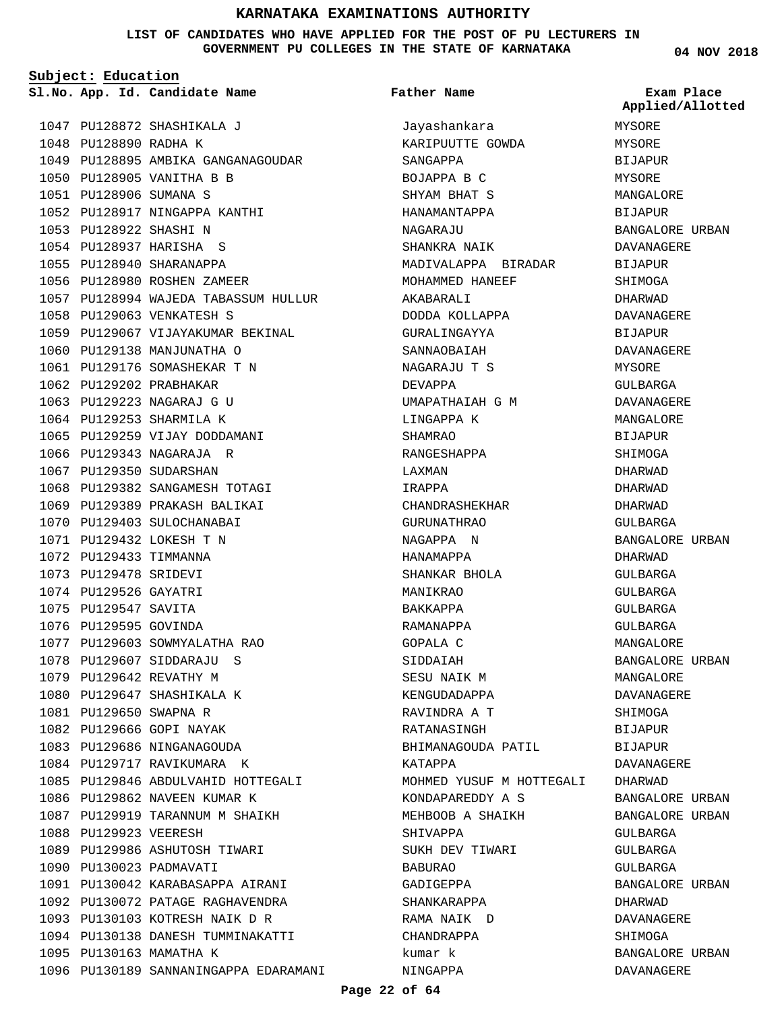#### **LIST OF CANDIDATES WHO HAVE APPLIED FOR THE POST OF PU LECTURERS IN GOVERNMENT PU COLLEGES IN THE STATE OF KARNATAKA**

**Subject: Education**

1047 PU128872 SHASHIKALA J

1048 PU128890 RADHA K

**App. Id. Candidate Name Sl.No. Exam Place** Jayashankara KARIPUUTTE GOWDA SANGAPPA BOJAPPA B C SHYAM BHAT S HANAMANTAPPA NAGARAJU SHANKRA NAIK MADIVALAPPA BIRADAR MOHAMMED HANEEF AKABARALI DODDA KOLLAPPA GURALINGAYYA SANNAOBAIAH NAGARAJU T S DEVAPPA UMAPATHAIAH G M LINGAPPA K SHAMRAO RANGESHAPPA LAXMAN IRAPPA CHANDRASHEKHAR GURUNATHRAO NAGAPPA N HANAMAPPA SHANKAR BHOLA MANIKRAO **Father Name**

> BAKKAPPA RAMANAPPA GOPALA C SIDDAIAH SESU NAIK M KENGUDADAPPA RAVINDRA A T

BIJAPUR MANGALORE BIJAPUR BANGALORE URBAN DAVANAGERE BIJAPUR SHIMOGA DHARWAD DAVANAGERE BIJAPUR DAVANAGERE GULBARGA DAVANAGERE MANGALORE **BIJAPUR** SHIMOGA DHARWAD DHARWAD DHARWAD GULBARGA BANGALORE URBAN DHARWAD GULBARGA **Applied/Allotted**

| 1049 |                        | PU128895 AMBIKA GANGANAGOUDAR         |
|------|------------------------|---------------------------------------|
|      |                        | 1050 PU128905 VANITHA B B             |
|      | 1051 PU128906 SUMANA S |                                       |
|      |                        | 1052 PU128917 NINGAPPA KANTHI         |
|      | 1053 PU128922 SHASHI N |                                       |
|      |                        | 1054 PU128937 HARISHA S               |
|      |                        | 1055 PU128940 SHARANAPPA              |
|      | 1056 PU128980          | ROSHEN ZAMEER                         |
|      |                        | 1057 PU128994 WAJEDA TABASSUM HULLUR  |
|      |                        | 1058 PU129063 VENKATESH S             |
|      |                        | 1059 PU129067 VIJAYAKUMAR BEKINAL     |
|      |                        | 1060 PU129138 MANJUNATHA O            |
|      |                        | 1061 PU129176 SOMASHEKAR T N          |
|      |                        | 1062 PU129202 PRABHAKAR               |
|      | 1063 PU129223          | NAGARAJ G U                           |
|      | 1064 PU129253          | SHARMILA K                            |
|      |                        | 1065 PU129259 VIJAY DODDAMANI         |
| 1066 | PU129343               | NAGARAJA R                            |
|      |                        | 1067 PU129350 SUDARSHAN               |
|      | 1068 PU129382          | SANGAMESH TOTAGI                      |
|      |                        | 1069 PU129389 PRAKASH BALIKAI         |
|      |                        | 1070 PU129403 SULOCHANABAI            |
|      | 1071 PU129432          | LOKESH T N                            |
|      | 1072 PU129433          | TIMMANNA                              |
| 1073 | PU129478               | SRIDEVI                               |
|      | 1074 PU129526 GAYATRI  |                                       |
|      | 1075 PU129547 SAVITA   |                                       |
|      | 1076 PU129595 GOVINDA  |                                       |
|      |                        | 1077 PU129603 SOWMYALATHA RAO         |
|      |                        | 1078 PU129607 SIDDARAJU<br>S          |
|      |                        | 1079 PU129642 REVATHY M               |
|      |                        | 1080 PU129647 SHASHIKALA K            |
|      | 1081 PU129650 SWAPNA R |                                       |
|      |                        | 1082 PU129666 GOPI NAYAK              |
|      |                        | 1083 PU129686 NINGANAGOUDA            |
|      |                        | 1084 PU129717 RAVIKUMARA K            |
|      |                        | 1085 PU129846 ABDULVAHID HOTTEGALI    |
|      | 1086 PU129862          | NAVEEN KUMAR K                        |
|      |                        | 1087 PU129919 TARANNUM M SHAIKH       |
|      | 1088 PU129923 VEERESH  |                                       |
|      |                        | 1089 PU129986 ASHUTOSH TIWARI         |
|      |                        | 1090 PU130023 PADMAVATI               |
|      | 1091 PU130042          | KARABASAPPA AIRANI                    |
|      | 1092 PU130072          | PATAGE RAGHAVENDRA                    |
| 1093 | PU130103               | KOTRESH NAIK D R                      |
|      | 1094 PU130138          | DANESH TUMMINAKATTI                   |
|      |                        | 1095 PU130163 MAMATHA K               |
|      |                        | 1096 PU130189 SANNANINGAPPA EDARAMANI |

## **Page 22 of 64**

RATANASINGH BHIMANAGOUDA PATIL KATAPPA MOHMED YUSUF M HOTTEGALI KONDAPAREDDY A S MEHBOOB A SHAIKH SHIVAPPA SUKH DEV TIWARI BABURAO GADIGEPPA SHANKARAPPA RAMA NAIK D CHANDRAPPA kumar k NINGAPPA

**04 NOV 2018**

MYSORE MYSORE

MYSORE

MYSORE

# GULBARGA GULBARGA GULBARGA MANGALORE BANGALORE URBAN MANGALORE DAVANAGERE SHIMOGA BIJAPUR BIJAPUR DAVANAGERE DHARWAD BANGALORE URBAN BANGALORE URBAN GULBARGA GULBARGA GULBARGA BANGALORE URBAN DHARWAD DAVANAGERE SHIMOGA BANGALORE URBAN DAVANAGERE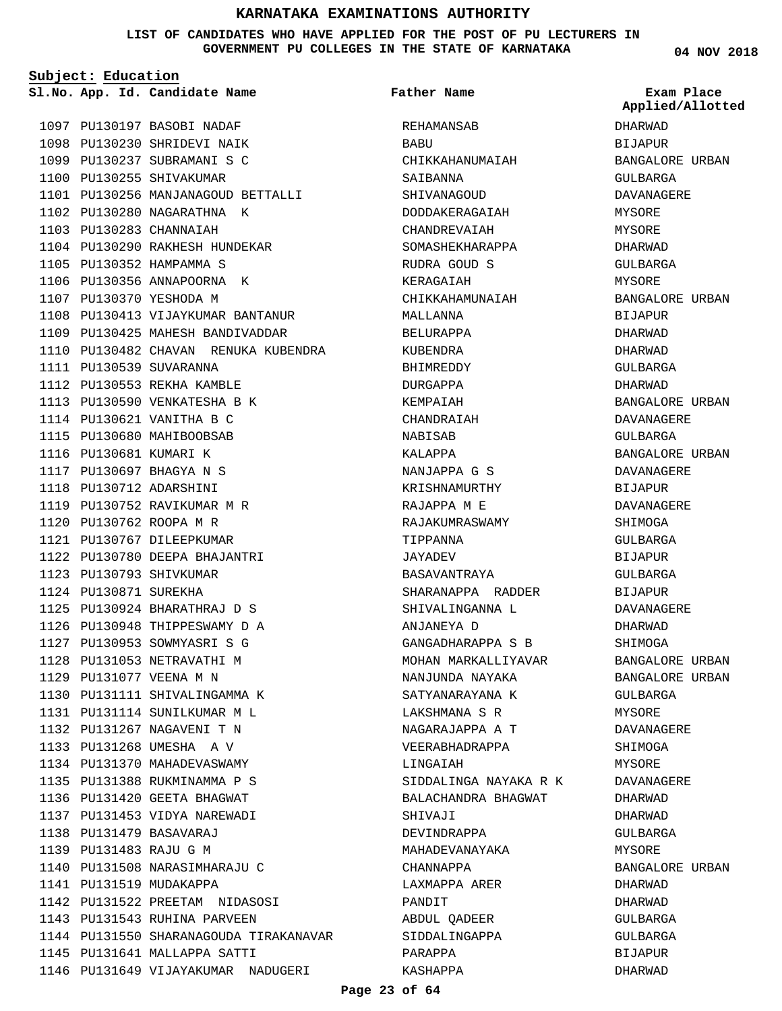**LIST OF CANDIDATES WHO HAVE APPLIED FOR THE POST OF PU LECTURERS IN GOVERNMENT PU COLLEGES IN THE STATE OF KARNATAKA**

**Subject: Education**

PU130197 BASOBI NADAF 1097 1098 PU130230 SHRIDEVI NAIK 1099 PU130237 SUBRAMANI S C 1100 PU130255 SHIVAKUMAR 1101 PU130256 MANJANAGOUD BETTALLI 1102 PU130280 NAGARATHNA K PU130283 CHANNAIAH 1103 PU130290 RAKHESH HUNDEKAR 1104 1105 PU130352 HAMPAMMA S 1106 PU130356 ANNAPOORNA K 1107 PU130370 YESHODA M 1108 PU130413 VIJAYKUMAR BANTANUR PU130425 MAHESH BANDIVADDAR 1109 1110 PU130482 CHAVAN RENUKA KUBENDRA 1111 PU130539 SUVARANNA 1112 PU130553 REKHA KAMBLE 1113 PU130590 VENKATESHA B K 1114 PU130621 VANITHA B C 1115 PU130680 MAHIBOOBSAB 1116 PU130681 KUMARI K PU130697 BHAGYA N S 1117 PU130712 ADARSHINI 1118 1119 PU130752 RAVIKUMAR M R PU130762 ROOPA M R 1120 PU130767 DILEEPKUMAR 1121 PU130780 DEEPA BHAJANTRI 1122 PU130793 SHIVKUMAR 1123 1124 PU130871 SUREKHA 1125 PU130924 BHARATHRAJ D S 1126 PU130948 THIPPESWAMY D A PU130953 SOWMYASRI S G 1127 1128 PU131053 NETRAVATHI M PU131077 VEENA M N 1129 1130 PU131111 SHIVALINGAMMA K 1131 PU131114 SUNILKUMAR M L PU131267 NAGAVENI T N 1132 1133 PU131268 UMESHA A V 1134 PU131370 MAHADEVASWAMY 1135 PU131388 RUKMINAMMA P S 1136 PU131420 GEETA BHAGWAT 1137 PU131453 VIDYA NAREWADI PU131479 BASAVARAJ 1138 PU131483 RAJU G M 1139 1140 PU131508 NARASIMHARAJU C 1141 PU131519 MUDAKAPPA PU131522 PREETAM NIDASOSI 1142 1143 PU131543 RUHINA PARVEEN 1144 PU131550 SHARANAGOUDA TIRAKANAVAR 1145 PU131641 MALLAPPA SATTI 1146 PU131649 VIJAYAKUMAR NADUGERI **App. Id. Candidate Name Sl.No. Exam Place**

REHAMANSAB **BABU** CHIKKAHANUMAIAH SAIBANNA SHIVANAGOUD DODDAKERAGAIAH CHANDREVAIAH SOMASHEKHARAPPA RUDRA GOUD S KERAGAIAH CHIKKAHAMUNAIAH MALLANNA BELURAPPA KUBENDRA BHIMREDDY DURGAPPA KEMPAIAH CHANDRAIAH NABISAB KALAPPA NANJAPPA G S KRISHNAMURTHY RAJAPPA M E RAJAKUMRASWAMY TIPPANNA JAYADEV BASAVANTRAYA SHARANAPPA RADDER SHIVALINGANNA L ANJANEYA D GANGADHARAPPA S B MOHAN MARKALLIYAVAR NANJUNDA NAYAKA SATYANARAYANA K LAKSHMANA S R NAGARAJAPPA A T VEERABHADRAPPA LINGAIAH SIDDALINGA NAYAKA R K BALACHANDRA BHAGWAT SHIVAJI DEVINDRAPPA MAHADEVANAYAKA CHANNAPPA LAXMAPPA ARER PANDIT ABDUL QADEER SIDDALINGAPPA PARAPPA KASHAPPA **Father Name**

**04 NOV 2018**

DHARWAD BIJAPUR BANGALORE URBAN GULBARGA DAVANAGERE MYSORE MYSORE DHARWAD GULBARGA MYSORE BANGALORE URBAN BIJAPUR DHARWAD DHARWAD GULBARGA DHARWAD BANGALORE URBAN DAVANAGERE GULBARGA BANGALORE URBAN DAVANAGERE BIJAPUR DAVANAGERE SHIMOGA GULBARGA BIJAPUR GULBARGA BIJAPUR DAVANAGERE DHARWAD SHIMOGA BANGALORE URBAN BANGALORE URBAN GULBARGA MYSORE DAVANAGERE SHIMOGA MYSORE DAVANAGERE DHARWAD DHARWAD GULBARGA MYSORE BANGALORE URBAN DHARWAD DHARWAD GULBARGA GULBARGA BIJAPUR DHARWAD **Applied/Allotted**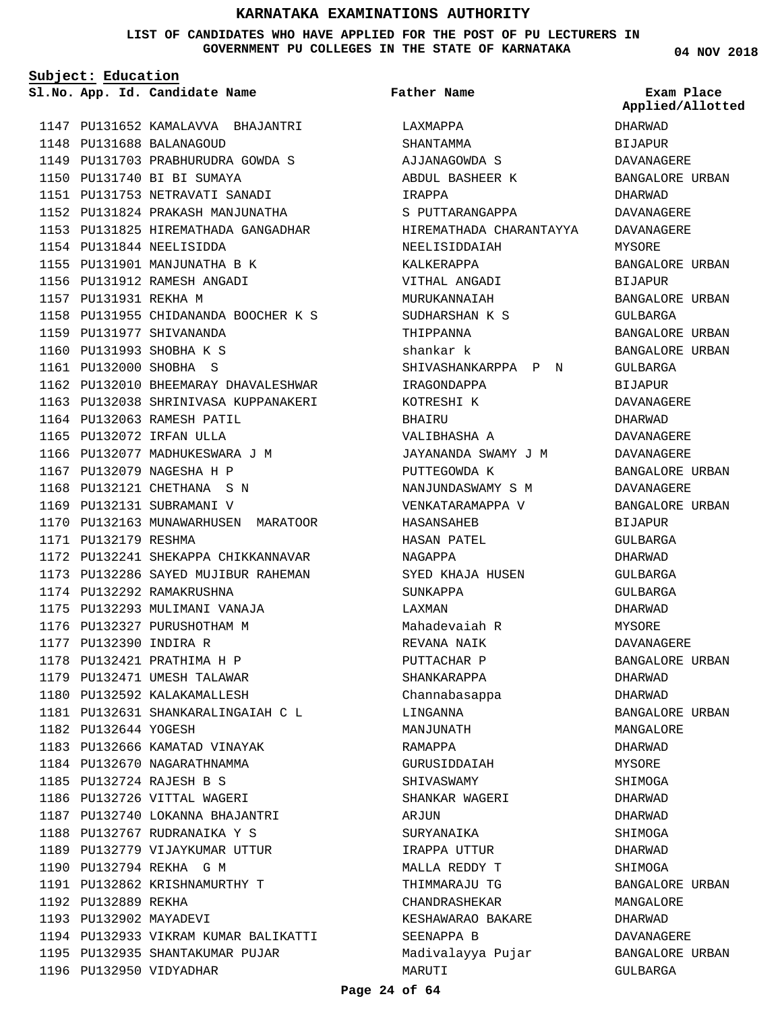**LIST OF CANDIDATES WHO HAVE APPLIED FOR THE POST OF PU LECTURERS IN GOVERNMENT PU COLLEGES IN THE STATE OF KARNATAKA**

> LAXMAPPA SHANTAMMA

**Father Name**

IRAPPA

AJJANAGOWDA S ABDUL BASHEER K

S PUTTARANGAPPA

HIREMATHADA CHARANTAYYA

**Subject: Education**

**App. Id. Candidate Name Sl.No. Exam Place**

PU131652 KAMALAVVA BHAJANTRI 1147 PU131688 BALANAGOUD 1148 PU131703 PRABHURUDRA GOWDA S 1149 PU131740 BI BI SUMAYA 1150 PU131753 NETRAVATI SANADI 1151 PU131824 PRAKASH MANJUNATHA 1152 1153 PU131825 HIREMATHADA GANGADHAR PU131844 NEELISIDDA 1154 1155 PU131901 MANJUNATHA B K 1156 PU131912 RAMESH ANGADI 1157 PU131931 REKHA M 1158 PU131955 CHIDANANDA BOOCHER K S 1159 PU131977 SHIVANANDA 1160 PU131993 SHOBHA K S PU132000 SHOBHA S 1161 1162 PU132010 BHEEMARAY DHAVALESHWAR 1163 PU132038 SHRINIVASA KUPPANAKERI 1164 PU132063 RAMESH PATIL PU132072 IRFAN ULLA 1165 1166 PU132077 MADHUKESWARA J M 1167 PU132079 NAGESHA H P 1168 PU132121 CHETHANA S N 1169 PU132131 SUBRAMANI V 1170 PU132163 MUNAWARHUSEN MARATOOR 1171 PU132179 RESHMA 1172 PU132241 SHEKAPPA CHIKKANNAVAR 1173 PU132286 SAYED MUJIBUR RAHEMAN 1174 PU132292 RAMAKRUSHNA 1175 PU132293 MULIMANI VANAJA 1176 PU132327 PURUSHOTHAM M 1177 PU132390 INDIRA R 1178 PU132421 PRATHIMA H P 1179 PU132471 UMESH TALAWAR 1180 PU132592 KALAKAMALLESH 1181 PU132631 SHANKARALINGAIAH C L 1182 PU132644 YOGESH 1183 PU132666 KAMATAD VINAYAK 1184 PU132670 NAGARATHNAMMA PU132724 RAJESH B S 1185 1186 PU132726 VITTAL WAGERI PU132740 LOKANNA BHAJANTRI 1187 1188 PU132767 RUDRANAIKA Y S 1189 PU132779 VIJAYKUMAR UTTUR 1190 PU132794 REKHA G M PU132862 KRISHNAMURTHY T 1191 1192 PU132889 REKHA 1193 PU132902 MAYADEVI 1194 PU132933 VIKRAM KUMAR BALIKATTI 1195 PU132935 SHANTAKUMAR PUJAR 1196 PU132950 VIDYADHAR

NEELISIDDAIAH KALKERAPPA VITHAL ANGADI MURUKANNAIAH SUDHARSHAN K S THIPPANNA shankar k SHIVASHANKARPPA P N IRAGONDAPPA KOTRESHI K **BHAIRUT** VALIBHASHA A JAYANANDA SWAMY J M PUTTEGOWDA K NANJUNDASWAMY S M VENKATARAMAPPA V HASANSAHEB HASAN PATEL NAGAPPA SYED KHAJA HUSEN SUNKAPPA LAXMAN Mahadevaiah R REVANA NAIK PUTTACHAR P SHANKARAPPA Channabasappa LINGANNA MANJIJINATH RAMAPPA GURUSIDDAIAH SHIVASWAMY SHANKAR WAGERI ARJUN SURYANAIKA IRAPPA UTTUR MALLA REDDY T THIMMARAJU TG CHANDRASHEKAR KESHAWARAO BAKARE SEENAPPA B Madivalayya Pujar MARUTI

**04 NOV 2018**

DHARWAD **BIJAPUR** DAVANAGERE BANGALORE URBAN DHARWAD DAVANAGERE DAVANAGERE MYSORE BANGALORE URBAN BIJAPUR BANGALORE URBAN GULBARGA BANGALORE URBAN BANGALORE URBAN GULBARGA BIJAPUR DAVANAGERE DHARWAD DAVANAGERE DAVANAGERE BANGALORE URBAN DAVANAGERE BANGALORE URBAN BIJAPUR GULBARGA DHARWAD GULBARGA GULBARGA DHARWAD MYSORE. DAVANAGERE BANGALORE URBAN DHARWAD DHARWAD BANGALORE URBAN MANGALORE DHARWAD MYSORE SHIMOGA DHARWAD DHARWAD SHIMOGA DHARWAD SHIMOGA BANGALORE URBAN MANGALORE DHARWAD DAVANAGERE BANGALORE URBAN GULBARGA **Applied/Allotted**

#### **Page 24 of 64**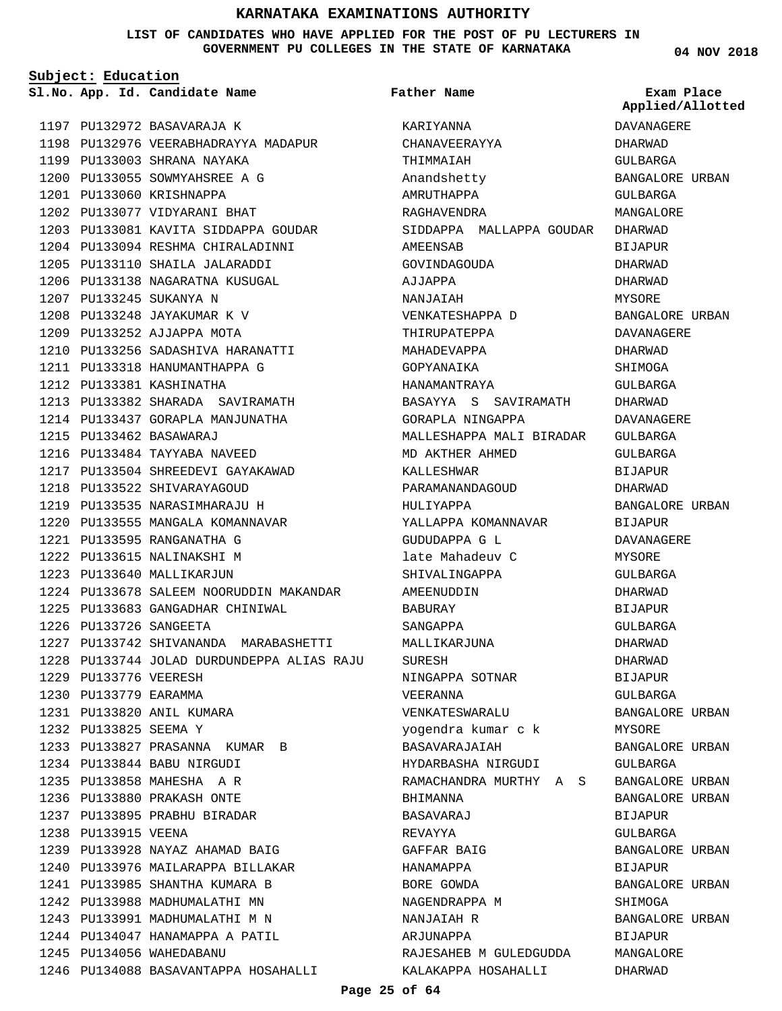#### **LIST OF CANDIDATES WHO HAVE APPLIED FOR THE POST OF PU LECTURERS IN GOVERNMENT PU COLLEGES IN THE STATE OF KARNATAKA**

**Subject: Education**

**App. Id. Candidate Name Sl.No. Exam Place**

1197 PU132972 BASAVARAJA K

1199 PU133003 SHRANA NAYAKA 1200 PU133055 SOWMYAHSREE A G

1201 PU133060 KRISHNAPPA 1202 PU133077 VIDYARANI BHAT

1207 PU133245 SUKANYA N 1208 PU133248 JAYAKUMAR K V 1209 PU133252 AJJAPPA MOTA

1212 PU133381 KASHINATHA

PU133462 BASAWARAJ 1215

1216 PU133484 TAYYABA NAVEED

1218 PU133522 SHIVARAYAGOUD 1219 PU133535 NARASIMHARAJU H 1220 PU133555 MANGALA KOMANNAVAR

PU133595 RANGANATHA G 1221 1222 PU133615 NALINAKSHI M 1223 PU133640 MALLIKARJUN

PU133726 SANGEETA 1226

1229 PU133776 VEERESH 1230 PU133779 EARAMMA PU133820 ANIL KUMARA 1231 1232 PU133825 SEEMA Y

1238 PU133915 VEENA

1245 PU134056 WAHEDABANU

1198 PU132976 VEERABHADRAYYA MADAPUR

1203 PU133081 KAVITA SIDDAPPA GOUDAR 1204 PU133094 RESHMA CHIRALADINNI 1205 PU133110 SHAILA JALARADDI 1206 PU133138 NAGARATNA KUSUGAL

PU133256 SADASHIVA HARANATTI 1210 1211 PU133318 HANUMANTHAPPA G

1213 PU133382 SHARADA SAVIRAMATH 1214 PU133437 GORAPLA MANJUNATHA

1217 PU133504 SHREEDEVI GAYAKAWAD

1224 PU133678 SALEEM NOORUDDIN MAKANDAR

1227 PU133742 SHIVANANDA MARABASHETTI PU133744 JOLAD DURDUNDEPPA ALIAS RAJU 1228

PU133683 GANGADHAR CHINIWAL 1225

1233 PU133827 PRASANNA KUMAR B

PU133928 NAYAZ AHAMAD BAIG 1239 1240 PU133976 MAILARAPPA BILLAKAR 1241 PU133985 SHANTHA KUMARA B 1242 PU133988 MADHUMALATHI MN 1243 PU133991 MADHUMALATHI M N 1244 PU134047 HANAMAPPA A PATIL

1246 PU134088 BASAVANTAPPA HOSAHALLI

PU133844 BABU NIRGUDI 1234 PU133858 MAHESHA A R 1235 PU133880 PRAKASH ONTE 1236 1237 PU133895 PRABHU BIRADAR **Father Name**

KARIYANNA CHANAVEERAYYA THIMMAIAH Anandshetty AMRUTHAPPA RAGHAVENDRA SIDDAPPA MALLAPPA GOUDAR AMEENSAB GOVINDAGOUDA AJJAPPA NANJAIAH VENKATESHAPPA D THIRUPATEPPA MAHADEVAPPA GOPYANAIKA HANAMANTRAYA BASAYYA S SAVIRAMATH GORAPLA NINGAPPA MALLESHAPPA MALI BIRADAR MD AKTHER AHMED KALLESHWAR PARAMANANDAGOUD HULIYAPPA YALLAPPA KOMANNAVAR GUDUDAPPA G L late Mahadeuv C SHIVALINGAPPA AMEENUDDIN BABURAY SANGAPPA MALLIKARJUNA SURESH NINGAPPA SOTNAR VEERANNA VENKATESWARALU yogendra kumar c k BASAVARAJAIAH HYDARBASHA NIRGUDI RAMACHANDRA MURTHY A S BHIMANNA BASAVARAJ REVAYYA GAFFAR BAIG HANAMAPPA BORE GOWDA NAGENDRAPPA M NANJAIAH R ARJUNAPPA RAJESAHEB M GULEDGUDDA KALAKAPPA HOSAHALLI

**04 NOV 2018**

**Applied/Allotted**

DAVANAGERE DHARWAD GULBARGA

GULBARGA MANGALORE

BANGALORE URBAN

# DHARWAD BIJAPUR DHARWAD DHARWAD MYSORE BANGALORE URBAN DAVANAGERE DHARWAD SHIMOGA GULBARGA DHARWAD DAVANAGERE GULBARGA GULBARGA BIJAPUR DHARWAD BANGALORE URBAN BIJAPUR DAVANAGERE MYSORE GULBARGA DHARWAD BIJAPUR GULBARGA DHARWAD DHARWAD BIJAPUR GULBARGA BANGALORE URBAN MYSORE BANGALORE URBAN GULBARGA BANGALORE URBAN BANGALORE URBAN BIJAPUR GULBARGA BANGALORE URBAN BIJAPUR BANGALORE URBAN SHIMOGA BANGALORE URBAN BIJAPUR MANGALORE DHARWAD

#### **Page 25 of 64**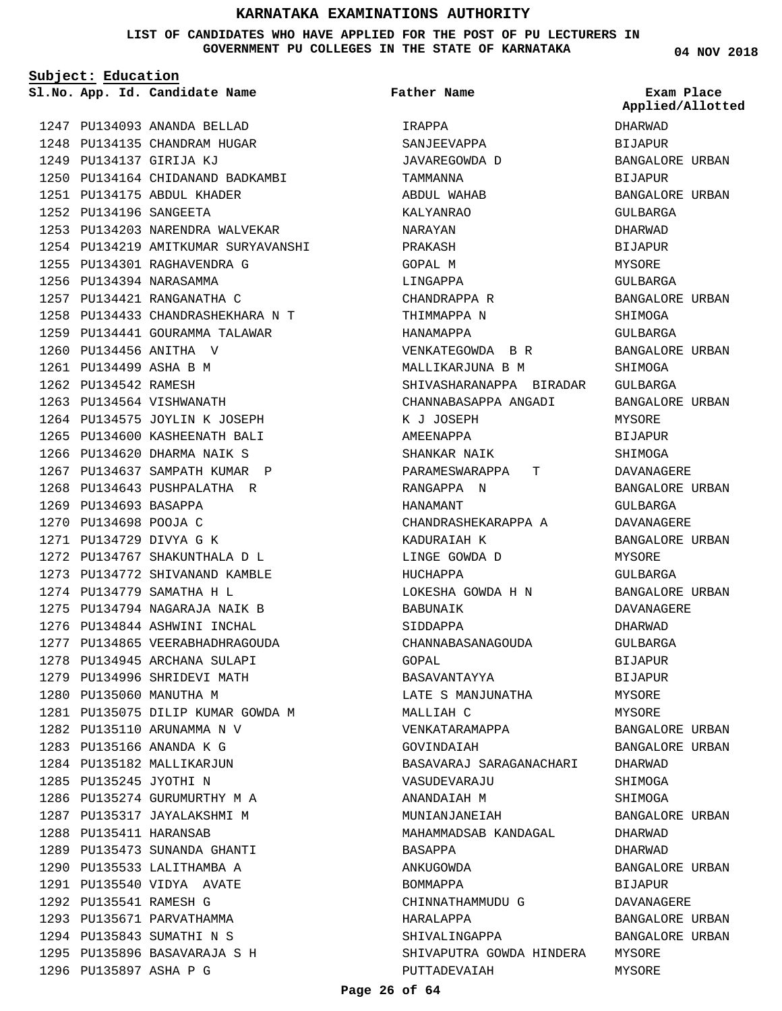#### **LIST OF CANDIDATES WHO HAVE APPLIED FOR THE POST OF PU LECTURERS IN GOVERNMENT PU COLLEGES IN THE STATE OF KARNATAKA**

**Subject: Education**

**Father Name**

1247 PU134093 ANANDA BELLAD 1248 PU134135 CHANDRAM HUGAR PU134137 GIRIJA KJ 1249 PU134164 CHIDANAND BADKAMBI 1250 PU134175 ABDUL KHADER 1251 PU134196 SANGEETA 1252 1253 PU134203 NARENDRA WALVEKAR 1254 PU134219 AMITKUMAR SURYAVANSHI 1255 PU134301 RAGHAVENDRA G 1256 PU134394 NARASAMMA 1257 PU134421 RANGANATHA C PU134433 CHANDRASHEKHARA N T 1258 1259 PU134441 GOURAMMA TALAWAR 1260 PU134456 ANITHA V PU134499 ASHA B M 1261 1262 PU134542 RAMESH 1263 PU134564 VISHWANATH 1264 PU134575 JOYLIN K JOSEPH 1265 PU134600 KASHEENATH BALI 1266 PU134620 DHARMA NAIK S 1267 PU134637 SAMPATH KUMAR P 1268 PU134643 PUSHPALATHA R 1269 PU134693 BASAPPA 1270 PU134698 POOJA C PU134729 DIVYA G K 1271 1272 PU134767 SHAKUNTHALA D L 1273 PU134772 SHIVANAND KAMBLE 1274 PU134779 SAMATHA H L 1275 PU134794 NAGARAJA NAIK B 1276 PU134844 ASHWINI INCHAL 1277 PU134865 VEERABHADHRAGOUDA 1278 PU134945 ARCHANA SULAPI 1279 PU134996 SHRIDEVI MATH 1280 PU135060 MANUTHA M 1281 PU135075 DILIP KUMAR GOWDA M 1282 PU135110 ARUNAMMA N V PU135166 ANANDA K G 1283 1284 PU135182 MALLIKARJUN 1285 PU135245 JYOTHI N 1286 PU135274 GURUMURTHY M A 1287 PU135317 JAYALAKSHMI M PU135411 HARANSAB 1288 1289 PU135473 SUNANDA GHANTI 1290 PU135533 LALITHAMBA A PU135540 VIDYA AVATE 1291 1292 PU135541 RAMESH G 1293 PU135671 PARVATHAMMA 1294 PU135843 SUMATHI N S 1295 PU135896 BASAVARAJA S H 1296 PU135897 ASHA P G

**App. Id. Candidate Name Sl.No. Exam Place** IRAPPA SANJEEVAPPA JAVAREGOWDA D TAMMANNA ABDUL WAHAB KALYANRAO NARAYAN PRAKASH GOPAL M LINGAPPA CHANDRAPPA R THIMMAPPA N HANAMAPPA VENKATEGOWDA B R MALLIKARJUNA B M SHIVASHARANAPPA BIRADAR CHANNABASAPPA ANGADI K J JOSEPH AMEENAPPA SHANKAR NAIK PARAMESWARAPPA T RANGAPPA N HANAMANT CHANDRASHEKARAPPA A KADURAIAH K LINGE GOWDA D HIICHAPPA LOKESHA GOWDA H N BABUNAIK SIDDAPPA CHANNABASANAGOUDA GOPAL BASAVANTAYYA LATE S MANJUNATHA MALLIAH C VENKATARAMAPPA GOVINDAIAH BASAVARAJ SARAGANACHARI VASUDEVARAJU ANANDAIAH M MUNIANJANEIAH MAHAMMADSAB KANDAGAL BASAPPA ANKUGOWDA BOMMAPPA CHINNATHAMMUDU G HARALAPPA SHIVALINGAPPA SHIVAPUTRA GOWDA HINDERA MYSORE PUTTADEVAIAH DHARWAD BIJAPUR BANGALORE URBAN BIJAPUR

**04 NOV 2018**

**Applied/Allotted**

BANGALORE URBAN GULBARGA DHARWAD BIJAPUR MYSORE GULBARGA BANGALORE URBAN SHIMOGA GULBARGA BANGALORE URBAN SHIMOGA GULBARGA BANGALORE URBAN MYSORE BIJAPUR **SHIMOGA** DAVANAGERE BANGALORE URBAN GULBARGA DAVANAGERE BANGALORE URBAN MYSORE GULBARGA BANGALORE URBAN DAVANAGERE DHARWAD GULBARGA BIJAPUR BIJAPUR MYSORE MYSORE BANGALORE URBAN BANGALORE URBAN DHARWAD SHIMOGA SHIMOGA BANGALORE URBAN DHARWAD DHARWAD BANGALORE URBAN BIJAPUR DAVANAGERE BANGALORE URBAN BANGALORE URBAN MYSORE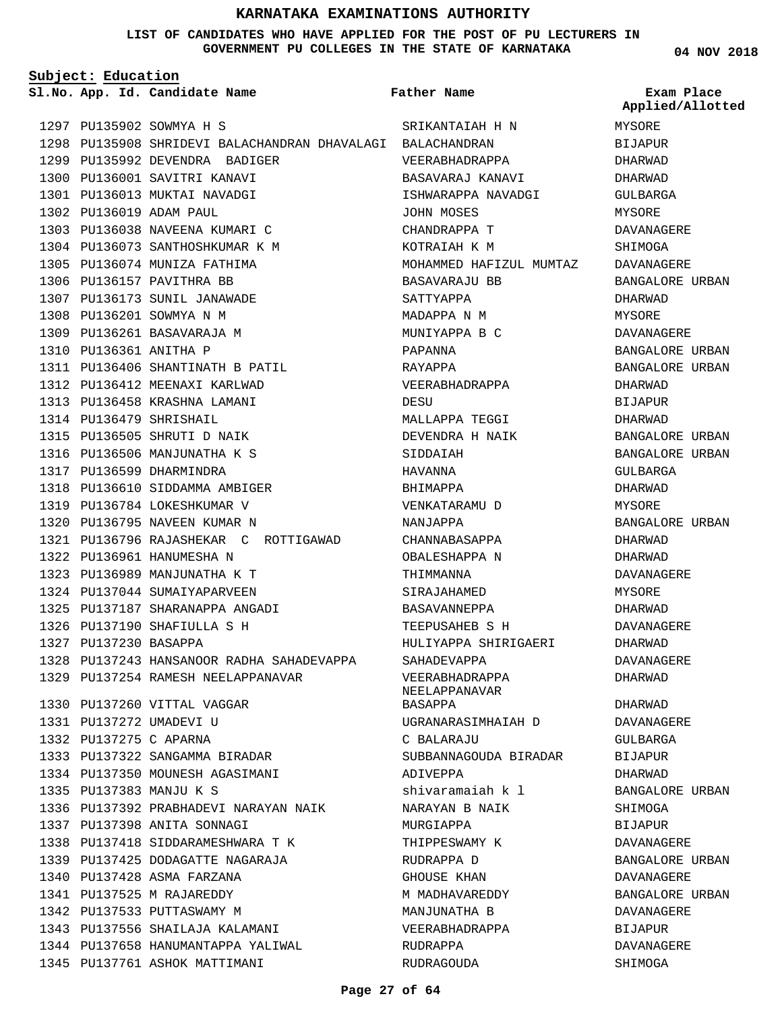**LIST OF CANDIDATES WHO HAVE APPLIED FOR THE POST OF PU LECTURERS IN GOVERNMENT PU COLLEGES IN THE STATE OF KARNATAKA**

**Subject: Education**

**App. Id. Candidate Name Sl.No. Exam Place**

1299 PU135992 DEVENDRA BADIGER 1300 PU136001 SAVITRI KANAVI 1301 PU136013 MUKTAI NAVADGI

1303 PU136038 NAVEENA KUMARI C 1304 PU136073 SANTHOSHKUMAR K M 1305 PU136074 MUNIZA FATHIMA 1306 PU136157 PAVITHRA BB 1307 PU136173 SUNIL JANAWADE 1308 PU136201 SOWMYA N M 1309 PU136261 BASAVARAJA M 1310 PU136361 ANITHA P

PU136406 SHANTINATH B PATIL 1311 1312 PU136412 MEENAXI KARLWAD 1313 PU136458 KRASHNA LAMANI

1318 PU136610 SIDDAMMA AMBIGER 1319 PU136784 LOKESHKUMAR V 1320 PU136795 NAVEEN KUMAR N

1322 PU136961 HANUMESHA N 1323 PU136989 MANJUNATHA K T 1324 PU137044 SUMAIYAPARVEEN PU137187 SHARANAPPA ANGADI 1325 1326 PU137190 SHAFIULLA S H

1327 PU137230 BASAPPA

PU136796 RAJASHEKAR C ROTTIGAWAD 1321

1328 PU137243 HANSANOOR RADHA SAHADEVAPPA

1329 PU137254 RAMESH NEELAPPANAVAR

1330 PU137260 VITTAL VAGGAR 1331 PU137272 UMADEVI U PU137275 C APARNA 1332

PU137383 MANJU K S 1335

PU137398 ANITA SONNAGI 1337

1340 PU137428 ASMA FARZANA PU137525 M RAJAREDDY 1341 1342 PU137533 PUTTASWAMY M

1333 PU137322 SANGAMMA BIRADAR PU137350 MOUNESH AGASIMANI 1334

1336 PU137392 PRABHADEVI NARAYAN NAIK

1338 PU137418 SIDDARAMESHWARA T K PU137425 DODAGATTE NAGARAJA 1339

PU137556 SHAILAJA KALAMANI 1343 1344 PU137658 HANUMANTAPPA YALIWAL

1345 PU137761 ASHOK MATTIMANI

PU135902 SOWMYA H S 1297

PU136019 ADAM PAUL 1302

1314 PU136479 SHRISHAIL 1315 PU136505 SHRUTI D NAIK 1316 PU136506 MANJUNATHA K S 1317 PU136599 DHARMINDRA

**Father Name**

PU135908 SHRIDEVI BALACHANDRAN DHAVALAGI BALACHANDRAN 1298 SRIKANTAIAH H N VEERABHADRAPPA BASAVARAJ KANAVI ISHWARAPPA NAVADGI JOHN MOSES CHANDRAPPA T KOTRAIAH K M MOHAMMED HAFIZUL MUMTAZ BASAVARAJU BB SATTYAPPA MADAPPA N M MUNIYAPPA B C PAPANNA RAYAPPA VEERABHADRAPPA DESU MALLAPPA TEGGI DEVENDRA H NAIK SIDDAIAH HAVANNA BHIMAPPA VENKATARAMU D NANJAPPA CHANNABASAPPA OBALESHAPPA N THIMMANNA SIRAJAHAMED BASAVANNEPPA TEEPUSAHEB S H HULIYAPPA SHIRIGAERI SAHADEVAPPA VEERABHADRAPPA NEELAPPANAVAR BASAPPA UGRANARASIMHAIAH D C BALARAJU SUBBANNAGOUDA BIRADAR ADIVEPPA shivaramaiah k l NARAYAN B NAIK MURGIAPPA THIPPESWAMY K RUDRAPPA D GHOUSE KHAN M MADHAVAREDDY MANJUNATHA B VEERABHADRAPPA RUDRAPPA RUDRAGOUDA

**04 NOV 2018**

MYSORE **BIJAPUR** DHARWAD DHARWAD GULBARGA MYSORE DAVANAGERE SHIMOGA DAVANAGERE BANGALORE URBAN DHARWAD MYSORE DAVANAGERE BANGALORE URBAN BANGALORE URBAN DHARWAD BIJAPUR DHARWAD BANGALORE URBAN BANGALORE URBAN GULBARGA DHARWAD MYSORE BANGALORE URBAN DHARWAD DHARWAD DAVANAGERE MYSORE DHARWAD DAVANAGERE DHARWAD DAVANAGERE DHARWAD DHARWAD DAVANAGERE GULBARGA BIJAPUR DHARWAD BANGALORE URBAN SHIMOGA BIJAPUR DAVANAGERE BANGALORE URBAN DAVANAGERE BANGALORE URBAN DAVANAGERE BIJAPUR DAVANAGERE SHIMOGA **Applied/Allotted**

#### **Page 27 of 64**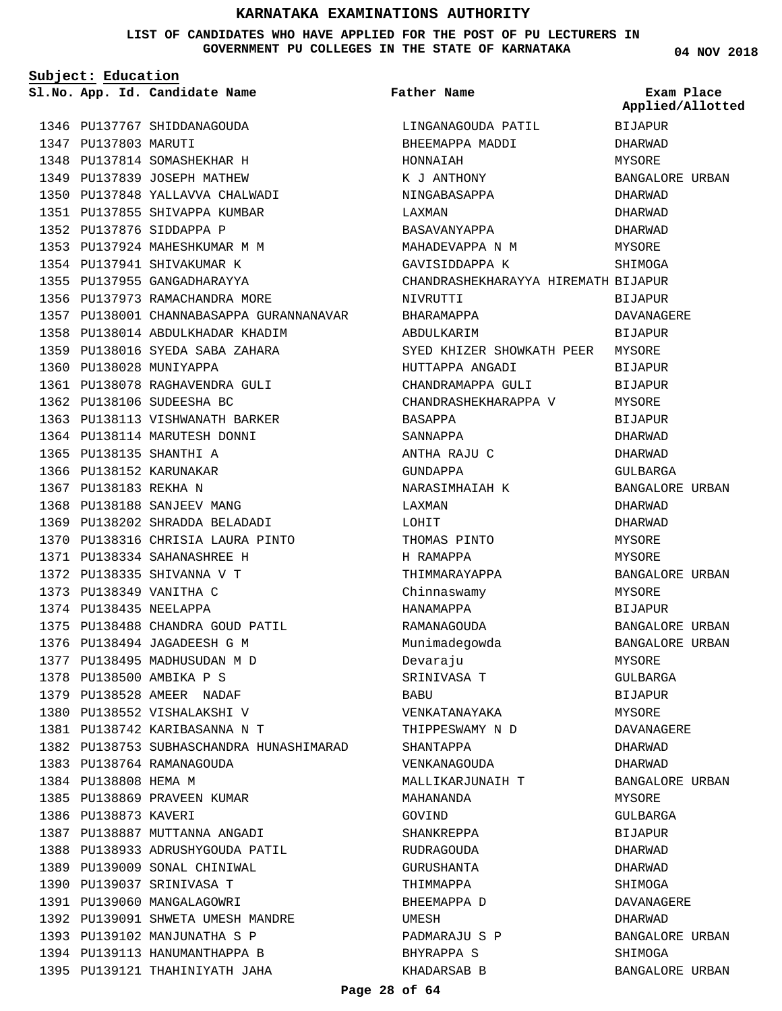#### **LIST OF CANDIDATES WHO HAVE APPLIED FOR THE POST OF PU LECTURERS IN GOVERNMENT PU COLLEGES IN THE STATE OF KARNATAKA**

**Subject: Education**

1346 PU137767 SHIDDANAGOUDA 1347 PU137803 MARUTI 1348 PU137814 SOMASHEKHAR H 1349 PU137839 JOSEPH MATHEW 1350 PU137848 YALLAVVA CHALWADI 1351 PU137855 SHIVAPPA KUMBAR 1352 PU137876 SIDDAPPA P 1353 PU137924 MAHESHKUMAR M M 1354 PU137941 SHIVAKUMAR K 1355 PU137955 GANGADHARAYYA 1356 PU137973 RAMACHANDRA MORE 1357 PU138001 CHANNABASAPPA GURANNANAVAR 1358 PU138014 ABDULKHADAR KHADIM PU138016 SYEDA SABA ZAHARA 1359 1360 PU138028 MUNIYAPPA 1361 PU138078 RAGHAVENDRA GULI 1362 PU138106 SUDEESHA BC 1363 PU138113 VISHWANATH BARKER 1364 PU138114 MARUTESH DONNI 1365 PU138135 SHANTHI A 1366 PU138152 KARUNAKAR 1367 PU138183 REKHA N 1368 PU138188 SANJEEV MANG 1369 PU138202 SHRADDA BELADADI 1370 PU138316 CHRISIA LAURA PINTO PU138334 SAHANASHREE H 1371 1372 PU138335 SHIVANNA V T 1373 PU138349 VANITHA C 1374 PU138435 NEELAPPA 1375 PU138488 CHANDRA GOUD PATIL 1376 PU138494 JAGADEESH G M 1377 PU138495 MADHUSUDAN M D 1378 PU138500 AMBIKA P S 1379 PU138528 AMEER NADAF 1380 PU138552 VISHALAKSHI V PU138742 KARIBASANNA N T 1381 1382 PU138753 SUBHASCHANDRA HUNASHIMARAD 1383 PU138764 RAMANAGOUDA 1384 PU138808 HEMA M 1385 PU138869 PRAVEEN KUMAR 1386 PU138873 KAVERI 1387 PU138887 MUTTANNA ANGADI 1388 PU138933 ADRUSHYGOUDA PATIL 1389 PU139009 SONAL CHINIWAL 1390 PU139037 SRINIVASA T 1391 PU139060 MANGALAGOWRI 1392 PU139091 SHWETA UMESH MANDRE 1393 PU139102 MANJUNATHA S P 1394 PU139113 HANUMANTHAPPA B **App. Id. Candidate Name Sl.No. Exam Place**

1395 PU139121 THAHINIYATH JAHA

LINGANAGOUDA PATIL BHEEMAPPA MADDI HONNAIAH K J ANTHONY NINGABASAPPA LAXMAN BASAVANYAPPA MAHADEVAPPA N M GAVISIDDAPPA K CHANDRASHEKHARAYYA HIREMATH BIJAPUR NIVRUTTI BHARAMAPPA ABDULKARIM SYED KHIZER SHOWKATH PEER HUTTAPPA ANGADI CHANDRAMAPPA GULI CHANDRASHEKHARAPPA V BASAPPA SANNAPPA ANTHA RAJU C GUNDAPPA NARASIMHAIAH K LAXMAN LOHIT THOMAS PINTO H RAMAPPA THIMMARAYAPPA Chinnaswamy HANAMAPPA RAMANAGOUDA Munimadegowda Devaraju SRINIVASA T **BABU** VENKATANAYAKA THIPPESWAMY N D SHANTAPPA VENKANAGOUDA MALLIKARJUNAIH T MAHANANDA GOVIND SHANKREPPA RUDRAGOUDA GURUSHANTA THIMMAPPA BHEEMAPPA D UMESH PADMARAJU S P BHYRAPPA S KHADARSAB B **Father Name** BIJAPUR DHARWAD MYSORE BANGALORE URBAN DHARWAD DHARWAD DHARWAD MYSORE **SHIMOGA BIJAPUR** DAVANAGERE BIJAPUR MYSORE **BIJAPUR** BIJAPUR MYSORE **BIJAPUR** DHARWAD DHARWAD GULBARGA BANGALORE URBAN DHARWAD DHARWAD MYSORE MYSORE BANGALORE URBAN MYSORE BIJAPUR BANGALORE URBAN BANGALORE URBAN MYSORE GULBARGA BIJAPUR MYSORE DAVANAGERE DHARWAD DHARWAD BANGALORE URBAN MYSORE GULBARGA BIJAPUR DHARWAD DHARWAD **SHIMOGA** DAVANAGERE DHARWAD BANGALORE URBAN SHIMOGA BANGALORE URBAN **Applied/Allotted**

**04 NOV 2018**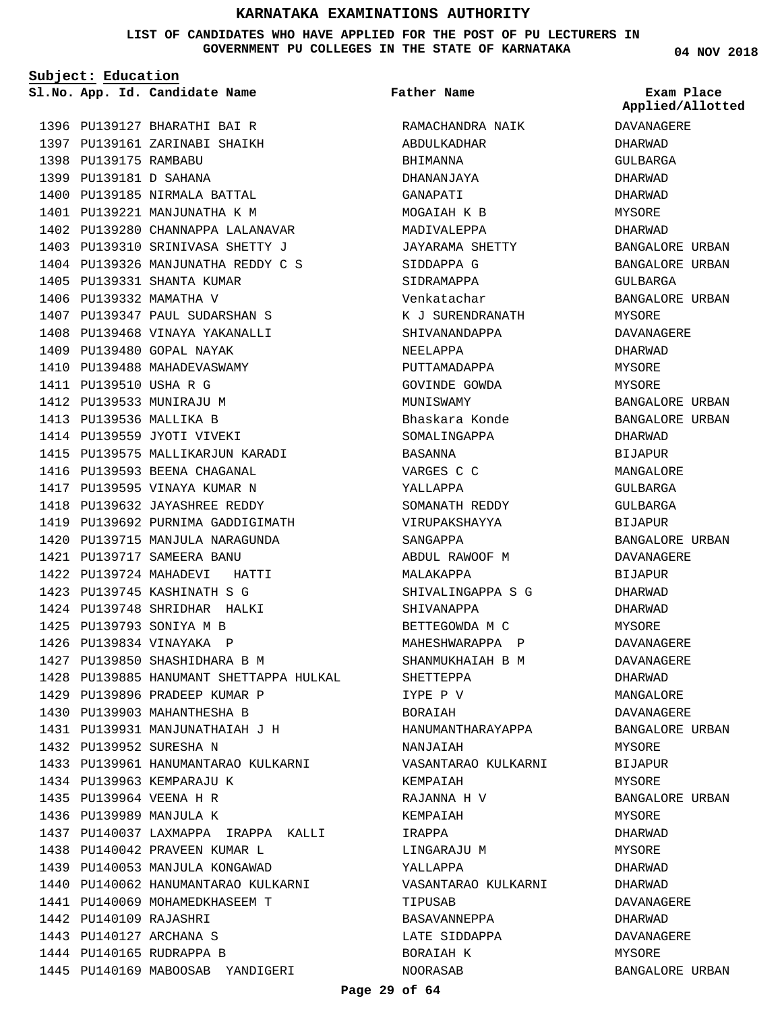**LIST OF CANDIDATES WHO HAVE APPLIED FOR THE POST OF PU LECTURERS IN GOVERNMENT PU COLLEGES IN THE STATE OF KARNATAKA**

**Subject: Education**

1396 PU139127 BHARATHI BAI R 1397 PU139161 ZARINABI SHAIKH 1398 PU139175 RAMBABU PU139181 D SAHANA 1399 1400 PU139185 NIRMALA BATTAL 1401 PU139221 MANJUNATHA K M 1402 PU139280 CHANNAPPA LALANAVAR 1403 PU139310 SRINIVASA SHETTY J 1404 PU139326 MANJUNATHA REDDY C S 1405 PU139331 SHANTA KUMAR 1406 PU139332 MAMATHA V 1407 PU139347 PAUL SUDARSHAN S 1408 PU139468 VINAYA YAKANALLI 1409 PU139480 GOPAL NAYAK 1410 PU139488 MAHADEVASWAMY 1411 PU139510 USHA R G 1412 PU139533 MUNIRAJU M 1413 PU139536 MALLIKA B 1414 PU139559 JYOTI VIVEKI 1415 PU139575 MALLIKARJUN KARADI 1416 PU139593 BEENA CHAGANAL 1417 PU139595 VINAYA KUMAR N 1418 PU139632 JAYASHREE REDDY 1419 PU139692 PURNIMA GADDIGIMATH 1420 PU139715 MANJULA NARAGUNDA PU139717 SAMEERA BANU 1421 1422 PU139724 MAHADEVI HATTI PU139745 KASHINATH S G 1423 1424 PU139748 SHRIDHAR HALKI PU139793 SONIYA M B 1425 1426 PU139834 VINAYAKA P 1427 PU139850 SHASHIDHARA B M 1428 PU139885 HANUMANT SHETTAPPA HULKAL 1429 PU139896 PRADEEP KUMAR P 1430 PU139903 MAHANTHESHA B 1431 PU139931 MANJUNATHAIAH J H 1432 PU139952 SURESHA N 1433 PU139961 HANUMANTARAO KULKARNI 1434 PU139963 KEMPARAJU K PU139964 VEENA H R 1435 1436 PU139989 MANJULA K 1437 PU140037 LAXMAPPA IRAPPA KALLI 1438 PU140042 PRAVEEN KUMAR L 1439 PU140053 MANJULA KONGAWAD 1440 PU140062 HANUMANTARAO KULKARNI 1441 PU140069 MOHAMEDKHASEEM T 1442 PU140109 RAJASHRI 1443 PU140127 ARCHANA S 1444 PU140165 RUDRAPPA B

1445 PU140169 MABOOSAB YANDIGERI

RAMACHANDRA NAIK ABDULKADHAR BHIMANNA DHANANJAYA GANAPATI MOGAIAH K B MADIVALEPPA JAYARAMA SHETTY SIDDAPPA G SIDRAMAPPA Venkatachar K J SURENDRANATH SHIVANANDAPPA NEELAPPA PUTTAMADAPPA GOVINDE GOWDA MUNISWAMY Bhaskara Konde SOMALINGAPPA BASANNA VARGES C C YALLAPPA SOMANATH REDDY VIRUPAKSHAYYA SANGAPPA ABDUL RAWOOF M MALAKAPPA SHIVALINGAPPA S G SHIVANAPPA BETTEGOWDA M C MAHESHWARAPPA P SHANMUKHAIAH B M SHETTEPPA IYPE P V BORAIAH HANUMANTHARAYAPPA NANJAIAH VASANTARAO KULKARNI KEMPAIAH RAJANNA H V KEMPAIAH IRAPPA LINGARAJU M YALLAPPA VASANTARAO KULKARNI TIPUSAB BASAVANNEPPA LATE SIDDAPPA BORAIAH K **Father Name**

**04 NOV 2018**

**App. Id. Candidate Name Sl.No. Exam Place Applied/Allotted**

**DAVANAGERE** DHARWAD GULBARGA DHARWAD DHARWAD MYSORE DHARWAD BANGALORE URBAN BANGALORE URBAN GULBARGA BANGALORE URBAN MYSORE DAVANAGERE DHARWAD MYSORE MYSORE BANGALORE URBAN BANGALORE URBAN DHARWAD BIJAPUR MANGALORE GULBARGA GULBARGA BIJAPUR BANGALORE URBAN DAVANAGERE BIJAPUR DHARWAD DHARWAD MYSORE DAVANAGERE DAVANAGERE DHARWAD MANGALORE DAVANAGERE BANGALORE URBAN **MYSORE** BIJAPUR MYSORE BANGALORE URBAN MYSORE DHARWAD MYSORE DHARWAD DHARWAD DAVANAGERE DHARWAD DAVANAGERE MYSORE

BANGALORE URBAN

NOORASAB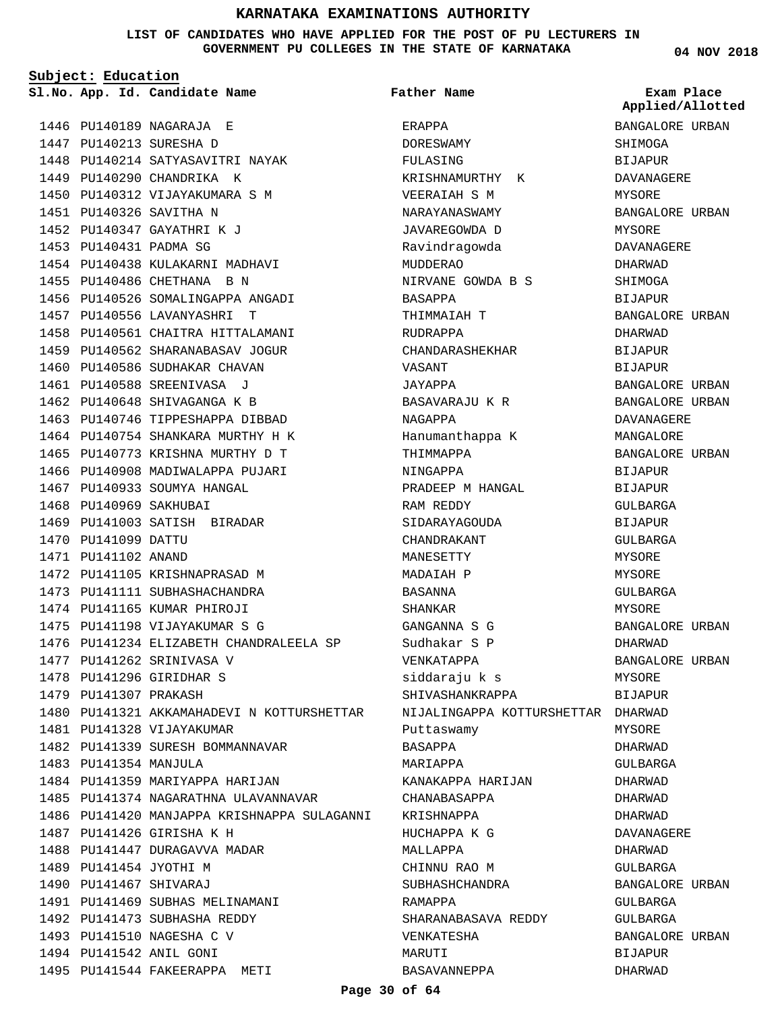**LIST OF CANDIDATES WHO HAVE APPLIED FOR THE POST OF PU LECTURERS IN GOVERNMENT PU COLLEGES IN THE STATE OF KARNATAKA**

**Subject: Education**

**App. Id. Candidate Name Sl.No. Exam Place**

1446 PU140189 NAGARAJA E 1447 PU140213 SURESHA D

1449 PU140290 CHANDRIKA K 1450 PU140312 VIJAYAKUMARA S M

1451 PU140326 SAVITHA N 1452 PU140347 GAYATHRI K J 1453 PU140431 PADMA SG

1448 PU140214 SATYASAVITRI NAYAK

1454 PU140438 KULAKARNI MADHAVI 1455 PU140486 CHETHANA B N

1457 PU140556 LAVANYASHRI T

1467 PU140933 SOUMYA HANGAL

1469 PU141003 SATISH BIRADAR

1472 PU141105 KRISHNAPRASAD M 1473 PU141111 SUBHASHACHANDRA 1474 PU141165 KUMAR PHIROJI 1475 PU141198 VIJAYAKUMAR S G

1477 PU141262 SRINIVASA V 1478 PU141296 GIRIDHAR S 1479 PU141307 PRAKASH

1481 PU141328 VIJAYAKUMAR

1487 PU141426 GIRISHA K H 1488 PU141447 DURAGAVVA MADAR

1489 PU141454 JYOTHI M PU141467 SHIVARAJ 1490

1483 PU141354 MANJULA

1482 PU141339 SURESH BOMMANNAVAR

1484 PU141359 MARIYAPPA HARIJAN

1491 PU141469 SUBHAS MELINAMANI 1492 PU141473 SUBHASHA REDDY 1493 PU141510 NAGESHA C V 1494 PU141542 ANIL GONI

1495 PU141544 FAKEERAPPA METI

1485 PU141374 NAGARATHNA ULAVANNAVAR

1476 PU141234 ELIZABETH CHANDRALEELA SP

1480 PU141321 AKKAMAHADEVI N KOTTURSHETTAR

1486 PU141420 MANJAPPA KRISHNAPPA SULAGANNI

1468 PU140969 SAKHUBAI

1470 PU141099 DATTU 1471 PU141102 ANAND

1456 PU140526 SOMALINGAPPA ANGADI

1458 PU140561 CHAITRA HITTALAMANI 1459 PU140562 SHARANABASAV JOGUR 1460 PU140586 SUDHAKAR CHAVAN 1461 PU140588 SREENIVASA J 1462 PU140648 SHIVAGANGA K B 1463 PU140746 TIPPESHAPPA DIBBAD 1464 PU140754 SHANKARA MURTHY H K 1465 PU140773 KRISHNA MURTHY D T 1466 PU140908 MADIWALAPPA PUJARI

**Father Name**

ERAPPA DORESWAMY FULASING KRISHNAMURTHY K VEERAIAH S M NARAYANASWAMY JAVAREGOWDA D Ravindragowda MUDDERAO NIRVANE GOWDA B S BASAPPA THIMMAIAH T RUDRAPPA CHANDARASHEKHAR VASANT JAYAPPA BASAVARAJU K R NAGAPPA Hanumanthappa K THIMMAPPA NINGAPPA PRADEEP M HANGAL RAM REDDY SIDARAYAGOUDA CHANDRAKANT MANESETTY MADAIAH P BASANNA SHANKAR GANGANNA S G Sudhakar S P VENKATAPPA siddaraju k s SHIVASHANKRAPPA NIJALINGAPPA KOTTURSHETTAR DHARWAD Puttaswamy BASAPPA MARIAPPA KANAKAPPA HARIJAN CHANABASAPPA KRISHNAPPA HUCHAPPA K G MALLAPPA CHINNU RAO M SUBHASHCHANDRA RAMAPPA SHARANABASAVA REDDY VENKATESHA MARUTI BASAVANNEPPA

**04 NOV 2018**

**Applied/Allotted**

BANGALORE URBAN SHIMOGA BIJAPUR DAVANAGERE MYSORE BANGALORE URBAN MYSORE DAVANAGERE DHARWAD **SHIMOGA BIJAPUR** BANGALORE URBAN DHARWAD BIJAPUR BIJAPUR BANGALORE URBAN BANGALORE URBAN DAVANAGERE MANGALORE BANGALORE URBAN BIJAPUR BIJAPUR GULBARGA BIJAPUR GULBARGA MYSORE **MYSORE** GULBARGA MYSORE BANGALORE URBAN DHARWAD BANGALORE URBAN MYSORE BIJAPUR MYSORE DHARWAD GULBARGA DHARWAD DHARWAD DHARWAD DAVANAGERE DHARWAD GULBARGA BANGALORE URBAN GULBARGA GULBARGA BANGALORE URBAN BIJAPUR DHARWAD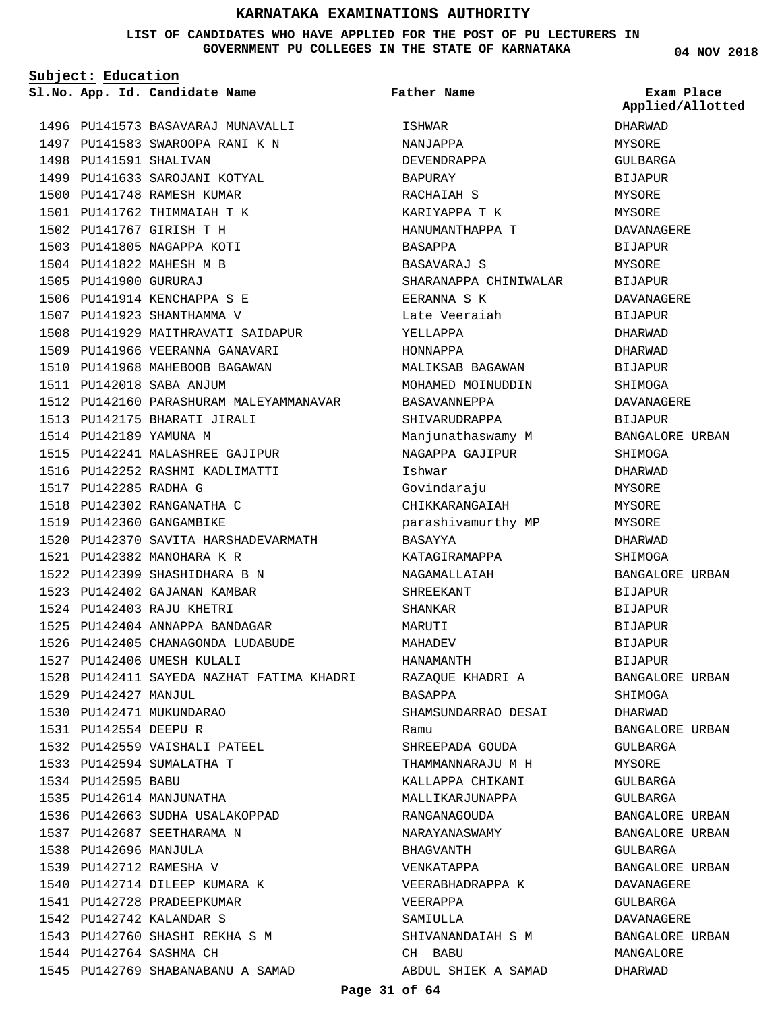#### **LIST OF CANDIDATES WHO HAVE APPLIED FOR THE POST OF PU LECTURERS IN GOVERNMENT PU COLLEGES IN THE STATE OF KARNATAKA**

**Subject: Education**

1496 PU141573 BASAVARAJ MUNAVALLI 1497 PU141583 SWAROOPA RANI K N 1498 PU141591 SHALIVAN 1499 PU141633 SAROJANI KOTYAL 1500 PU141748 RAMESH KUMAR 1501 PU141762 THIMMAIAH T K PU141767 GIRISH T H 1502 1503 PU141805 NAGAPPA KOTI 1504 PU141822 MAHESH M B 1505 PU141900 GURURAJ 1506 PU141914 KENCHAPPA S E 1507 PU141923 SHANTHAMMA V 1508 PU141929 MAITHRAVATI SAIDAPUR 1509 PU141966 VEERANNA GANAVARI 1510 PU141968 MAHEBOOB BAGAWAN PU142018 SABA ANJUM 1511 1512 PU142160 PARASHURAM MALEYAMMANAVAR 1513 PU142175 BHARATI JIRALI 1514 PU142189 YAMUNA M PU142241 MALASHREE GAJIPUR 1515 1516 PU142252 RASHMI KADLIMATTI 1517 PU142285 RADHA G 1518 PU142302 RANGANATHA C 1519 PU142360 GANGAMBIKE 1520 PU142370 SAVITA HARSHADEVARMATH PU142382 MANOHARA K R 1521 1522 PU142399 SHASHIDHARA B N 1523 PU142402 GAJANAN KAMBAR PU142403 RAJU KHETRI 1524 1525 PU142404 ANNAPPA BANDAGAR 1526 PU142405 CHANAGONDA LUDABUDE 1527 PU142406 UMESH KULALI 1528 PU142411 SAYEDA NAZHAT FATIMA KHADRI 1529 PU142427 MANJUL 1530 PU142471 MUKUNDARAO PU142554 DEEPU R 1531 1532 PU142559 VAISHALI PATEEL 1533 PU142594 SUMALATHA T 1534 PU142595 BABU 1535 PU142614 MANJUNATHA 1536 PU142663 SUDHA USALAKOPPAD 1537 PU142687 SEETHARAMA N 1538 PU142696 MANJULA 1539 PU142712 RAMESHA V 1540 PU142714 DILEEP KUMARA K 1541 PU142728 PRADEEPKUMAR PU142742 KALANDAR S 1542 1543 PU142760 SHASHI REKHA S M 1544 PU142764 SASHMA CH 1545 PU142769 SHABANABANU A SAMAD

**App. Id. Candidate Name Sl.No. Exam Place** ISHWAR NANJAPPA DEVENDRAPPA BAPURAY RACHAIAH S KARIYAPPA T K HANUMANTHAPPA T BASAPPA BASAVARAJ S SHARANAPPA CHINIWALAR EERANNA S K Late Veeraiah YELLAPPA HONNAPPA MALIKSAB BAGAWAN MOHAMED MOINUDDIN BASAVANNEPPA SHIVARUDRAPPA Manjunathaswamy M NAGAPPA GAJIPUR Ishwar Govindaraju CHIKKARANGAIAH parashivamurthy MP BASAYYA KATAGIRAMAPPA NAGAMALLAIAH SHREEKANT SHANKAR MARUTI MAHADEV HANAMANTH RAZAQUE KHADRI A BASAPPA SHAMSUNDARRAO DESAI Ramu SHREEPADA GOUDA THAMMANNARAJU M H KALLAPPA CHIKANI MALLIKARJUNAPPA RANGANAGOUDA NARAYANASWAMY BHAGVANTH VENKATAPPA VEERABHADRAPPA K VEERAPPA SAMIULLA SHIVANANDAIAH S M CH BABU ABDUL SHIEK A SAMAD **Father Name** DHARWAD MYSORE GULBARGA BIJAPUR MYSORE MYSORE DAVANAGERE BIJAPUR **MYSORE** BIJAPUR DAVANAGERE BIJAPUR DHARWAD DHARWAD BIJAPUR SHIMOGA DAVANAGERE BIJAPUR BANGALORE URBAN SHIMOGA DHARWAD MYSORE MYSORE MYSORE DHARWAD SHIMOGA BANGALORE URBAN BIJAPUR BIJAPUR BIJAPUR BIJAPUR BIJAPUR BANGALORE URBAN SHIMOGA DHARWAD BANGALORE URBAN GULBARGA MYSORE GULBARGA GULBARGA BANGALORE URBAN BANGALORE URBAN GULBARGA BANGALORE URBAN DAVANAGERE GULBARGA DAVANAGERE BANGALORE URBAN MANGALORE DHARWAD **Applied/Allotted**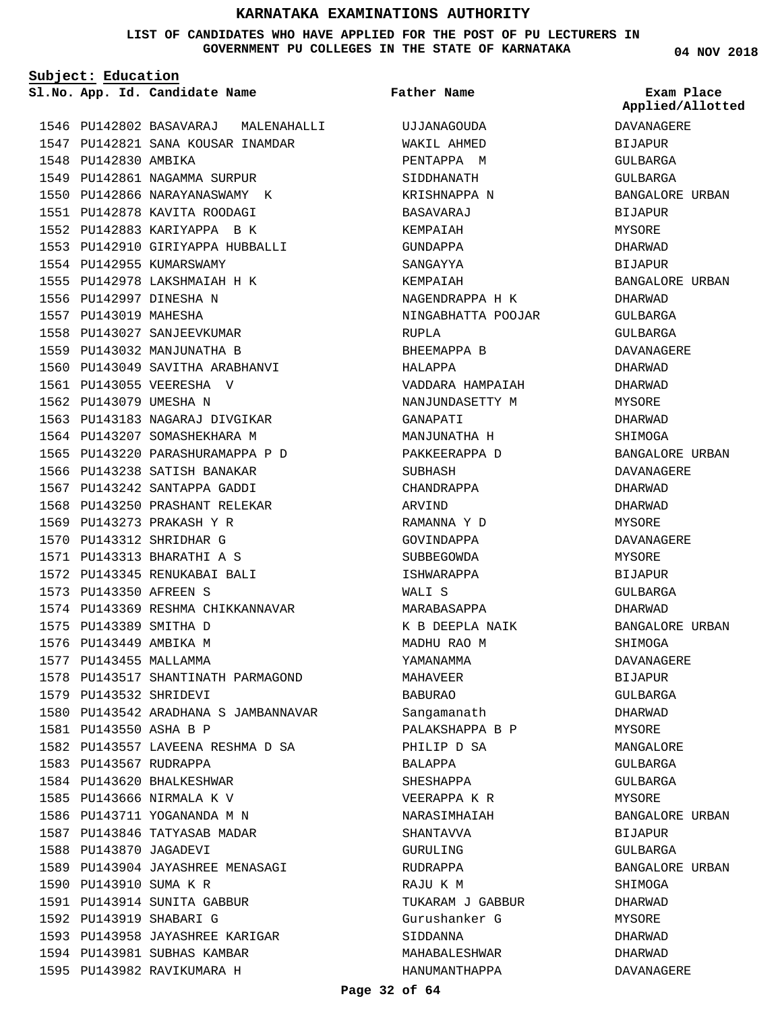#### **LIST OF CANDIDATES WHO HAVE APPLIED FOR THE POST OF PU LECTURERS IN GOVERNMENT PU COLLEGES IN THE STATE OF KARNATAKA**

**Subject: Education**

1548 PU142830 AMBIKA

**App. Id. Candidate Name Sl.No. Exam Place**

1549 PU142861 NAGAMMA SURPUR 1550 PU142866 NARAYANASWAMY K

1546 PU142802 BASAVARAJ MALENAHALLI 1547 PU142821 SANA KOUSAR INAMDAR

**Father Name**

UJJANAGOUDA WAKIL AHMED PENTAPPA M SIDDHANATH KRISHNAPPA N

DAVANAGERE BIJAPUR GULBARGA GULBARGA BANGALORE URBAN BIJAPUR MYSORE DHARWAD **BIJAPUR** BANGALORE URBAN DHARWAD GULBARGA GULBARGA DAVANAGERE DHARWAD DHARWAD MYSORE DHARWAD SHIMOGA BANGALORE URBAN DAVANAGERE DHARWAD DHARWAD MYSORE DAVANAGERE MYSORE **BIJAPUR** GULBARGA DHARWAD BANGALORE URBAN SHIMOGA DAVANAGERE BIJAPUR GULBARGA DHARWAD MYSORE MANGALORE GULBARGA GULBARGA MYSORE BANGALORE URBAN BIJAPUR **Applied/Allotted**

GULBARGA

**SHIMOGA** DHARWAD MYSORE DHARWAD DHARWAD DAVANAGERE

BANGALORE URBAN

1551 PU142878 KAVITA ROODAGI 1552 PU142883 KARIYAPPA B K 1553 PU142910 GIRIYAPPA HUBBALLI 1554 PU142955 KUMARSWAMY 1555 PU142978 LAKSHMAIAH H K 1556 PU142997 DINESHA N 1557 PU143019 MAHESHA 1558 PU143027 SANJEEVKUMAR 1559 PU143032 MANJUNATHA B 1560 PU143049 SAVITHA ARABHANVI 1561 PU143055 VEERESHA V 1562 PU143079 UMESHA N 1563 PU143183 NAGARAJ DIVGIKAR 1564 PU143207 SOMASHEKHARA M 1565 PU143220 PARASHURAMAPPA P D 1566 PU143238 SATISH BANAKAR 1567 PU143242 SANTAPPA GADDI 1568 PU143250 PRASHANT RELEKAR 1569 PU143273 PRAKASH Y R 1570 PU143312 SHRIDHAR G PU143313 BHARATHI A S 1571 1572 PU143345 RENUKABAI BALI PU143350 AFREEN S 1573 1574 PU143369 RESHMA CHIKKANNAVAR 1575 PU143389 SMITHA D 1576 PU143449 AMBIKA M 1577 PU143455 MALLAMMA 1578 PU143517 SHANTINATH PARMAGOND 1579 PU143532 SHRIDEVI 1580 PU143542 ARADHANA S JAMBANNAVAR PU143550 ASHA B P 1581 1582 PU143557 LAVEENA RESHMA D SA 1583 PU143567 RUDRAPPA 1584 PU143620 BHALKESHWAR 1585 PU143666 NIRMALA K V 1586 PU143711 YOGANANDA M N 1587 PU143846 TATYASAB MADAR 1588 PU143870 JAGADEVI PU143904 JAYASHREE MENASAGI 1589 1590 PU143910 SUMA K R 1591 PU143914 SUNITA GABBUR 1592 PU143919 SHABARI G 1593 PU143958 JAYASHREE KARIGAR 1594 PU143981 SUBHAS KAMBAR 1595 PU143982 RAVIKUMARA H

**Page 32 of 64** BASAVARAJ KEMPAIAH GUNDAPPA SANGAYYA KEMPAIAH NAGENDRAPPA H K NINGABHATTA POOJAR RUPLA BHEEMAPPA B HALAPPA VADDARA HAMPAIAH NANJUNDASETTY M GANAPATI MANJUNATHA H PAKKEERAPPA D SUBHASH CHANDRAPPA ARVIND RAMANNA Y D GOVINDAPPA SUBBEGOWDA ISHWARAPPA WALI S MARABASAPPA K B DEEPLA NAIK MADHU RAO M YAMANAMMA MAHAVEER BABURAO Sangamanath PALAKSHAPPA B P PHILIP D SA BALAPPA SHESHAPPA VEERAPPA K R NARASIMHAIAH SHANTAVVA GURULING RUDRAPPA RAJU K M TUKARAM J GABBUR Gurushanker G SIDDANNA MAHABALESHWAR HANUMANTHAPPA

**04 NOV 2018**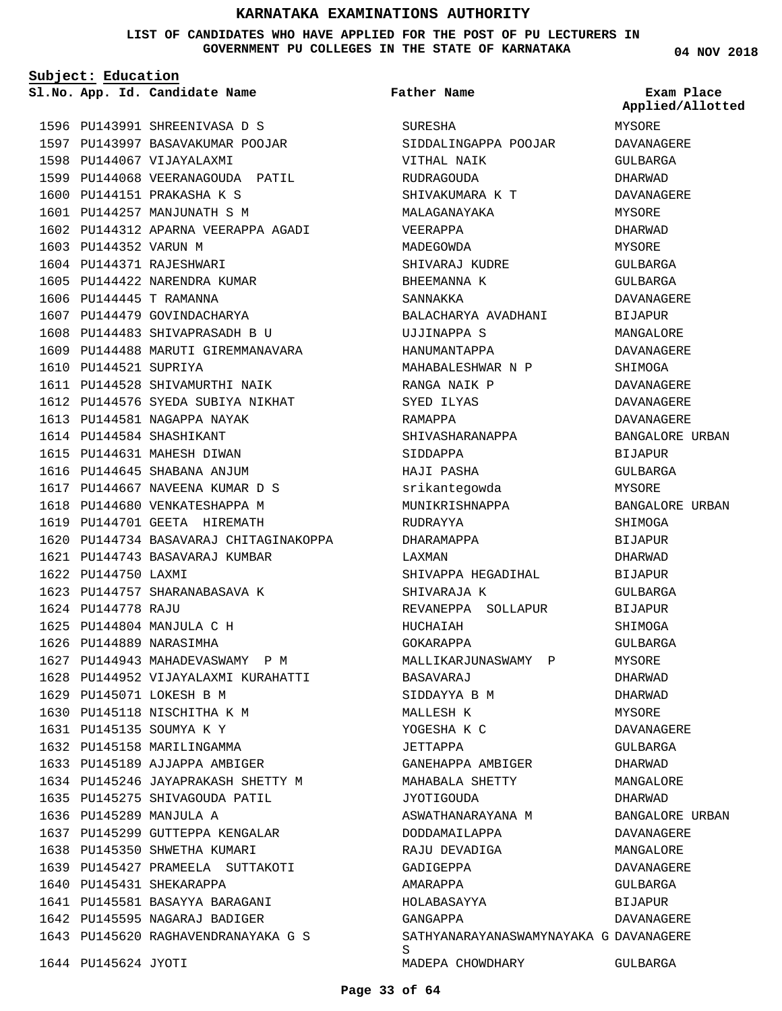**LIST OF CANDIDATES WHO HAVE APPLIED FOR THE POST OF PU LECTURERS IN GOVERNMENT PU COLLEGES IN THE STATE OF KARNATAKA**

**Subject: Education**

**App. Id. Candidate Name Sl.No. Exam Place**

1596 PU143991 SHREENIVASA D S 1597 PU143997 BASAVAKUMAR POOJAR 1598 PU144067 VIJAYALAXMI 1599 PU144068 VEERANAGOUDA PATIL 1600 PU144151 PRAKASHA K S 1601 PU144257 MANJUNATH S M 1602 PU144312 APARNA VEERAPPA AGADI 1603 PU144352 VARUN M 1604 PU144371 RAJESHWARI 1605 PU144422 NARENDRA KUMAR PU144445 T RAMANNA 1606 PU144479 PU144483 1609 PU144488 MARUTI GIREMMANAVARA 1610 PU144521 SUPRIYA 1611 PU144528 SHIVAMURTHI NAIK 1612 PU144576 SYEDA SUBIYA NIKHAT 1613 PU144581 NAGAPPA NAYAK 1614 PU144584 SHASHIKANT 1615 PU144631 MAHESH DIWAN 1616 PU144645 SHABANA ANJUM 1617 PU144667 NAVEENA KUMAR D S 1618 PU144680 VENKATESHAPPA M 1619 PU144701 GEETA HIREMATH 1620 PU144734 BASAVARAJ CHITAGINAKOPPA PU144743 BASAVARAJ KUMBAR 1621 1622 PU144750 LAXMI 1623 PU144757 SHARANABASAVA K PU144778 RAJU 1624 PU144804 MANJULA C H 1625 1626 PU144889 NARASIMHA 1627 PU144943 MAHADEVASWAMY P M 1628 PU144952 VIJAYALAXMI KURAHATTI 1629 PU145071 LOKESH B M 1630 PU145118 NISCHITHA K M PU145135 SOUMYA K Y 1631 1632 PU145158 MARILINGAMMA 1633 PU145189 AJJAPPA AMBIGER 1634 PU145246 JAYAPRAKASH SHETTY M 1635 PU145275 SHIVAGOUDA PATIL 1636 PU145289 MANJULA A 1637 PU145299 GUTTEPPA KENGALAR 1638 PU145350 SHWETHA KUMARI 1639 PU145427 PRAMEELA SUTTAKOTI 1640 PU145431 SHEKARAPPA 1641 PU145581 BASAYYA BARAGANI 1642 PU145595 NAGARAJ BADIGER 1643 PU145620 RAGHAVENDRANAYAKA G S 1644 PU145624 JYOTI GOVINDACHARYA SHIVAPRASADH B U 1607 1608

SURESHA SIDDALINGAPPA POOJAR VITHAL NAIK RUDRAGOUDA SHIVAKUMARA K T MALAGANAYAKA VEERAPPA MADEGOWDA SHIVARAJ KUDRE BHEEMANNA K SANNAKKA BALACHARYA AVADHANI UJJINAPPA S HANUMANTAPPA MAHABALESHWAR N P RANGA NAIK P SYED ILYAS RAMAPPA SHIVASHARANAPPA SIDDAPPA HAJI PASHA srikantegowda MUNIKRISHNAPPA RUDRAYYA DHARAMAPPA LAXMAN SHIVAPPA HEGADIHAL SHIVARAJA K REVANEPPA SOLLAPUR HUCHAIAH GOKARAPPA MALLIKARJUNASWAMY P BASAVARAJ SIDDAYYA B M MALLESH K YOGESHA K C JETTAPPA GANEHAPPA AMBIGER MAHABALA SHETTY JYOTIGOUDA ASWATHANARAYANA M DODDAMAILAPPA RAJU DEVADIGA GADIGEPPA AMARAPPA HOLABASAYYA GANGAPPA SATHYANARAYANASWAMYNAYAKA G DAVANAGERE S MADEPA CHOWDHARY GULBARGA **Father Name** MYSORE DAVANAGERE

**04 NOV 2018**

**Applied/Allotted**

# GULBARGA DHARWAD DAVANAGERE MYSORE DHARWAD MYSORE GULBARGA GULBARGA DAVANAGERE BIJAPUR MANGALORE DAVANAGERE SHIMOGA DAVANAGERE DAVANAGERE DAVANAGERE BANGALORE URBAN BIJAPUR GULBARGA MYSORE BANGALORE URBAN SHIMOGA BIJAPUR DHARWAD BIJAPUR GULBARGA BIJAPUR SHIMOGA GULBARGA MYSORE DHARWAD DHARWAD MYSORE DAVANAGERE GULBARGA DHARWAD MANGALORE DHARWAD BANGALORE URBAN DAVANAGERE MANGALORE DAVANAGERE GULBARGA BIJAPUR DAVANAGERE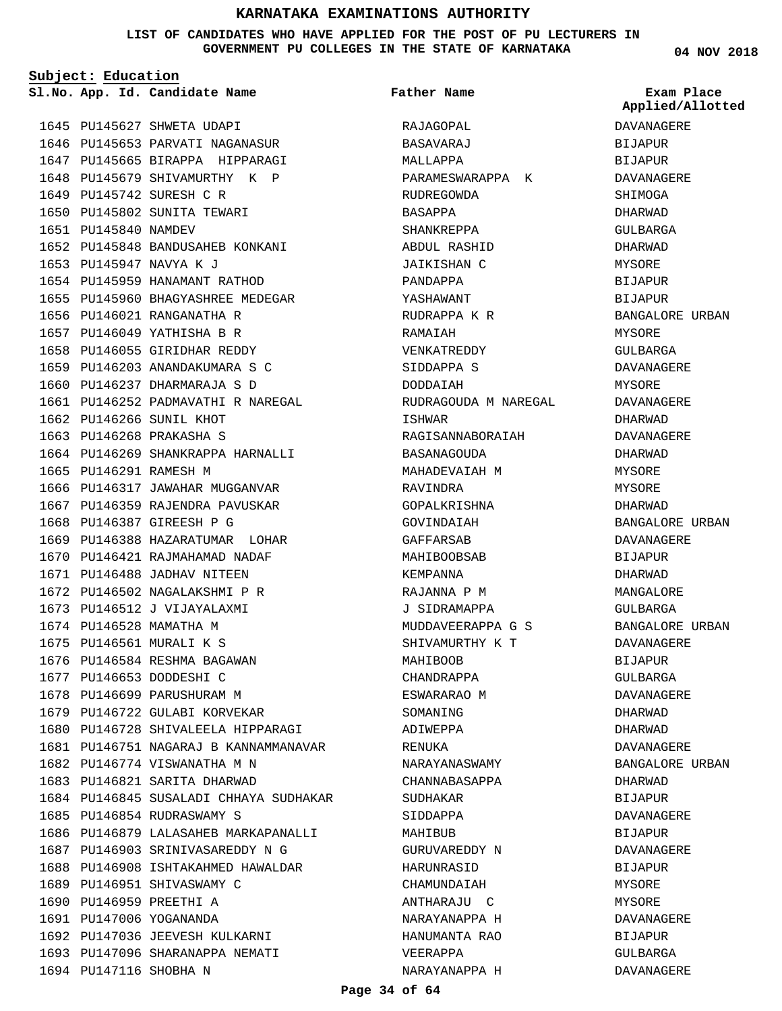#### **LIST OF CANDIDATES WHO HAVE APPLIED FOR THE POST OF PU LECTURERS IN GOVERNMENT PU COLLEGES IN THE STATE OF KARNATAKA**

**Subject: Education**

1645 PU145627 SHWETA UDAPI

1649 PU145742 SURESH C R 1650 PU145802 SUNITA TEWARI

1653 PU145947 NAVYA K J

1651 PU145840 NAMDEV

1646 PU145653 PARVATI NAGANASUR 1647 PU145665 BIRAPPA HIPPARAGI 1648 PU145679 SHIVAMURTHY K P

PU145848 BANDUSAHEB KONKANI 1652

1661 PU146252 PADMAVATHI R NAREGAL

1664 PU146269 SHANKRAPPA HARNALLI

1666 PU146317 JAWAHAR MUGGANVAR 1667 PU146359 RAJENDRA PAVUSKAR

1669 PU146388 HAZARATUMAR LOHAR 1670 PU146421 RAJMAHAMAD NADAF 1671 PU146488 JADHAV NITEEN 1672 PU146502 NAGALAKSHMI P R 1673 PU146512 J VIJAYALAXMI 1674 PU146528 MAMATHA M 1675 PU146561 MURALI K S 1676 PU146584 RESHMA BAGAWAN 1677 PU146653 DODDESHI C 1678 PU146699 PARUSHURAM M 1679 PU146722 GULABI KORVEKAR

1680 PU146728 SHIVALEELA HIPPARAGI 1681 PU146751 NAGARAJ B KANNAMMANAVAR

1684 PU146845 SUSALADI CHHAYA SUDHAKAR

1686 PU146879 LALASAHEB MARKAPANALLI 1687 PU146903 SRINIVASAREDDY N G 1688 PU146908 ISHTAKAHMED HAWALDAR

1682 PU146774 VISWANATHA M N 1683 PU146821 SARITA DHARWAD

1685 PU146854 RUDRASWAMY S

1689 PU146951 SHIVASWAMY C 1690 PU146959 PREETHI A 1691 PU147006 YOGANANDA

1694 PU147116 SHOBHA N

1692 PU147036 JEEVESH KULKARNI 1693 PU147096 SHARANAPPA NEMATI

1654 PU145959 HANAMANT RATHOD 1655 PU145960 BHAGYASHREE MEDEGAR

1656 PU146021 RANGANATHA R 1657 PU146049 YATHISHA B R 1658 PU146055 GIRIDHAR REDDY 1659 PU146203 ANANDAKUMARA S C 1660 PU146237 DHARMARAJA S D

1662 PU146266 SUNIL KHOT 1663 PU146268 PRAKASHA S

1665 PU146291 RAMESH M

1668 PU146387 GIREESH P G

**Father Name**

RAJAGOPAL BASAVARAJ MALLAPPA

RUDREGOWDA BASAPPA SHANKREPPA ABDUL RASHID JAIKISHAN C PANDAPPA YASHAWANT RUDRAPPA K R RAMAIAH VENKATREDDY SIDDAPPA S DODDAIAH

ISHWAR

BASANAGOUDA MAHADEVAIAH M

RAVINDRA GOPALKRISHNA GOVINDAIAH GAFFARSAB MAHIBOOBSAB KEMPANNA RAJANNA P M J SIDRAMAPPA

MAHIBOOB CHANDRAPPA ESWARARAO M SOMANING ADIWEPPA RENUKA

NARAYANASWAMY CHANNABASAPPA

SUDHAKAR SIDDAPPA MAHIBUB

HARUNRASID CHAMUNDAIAH ANTHARAJU C NARAYANAPPA H HANUMANTA RAO

VEERAPPA

**App. Id. Candidate Name Sl.No. Exam Place** PARAMESWARAPPA K RUDRAGOUDA M NAREGAL RAGISANNABORAIAH MUDDAVEERAPPA G S SHIVAMURTHY K T GURUVAREDDY N NARAYANAPPA H DAVANAGERE BIJAPUR BIJAPUR DAVANAGERE SHIMOGA DHARWAD GULBARGA DHARWAD MYSORE BIJAPUR **BIJAPUR** BANGALORE URBAN MYSORE GULBARGA DAVANAGERE MYSORE DAVANAGERE DHARWAD DAVANAGERE DHARWAD MYSORE MYSORE DHARWAD BANGALORE URBAN DAVANAGERE BIJAPUR DHARWAD MANGALORE GULBARGA BANGALORE URBAN DAVANAGERE BIJAPUR GULBARGA DAVANAGERE DHARWAD DHARWAD DAVANAGERE BANGALORE URBAN DHARWAD BIJAPUR DAVANAGERE BIJAPUR DAVANAGERE **BIJAPUR** MYSORE MYSORE DAVANAGERE BIJAPUR GULBARGA DAVANAGERE **Applied/Allotted**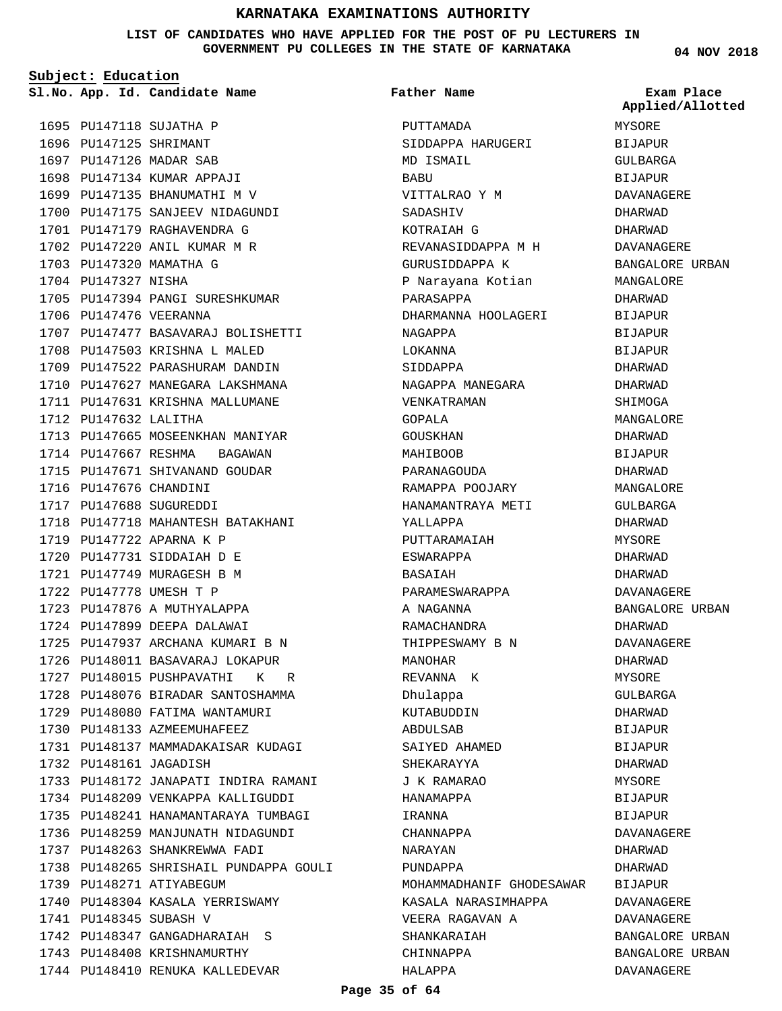**LIST OF CANDIDATES WHO HAVE APPLIED FOR THE POST OF PU LECTURERS IN GOVERNMENT PU COLLEGES IN THE STATE OF KARNATAKA**

**Father Name**

**App. Id. Candidate Name Sl.No. Exam Place**

**Subject: Education**

1695 PU147118 SUJATHA P 1696 PU147125 SHRIMANT 1697 PU147126 MADAR SAB 1698 PU147134 KUMAR APPAJI 1699 PU147135 BHANUMATHI M V 1700 PU147175 SANJEEV NIDAGUNDI 1701 PU147179 RAGHAVENDRA G 1702 PU147220 ANIL KUMAR M R 1703 PU147320 MAMATHA G 1704 PU147327 NISHA 1705 PU147394 PANGI SURESHKUMAR 1706 PU147476 VEERANNA 1707 PU147477 BASAVARAJ BOLISHETTI 1708 PU147503 KRISHNA L MALED 1709 PU147522 PARASHURAM DANDIN 1710 PU147627 MANEGARA LAKSHMANA 1711 PU147631 KRISHNA MALLUMANE 1712 PU147632 LALITHA 1713 PU147665 MOSEENKHAN MANIYAR 1714 PU147667 RESHMA BAGAWAN 1715 PU147671 SHIVANAND GOUDAR 1716 PU147676 CHANDINI 1717 PU147688 SUGUREDDI 1718 PU147718 MAHANTESH BATAKHANI 1719 PU147722 APARNA K P PU147731 SIDDAIAH D E 1720 PU147749 MURAGESH B M 1721 1722 PU147778 UMESH T P 1723 PU147876 A MUTHYALAPPA 1724 PU147899 DEEPA DALAWAI 1725 PU147937 ARCHANA KUMARI B N 1726 PU148011 BASAVARAJ LOKAPUR 1727 PU148015 PUSHPAVATHI K R 1728 PU148076 BIRADAR SANTOSHAMMA 1729 PU148080 FATIMA WANTAMURI 1730 PU148133 AZMEEMUHAFEEZ 1731 PU148137 MAMMADAKAISAR KUDAGI 1732 PU148161 JAGADISH 1733 PU148172 JANAPATI INDIRA RAMANI 1734 PU148209 VENKAPPA KALLIGUDDI 1735 PU148241 HANAMANTARAYA TUMBAGI 1736 PU148259 MANJUNATH NIDAGUNDI 1737 PU148263 SHANKREWWA FADI 1738 PU148265 SHRISHAIL PUNDAPPA GOULI 1739 PU148271 ATIYABEGUM 1740 PU148304 KASALA YERRISWAMY 1741 PU148345 SUBASH V 1742 PU148347 GANGADHARAIAH S 1743 PU148408 KRISHNAMURTHY 1744 PU148410 RENUKA KALLEDEVAR

PUTTAMADA SIDDAPPA HARUGERI MD ISMAIL BABU VITTALRAO Y M SADASHIV KOTRAIAH G REVANASIDDAPPA M H GURUSIDDAPPA K P Narayana Kotian PARASAPPA DHARMANNA HOOLAGERI NAGAPPA LOKANNA SIDDAPPA NAGAPPA MANEGARA VENKATRAMAN GOPALA GOUSKHAN MAHIBOOB PARANAGOUDA RAMAPPA POOJARY HANAMANTRAYA METI YALLAPPA PUTTARAMAIAH ESWARAPPA BASAIAH PARAMESWARAPPA A NAGANNA RAMACHANDRA THIPPESWAMY B N MANOHAR REVANNA K Dhulappa KUTABUDDIN ABDULSAB SAIYED AHAMED SHEKARAYYA J K RAMARAO HANAMAPPA IRANNA CHANNAPPA NARAYAN PUNDAPPA MOHAMMADHANIF GHODESAWAR BIJAPUR KASALA NARASIMHAPPA VEERA RAGAVAN A SHANKARAIAH CHINNAPPA HALAPPA MYSORE BIJAPUR GULBARGA BIJAPUR DAVANAGERE DHARWAD DHARWAD DAVANAGERE MYSORE MYSORE **BIJAPUR** MYSORE

**04 NOV 2018**

**Applied/Allotted**

# BANGALORE URBAN MANGALORE DHARWAD **BIJAPUR** BIJAPUR BIJAPUR DHARWAD DHARWAD SHIMOGA MANGALORE DHARWAD BIJAPUR DHARWAD MANGALORE GULBARGA DHARWAD DHARWAD DHARWAD DAVANAGERE BANGALORE URBAN DHARWAD DAVANAGERE DHARWAD GULBARGA DHARWAD BIJAPUR DHARWAD BIJAPUR BIJAPUR DAVANAGERE DHARWAD DHARWAD DAVANAGERE DAVANAGERE BANGALORE URBAN BANGALORE URBAN DAVANAGERE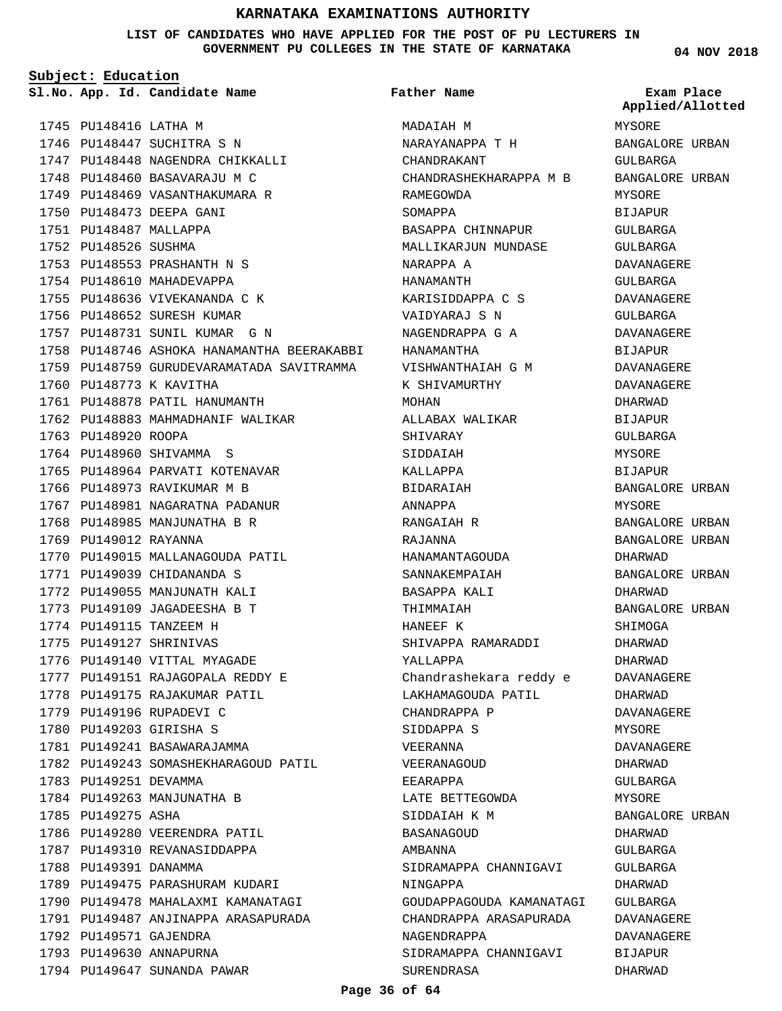**LIST OF CANDIDATES WHO HAVE APPLIED FOR THE POST OF PU LECTURERS IN GOVERNMENT PU COLLEGES IN THE STATE OF KARNATAKA**

**Subject: Education**

**App. Id. Candidate Name Sl.No. Exam Place**

**Father Name**

1745 PU148416 LATHA M 1746 PU148447 SUCHITRA S N 1747 PU148448 NAGENDRA CHIKKALLI 1748 PU148460 BASAVARAJU M C 1749 PU148469 VASANTHAKUMARA R 1750 PU148473 DEEPA GANI 1751 PU148487 MALLAPPA 1752 PU148526 SUSHMA 1753 PU148553 PRASHANTH N S 1754 PU148610 MAHADEVAPPA 1755 PU148636 VIVEKANANDA C K 1756 PU148652 SURESH KUMAR 1757 PU148731 SUNIL KUMAR G N 1758 PU148746 ASHOKA HANAMANTHA BEERAKABBI 1759 PU148759 GURUDEVARAMATADA SAVITRAMMA 1760 PU148773 K KAVITHA 1761 PU148878 PATIL HANUMANTH 1762 PU148883 MAHMADHANIF WALIKAR 1763 PU148920 ROOPA 1764 PU148960 SHIVAMMA S 1765 PU148964 PARVATI KOTENAVAR 1766 PU148973 RAVIKUMAR M B 1767 PU148981 NAGARATNA PADANUR 1768 PU148985 MANJUNATHA B R 1769 PU149012 RAYANNA 1770 PU149015 MALLANAGOUDA PATIL 1771 PU149039 CHIDANANDA S 1772 PU149055 MANJUNATH KALI 1773 PU149109 JAGADEESHA B T 1774 PU149115 TANZEEM H 1775 PU149127 SHRINIVAS 1776 PU149140 VITTAL MYAGADE PU149151 RAJAGOPALA REDDY E 1777 1778 PU149175 RAJAKUMAR PATIL 1779 PU149196 RUPADEVI C 1780 PU149203 GIRISHA S 1781 PU149241 BASAWARAJAMMA 1782 PU149243 SOMASHEKHARAGOUD PATIL 1783 PU149251 DEVAMMA 1784 PU149263 MANJUNATHA B 1785 PU149275 ASHA 1786 PU149280 VEERENDRA PATIL 1787 PU149310 REVANASIDDAPPA 1788 PU149391 DANAMMA 1789 PU149475 PARASHURAM KUDARI 1790 PU149478 MAHALAXMI KAMANATAGI 1791 PU149487 ANJINAPPA ARASAPURADA 1792 PU149571 GAJENDRA 1793 PU149630 ANNAPURNA 1794 PU149647 SUNANDA PAWAR

MADAIAH M NARAYANAPPA T H CHANDRAKANT CHANDRASHEKHARAPPA M B RAMEGOWDA SOMAPPA BASAPPA CHINNAPUR MALLIKARJUN MUNDASE NARAPPA A HANAMANTH KARISIDDAPPA C S VAIDYARAJ S N NAGENDRAPPA G A HANAMANTHA VISHWANTHAIAH G M K SHIVAMURTHY MOHAN ALLABAX WALIKAR SHIVARAY SIDDAIAH KALLAPPA BIDARAIAH ANNAPPA RANGAIAH R RAJANNA HANAMANTAGOUDA SANNAKEMPAIAH BASAPPA KALI THIMMAIAH HANEEF K SHIVAPPA RAMARADDI YALLAPPA Chandrashekara reddy e LAKHAMAGOUDA PATIL CHANDRAPPA P SIDDAPPA S VEERANNA VEERANAGOUD EEARAPPA LATE BETTEGOWDA SIDDAIAH K M BASANAGOUD AMBANNA SIDRAMAPPA CHANNIGAVI NINGAPPA GOUDAPPAGOUDA KAMANATAGI CHANDRAPPA ARASAPURADA NAGENDRAPPA SIDRAMAPPA CHANNIGAVI SURENDRASA

**04 NOV 2018**

MYSORE BANGALORE URBAN GULBARGA BANGALORE URBAN MYSORE BIJAPUR GULBARGA GULBARGA DAVANAGERE GULBARGA DAVANAGERE GULBARGA DAVANAGERE BIJAPUR DAVANAGERE DAVANAGERE DHARWAD **BIJAPUR** GULBARGA MYSORE BIJAPUR BANGALORE URBAN MYSORE BANGALORE URBAN BANGALORE URBAN DHARWAD BANGALORE URBAN DHARWAD BANGALORE URBAN SHIMOGA DHARWAD DHARWAD DAVANAGERE DHARWAD DAVANAGERE MYSORE DAVANAGERE DHARWAD GULBARGA MYSORE BANGALORE URBAN DHARWAD GULBARGA GULBARGA DHARWAD GULBARGA DAVANAGERE DAVANAGERE BIJAPUR DHARWAD **Applied/Allotted**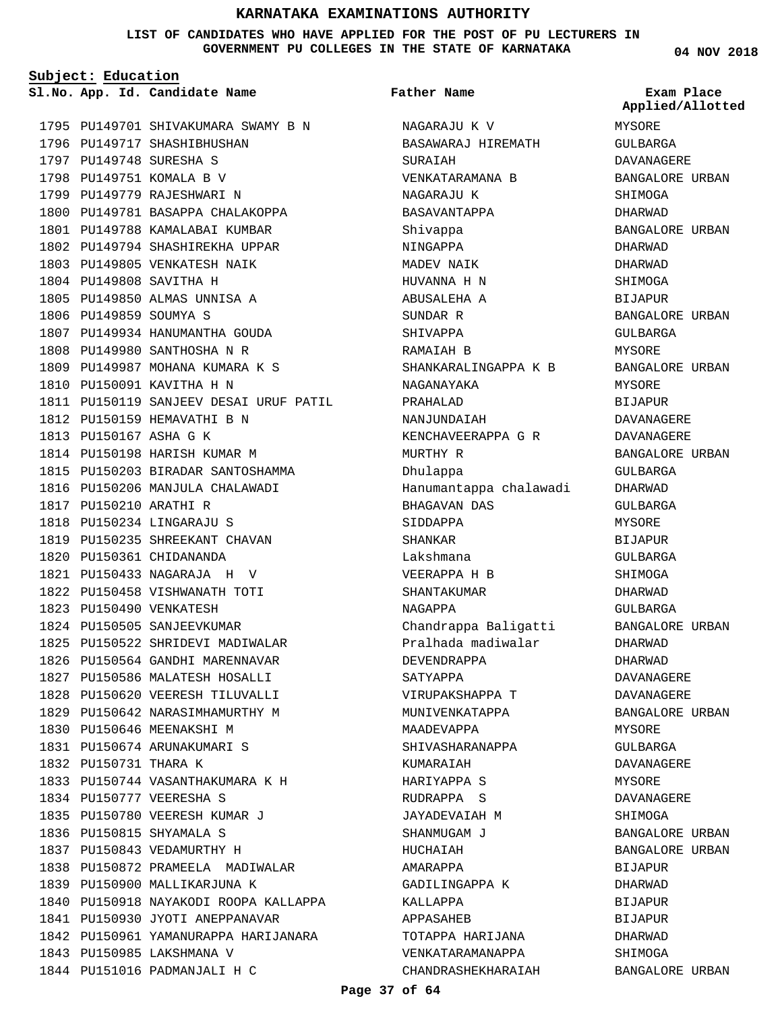#### **LIST OF CANDIDATES WHO HAVE APPLIED FOR THE POST OF PU LECTURERS IN GOVERNMENT PU COLLEGES IN THE STATE OF KARNATAKA**

**Subject: Education**

**App. Id. Candidate Name Sl.No. Exam Place**

1795 PU149701 SHIVAKUMARA SWAMY B N 1796 PU149717 SHASHIBHUSHAN 1797 PU149748 SURESHA S 1798 PU149751 KOMALA B V 1799 PU149779 RAJESHWARI N 1800 PU149781 BASAPPA CHALAKOPPA 1801 PU149788 KAMALABAI KUMBAR 1802 PU149794 SHASHIREKHA UPPAR 1803 PU149805 VENKATESH NAIK 1804 PU149808 SAVITHA H 1805 PU149850 ALMAS UNNISA A 1806 PU149859 SOUMYA S 1807 PU149934 HANUMANTHA GOUDA PU149980 SANTHOSHA N R 1808 1809 PU149987 MOHANA KUMARA K S 1810 PU150091 KAVITHA H N 1811 PU150119 SANJEEV DESAI URUF PATIL 1812 PU150159 HEMAVATHI B N 1813 PU150167 ASHA G K 1814 PU150198 HARISH KUMAR M 1815 PU150203 BIRADAR SANTOSHAMMA 1816 PU150206 MANJULA CHALAWADI PU150210 ARATHI R 1817 PU150234 LINGARAJU S 1818 1819 PU150235 SHREEKANT CHAVAN 1820 PU150361 CHIDANANDA PU150433 NAGARAJA H V 1821 1822 PU150458 VISHWANATH TOTI 1823 PU150490 VENKATESH 1824 PU150505 SANJEEVKUMAR 1825 PU150522 SHRIDEVI MADIWALAR 1826 PU150564 GANDHI MARENNAVAR 1827 PU150586 MALATESH HOSALLI 1828 PU150620 VEERESH TILUVALLI 1829 PU150642 NARASIMHAMURTHY M 1830 PU150646 MEENAKSHI M PU150674 ARUNAKUMARI S 1831 1832 PU150731 THARA K 1833 PU150744 VASANTHAKUMARA K H 1834 PU150777 VEERESHA S 1835 PU150780 VEERESH KUMAR J 1836 PU150815 SHYAMALA S 1837 PU150843 VEDAMURTHY H 1838 PU150872 PRAMEELA MADIWALAR 1839 PU150900 MALLIKARJUNA K 1840 PU150918 NAYAKODI ROOPA KALLAPPA 1841 PU150930 JYOTI ANEPPANAVAR 1842 PU150961 YAMANURAPPA HARIJANARA 1843 PU150985 LAKSHMANA V 1844 PU151016 PADMANJALI H C

#### **Father Name**

NAGARAJU K V BASAWARAJ HIREMATH SURAIAH VENKATARAMANA B NAGARAJU K BASAVANTAPPA Shivappa NINGAPPA MADEV NAIK HUVANNA H N ABUSALEHA A SUNDAR R SHIVAPPA RAMAIAH B SHANKARALINGAPPA K B NAGANAYAKA PRAHALAD NANJIINDATAH KENCHAVEERAPPA G R MURTHY R Dhulappa Hanumantappa chalawadi BHAGAVAN DAS SIDDAPPA SHANKAR Lakshmana VEERAPPA H B SHANTAKUMAR NAGAPPA Chandrappa Baligatti Pralhada madiwalar DEVENDRAPPA SATYAPPA VIRUPAKSHAPPA T MUNIVENKATAPPA MAADEVAPPA SHIVASHARANAPPA KUMARAIAH HARIYAPPA S RUDRAPPA S JAYADEVAIAH M SHANMUGAM J HUCHAIAH AMARAPPA GADILINGAPPA K KALLAPPA APPASAHEB TOTAPPA HARIJANA VENKATARAMANAPPA CHANDRASHEKHARAIAH

**04 NOV 2018**

MYSORE GULBARGA DAVANAGERE BANGALORE URBAN SHIMOGA DHARWAD BANGALORE URBAN DHARWAD DHARWAD SHIMOGA **BIJAPUR** BANGALORE URBAN GULBARGA MYSORE BANGALORE URBAN MYSORE BIJAPUR DAVANAGERE DAVANAGERE BANGALORE URBAN GULBARGA DHARWAD GULBARGA MYSORE BIJAPUR GULBARGA **SHIMOGA** DHARWAD GULBARGA BANGALORE URBAN DHARWAD DHARWAD DAVANAGERE DAVANAGERE BANGALORE URBAN MYSORE GULBARGA DAVANAGERE MYSORE DAVANAGERE SHIMOGA BANGALORE URBAN BANGALORE URBAN **BIJAPUR** DHARWAD BIJAPUR BIJAPUR DHARWAD SHIMOGA **Applied/Allotted**

BANGALORE URBAN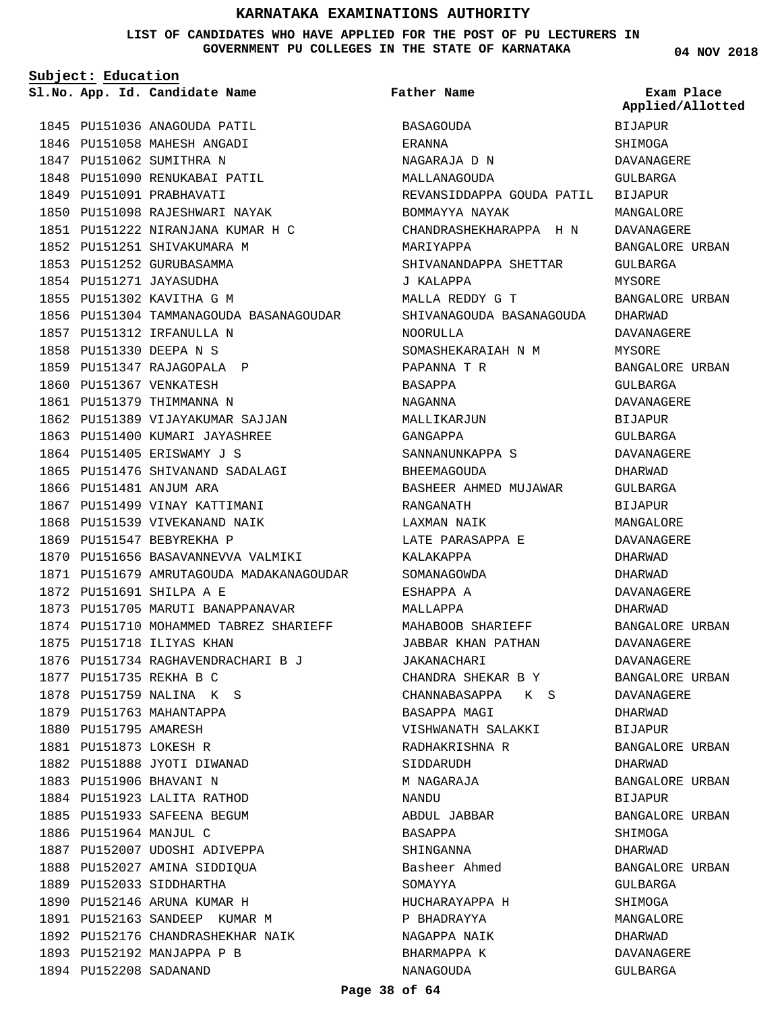**LIST OF CANDIDATES WHO HAVE APPLIED FOR THE POST OF PU LECTURERS IN GOVERNMENT PU COLLEGES IN THE STATE OF KARNATAKA**

**Subject: Education**

1845 PU151036 ANAGOUDA PATIL 1846 PU151058 MAHESH ANGADI 1847 PU151062 SUMITHRA N 1848 PU151090 RENUKABAI PATIL 1849 PU151091 PRABHAVATI 1850 PU151098 RAJESHWARI NAYAK PU151222 NIRANJANA KUMAR H C 1851 1852 PU151251 SHIVAKUMARA M 1853 PU151252 GURUBASAMMA 1854 PU151271 JAYASUDHA 1855 PU151302 KAVITHA G M 1856 PU151304 TAMMANAGOUDA BASANAGOUDAR 1857 PU151312 IRFANULLA N PU151330 DEEPA N S 1858 1859 PU151347 RAJAGOPALA P 1860 PU151367 VENKATESH 1861 PU151379 THIMMANNA N 1862 PU151389 VIJAYAKUMAR SAJJAN 1863 PU151400 KUMARI JAYASHREE 1864 PU151405 ERISWAMY J S 1865 PU151476 SHIVANAND SADALAGI 1866 PU151481 ANJUM ARA 1867 PU151499 VINAY KATTIMANI 1868 PU151539 VIVEKANAND NAIK 1869 PU151547 BEBYREKHA P 1870 PU151656 BASAVANNEVVA VALMIKI 1871 PU151679 AMRUTAGOUDA MADAKANAGOUDAR 1872 PU151691 SHILPA A E 1873 PU151705 MARUTI BANAPPANAVAR 1874 PU151710 MOHAMMED TABREZ SHARIEFF 1875 PU151718 ILIYAS KHAN 1876 PU151734 RAGHAVENDRACHARI B J 1877 PU151735 REKHA B C 1878 PU151759 NALINA K S 1879 PU151763 MAHANTAPPA 1880 PU151795 AMARESH PU151873 LOKESH R 1881 1882 PU151888 JYOTI DIWANAD 1883 PU151906 BHAVANI N 1884 PU151923 LALITA RATHOD 1885 PU151933 SAFEENA BEGUM 1886 PU151964 MANJUL C 1887 PU152007 UDOSHI ADIVEPPA 1888 PU152027 AMINA SIDDIQUA 1889 PU152033 SIDDHARTHA 1890 PU152146 ARUNA KUMAR H 1891 PU152163 SANDEEP KUMAR M 1892 PU152176 CHANDRASHEKHAR NAIK 1893 PU152192 MANJAPPA P B 1894 PU152208 SADANAND

**App. Id. Candidate Name Sl.No. Exam Place** BASAGOUDA ERANNA NAGARAJA D N MALLANAGOUDA REVANSIDDAPPA GOUDA PATIL BOMMAYYA NAYAK CHANDRASHEKHARAPPA H N MARIYAPPA SHIVANANDAPPA SHETTAR J KALAPPA MALLA REDDY G T SHIVANAGOUDA BASANAGOUDA NOORULLA SOMASHEKARAIAH N M PAPANNA T R BASAPPA NAGANNA MALLIKARJUN GANGAPPA SANNANUNKAPPA S BHEEMAGOUDA BASHEER AHMED MUJAWAR RANGANATH LAXMAN NAIK LATE PARASAPPA E KALAKAPPA SOMANAGOWDA ESHAPPA A MALLAPPA MAHABOOB SHARIEFF JABBAR KHAN PATHAN JAKANACHARI CHANDRA SHEKAR B Y CHANNABASAPPA K S BASAPPA MAGI VISHWANATH SALAKKI RADHAKRISHNA R SIDDARUDH M NAGARAJA NANDU ABDUL JABBAR BASAPPA SHINGANNA Basheer Ahmed **SOMAYYA** HUCHARAYAPPA H P BHADRAYYA NAGAPPA NAIK BHARMAPPA K NANAGOUDA **Father Name**

**04 NOV 2018**

**Applied/Allotted**

BIJAPUR **SHIMOGA** DAVANAGERE GULBARGA BIJAPUR MANGALORE DAVANAGERE BANGALORE URBAN GULBARGA MYSORE BANGALORE URBAN DHARWAD DAVANAGERE MYSORE BANGALORE URBAN GULBARGA DAVANAGERE BIJAPUR GULBARGA DAVANAGERE DHARWAD GULBARGA BIJAPUR MANGALORE DAVANAGERE DHARWAD DHARWAD DAVANAGERE DHARWAD BANGALORE URBAN DAVANAGERE DAVANAGERE BANGALORE URBAN DAVANAGERE DHARWAD BIJAPUR BANGALORE URBAN DHARWAD BANGALORE URBAN BIJAPUR BANGALORE URBAN SHIMOGA DHARWAD BANGALORE URBAN GULBARGA SHIMOGA MANGALORE DHARWAD DAVANAGERE

GULBARGA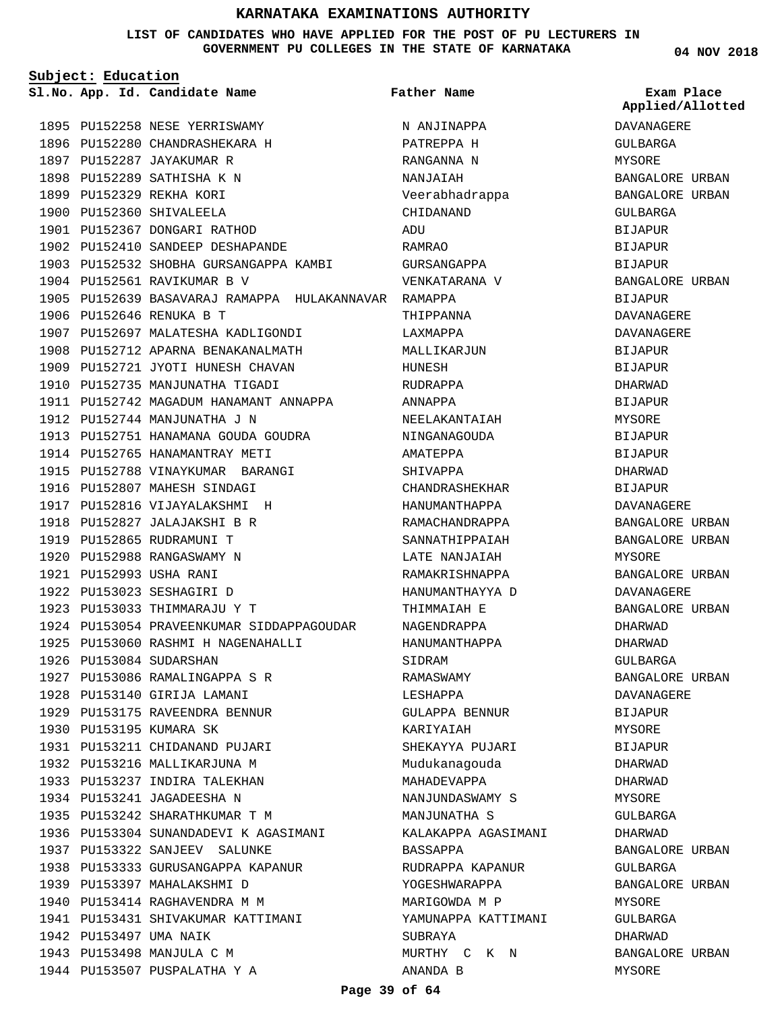#### **LIST OF CANDIDATES WHO HAVE APPLIED FOR THE POST OF PU LECTURERS IN GOVERNMENT PU COLLEGES IN THE STATE OF KARNATAKA**

**Subject: Education**

**04 NOV 2018**

|  | Sl.No. App. Id. Candidate Name                       | Father Name         | Exam Place<br>Applied/Allotted |
|--|------------------------------------------------------|---------------------|--------------------------------|
|  | 1895 PU152258 NESE YERRISWAMY                        | N ANJINAPPA         | DAVANAGERE                     |
|  | 1896 PU152280 CHANDRASHEKARA H                       | PATREPPA H          | GULBARGA                       |
|  | 1897 PU152287 JAYAKUMAR R                            | RANGANNA N          | MYSORE                         |
|  | 1898 PU152289 SATHISHA K N                           | NANJAIAH            | BANGALORE URBAN                |
|  | 1899 PU152329 REKHA KORI                             | Veerabhadrappa      | BANGALORE URBAN                |
|  | 1900 PU152360 SHIVALEELA                             | CHIDANAND           | GULBARGA                       |
|  | 1901 PU152367 DONGARI RATHOD                         | ADU                 | BIJAPUR                        |
|  | 1902 PU152410 SANDEEP DESHAPANDE                     | RAMRAO              | BIJAPUR                        |
|  | 1903 PU152532 SHOBHA GURSANGAPPA KAMBI               | GURSANGAPPA         | <b>BIJAPUR</b>                 |
|  | 1904 PU152561 RAVIKUMAR B V                          | VENKATARANA V       | BANGALORE URBAN                |
|  | 1905 PU152639 BASAVARAJ RAMAPPA HULAKANNAVAR RAMAPPA |                     | BIJAPUR                        |
|  | 1906 PU152646 RENUKA B T                             | THIPPANNA           | DAVANAGERE                     |
|  | 1907 PU152697 MALATESHA KADLIGONDI                   | LAXMAPPA            | DAVANAGERE                     |
|  | 1908 PU152712 APARNA BENAKANALMATH                   | MALLIKARJUN         | <b>BIJAPUR</b>                 |
|  | 1909 PU152721 JYOTI HUNESH CHAVAN                    | HUNESH              | <b>BIJAPUR</b>                 |
|  | 1910 PU152735 MANJUNATHA TIGADI                      | RUDRAPPA            | DHARWAD                        |
|  | 1911 PU152742 MAGADUM HANAMANT ANNAPPA               | ANNAPPA             | <b>BIJAPUR</b>                 |
|  | 1912 PU152744 MANJUNATHA J N                         | NEELAKANTAIAH       | MYSORE                         |
|  | 1913 PU152751 HANAMANA GOUDA GOUDRA                  | NINGANAGOUDA        | <b>BIJAPUR</b>                 |
|  | 1914 PU152765 HANAMANTRAY METI                       | AMATEPPA            | <b>BIJAPUR</b>                 |
|  | 1915 PU152788 VINAYKUMAR BARANGI                     | SHIVAPPA            | DHARWAD                        |
|  | 1916 PU152807 MAHESH SINDAGI                         | CHANDRASHEKHAR      | <b>BIJAPUR</b>                 |
|  | 1917 PU152816 VIJAYALAKSHMI H                        | HANUMANTHAPPA       | DAVANAGERE                     |
|  | 1918 PU152827 JALAJAKSHI B R                         | RAMACHANDRAPPA      | BANGALORE URBAN                |
|  | 1919 PU152865 RUDRAMUNI T                            | SANNATHIPPAIAH      | BANGALORE URBAN                |
|  | 1920 PU152988 RANGASWAMY N                           | LATE NANJAIAH       | MYSORE                         |
|  | 1921 PU152993 USHA RANI                              | RAMAKRISHNAPPA      | BANGALORE URBAN                |
|  | 1922 PU153023 SESHAGIRI D                            | HANUMANTHAYYA D     | <b>DAVANAGERE</b>              |
|  | 1923 PU153033 THIMMARAJU Y T                         | THIMMAIAH E         | BANGALORE URBAN                |
|  | 1924 PU153054 PRAVEENKUMAR SIDDAPPAGOUDAR            | NAGENDRAPPA         | DHARWAD                        |
|  | 1925 PU153060 RASHMI H NAGENAHALLI                   | HANUMANTHAPPA       | <b>DHARWAD</b>                 |
|  | 1926 PU153084 SUDARSHAN                              | SIDRAM              | GULBARGA                       |
|  | 1927 PU153086 RAMALINGAPPA S R                       | RAMASWAMY           | BANGALORE URBAN                |
|  | 1928 PU153140 GIRIJA LAMANI                          | LESHAPPA            | DAVANAGERE                     |
|  | 1929 PU153175 RAVEENDRA BENNUR                       | GULAPPA BENNUR      | BIJAPUR                        |
|  | 1930 PU153195 KUMARA SK                              | KARIYAIAH           | MYSORE                         |
|  | 1931 PU153211 CHIDANAND PUJARI                       | SHEKAYYA PUJARI     | BIJAPUR                        |
|  | 1932 PU153216 MALLIKARJUNA M                         | Mudukanaqouda       | DHARWAD                        |
|  | 1933 PU153237 INDIRA TALEKHAN                        | MAHADEVAPPA         | DHARWAD                        |
|  | 1934 PU153241 JAGADEESHA N                           | NANJUNDASWAMY S     | MYSORE                         |
|  | 1935 PU153242 SHARATHKUMAR T M                       | MANJUNATHA S        | GULBARGA                       |
|  | 1936 PU153304 SUNANDADEVI K AGASIMANI                | KALAKAPPA AGASIMANI | DHARWAD                        |
|  | 1937 PU153322 SANJEEV SALUNKE                        | BASSAPPA            | BANGALORE URBAN                |
|  | 1938 PU153333 GURUSANGAPPA KAPANUR                   | RUDRAPPA KAPANUR    | GULBARGA                       |
|  | 1939 PU153397 MAHALAKSHMI D                          | YOGESHWARAPPA       | BANGALORE URBAN                |
|  | 1940 PU153414 RAGHAVENDRA M M                        | MARIGOWDA M P       | MYSORE                         |
|  | 1941 PU153431 SHIVAKUMAR KATTIMANI                   | YAMUNAPPA KATTIMANI | GULBARGA                       |
|  | 1942 PU153497 UMA NAIK                               | SUBRAYA             | DHARWAD                        |
|  | 1943 PU153498 MANJULA C M                            | MURTHY C K N        | BANGALORE URBAN                |
|  | 1944 PU153507 PUSPALATHA Y A                         | ANANDA B            | MYSORE                         |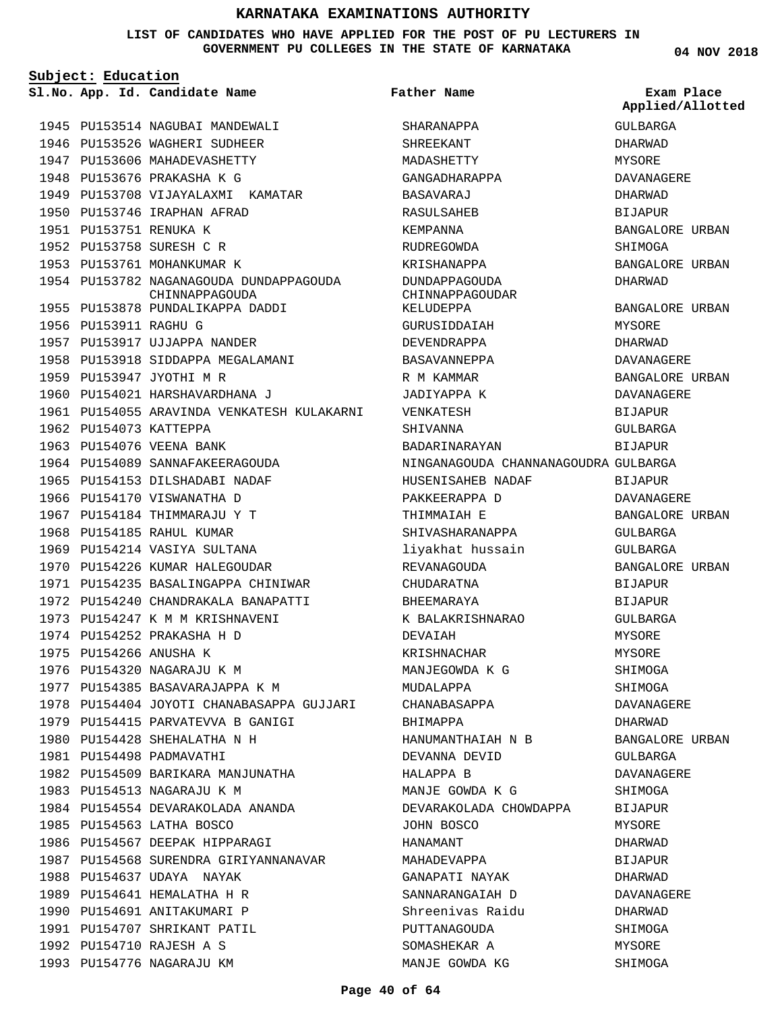**LIST OF CANDIDATES WHO HAVE APPLIED FOR THE POST OF PU LECTURERS IN GOVERNMENT PU COLLEGES IN THE STATE OF KARNATAKA**

**Subject: Education**

1945 PU153514 NAGUBAI MANDEWALI 1946 PU153526 WAGHERI SUDHEER 1947 PU153606 MAHADEVASHETTY 1948 PU153676 PRAKASHA K G

1949 PU153708 VIJAYALAXMI KAMATAR

1954 PU153782 NAGANAGOUDA DUNDAPPAGOUDA

CHINNAPPAGOUDA

1950 PU153746 IRAPHAN AFRAD

1951 PU153751 RENUKA K 1952 PU153758 SURESH C R 1953 PU153761 MOHANKUMAR K **Father Name**

SHARANAPPA SHREEKANT

**04 NOV 2018 App. Id. Candidate Name Sl.No. Exam Place** GULBARGA DHARWAD MYSORE DAVANAGERE DHARWAD BIJAPUR BANGALORE URBAN SHIMOGA BANGALORE URBAN DHARWAD BANGALORE URBAN MYSORE DHARWAD DAVANAGERE BANGALORE URBAN DAVANAGERE BIJAPUR GULBARGA BIJAPUR BIJAPUR DAVANAGERE BANGALORE URBAN **Applied/Allotted**

> GULBARGA GULBARGA

BIJAPUR BIJAPUR GULBARGA MYSORE MYSORE SHIMOGA SHIMOGA DAVANAGERE DHARWAD

BANGALORE URBAN

BANGALORE URBAN

GULBARGA DAVANAGERE SHIMOGA BIJAPUR MYSORE DHARWAD BIJAPUR DHARWAD DAVANAGERE DHARWAD SHIMOGA MYSORE SHIMOGA

1955 PU153878 PUNDALIKAPPA DADDI 1956 PU153911 RAGHU G 1957 PU153917 UJJAPPA NANDER 1958 PU153918 SIDDAPPA MEGALAMANI 1959 PU153947 JYOTHI M R 1960 PU154021 HARSHAVARDHANA J 1961 PU154055 ARAVINDA VENKATESH KULAKARNI 1962 PU154073 KATTEPPA 1963 PU154076 VEENA BANK 1964 PU154089 SANNAFAKEERAGOUDA 1965 PU154153 DILSHADABI NADAF 1966 PU154170 VISWANATHA D 1967 PU154184 THIMMARAJU Y T 1968 PU154185 RAHUL KUMAR 1969 PU154214 VASIYA SULTANA 1970 PU154226 KUMAR HALEGOUDAR 1971 PU154235 BASALINGAPPA CHINIWAR 1972 PU154240 CHANDRAKALA BANAPATTI 1973 PU154247 K M M KRISHNAVENI 1974 PU154252 PRAKASHA H D 1975 PU154266 ANUSHA K 1976 PU154320 NAGARAJU K M 1977 PU154385 BASAVARAJAPPA K M 1978 PU154404 JOYOTI CHANABASAPPA GUJJARI 1979 PU154415 PARVATEVVA B GANIGI 1980 PU154428 SHEHALATHA N H 1981 PU154498 PADMAVATHI 1982 PU154509 BARIKARA MANJUNATHA 1983 PU154513 NAGARAJU K M 1984 PU154554 DEVARAKOLADA ANANDA 1985 PU154563 LATHA BOSCO 1986 PU154567 DEEPAK HIPPARAGI 1987 PU154568 SURENDRA GIRIYANNANAVAR 1988 PU154637 UDAYA NAYAK 1989 PU154641 HEMALATHA H R 1990 PU154691 ANITAKUMARI P 1991 PU154707 SHRIKANT PATIL PU154710 RAJESH A S 1992 1993 PU154776 NAGARAJU KM

MADASHETTY GANGADHARAPPA BASAVARAJ RASULSAHEB KEMPANNA RUDREGOWDA KRISHANAPPA DUNDAPPAGOUDA CHINNAPPAGOUDAR KELUDEPPA GURUSIDDAIAH DEVENDRAPPA BASAVANNEPPA R M KAMMAR JADIYAPPA K VENKATESH SHIVANNA BADARINARAYAN NINGANAGOUDA CHANNANAGOUDRA GULBARGA HUSENISAHEB NADAF PAKKEERAPPA D THIMMAIAH E SHIVASHARANAPPA liyakhat hussain REVANAGOUDA CHUDARATNA BHEEMARAYA K BALAKRISHNARAO DEVAIAH KRISHNACHAR MANJEGOWDA K G MUDALAPPA CHANABASAPPA BHIMAPPA HANUMANTHAIAH N B DEVANNA DEVID HALAPPA B MANJE GOWDA K G DEVARAKOLADA CHOWDAPPA JOHN BOSCO HANAMANT MAHADEVAPPA GANAPATI NAYAK SANNARANGAIAH D Shreenivas Raidu PUTTANAGOUDA SOMASHEKAR A MANJE GOWDA KG

#### **Page 40 of 64**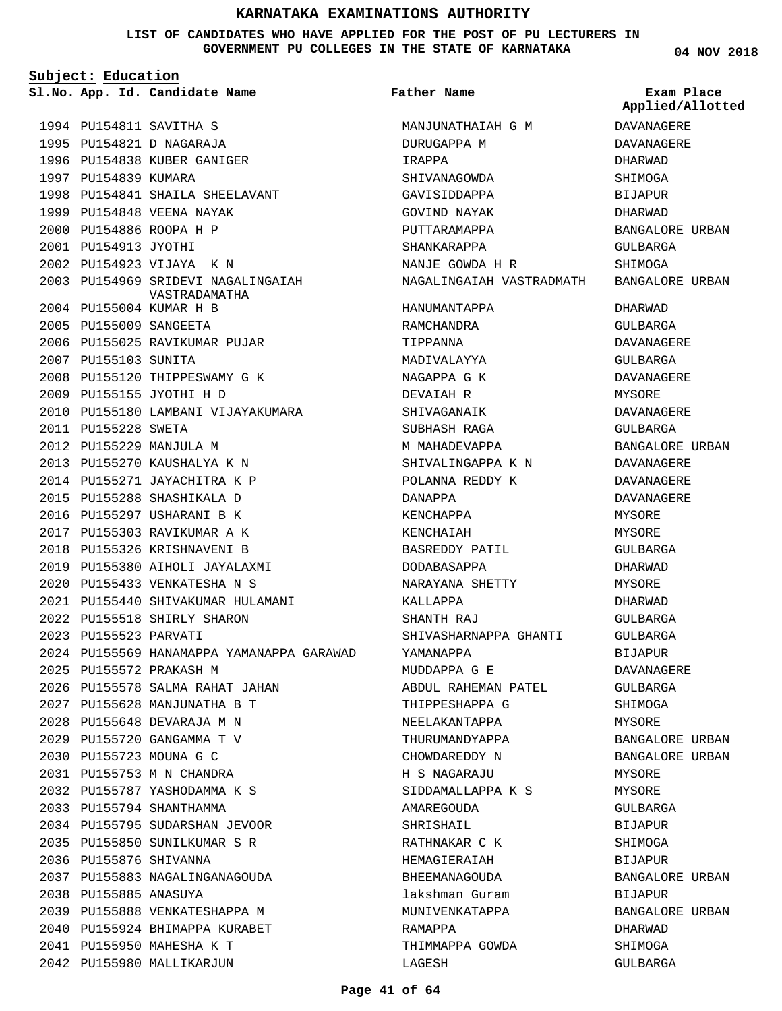**LIST OF CANDIDATES WHO HAVE APPLIED FOR THE POST OF PU LECTURERS IN GOVERNMENT PU COLLEGES IN THE STATE OF KARNATAKA**

**Subject: Education**

1994 PU154811 SAVITHA S 1995 PU154821 D NAGARAJA 1996 PU154838 KUBER GANIGER

1999 PU154848 VEENA NAYAK PU154886 ROOPA H P 2000 2001 PU154913 JYOTHI

PU154923 VIJAYA K N 2002

PU155004 KUMAR H B 2004 2005 PU155009 SANGEETA

PU155155 JYOTHI H D 2009

2007 PU155103 SUNITA

2011 PU155228 SWETA 2012 PU155229 MANJULA M PU155270 KAUSHALYA K N 2013 2014 PU155271 JAYACHITRA K P 2015 PU155288 SHASHIKALA D 2016 PU155297 USHARANI B K 2017 PU155303 RAVIKUMAR A K 2018 PU155326 KRISHNAVENI B 2019 PU155380 AIHOLI JAYALAXMI PU155433 VENKATESHA N S 2020

2006 PU155025 RAVIKUMAR PUJAR

2008 PU155120 THIPPESWAMY G K

2010 PU155180 LAMBANI VIJAYAKUMARA

PU155440 SHIVAKUMAR HULAMANI 2021

2026 PU155578 SALMA RAHAT JAHAN PU155628 MANJUNATHA B T 2027 PU155648 DEVARAJA M N 2028 PU155720 GANGAMMA T V 2029 PU155723 MOUNA G C 2030 PU155753 M N CHANDRA 2031 PU155787 YASHODAMMA K S 2032 2033 PU155794 SHANTHAMMA

2034 PU155795 SUDARSHAN JEVOOR PU155850 SUNILKUMAR S R 2035

2037 PU155883 NAGALINGANAGOUDA

2039 PU155888 VENKATESHAPPA M 2040 PU155924 BHIMAPPA KURABET

PU155950 MAHESHA K T 2041 2042 PU155980 MALLIKARJUN

2036 PU155876 SHIVANNA

2038 PU155885 ANASUYA

2022 PU155518 SHIRLY SHARON

2023 PU155523 PARVATI

PU155572 PRAKASH M 2025

1998 PU154841 SHAILA SHEELAVANT

2003 PU154969 SRIDEVI NAGALINGAIAH

VASTRADAMATHA

1997 PU154839 KUMARA

**App. Id. Candidate Name Sl.No. Exam Place Father Name**

2024 PU155569 HANAMAPPA YAMANAPPA GARAWAD MANJUNATHAIAH G M DURUGAPPA M IRAPPA SHIVANAGOWDA GAVISIDDAPPA GOVIND NAYAK PUTTARAMAPPA SHANKARAPPA NANJE GOWDA H R NAGALINGAIAH VASTRADMATH BANGALORE URBAN HANUMANTAPPA RAMCHANDRA TIPPANNA MADIVALAYYA NAGAPPA G K DEVAIAH R SHIVAGANAIK SUBHASH RAGA M MAHADEVAPPA SHIVALINGAPPA K N POLANNA REDDY K DANAPPA KENCHAPPA KENCHAIAH BASREDDY PATIL DODABASAPPA NARAYANA SHETTY KALLAPPA SHANTH RAJ SHIVASHARNAPPA GHANTI YAMANAPPA MUDDAPPA G E ABDUL RAHEMAN PATEL THIPPESHAPPA G NEELAKANTAPPA THURUMANDYAPPA CHOWDAREDDY N H S NAGARAJU SIDDAMALLAPPA K S AMAREGOUDA SHRISHAIL RATHNAKAR C K HEMAGIERAIAH BHEEMANAGOUDA lakshman Guram MUNIVENKATAPPA RAMAPPA THIMMAPPA GOWDA

**04 NOV 2018**

DAVANAGERE DAVANAGERE DHARWAD SHIMOGA BIJAPUR DHARWAD BANGALORE URBAN GULBARGA **SHIMOGA** DHARWAD GULBARGA DAVANAGERE GULBARGA DAVANAGERE MYSORE DAVANAGERE GULBARGA BANGALORE URBAN DAVANAGERE DAVANAGERE DAVANAGERE MYSORE MYSORE GULBARGA DHARWAD MYSORE DHARWAD GULBARGA GULBARGA BIJAPUR DAVANAGERE GULBARGA SHIMOGA MYSORE BANGALORE URBAN BANGALORE URBAN MYSORE MYSORE GULBARGA BIJAPUR SHIMOGA BIJAPUR BANGALORE URBAN BIJAPUR BANGALORE URBAN DHARWAD SHIMOGA GULBARGA **Applied/Allotted**

#### **Page 41 of 64**

LAGESH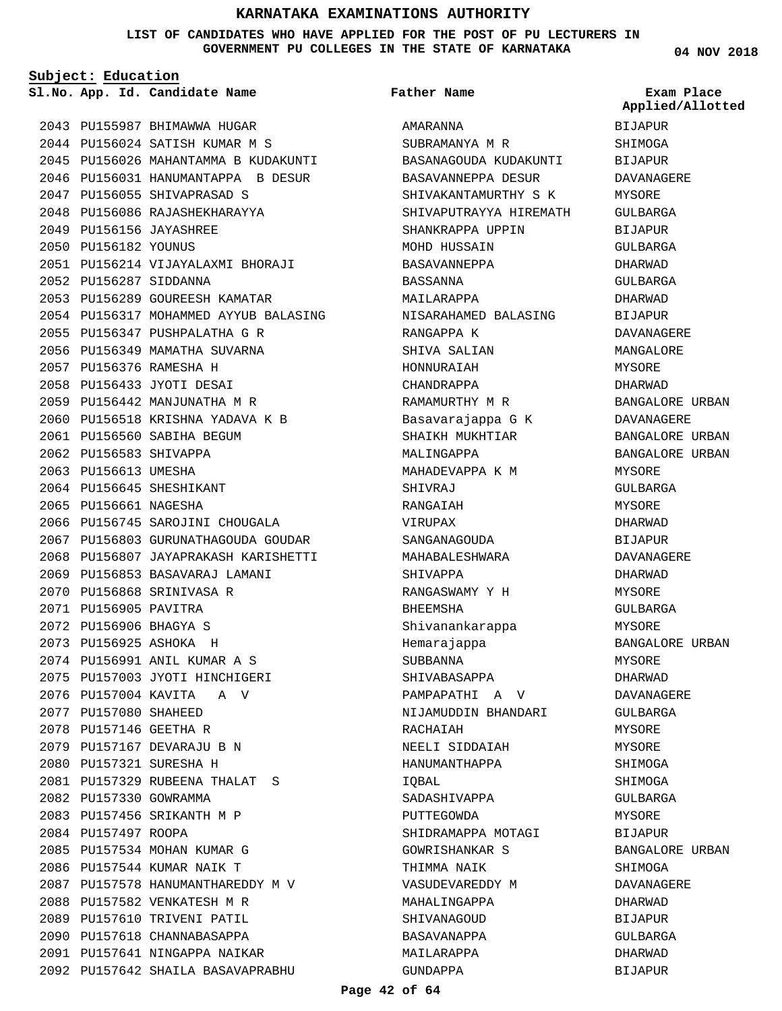**LIST OF CANDIDATES WHO HAVE APPLIED FOR THE POST OF PU LECTURERS IN GOVERNMENT PU COLLEGES IN THE STATE OF KARNATAKA**

**Subject: Education**

2043 PU155987 BHIMAWWA HUGAR 2044 PU156024 SATISH KUMAR M S 2045 PU156026 MAHANTAMMA B KUDAKUNTI 2046 PU156031 HANUMANTAPPA B DESUR 2047 PU156055 SHIVAPRASAD S 2048 PU156086 RAJASHEKHARAYYA PU156156 JAYASHREE 2049 2050 PU156182 YOUNUS PU156214 VIJAYALAXMI BHORAJI 2051 2052 PU156287 SIDDANNA 2053 PU156289 GOUREESH KAMATAR 2054 PU156317 MOHAMMED AYYUB BALASING 2055 PU156347 PUSHPALATHA G R 2056 PU156349 MAMATHA SUVARNA PU156376 RAMESHA H 2057 PU156433 JYOTI DESAI 2058 2059 PU156442 MANJUNATHA M R 2060 PU156518 KRISHNA YADAVA K B 2061 PU156560 SABIHA BEGUM 2062 PU156583 SHIVAPPA 2063 PU156613 UMESHA 2064 PU156645 SHESHIKANT 2065 PU156661 NAGESHA 2066 PU156745 SAROJINI CHOUGALA 2067 PU156803 GURUNATHAGOUDA GOUDAR 2068 PU156807 JAYAPRAKASH KARISHETTI 2069 PU156853 BASAVARAJ LAMANI 2070 PU156868 SRINIVASA R 2071 PU156905 PAVITRA PU156906 BHAGYA S 2072 PU156925 ASHOKA H 2073 2074 PU156991 ANIL KUMAR A S 2075 PU157003 JYOTI HINCHIGERI 2076 PU157004 KAVITA A V 2077 PU157080 SHAHEED 2078 PU157146 GEETHA R 2079 PU157167 DEVARAJU B N PU157321 SURESHA H 2080 PU157329 RUBEENA THALAT S 2081 2082 PU157330 GOWRAMMA 2083 PU157456 SRIKANTH M P 2084 PU157497 ROOPA 2085 PU157534 MOHAN KUMAR G 2086 PU157544 KUMAR NAIK T 2087 PU157578 HANUMANTHAREDDY M V 2088 PU157582 VENKATESH M R 2089 PU157610 TRIVENI PATIL 2090 PU157618 CHANNABASAPPA 2091 PU157641 NINGAPPA NAIKAR PU157642 SHAILA BASAVAPRABHU 2092

**App. Id. Candidate Name Sl.No. Exam Place** AMARANNA SUBRAMANYA M R BASANAGOUDA KUDAKUNTI BASAVANNEPPA DESUR SHIVAKANTAMURTHY S K SHIVAPUTRAYYA HIREMATH SHANKRAPPA UPPIN MOHD HUSSAIN BASAVANNEPPA BASSANNA MAILARAPPA NISARAHAMED BALASING RANGAPPA K SHIVA SALIAN HONNURAIAH CHANDRAPPA RAMAMURTHY M R Basavarajappa G K SHAIKH MUKHTIAR MALINGAPPA MAHADEVAPPA K M SHIVRAJ RANGAIAH VIRUPAX SANGANAGOUDA MAHABALESHWARA SHIVAPPA RANGASWAMY Y H BHEEMSHA Shivanankarappa Hemarajappa SUBBANNA SHIVABASAPPA PAMPAPATHI A V NIJAMUDDIN BHANDARI RACHAIAH NEELI SIDDAIAH HANUMANTHAPPA IQBAL SADASHIVAPPA PUTTEGOWDA SHIDRAMAPPA MOTAGI GOWRISHANKAR S THIMMA NAIK VASUDEVAREDDY M MAHALINGAPPA SHIVANAGOUD BASAVANAPPA MAILARAPPA GUNDAPPA **Father Name** BIJAPUR **SHIMOGA** BIJAPUR BIJAPUR

**04 NOV 2018**

**Applied/Allotted**

# DAVANAGERE MYSORE GULBARGA BIJAPUR GULBARGA DHARWAD GULBARGA DHARWAD BIJAPUR DAVANAGERE MANGALORE MYSORE DHARWAD BANGALORE URBAN DAVANAGERE BANGALORE URBAN BANGALORE URBAN MYSORE GULBARGA MYSORE DHARWAD BIJAPUR DAVANAGERE DHARWAD MYSORE GULBARGA MYSORE BANGALORE URBAN MYSORE DHARWAD DAVANAGERE GULBARGA MYSORE MYSORE SHIMOGA SHIMOGA GULBARGA MYSORE BIJAPUR BANGALORE URBAN SHIMOGA **DAVANAGERE** DHARWAD BIJAPUR GULBARGA DHARWAD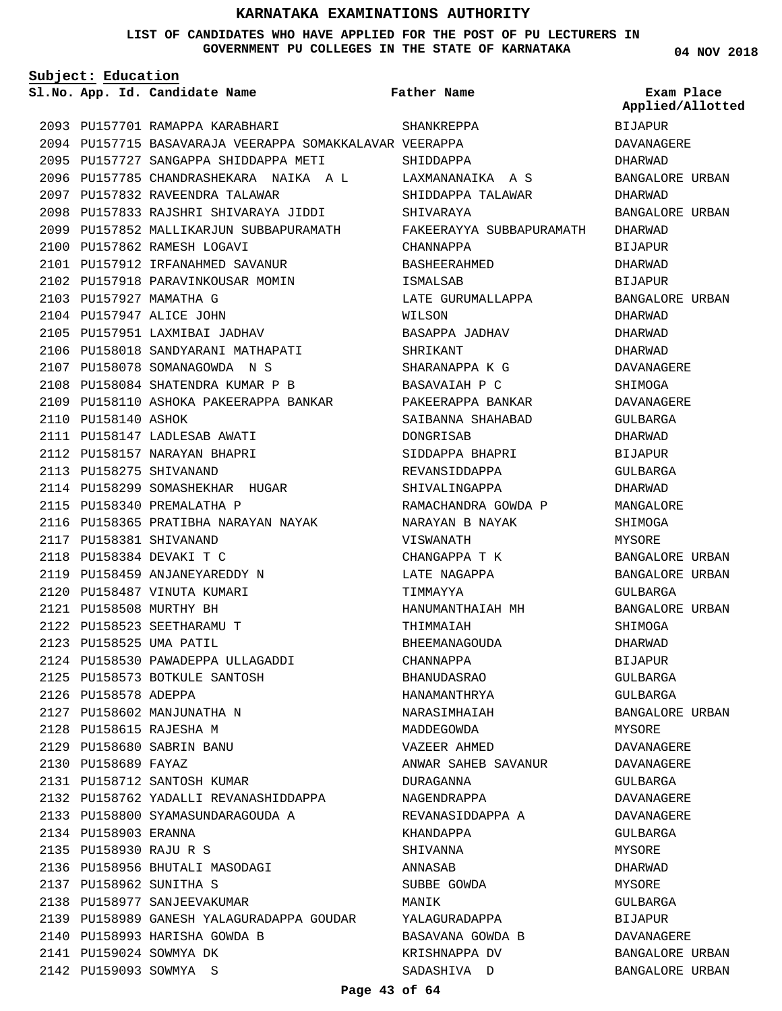#### **LIST OF CANDIDATES WHO HAVE APPLIED FOR THE POST OF PU LECTURERS IN GOVERNMENT PU COLLEGES IN THE STATE OF KARNATAKA**

**04 NOV 2018**

| Subject: Education     |                                                         |                          |                                |  |
|------------------------|---------------------------------------------------------|--------------------------|--------------------------------|--|
|                        | Sl.No. App. Id. Candidate Name                          | Father Name              | Exam Place<br>Applied/Allotted |  |
|                        | 2093 PU157701 RAMAPPA KARABHARI                         | SHANKREPPA               | <b>BIJAPUR</b>                 |  |
|                        | 2094 PU157715 BASAVARAJA VEERAPPA SOMAKKALAVAR VEERAPPA |                          | DAVANAGERE                     |  |
|                        | 2095 PU157727 SANGAPPA SHIDDAPPA METI                   | SHIDDAPPA                | DHARWAD                        |  |
|                        | 2096 PU157785 CHANDRASHEKARA NAIKA A L                  | LAXMANANAIKA A S         | BANGALORE URBAN                |  |
|                        | 2097 PU157832 RAVEENDRA TALAWAR                         | SHIDDAPPA TALAWAR        | DHARWAD                        |  |
|                        | 2098 PU157833 RAJSHRI SHIVARAYA JIDDI                   | SHIVARAYA                | BANGALORE URBAN                |  |
|                        | 2099 PU157852 MALLIKARJUN SUBBAPURAMATH                 | FAKEERAYYA SUBBAPURAMATH | DHARWAD                        |  |
|                        | 2100 PU157862 RAMESH LOGAVI                             | CHANNAPPA                | <b>BIJAPUR</b>                 |  |
|                        | 2101 PU157912 IRFANAHMED SAVANUR                        | BASHEERAHMED             | DHARWAD                        |  |
|                        | 2102 PU157918 PARAVINKOUSAR MOMIN                       | ISMALSAB                 | BIJAPUR                        |  |
|                        | 2103 PU157927 MAMATHA G                                 | LATE GURUMALLAPPA        | BANGALORE URBAN                |  |
|                        | 2104 PU157947 ALICE JOHN                                | WILSON                   | DHARWAD                        |  |
|                        | 2105 PU157951 LAXMIBAI JADHAV                           | BASAPPA JADHAV           | DHARWAD                        |  |
|                        | 2106 PU158018 SANDYARANI MATHAPATI                      | SHRIKANT                 | DHARWAD                        |  |
|                        | 2107 PU158078 SOMANAGOWDA N S                           | SHARANAPPA K G           | DAVANAGERE                     |  |
|                        | 2108 PU158084 SHATENDRA KUMAR P B                       | BASAVAIAH P C            | SHIMOGA                        |  |
|                        | 2109 PU158110 ASHOKA PAKEERAPPA BANKAR                  | PAKEERAPPA BANKAR        | DAVANAGERE                     |  |
| 2110 PU158140 ASHOK    |                                                         | SAIBANNA SHAHABAD        | GULBARGA                       |  |
|                        | 2111 PU158147 LADLESAB AWATI                            | DONGRISAB                | DHARWAD                        |  |
|                        | 2112 PU158157 NARAYAN BHAPRI                            | SIDDAPPA BHAPRI          | BIJAPUR                        |  |
|                        | 2113 PU158275 SHIVANAND                                 | REVANSIDDAPPA            | GULBARGA                       |  |
|                        | 2114 PU158299 SOMASHEKHAR HUGAR                         | SHIVALINGAPPA            | DHARWAD                        |  |
|                        | 2115 PU158340 PREMALATHA P                              | RAMACHANDRA GOWDA P      | MANGALORE                      |  |
|                        | 2116 PU158365 PRATIBHA NARAYAN NAYAK                    | NARAYAN B NAYAK          | SHIMOGA                        |  |
|                        | 2117 PU158381 SHIVANAND                                 | VISWANATH                | MYSORE                         |  |
|                        | 2118 PU158384 DEVAKI T C                                | CHANGAPPA T K            | BANGALORE URBAN                |  |
|                        | 2119 PU158459 ANJANEYAREDDY N                           | LATE NAGAPPA             | BANGALORE URBAN                |  |
|                        | 2120 PU158487 VINUTA KUMARI                             | TIMMAYYA                 | GULBARGA                       |  |
|                        | 2121 PU158508 MURTHY BH                                 | HANUMANTHAIAH MH         | BANGALORE URBAN                |  |
|                        | 2122 PU158523 SEETHARAMU T                              | THIMMAIAH                | SHIMOGA                        |  |
|                        | 2123 PU158525 UMA PATIL                                 | BHEEMANAGOUDA            | <b>DHARWAD</b>                 |  |
|                        | 2124 PU158530 PAWADEPPA ULLAGADDI                       | CHANNAPPA                | BIJAPUR                        |  |
|                        | 2125 PU158573 BOTKULE SANTOSH                           | BHANUDASRAO              | GULBARGA                       |  |
| 2126 PU158578 ADEPPA   |                                                         | HANAMANTHRYA             | GULBARGA                       |  |
|                        | 2127 PU158602 MANJUNATHA N                              | NARASIMHAIAH             | BANGALORE URBAN                |  |
|                        | 2128 PU158615 RAJESHA M                                 | MADDEGOWDA               | MYSORE                         |  |
|                        | 2129 PU158680 SABRIN BANU                               | VAZEER AHMED             | DAVANAGERE                     |  |
| 2130 PU158689 FAYAZ    |                                                         | ANWAR SAHEB SAVANUR      | DAVANAGERE                     |  |
|                        | 2131 PU158712 SANTOSH KUMAR                             | DURAGANNA                | GULBARGA                       |  |
|                        | 2132 PU158762 YADALLI REVANASHIDDAPPA                   | NAGENDRAPPA              | DAVANAGERE                     |  |
|                        | 2133 PU158800 SYAMASUNDARAGOUDA A                       | REVANASIDDAPPA A         | DAVANAGERE                     |  |
| 2134 PU158903 ERANNA   |                                                         | KHANDAPPA                | GULBARGA                       |  |
| 2135 PU158930 RAJU R S |                                                         | SHIVANNA                 | MYSORE                         |  |
|                        | 2136 PU158956 BHUTALI MASODAGI                          | ANNASAB                  | DHARWAD                        |  |
|                        | 2137 PU158962 SUNITHA S                                 | SUBBE GOWDA              | MYSORE                         |  |
|                        | 2138 PU158977 SANJEEVAKUMAR                             | MANIK                    | GULBARGA                       |  |
|                        | 2139 PU158989 GANESH YALAGURADAPPA GOUDAR               | YALAGURADAPPA            | BIJAPUR                        |  |
|                        | 2140 PU158993 HARISHA GOWDA B                           | BASAVANA GOWDA B         | DAVANAGERE                     |  |
|                        | 2141 PU159024 SOWMYA DK                                 | KRISHNAPPA DV            | BANGALORE URBAN                |  |
|                        | 2142 PU159093 SOWMYA S                                  | SADASHIVA D              | BANGALORE URBAN                |  |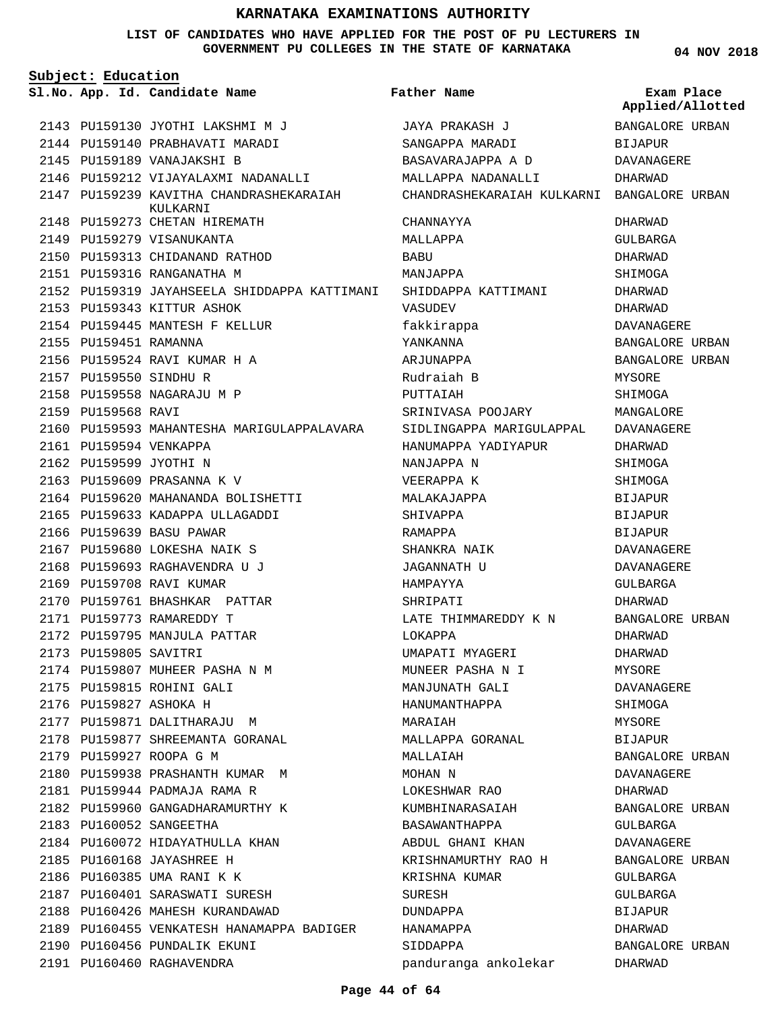**LIST OF CANDIDATES WHO HAVE APPLIED FOR THE POST OF PU LECTURERS IN GOVERNMENT PU COLLEGES IN THE STATE OF KARNATAKA**

**Subject: Education**

**Father Name**

**04 NOV 2018**

BANGALORE URBAN

**Applied/Allotted**

|                        | Sl.No. App. Id. Candidate Name                      | Father Name                               | Exam Place<br>Applied/Allot |
|------------------------|-----------------------------------------------------|-------------------------------------------|-----------------------------|
|                        | 2143 PU159130 JYOTHI LAKSHMI M J                    | JAYA PRAKASH J                            | BANGALORE URBA              |
|                        | 2144 PU159140 PRABHAVATI MARADI                     | SANGAPPA MARADI                           | <b>BIJAPUR</b>              |
|                        | 2145 PU159189 VANAJAKSHI B                          | BASAVARAJAPPA A D                         | DAVANAGERE                  |
|                        | 2146 PU159212 VIJAYALAXMI NADANALLI                 | MALLAPPA NADANALLI                        | DHARWAD                     |
|                        | 2147 PU159239 KAVITHA CHANDRASHEKARAIAH<br>KULKARNI | CHANDRASHEKARAIAH KULKARNI BANGALORE URBA |                             |
|                        | 2148 PU159273 CHETAN HIREMATH                       | CHANNAYYA                                 | DHARWAD                     |
|                        | 2149 PU159279 VISANUKANTA                           | MALLAPPA                                  | GULBARGA                    |
|                        | 2150 PU159313 CHIDANAND RATHOD                      | BABU                                      | DHARWAD                     |
|                        | 2151 PU159316 RANGANATHA M                          | MANJAPPA                                  | SHIMOGA                     |
|                        | 2152 PU159319 JAYAHSEELA SHIDDAPPA KATTIMANI        | SHIDDAPPA KATTIMANI                       | DHARWAD                     |
|                        | 2153 PU159343 KITTUR ASHOK                          | VASUDEV                                   | DHARWAD                     |
|                        | 2154 PU159445 MANTESH F KELLUR                      | fakkirappa                                | DAVANAGERE                  |
| 2155 PU159451 RAMANNA  |                                                     | YANKANNA                                  | <b>BANGALORE URBA</b>       |
|                        | 2156 PU159524 RAVI KUMAR H A                        | ARJUNAPPA                                 | <b>BANGALORE URBA</b>       |
| 2157 PU159550 SINDHU R |                                                     | Rudraiah B                                | MYSORE                      |
|                        | 2158 PU159558 NAGARAJU M P                          | PUTTAIAH                                  | SHIMOGA                     |
| 2159 PU159568 RAVI     |                                                     | SRINIVASA POOJARY                         | MANGALORE                   |
|                        | 2160 PU159593 MAHANTESHA MARIGULAPPALAVARA          | SIDLINGAPPA MARIGULAPPAL                  | DAVANAGERE                  |
| 2161 PU159594 VENKAPPA |                                                     | HANUMAPPA YADIYAPUR                       | DHARWAD                     |
| 2162 PU159599 JYOTHI N |                                                     | NANJAPPA N                                | SHIMOGA                     |
|                        | 2163 PU159609 PRASANNA K V                          | VEERAPPA K                                | SHIMOGA                     |
|                        | 2164 PU159620 MAHANANDA BOLISHETTI                  | MALAKAJAPPA                               | <b>BIJAPUR</b>              |
|                        | 2165 PU159633 KADAPPA ULLAGADDI                     | SHIVAPPA                                  | <b>BIJAPUR</b>              |
|                        | 2166 PU159639 BASU PAWAR                            | RAMAPPA                                   | <b>BIJAPUR</b>              |
|                        | 2167 PU159680 LOKESHA NAIK S                        | SHANKRA NAIK                              | DAVANAGERE                  |
|                        | 2168 PU159693 RAGHAVENDRA U J                       | JAGANNATH U                               | DAVANAGERE                  |
|                        | 2169 PU159708 RAVI KUMAR                            | HAMPAYYA                                  | GULBARGA                    |
|                        | 2170 PU159761 BHASHKAR PATTAR                       | SHRIPATI                                  | DHARWAD                     |
|                        | 2171 PU159773 RAMAREDDY T                           | LATE THIMMAREDDY K N                      | <b>BANGALORE URBA</b>       |
|                        | 2172 PU159795 MANJULA PATTAR                        | LOKAPPA                                   | DHARWAD                     |
| 2173 PU159805 SAVITRI  |                                                     | UMAPATI MYAGERI                           | DHARWAD                     |
|                        | 2174 PU159807 MUHEER PASHA N M                      | MUNEER PASHA N I                          | MYSORE                      |
|                        | 2175 PU159815 ROHINI GALI                           | MANJUNATH GALI                            | DAVANAGERE                  |
|                        | 2176 PU159827 ASHOKA H                              | HANUMANTHAPPA                             | SHIMOGA                     |
|                        | 2177 PU159871 DALITHARAJU M                         | MARAIAH                                   | MYSORE                      |
|                        | 2178 PU159877 SHREEMANTA GORANAL                    | MALLAPPA GORANAL                          | BIJAPUR                     |
|                        | 2179 PU159927 ROOPA G M                             | MALLAIAH                                  | <b>BANGALORE URBA</b>       |
|                        | 2180 PU159938 PRASHANTH KUMAR M                     | MOHAN N                                   | DAVANAGERE                  |
|                        | 2181 PU159944 PADMAJA RAMA R                        | LOKESHWAR RAO                             | DHARWAD                     |
|                        | 2182 PU159960 GANGADHARAMURTHY K                    | KUMBHINARASAIAH                           | BANGALORE URBA              |
|                        | 2183 PU160052 SANGEETHA                             | BASAWANTHAPPA                             | GULBARGA                    |
|                        | 2184 PU160072 HIDAYATHULLA KHAN                     | ABDUL GHANI KHAN                          | DAVANAGERE                  |
|                        | 2185 PU160168 JAYASHREE H                           | KRISHNAMURTHY RAO H                       | BANGALORE URBA              |
|                        | 2186 PU160385 UMA RANI K K                          | KRISHNA KUMAR                             | GULBARGA                    |
|                        | 2187 PU160401 SARASWATI SURESH                      | SURESH                                    | GULBARGA                    |
|                        | 2188 PU160426 MAHESH KURANDAWAD                     | DUNDAPPA                                  | BIJAPUR                     |
|                        | 2189 PU160455 VENKATESH HANAMAPPA BADIGER           | HANAMAPPA                                 | DHARWAD                     |
|                        | 2190 PU160456 PUNDALIK EKUNI                        | SIDDAPPA                                  | BANGALORE URBA              |
|                        | 2191 PU160460 RAGHAVENDRA                           | panduranga ankolekar                      | DHARWAD                     |

CHANDRASHEKARAIAH KULKARNI BANGALORE URBAN SHIDDAPPA KATTIMANI fakkirappa SRINIVASA POOJARY SIDLINGAPPA MARIGULAPPAL HANUMAPPA YADIYAPUR VEERAPPA K MALAKAJAPPA SHANKRA NAIK JAGANNATH U LATE THIMMAREDDY K N UMAPATI MYAGERI MUNEER PASHA N I MANJUNATH GALI HANUMANTHAPPA MALLAPPA GORANAL LOKESHWAR RAO KUMBHINARASAIAH BASAWANTHAPPA ABDUL GHANI KHAN KRISHNAMURTHY RAO H KRISHNA KUMAR panduranga ankolekar DHARWAD GULBARGA DHARWAD SHIMOGA DHARWAD DHARWAD DAVANAGERE BANGALORE URBAN BANGALORE URBAN MYSORE SHIMOGA MANGALORE DAVANAGERE DHARWAD SHIMOGA SHIMOGA BIJAPUR BIJAPUR BIJAPUR DAVANAGERE DAVANAGERE GULBARGA DHARWAD BANGALORE URBAN DHARWAD DHARWAD MYSORE DAVANAGERE SHIMOGA MYSORE BIJAPUR BANGALORE URBAN DAVANAGERE DHARWAD BANGALORE URBAN GULBARGA DAVANAGERE BANGALORE URBAN GULBARGA GULBARGA BIJAPUR DHARWAD BANGALORE URBAN DHARWAD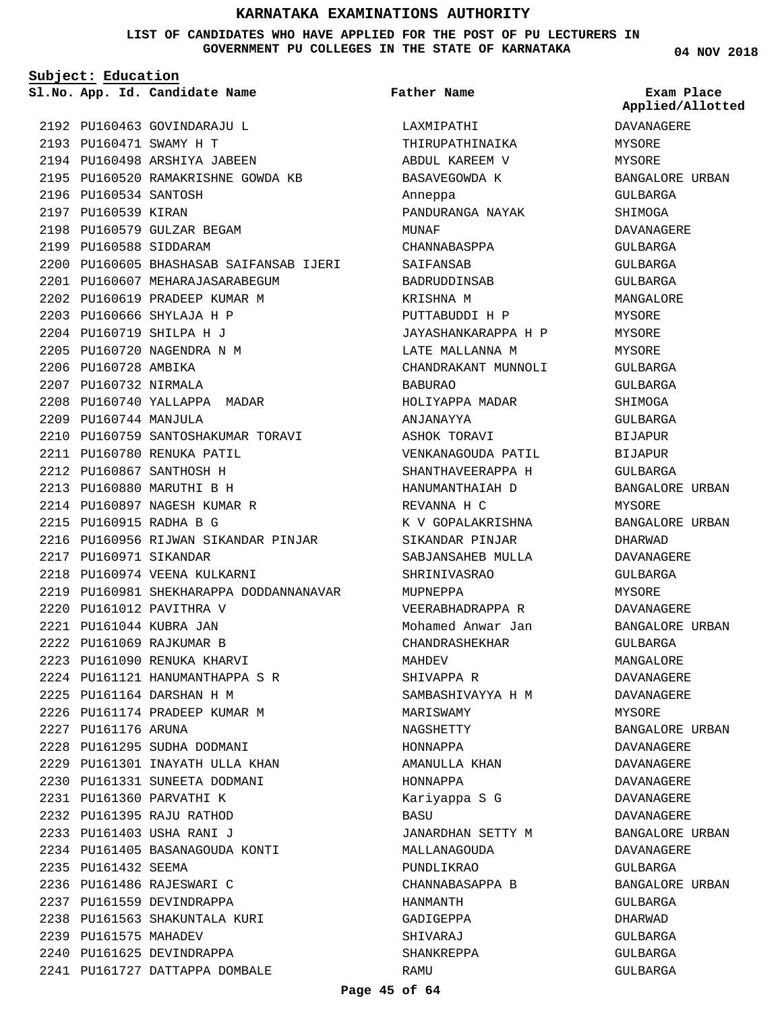**LIST OF CANDIDATES WHO HAVE APPLIED FOR THE POST OF PU LECTURERS IN GOVERNMENT PU COLLEGES IN THE STATE OF KARNATAKA**

**Father Name**

**Subject: Education**

**App. Id. Candidate Name Sl.No. Exam Place**

2192 PU160463 GOVINDARAJU L PU160471 SWAMY H T 2193 2194 PU160498 ARSHIYA JABEEN 2195 PU160520 RAMAKRISHNE GOWDA KB 2196 PU160534 SANTOSH 2197 PU160539 KIRAN 2198 PU160579 GULZAR BEGAM 2199 PU160588 SIDDARAM PU160605 BHASHASAB SAIFANSAB IJERI 2200 PU160607 MEHARAJASARABEGUM 2201 2202 PU160619 PRADEEP KUMAR M PU160666 SHYLAJA H P 2203 PU160719 SHILPA H J 2204 2205 PU160720 NAGENDRA N M 2206 PU160728 AMBIKA 2207 PU160732 NIRMALA 2208 PU160740 YALLAPPA MADAR 2209 PU160744 MANJULA 2210 PU160759 SANTOSHAKUMAR TORAVI PU160780 RENUKA PATIL 2211 PU160867 SANTHOSH H 2212 PU160880 MARUTHI B H 2213 2214 PU160897 NAGESH KUMAR R PU160915 RADHA B G 2215 2216 PU160956 RIJWAN SIKANDAR PINJAR 2217 PU160971 SIKANDAR 2218 PU160974 VEENA KULKARNI 2219 PU160981 SHEKHARAPPA DODDANNANAVAR PU161012 PAVITHRA V 2220 PU161044 KUBRA JAN 2221 PU161069 RAJKUMAR B 2222 2223 PU161090 RENUKA KHARVI PU161121 HANUMANTHAPPA S R 2224 PU161164 DARSHAN H M 2225 2226 PU161174 PRADEEP KUMAR M 2227 PU161176 ARUNA 2228 PU161295 SUDHA DODMANI PU161301 INAYATH ULLA KHAN 2229 2230 PU161331 SUNEETA DODMANI PU161360 PARVATHI K 2231 PU161395 RAJU RATHOD 2232 PU161403 USHA RANI J 2233 PU161405 BASANAGOUDA KONTI 2234 2235 PU161432 SEEMA 2236 PU161486 RAJESWARI C 2237 PU161559 DEVINDRAPPA 2238 PU161563 SHAKUNTALA KURI 2239 PU161575 MAHADEV 2240 PU161625 DEVINDRAPPA 2241 PU161727 DATTAPPA DOMBALE

LAXMIPATHI THIRUPATHINAIKA ABDUL KAREEM V BASAVEGOWDA K Anneppa PANDURANGA NAYAK MUNAF CHANNABASPPA SAIFANSAB BADRUDDINSAB KRISHNA M PUTTABUDDI H P JAYASHANKARAPPA H P LATE MALLANNA M CHANDRAKANT MUNNOLI BABURAO HOLIYAPPA MADAR ANJANAYYA ASHOK TORAVI VENKANAGOUDA PATIL SHANTHAVEERAPPA H HANUMANTHAIAH D REVANNA H C K V GOPALAKRISHNA SIKANDAR PINJAR SABJANSAHEB MULLA SHRINIVASRAO MUPNEPPA VEERABHADRAPPA R Mohamed Anwar Jan CHANDRASHEKHAR MAHDEV SHIVAPPA R SAMBASHIVAYYA H M MARISWAMY NAGSHETTY HONNAPPA AMANULLA KHAN HONNAPPA Kariyappa S G BASU JANARDHAN SETTY M MALLANAGOUDA PUNDLIKRAO CHANNABASAPPA B HANMANTH GADIGEPPA SHIVARAJ SHANKREPPA RAMU

**04 NOV 2018**

**Applied/Allotted**

# DAVANAGERE MYSORE MYSORE BANGALORE URBAN GULBARGA SHIMOGA DAVANAGERE GULBARGA GULBARGA GULBARGA MANGALORE MYSORE MYSORE MYSORE GULBARGA GULBARGA SHIMOGA GULBARGA BIJAPUR BIJAPUR GULBARGA BANGALORE URBAN MYSORE BANGALORE URBAN DHARWAD DAVANAGERE GULBARGA MYSORE DAVANAGERE BANGALORE URBAN GULBARGA MANGALORE DAVANAGERE DAVANAGERE MYSORE BANGALORE URBAN DAVANAGERE DAVANAGERE DAVANAGERE DAVANAGERE DAVANAGERE BANGALORE URBAN DAVANAGERE GULBARGA BANGALORE URBAN GULBARGA DHARWAD GULBARGA GULBARGA

GULBARGA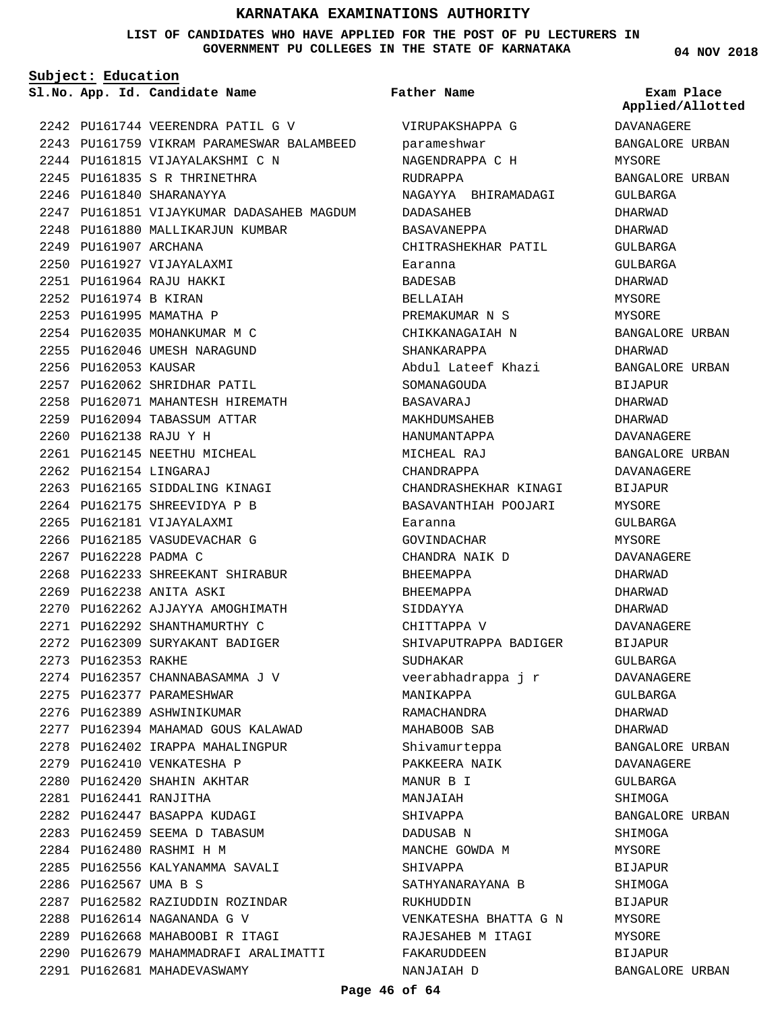**LIST OF CANDIDATES WHO HAVE APPLIED FOR THE POST OF PU LECTURERS IN GOVERNMENT PU COLLEGES IN THE STATE OF KARNATAKA**

**Subject: Education**

**App. Id. Candidate Name Sl.No. Exam Place**

PU161744 VEERENDRA PATIL G V 2242 2243 PU161759 VIKRAM PARAMESWAR BALAMBEED 2244 PU161815 VIJAYALAKSHMI C N PU161835 S R THRINETHRA 2245 2246 PU161840 SHARANAYYA 2247 PU161851 VIJAYKUMAR DADASAHEB MAGDUM 2248 PU161880 MALLIKARJUN KUMBAR 2249 PU161907 ARCHANA 2250 PU161927 VIJAYALAXMI PU161964 RAJU HAKKI 2251 2252 PU161974 B KIRAN 2253 PU161995 MAMATHA P 2254 PU162035 MOHANKUMAR M C 2255 PU162046 UMESH NARAGUND 2256 PU162053 KAUSAR 2257 PU162062 SHRIDHAR PATIL PU162071 MAHANTESH HIREMATH 2258 2259 PU162094 TABASSUM ATTAR PU162138 RAJU Y H 2260 2261 PU162145 NEETHU MICHEAL PU162154 LINGARAJ 2262 2263 PU162165 SIDDALING KINAGI 2264 PU162175 SHREEVIDYA P B 2265 PU162181 VIJAYALAXMI 2266 PU162185 VASUDEVACHAR G 2267 PU162228 PADMA C 2268 PU162233 SHREEKANT SHIRABUR 2269 PU162238 ANITA ASKI 2270 PU162262 AJJAYYA AMOGHIMATH 2271 PU162292 SHANTHAMURTHY C PU162309 SURYAKANT BADIGER 2272 2273 PU162353 RAKHE 2274 PU162357 CHANNABASAMMA J V 2275 PU162377 PARAMESHWAR 2276 PU162389 ASHWINIKUMAR 2277 PU162394 MAHAMAD GOUS KALAWAD 2278 PU162402 IRAPPA MAHALINGPUR 2279 PU162410 VENKATESHA P PU162420 SHAHIN AKHTAR 2280 PU162441 RANJITHA 2281 2282 PU162447 BASAPPA KUDAGI 2283 PU162459 SEEMA D TABASUM PU162480 RASHMI H M 2284 2285 PU162556 KALYANAMMA SAVALI 2286 PU162567 UMA B S PU162582 RAZIUDDIN ROZINDAR 2287 PU162614 NAGANANDA G V 2288 PU162668 MAHABOOBI R ITAGI 2289 2290 PU162679 MAHAMMADRAFI ARALIMATTI 2291 PU162681 MAHADEVASWAMY

#### **Father Name**

VIRUPAKSHAPPA G parameshwar NAGENDRAPPA C H RUDRAPPA NAGAYYA BHIRAMADAGI DADASAHEB BASAVANEPPA CHITRASHEKHAR PATIL Earanna BADESAB BELLAIAH PREMAKUMAR N S CHIKKANAGAIAH N SHANKARAPPA Abdul Lateef Khazi SOMANAGOUDA BASAVARAJ MAKHDUMSAHEB HANUMANTAPPA MICHEAL RAJ CHANDRAPPA CHANDRASHEKHAR KINAGI BASAVANTHIAH POOJARI Earanna GOVINDACHAR CHANDRA NAIK D BHEEMAPPA BHEEMAPPA SIDDAYYA CHITTAPPA V SHIVAPUTRAPPA BADIGER SUDHAKAR veerabhadrappa j r MANIKAPPA RAMACHANDRA MAHABOOB SAB Shivamurteppa PAKKEERA NAIK MANUR B I MANJAIAH SHIVAPPA DADUSAB N MANCHE GOWDA M SHIVAPPA SATHYANARAYANA B RUKHUDDIN VENKATESHA BHATTA G N RAJESAHEB M ITAGI FAKARUDDEEN NANJAIAH D

**04 NOV 2018**

**Applied/Allotted**

DAVANAGERE BANGALORE URBAN MYSORE BANGALORE URBAN GULBARGA DHARWAD DHARWAD GULBARGA GULBARGA DHARWAD **MYSORE** MYSORE BANGALORE URBAN DHARWAD BANGALORE URBAN BIJAPUR DHARWAD DHARWAD DAVANAGERE BANGALORE URBAN DAVANAGERE BIJAPUR MYSORE GULBARGA MYSORE DAVANAGERE DHARWAD DHARWAD DHARWAD DAVANAGERE BIJAPUR GULBARGA DAVANAGERE GULBARGA DHARWAD DHARWAD BANGALORE URBAN DAVANAGERE GULBARGA SHIMOGA BANGALORE URBAN SHIMOGA MYSORE **BIJAPUR** SHIMOGA **BIJAPUR** MYSORE MYSORE BIJAPUR

BANGALORE URBAN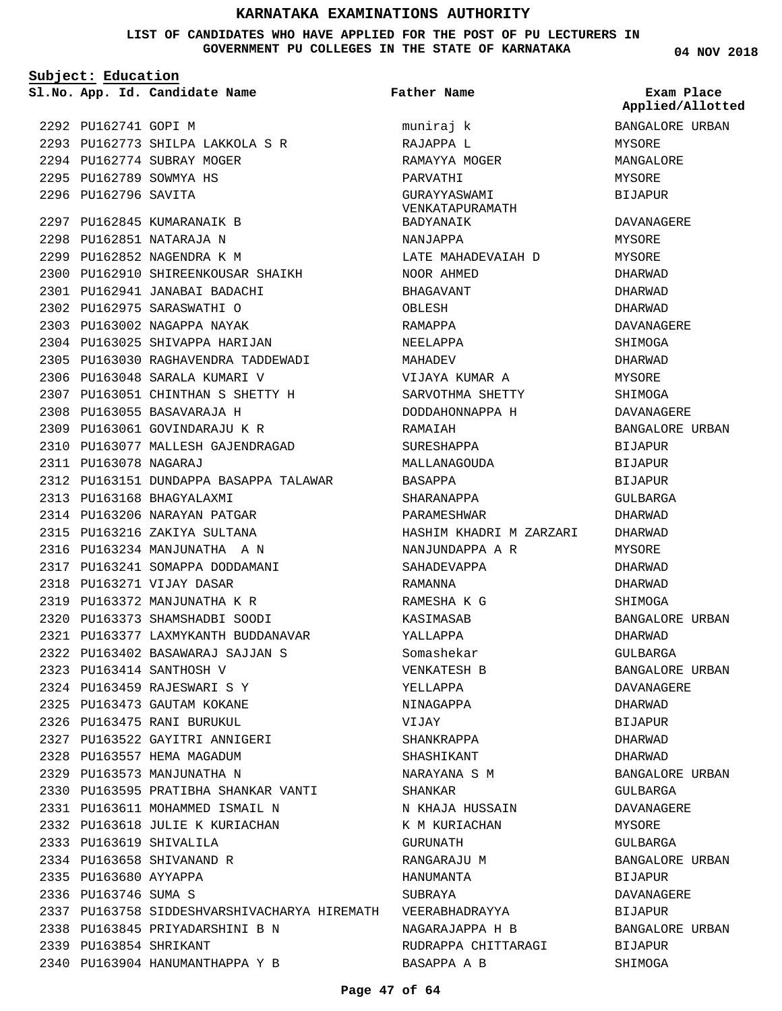#### **LIST OF CANDIDATES WHO HAVE APPLIED FOR THE POST OF PU LECTURERS IN GOVERNMENT PU COLLEGES IN THE STATE OF KARNATAKA**

**Subject: Education**

2292 PU162741 GOPI M PU162773 SHILPA LAKKOLA S R 2293 2294 PU162774 SUBRAY MOGER 2295 PU162789 SOWMYA HS 2296 PU162796 SAVITA 2297 PU162845 KUMARANAIK B 2298 PU162851 NATARAJA N 2299 PU162852 NAGENDRA K M 2300 PU162910 SHIREENKOUSAR SHAIKH PU162941 JANABAI BADACHI 2301 PU162975 SARASWATHI O 2302 2303 PU163002 NAGAPPA NAYAK 2304 PU163025 SHIVAPPA HARIJAN 2305 PU163030 RAGHAVENDRA TADDEWADI 2306 PU163048 SARALA KUMARI V PU163051 CHINTHAN S SHETTY H 2307 PU163055 BASAVARAJA H 2308 PU163061 GOVINDARAJU K R 2309 2310 PU163077 MALLESH GAJENDRAGAD PU163078 NAGARAJ 2311 2312 PU163151 DUNDAPPA BASAPPA TALAWAR 2313 PU163168 BHAGYALAXMI 2314 PU163206 NARAYAN PATGAR 2315 PU163216 ZAKIYA SULTANA 2316 PU163234 MANJUNATHA A N 2317 PU163241 SOMAPPA DODDAMANI 2318 PU163271 VIJAY DASAR 2319 PU163372 MANJUNATHA K R PU163373 SHAMSHADBI SOODI 2320 PU163377 LAXMYKANTH BUDDANAVAR 2321 PU163402 BASAWARAJ SAJJAN S 2322 PU163414 SANTHOSH V 2323 PU163459 RAJESWARI S Y 2324 2325 PU163473 GAUTAM KOKANE 2326 PU163475 RANI BURUKUL PU163522 GAYITRI ANNIGERI 2327 2328 PU163557 HEMA MAGADUM 2329 PU163573 MANJUNATHA N 2330 PU163595 PRATIBHA SHANKAR VANTI PU163611 MOHAMMED ISMAIL N 2331 2332 PU163618 JULIE K KURIACHAN PU163619 SHIVALILA 2333 2334 PU163658 SHIVANAND R 2335 PU163680 AYYAPPA 2336 PU163746 SUMA S 2337 PU163758 SIDDESHVARSHIVACHARYA HIREMATH VEERABHADRAYYA PU163845 PRIYADARSHINI B N 2338 PU163854 SHRIKANT 2339 2340 PU163904 HANUMANTHAPPA Y B

**App. Id. Candidate Name Sl.No. Exam Place** muniraj k RAJAPPA L RAMAYYA MOGER PARVATHI GURAYYASWAMI VENKATAPURAMATH BADYANAIK NANJAPPA LATE MAHADEVAIAH D NOOR AHMED BHAGAVANT OBLESH RAMAPPA NEELAPPA MAHADEV VIJAYA KUMAR A SARVOTHMA SHETTY DODDAHONNAPPA H RAMAIAH SURESHAPPA MALLANAGOUDA BASAPPA SHARANAPPA PARAMESHWAR HASHIM KHADRI M ZARZARI NANJUNDAPPA A R SAHADEVAPPA RAMANNA RAMESHA K G KASIMASAB YALLAPPA Somashekar VENKATESH B YELLAPPA NINAGAPPA VIJAY SHANKRAPPA SHASHIKANT NARAYANA S M SHANKAR N KHAJA HUSSAIN K M KURIACHAN GURUNATH RANGARAJU M HANUMANTA SUBRAYA NAGARAJAPPA H B RUDRAPPA CHITTARAGI BASAPPA A B **Father Name** BANGALORE URBAN MYSORE MANGALORE MYSORE BIJAPUR DAVANAGERE MYSORE MYSORE DHARWAD DHARWAD DHARWAD DAVANAGERE SHIMOGA DHARWAD MYSORE SHIMOGA DAVANAGERE BANGALORE URBAN BIJAPUR BIJAPUR BIJAPUR GULBARGA DHARWAD DHARWAD MYSORE DHARWAD DHARWAD SHIMOGA BANGALORE URBAN DHARWAD GULBARGA BANGALORE URBAN DAVANAGERE DHARWAD **BIJAPUR** DHARWAD DHARWAD BANGALORE URBAN GULBARGA DAVANAGERE MYSORE GULBARGA BANGALORE URBAN BIJAPUR DAVANAGERE BIJAPUR BANGALORE URBAN BIJAPUR SHIMOGA **Applied/Allotted**

**04 NOV 2018**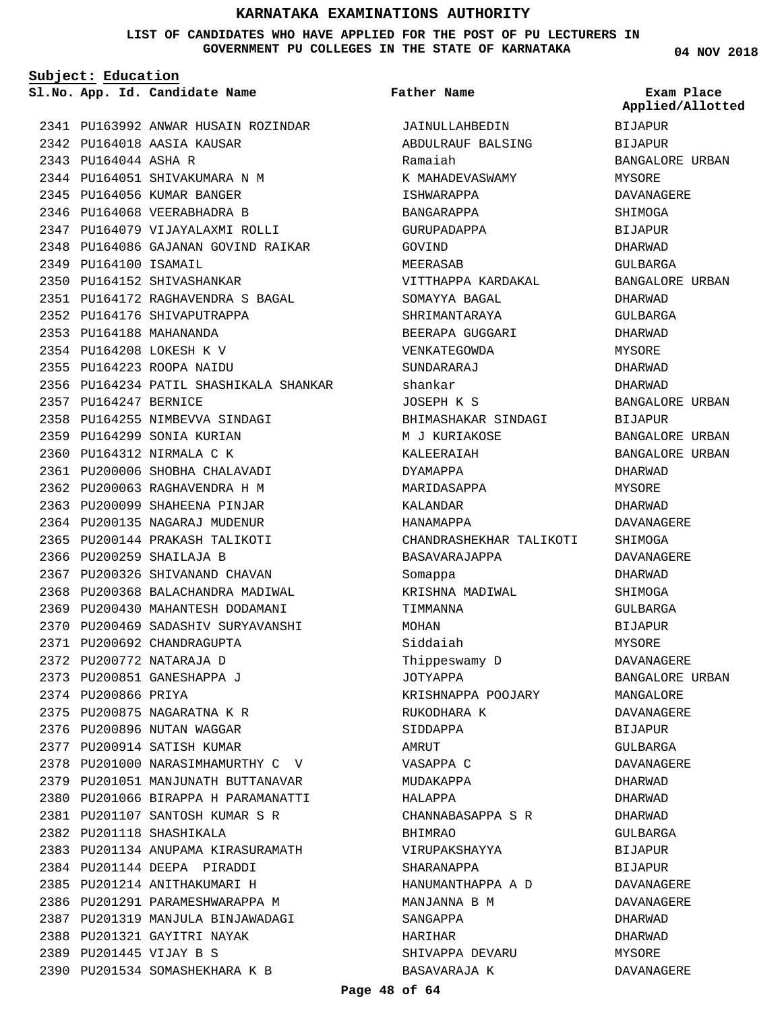#### **LIST OF CANDIDATES WHO HAVE APPLIED FOR THE POST OF PU LECTURERS IN GOVERNMENT PU COLLEGES IN THE STATE OF KARNATAKA**

**Subject: Education**

**App. Id. Candidate Name Sl.No. Exam Place**

2341 PU163992 ANWAR HUSAIN ROZINDAR 2342 PU164018 AASIA KAUSAR 2343 PU164044 ASHA R 2344 PU164051 SHIVAKUMARA N M 2345 PU164056 KUMAR BANGER 2346 PU164068 VEERABHADRA B 2347 PU164079 VIJAYALAXMI ROLLI 2348 PU164086 GAJANAN GOVIND RAIKAR 2349 PU164100 ISAMAIL 2350 PU164152 SHIVASHANKAR PU164172 RAGHAVENDRA S BAGAL 2351 2352 PU164176 SHIVAPUTRAPPA PU164188 MAHANANDA 2353 PU164208 LOKESH K V 2354 PU164223 ROOPA NAIDU 2355 2356 PU164234 PATIL SHASHIKALA SHANKAR 2357 PU164247 BERNICE 2358 PU164255 NIMBEVVA SINDAGI 2359 PU164299 SONIA KURIAN 2360 PU164312 NIRMALA C K 2361 PU200006 SHOBHA CHALAVADI PU200063 RAGHAVENDRA H M 2362 2363 PU200099 SHAHEENA PINJAR 2364 PU200135 NAGARAJ MUDENUR 2365 PU200144 PRAKASH TALIKOTI 2366 PU200259 SHAILAJA B 2367 PU200326 SHIVANAND CHAVAN 2368 PU200368 BALACHANDRA MADIWAL 2369 PU200430 MAHANTESH DODAMANI 2370 PU200469 SADASHIV SURYAVANSHI 2371 PU200692 CHANDRAGUPTA 2372 PU200772 NATARAJA D 2373 PU200851 GANESHAPPA J 2374 PU200866 PRIYA PU200875 NAGARATNA K R 2375 2376 PU200896 NUTAN WAGGAR 2377 PU200914 SATISH KUMAR 2378 PU201000 NARASIMHAMURTHY C V 2379 PU201051 MANJUNATH BUTTANAVAR 2380 PU201066 BIRAPPA H PARAMANATTI PU201107 SANTOSH KUMAR S R 2381 PU201118 SHASHIKALA 2382 2383 PU201134 ANUPAMA KIRASURAMATH PU201144 DEEPA PIRADDI 2384 2385 PU201214 ANITHAKUMARI H 2386 PU201291 PARAMESHWARAPPA M 2387 PU201319 MANJULA BINJAWADAGI 2388 PU201321 GAYITRI NAYAK PU201445 VIJAY B S 2389 2390 PU201534 SOMASHEKHARA K B

JAINULLAHBEDIN ABDULRAUF BALSING Ramaiah K MAHADEVASWAMY ISHWARAPPA BANGARAPPA GURUPADAPPA GOVIND MEERASAB VITTHAPPA KARDAKAL SOMAYYA BAGAL SHRIMANTARAYA BEERAPA GUGGARI VENKATEGOWDA SUNDARARAJ shankar JOSEPH K S BHIMASHAKAR SINDAGI M J KURIAKOSE KALEERAIAH DYAMAPPA MARIDASAPPA KALANDAR HANAMAPPA CHANDRASHEKHAR TALIKOTI BASAVARAJAPPA Somappa KRISHNA MADIWAL TIMMANNA MOHAN Siddaiah Thippeswamy D JOTYAPPA KRISHNAPPA POOJARY RUKODHARA K SIDDAPPA AMRUT VASAPPA C MUDAKAPPA HALAPPA CHANNABASAPPA S R BHIMRAO VIRUPAKSHAYYA SHARANAPPA HANUMANTHAPPA A D MANJANNA B M SANGAPPA HARIHAR SHIVAPPA DEVARU BASAVARAJA K **Father Name**

**04 NOV 2018**

BIJAPUR BIJAPUR BANGALORE URBAN MYSORE DAVANAGERE SHIMOGA BIJAPUR DHARWAD GULBARGA BANGALORE URBAN DHARWAD GULBARGA DHARWAD MYSORE DHARWAD DHARWAD BANGALORE URBAN BIJAPUR BANGALORE URBAN BANGALORE URBAN DHARWAD MYSORE DHARWAD DAVANAGERE SHIMOGA DAVANAGERE DHARWAD SHIMOGA GULBARGA BIJAPUR MYSORE DAVANAGERE BANGALORE URBAN MANGALORE DAVANAGERE BIJAPUR GULBARGA DAVANAGERE DHARWAD DHARWAD DHARWAD GULBARGA BIJAPUR **BIJAPUR** DAVANAGERE DAVANAGERE DHARWAD DHARWAD MYSORE DAVANAGERE **Applied/Allotted**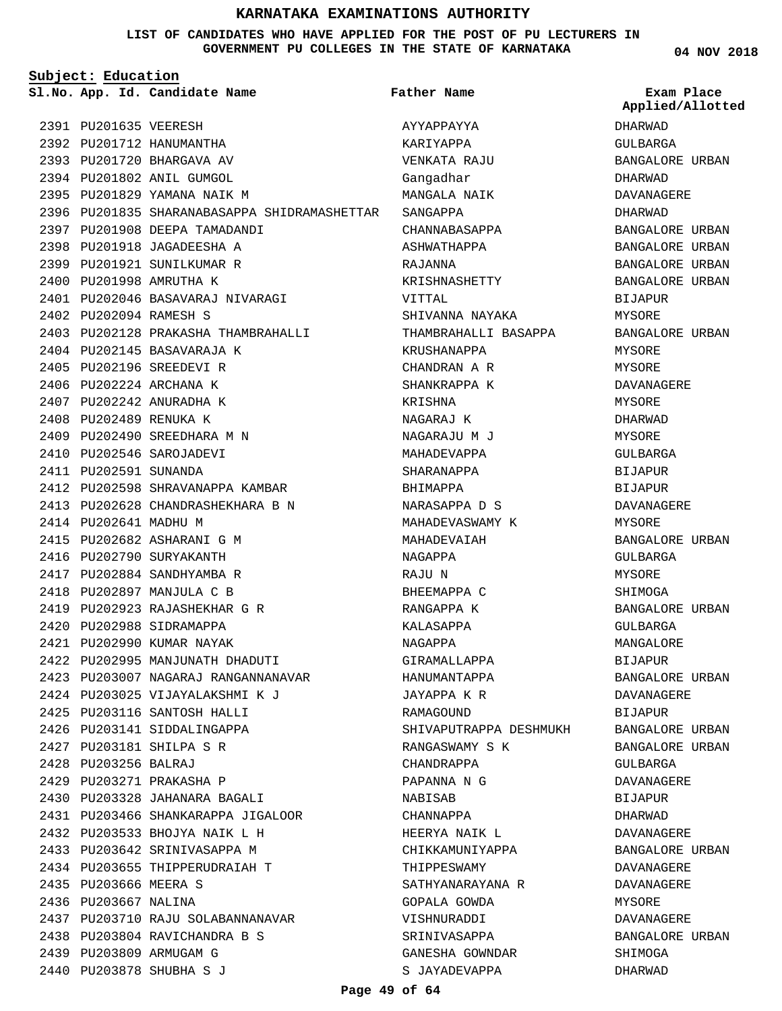#### **LIST OF CANDIDATES WHO HAVE APPLIED FOR THE POST OF PU LECTURERS IN GOVERNMENT PU COLLEGES IN THE STATE OF KARNATAKA**

**Subject: Education**

**Father Name**

**04 NOV 2018**

|                        | Sl.No. App. Id. Candidate Name               | Father Name            | Exam Place<br>Applied/Allot |
|------------------------|----------------------------------------------|------------------------|-----------------------------|
| 2391 PU201635 VEERESH  |                                              | AYYAPPAYYA             | DHARWAD                     |
|                        | 2392 PU201712 HANUMANTHA                     | KARIYAPPA              | GULBARGA                    |
|                        | 2393 PU201720 BHARGAVA AV                    | VENKATA RAJU           | <b>BANGALORE URBA</b>       |
|                        | 2394 PU201802 ANIL GUMGOL                    | Gangadhar              | DHARWAD                     |
|                        | 2395 PU201829 YAMANA NAIK M                  | MANGALA NAIK           | DAVANAGERE                  |
|                        | 2396 PU201835 SHARANABASAPPA SHIDRAMASHETTAR | SANGAPPA               | DHARWAD                     |
|                        | 2397 PU201908 DEEPA TAMADANDI                | CHANNABASAPPA          | BANGALORE URBA              |
|                        | 2398 PU201918 JAGADEESHA A                   | ASHWATHAPPA            | BANGALORE URBA              |
|                        | 2399 PU201921 SUNILKUMAR R                   | RAJANNA                | BANGALORE URBA              |
|                        | 2400 PU201998 AMRUTHA K                      | KRISHNASHETTY          | <b>BANGALORE URBA</b>       |
|                        | 2401 PU202046 BASAVARAJ NIVARAGI             | VITTAL                 | <b>BIJAPUR</b>              |
| 2402 PU202094 RAMESH S |                                              | SHIVANNA NAYAKA        | MYSORE                      |
|                        | 2403 PU202128 PRAKASHA THAMBRAHALLI          | THAMBRAHALLI BASAPPA   | BANGALORE URBA              |
|                        | 2404 PU202145 BASAVARAJA K                   | KRUSHANAPPA            | MYSORE                      |
|                        | 2405 PU202196 SREEDEVI R                     | CHANDRAN A R           | MYSORE                      |
|                        | 2406 PU202224 ARCHANA K                      | SHANKRAPPA K           | DAVANAGERE                  |
|                        | 2407 PU202242 ANURADHA K                     | KRISHNA                | MYSORE                      |
| 2408 PU202489 RENUKA K |                                              | NAGARAJ K              | DHARWAD                     |
|                        | 2409 PU202490 SREEDHARA M N                  | NAGARAJU M J           | MYSORE                      |
|                        | 2410 PU202546 SAROJADEVI                     | MAHADEVAPPA            | GULBARGA                    |
| 2411 PU202591 SUNANDA  |                                              | SHARANAPPA             | <b>BIJAPUR</b>              |
|                        | 2412 PU202598 SHRAVANAPPA KAMBAR             | BHIMAPPA               | <b>BIJAPUR</b>              |
|                        | 2413 PU202628 CHANDRASHEKHARA B N            | NARASAPPA D S          | DAVANAGERE                  |
| 2414 PU202641 MADHU M  |                                              | MAHADEVASWAMY K        | MYSORE                      |
|                        | 2415 PU202682 ASHARANI G M                   | MAHADEVAIAH            | BANGALORE URBA              |
|                        | 2416 PU202790 SURYAKANTH                     | NAGAPPA                | GULBARGA                    |
|                        | 2417 PU202884 SANDHYAMBA R                   | RAJU N                 | MYSORE                      |
|                        | 2418 PU202897 MANJULA C B                    | BHEEMAPPA C            | SHIMOGA                     |
|                        | 2419 PU202923 RAJASHEKHAR G R                | RANGAPPA K             | BANGALORE URBA              |
|                        | 2420 PU202988 SIDRAMAPPA                     | KALASAPPA              | GULBARGA                    |
|                        | 2421 PU202990 KUMAR NAYAK                    | NAGAPPA                | MANGALORE                   |
|                        | 2422 PU202995 MANJUNATH DHADUTI              | GIRAMALLAPPA           | BIJAPUR                     |
|                        | 2423 PU203007 NAGARAJ RANGANNANAVAR          | HANUMANTAPPA           | BANGALORE URBA              |
|                        | 2424 PU203025 VIJAYALAKSHMI K J              | JAYAPPA K R            | DAVANAGERE                  |
|                        | 2425 PU203116 SANTOSH HALLI                  | RAMAGOUND              | BIJAPUR                     |
|                        | 2426 PU203141 SIDDALINGAPPA                  | SHIVAPUTRAPPA DESHMUKH | <b>BANGALORE URBA</b>       |
|                        | 2427 PU203181 SHILPA S R                     | RANGASWAMY S K         | BANGALORE URBA              |
| 2428 PU203256 BALRAJ   |                                              | CHANDRAPPA             | GULBARGA                    |
|                        | 2429 PU203271 PRAKASHA P                     | PAPANNA N G            | DAVANAGERE                  |
|                        | 2430 PU203328 JAHANARA BAGALI                | NABISAB                | BIJAPUR                     |
|                        | 2431 PU203466 SHANKARAPPA JIGALOOR           | CHANNAPPA              | DHARWAD                     |
|                        | 2432 PU203533 BHOJYA NAIK L H                | HEERYA NAIK L          | DAVANAGERE                  |
|                        | 2433 PU203642 SRINIVASAPPA M                 | CHIKKAMUNIYAPPA        | BANGALORE URBA              |
|                        | 2434 PU203655 THIPPERUDRAIAH T               | THIPPESWAMY            | DAVANAGERE                  |
| 2435 PU203666 MEERA S  |                                              | SATHYANARAYANA R       | DAVANAGERE                  |
| 2436 PU203667 NALINA   |                                              | GOPALA GOWDA           | MYSORE                      |
|                        | 2437 PU203710 RAJU SOLABANNANAVAR            | VISHNURADDI            | DAVANAGERE                  |
|                        | 2438 PU203804 RAVICHANDRA B S                | SRINIVASAPPA           | BANGALORE URBA              |
|                        | 2439 PU203809 ARMUGAM G                      | GANESHA GOWNDAR        | SHIMOGA                     |
|                        | 2440 PU203878 SHUBHA S J                     | S JAYADEVAPPA          | DHARWAD                     |
|                        |                                              |                        |                             |

DHARWAD GULBARGA BANGALORE URBAN DHARWAD DAVANAGERE DHARWAD BANGALORE URBAN BANGALORE URBAN BANGALORE URBAN BANGALORE URBAN BIJAPUR MYSORE BANGALORE URBAN MYSORE MYSORE DAVANAGERE MYSORE DHARWAD MYSORE GULBARGA BIJAPUR BIJAPUR DAVANAGERE MYSORE BANGALORE URBAN GULBARGA MYSORE SHIMOGA BANGALORE URBAN GULBARGA MANGALORE BIJAPUR BANGALORE URBAN DAVANAGERE BIJAPUR BANGALORE URBAN BANGALORE URBAN GULBARGA DAVANAGERE BIJAPUR DHARWAD DAVANAGERE BANGALORE URBAN DAVANAGERE DAVANAGERE MYSORE DAVANAGERE BANGALORE URBAN SHIMOGA DHARWAD **Applied/Allotted**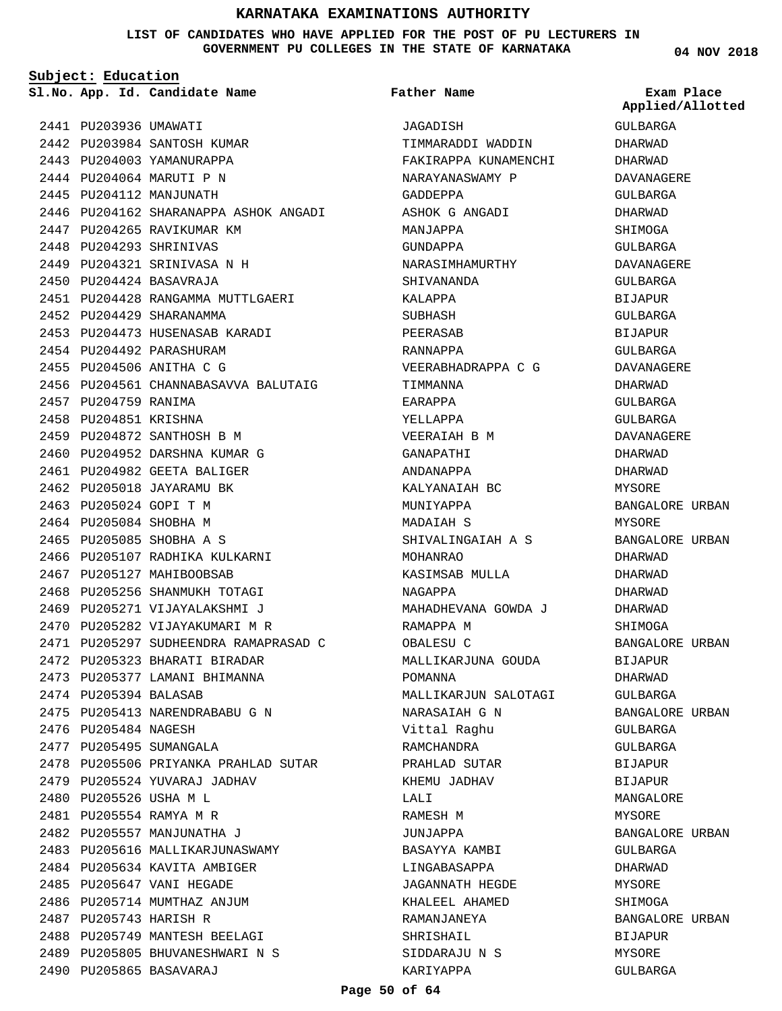**LIST OF CANDIDATES WHO HAVE APPLIED FOR THE POST OF PU LECTURERS IN GOVERNMENT PU COLLEGES IN THE STATE OF KARNATAKA**

**Subject: Education**

**App. Id. Candidate Name Sl.No. Exam Place**

2442 PU203984 SANTOSH KUMAR

2441 PU203936 UMAWATI

**Father Name**

JAGADISH

TIMMARADDI WADDIN FAKIRAPPA KUNAMENCHI NARAYANASWAMY P

GULBARGA DHARWAD DHARWAD DAVANAGERE GULBARGA DHARWAD SHIMOGA GULBARGA DAVANAGERE GULBARGA BIJAPUR GULBARGA BIJAPUR GULBARGA DAVANAGERE DHARWAD GULBARGA GULBARGA DAVANAGERE DHARWAD DHARWAD MYSORE BANGALORE URBAN MYSORE BANGALORE URBAN DHARWAD DHARWAD DHARWAD DHARWAD SHIMOGA BANGALORE URBAN BIJAPUR DHARWAD GULBARGA BANGALORE URBAN GULBARGA GULBARGA BIJAPUR BIJAPUR MANGALORE MYSORE BANGALORE URBAN GULBARGA DHARWAD **Applied/Allotted**

MYSORE SHIMOGA

BIJAPUR MYSORE GULBARGA

BANGALORE URBAN

2443 PU204003 YAMANURAPPA 2444 PU204064 MARUTI P N 2445 PU204112 MANJUNATH 2446 PU204162 SHARANAPPA ASHOK ANGADI 2447 PU204265 RAVIKUMAR KM 2448 PU204293 SHRINIVAS PU204321 SRINIVASA N H 2449 2450 PU204424 BASAVRAJA 2451 PU204428 RANGAMMA MUTTLGAERI 2452 PU204429 SHARANAMMA 2453 PU204473 HUSENASAB KARADI 2454 PU204492 PARASHURAM 2455 PU204506 ANITHA C G 2456 PU204561 CHANNABASAVVA BALUTAIG 2457 PU204759 RANIMA 2458 PU204851 KRISHNA 2459 PU204872 SANTHOSH B M 2460 PU204952 DARSHNA KUMAR G 2461 PU204982 GEETA BALIGER 2462 PU205018 JAYARAMU BK 2463 PU205024 GOPI T M 2464 PU205084 SHOBHA M 2465 PU205085 SHOBHA A S 2466 PU205107 RADHIKA KULKARNI 2467 PU205127 MAHIBOOBSAB 2468 PU205256 SHANMUKH TOTAGI 2469 PU205271 VIJAYALAKSHMI J 2470 PU205282 VIJAYAKUMARI M R 2471 PU205297 SUDHEENDRA RAMAPRASAD C 2472 PU205323 BHARATI BIRADAR 2473 PU205377 LAMANI BHIMANNA 2474 PU205394 BALASAB 2475 PU205413 NARENDRABABU G N 2476 PU205484 NAGESH 2477 PU205495 SUMANGALA 2478 PU205506 PRIYANKA PRAHLAD SUTAR 2479 PU205524 YUVARAJ JADHAV 2480 PU205526 USHA M L PU205554 RAMYA M R 2481 2482 PU205557 MANJUNATHA J 2483 PU205616 MALLIKARJUNASWAMY 2484 PU205634 KAVITA AMBIGER 2485 PU205647 VANI HEGADE 2486 PU205714 MUMTHAZ ANJUM 2487 PU205743 HARISH R 2488 PU205749 MANTESH BEELAGI 2489 PU205805 BHUVANESHWARI N S 2490 PU205865 BASAVARAJ

GADDEPPA ASHOK G ANGADI MANJAPPA GUNDAPPA NARASIMHAMURTHY SHIVANANDA KALAPPA SUBHASH PEERASAB RANNAPPA VEERABHADRAPPA C G TIMMANNA EARAPPA YELLAPPA VEERAIAH B M GANAPATHI ANDANAPPA KALYANAIAH BC MUNIYAPPA MADAIAH S SHIVALINGAIAH A S MOHANRAO KASIMSAB MULLA NAGAPPA MAHADHEVANA GOWDA J RAMAPPA M OBALESU C MALLIKARJUNA GOUDA POMANNA MALLIKARJUN SALOTAGI NARASAIAH G N Vittal Raghu RAMCHANDRA PRAHLAD SUTAR KHEMU JADHAV LALI RAMESH M JUNJAPPA BASAYYA KAMBI LINGABASAPPA JAGANNATH HEGDE KHALEEL AHAMED RAMANJANEYA SHRISHAIL SIDDARAJU N S KARIYAPPA

**04 NOV 2018**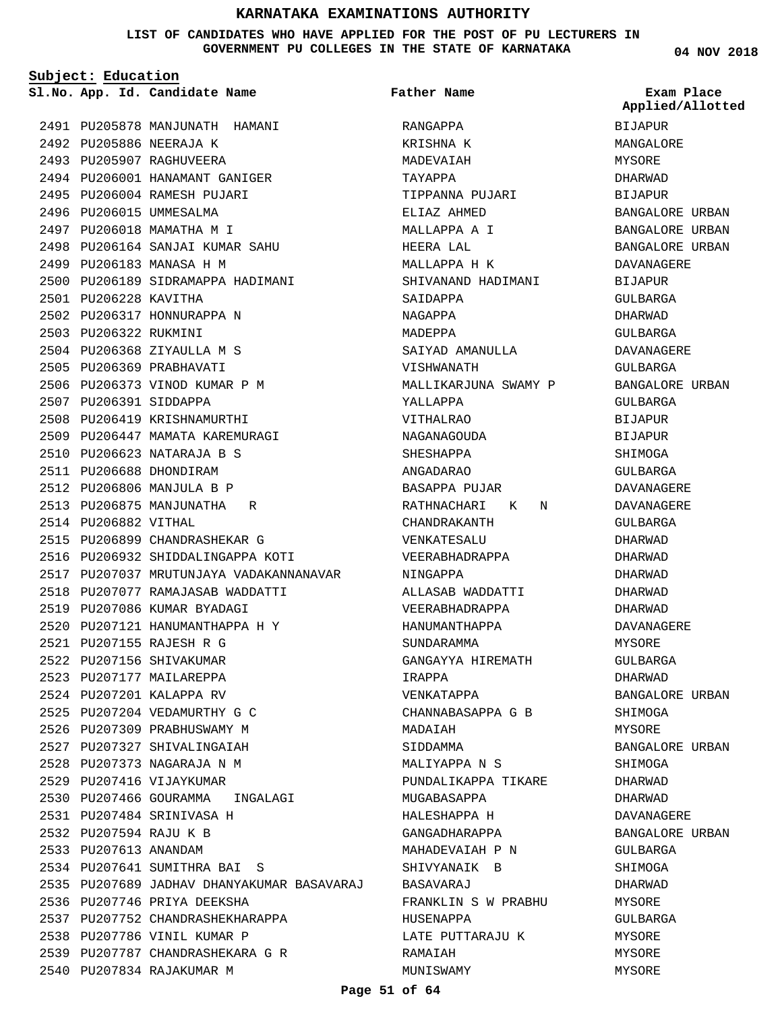#### **LIST OF CANDIDATES WHO HAVE APPLIED FOR THE POST OF PU LECTURERS IN GOVERNMENT PU COLLEGES IN THE STATE OF KARNATAKA**

**Subject: Education**

**App. Id. Candidate Name Sl.No. Exam Place**

2492 PU205886 NEERAJA K 2493 PU205907 RAGHUVEERA

2499 PU206183 MANASA H M

2502 PU206317 HONNURAPPA N

2504 PU206368 ZIYAULLA M S 2505 PU206369 PRABHAVATI

2506 PU206373 VINOD KUMAR P M

2508 PU206419 KRISHNAMURTHI 2509 PU206447 MAMATA KAREMURAGI

PU206623 NATARAJA B S 2510 2511 PU206688 DHONDIRAM 2512 PU206806 MANJULA B P 2513 PU206875 MANJUNATHA R

2515 PU206899 CHANDRASHEKAR G 2516 PU206932 SHIDDALINGAPPA KOTI

2519 PU207086 KUMAR BYADAGI 2520 PU207121 HANUMANTHAPPA H Y

PU207155 RAJESH R G 2521 2522 PU207156 SHIVAKUMAR 2523 PU207177 MAILAREPPA 2524 PU207201 KALAPPA RV PU207204 VEDAMURTHY G C 2525 2526 PU207309 PRABHUSWAMY M 2527 PU207327 SHIVALINGAIAH PU207373 NAGARAJA N M 2528 2529 PU207416 VIJAYKUMAR

PU207077 RAMAJASAB WADDATTI 2518

2530 PU207466 GOURAMMA INGALAGI

2535 PU207689 JADHAV DHANYAKUMAR BASAVARAJ

PU207484 SRINIVASA H 2531 PU207594 RAJU K B 2532 2533 PU207613 ANANDAM

PU207641 SUMITHRA BAI S 2534

2537 PU207752 CHANDRASHEKHARAPPA

PU207787 CHANDRASHEKARA G R 2539

2536 PU207746 PRIYA DEEKSHA

2538 PU207786 VINIL KUMAR P

2540 PU207834 RAJAKUMAR M

2517 PU207037 MRUTUNJAYA VADAKANNANAVAR

2501 PU206228 KAVITHA

2503 PU206322 RUKMINI

2507 PU206391 SIDDAPPA

2514 PU206882 VITHAL

PU206001 PU206004 2496 PU206015 UMMESALMA 2497 PU206018 MAMATHA M I

2494 2495

2491 PU205878 MANJUNATH HAMANI

HANAMANT GANIGER RAMESH PUJARI

PU206164 SANJAI KUMAR SAHU 2498

2500 PU206189 SIDRAMAPPA HADIMANI

**Father Name**

RANGAPPA KRISHNA K MADEVAIAH TAYAPPA TIPPANNA PUJARI ELIAZ AHMED MALLAPPA A I HEERA LAL MALLAPPA H K SHIVANAND HADIMANI SAIDAPPA NAGAPPA MADEPPA SAIYAD AMANULLA VISHWANATH MALLIKARJUNA SWAMY P YALLAPPA VITHALRAO NAGANAGOUDA SHESHAPPA ANGADARAO BASAPPA PUJAR RATHNACHARI K N CHANDRAKANTH VENKATESALU VEERABHADRAPPA NINGAPPA ALLASAB WADDATTI VEERABHADRAPPA HANUMANTHAPPA SUNDARAMMA GANGAYYA HIREMATH IRAPPA VENKATAPPA CHANNABASAPPA G B MADAIAH SIDDAMMA MALIYAPPA N S PUNDALIKAPPA TIKARE MUGABASAPPA HALESHAPPA H GANGADHARAPPA MAHADEVAIAH P N SHIVYANAIK B BASAVARAJ FRANKLIN S W PRABHU HUSENAPPA LATE PUTTARAJU K RAMAIAH MUNISWAMY

**04 NOV 2018**

BIJAPUR MANGALORE MYSORE DHARWAD BIJAPUR BANGALORE URBAN BANGALORE URBAN BANGALORE URBAN DAVANAGERE BIJAPUR GULBARGA DHARWAD GULBARGA DAVANAGERE GULBARGA BANGALORE URBAN GULBARGA **BIJAPUR** BIJAPUR SHIMOGA GULBARGA DAVANAGERE DAVANAGERE GULBARGA DHARWAD DHARWAD DHARWAD DHARWAD DHARWAD DAVANAGERE MYSORE GULBARGA DHARWAD BANGALORE URBAN SHIMOGA MYSORE BANGALORE URBAN SHIMOGA DHARWAD DHARWAD DAVANAGERE BANGALORE URBAN GULBARGA SHIMOGA DHARWAD MYSORE GULBARGA MYSORE MYSORE MYSORE **Applied/Allotted**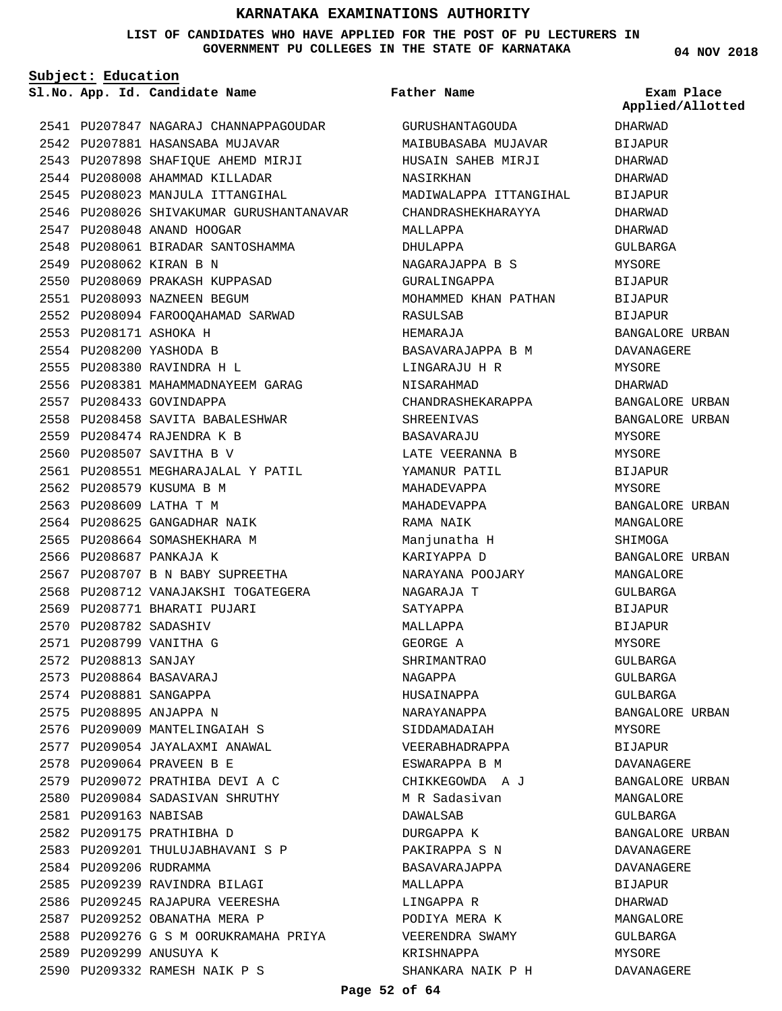**LIST OF CANDIDATES WHO HAVE APPLIED FOR THE POST OF PU LECTURERS IN GOVERNMENT PU COLLEGES IN THE STATE OF KARNATAKA**

**Subject: Education**

2541 PU207847 NAGARAJ CHANNAPPAGOUDAR 2542 PU207881 HASANSABA MUJAVAR 2543 PU207898 SHAFIQUE AHEMD MIRJI 2544 PU208008 AHAMMAD KILLADAR 2545 PU208023 MANJULA ITTANGIHAL 2546 PU208026 SHIVAKUMAR GURUSHANTANAVAR 2547 PU208048 ANAND HOOGAR 2548 PU208061 BIRADAR SANTOSHAMMA 2549 PU208062 KIRAN B N 2550 PU208069 PRAKASH KUPPASAD PU208093 NAZNEEN BEGUM 2551 2552 PU208094 FAROOQAHAMAD SARWAD PU208171 ASHOKA H 2553 2554 PU208200 YASHODA B PU208380 RAVINDRA H L 2555 2556 PU208381 MAHAMMADNAYEEM GARAG 2557 PU208433 GOVINDAPPA 2558 PU208458 SAVITA BABALESHWAR PU208474 RAJENDRA K B 2559 2560 PU208507 SAVITHA B V 2561 PU208551 MEGHARAJALAL Y PATIL 2562 PU208579 KUSUMA B M 2563 PU208609 LATHA T M 2564 PU208625 GANGADHAR NAIK 2565 PU208664 SOMASHEKHARA M 2566 PU208687 PANKAJA K 2567 PU208707 B N BABY SUPREETHA 2568 PU208712 VANAJAKSHI TOGATEGERA 2569 PU208771 BHARATI PUJARI 2570 PU208782 SADASHIV 2571 PU208799 VANITHA G 2572 PU208813 SANJAY PU208864 BASAVARAJ 2573 2574 PU208881 SANGAPPA 2575 PU208895 ANJAPPA N 2576 PU209009 MANTELINGAIAH S 2577 PU209054 JAYALAXMI ANAWAL PU209064 PRAVEEN B E 2578 PU209072 PRATHIBA DEVI A C 2579 2580 PU209084 SADASIVAN SHRUTHY 2581 PU209163 NABISAB 2582 PU209175 PRATHIBHA D 2583 PU209201 THULUJABHAVANI S P 2584 PU209206 RUDRAMMA 2585 PU209239 RAVINDRA BILAGI 2586 PU209245 RAJAPURA VEERESHA 2587 PU209252 OBANATHA MERA P 2588 PU209276 G S M OORUKRAMAHA PRIYA 2589 PU209299 ANUSUYA K PU209332 RAMESH NAIK P S 2590

**App. Id. Candidate Name Sl.No. Exam Place** GURUSHANTAGOUDA MAIBUBASABA MUJAVAR HUSAIN SAHEB MIRJI NASIRKHAN MADIWALAPPA ITTANGIHAL CHANDRASHEKHARAYYA MALLAPPA DHULAPPA NAGARAJAPPA B S GURALINGAPPA MOHAMMED KHAN PATHAN RASULSAB HEMARAJA BASAVARAJAPPA B M LINGARAJU H R NISARAHMAD CHANDRASHEKARAPPA SHREENIVAS RASAVAR AJIJ LATE VEERANNA B YAMANUR PATIL MAHADEVAPPA MAHADEVAPPA RAMA NAIK Manjunatha H KARIYAPPA D NARAYANA POOJARY NAGARAJA T SATYAPPA MALLAPPA GEORGE A SHRIMANTRAO NAGAPPA HUSAINAPPA NARAYANAPPA SIDDAMADAIAH VEERABHADRAPPA ESWARAPPA B M CHIKKEGOWDA A J M R Sadasivan DAWALSAB DURGAPPA K PAKIRAPPA S N BASAVARAJAPPA MALLAPPA LINGAPPA R PODIYA MERA K VEERENDRA SWAMY KRISHNAPPA SHANKARA NAIK P H **Father Name** DHARWAD **BIJAPUR** DHARWAD

**04 NOV 2018**

**Applied/Allotted**

# DHARWAD BIJAPUR DHARWAD DHARWAD GULBARGA **MYSORE** BIJAPUR BIJAPUR **BIJAPUR** BANGALORE URBAN DAVANAGERE MYSORE DHARWAD BANGALORE URBAN BANGALORE URBAN MYSORE MYSORE BIJAPUR MYSORE BANGALORE URBAN MANGALORE SHIMOGA BANGALORE URBAN MANGALORE GULBARGA BIJAPUR BIJAPUR MYSORE GULBARGA GULBARGA GULBARGA BANGALORE URBAN MYSORE BIJAPUR DAVANAGERE BANGALORE URBAN MANGALORE GULBARGA BANGALORE URBAN DAVANAGERE DAVANAGERE BIJAPUR DHARWAD MANGALORE GULBARGA MYSORE DAVANAGERE

#### **Page 52 of 64**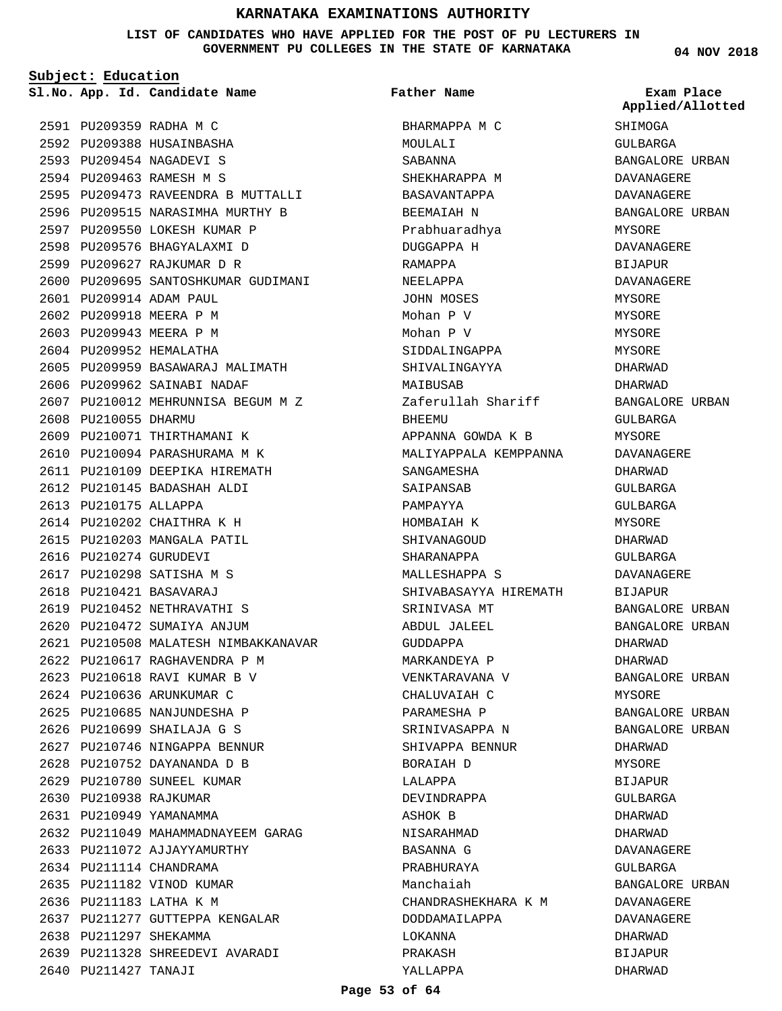**LIST OF CANDIDATES WHO HAVE APPLIED FOR THE POST OF PU LECTURERS IN GOVERNMENT PU COLLEGES IN THE STATE OF KARNATAKA**

**Subject: Education**

**App. Id. Candidate Name Sl.No. Exam Place**

**Father Name**

2591 PU209359 RADHA M C 2592 PU209388 HUSAINBASHA 2593 PU209454 NAGADEVI S 2594 PU209463 RAMESH M S 2595 PU209473 RAVEENDRA B MUTTALLI 2596 PU209515 NARASIMHA MURTHY B 2597 PU209550 LOKESH KUMAR P 2598 PU209576 BHAGYALAXMI D PU209627 RAJKUMAR D R 2599 2600 PU209695 SANTOSHKUMAR GUDIMANI PU209914 ADAM PAUL 2601 2602 PU209918 MEERA P M 2603 PU209943 MEERA P M 2604 PU209952 HEMALATHA 2605 PU209959 BASAWARAJ MALIMATH 2606 PU209962 SAINABI NADAF PU210012 MEHRUNNISA BEGUM M Z 2607 2608 PU210055 DHARMU 2609 PU210071 THIRTHAMANI K 2610 PU210094 PARASHURAMA M K 2611 PU210109 DEEPIKA HIREMATH 2612 PU210145 BADASHAH ALDI 2613 PU210175 ALLAPPA 2614 PU210202 CHAITHRA K H 2615 PU210203 MANGALA PATIL 2616 PU210274 GURUDEVI 2617 PU210298 SATISHA M S PU210421 BASAVARAJ 2618 2619 PU210452 NETHRAVATHI S 2620 PU210472 SUMAIYA ANJUM PU210508 MALATESH NIMBAKKANAVAR 2621 PU210617 RAGHAVENDRA P M 2622 2623 PU210618 RAVI KUMAR B V 2624 PU210636 ARUNKUMAR C 2625 PU210685 NANJUNDESHA P PU210699 SHAILAJA G S 2626 2627 PU210746 NINGAPPA BENNUR PU210752 DAYANANDA D B 2628 2629 PU210780 SUNEEL KUMAR 2630 PU210938 RAJKUMAR 2631 PU210949 YAMANAMMA 2632 PU211049 MAHAMMADNAYEEM GARAG 2633 PU211072 AJJAYYAMURTHY 2634 PU211114 CHANDRAMA 2635 PU211182 VINOD KUMAR 2636 PU211183 LATHA K M 2637 PU211277 GUTTEPPA KENGALAR 2638 PU211297 SHEKAMMA 2639 PU211328 SHREEDEVI AVARADI 2640 PU211427 TANAJI

BHARMAPPA M C MOULALI SABANNA SHEKHARAPPA M BASAVANTAPPA BEEMAIAH N Prabhuaradhya DUGGAPPA H RAMAPPA NEELAPPA JOHN MOSES Mohan P V Mohan P V SIDDALINGAPPA SHIVALINGAYYA MAIBUSAB Zaferullah Shariff **BHEEMU** APPANNA GOWDA K B MALIYAPPALA KEMPPANNA SANGAMESHA SAIPANSAB PAMPAYYA HOMBAIAH K SHIVANAGOUD SHARANAPPA MALLFSHAPPA S SHIVABASAYYA HIREMATH SRINIVASA MT ABDUL JALEEL GUDDAPPA MARKANDEYA P VENKTARAVANA V CHALUVAIAH C PARAMESHA P SRINIVASAPPA N SHIVAPPA BENNUR BORAIAH D LALAPPA DEVINDRAPPA ASHOK B NISARAHMAD BASANNA G PRABHURAYA Manchaiah CHANDRASHEKHARA K M DODDAMAILAPPA LOKANNA PRAKASH YALLAPPA

**04 NOV 2018**

SHIMOGA GULBARGA BANGALORE URBAN DAVANAGERE DAVANAGERE BANGALORE URBAN MYSORE DAVANAGERE **BIJAPUR** DAVANAGERE MYSORE MYSORE MYSORE MYSORE DHARWAD DHARWAD BANGALORE URBAN CIILBARGA MYSORE DAVANAGERE DHARWAD GULBARGA GULBARGA MYSORE DHARWAD GULBARGA DAVANAGERE BIJAPUR BANGALORE URBAN BANGALORE URBAN DHARWAD DHARWAD BANGALORE URBAN MYSORE BANGALORE URBAN BANGALORE URBAN DHARWAD MYSORE BIJAPUR GULBARGA DHARWAD DHARWAD DAVANAGERE GULBARGA BANGALORE URBAN DAVANAGERE DAVANAGERE DHARWAD BIJAPUR DHARWAD **Applied/Allotted**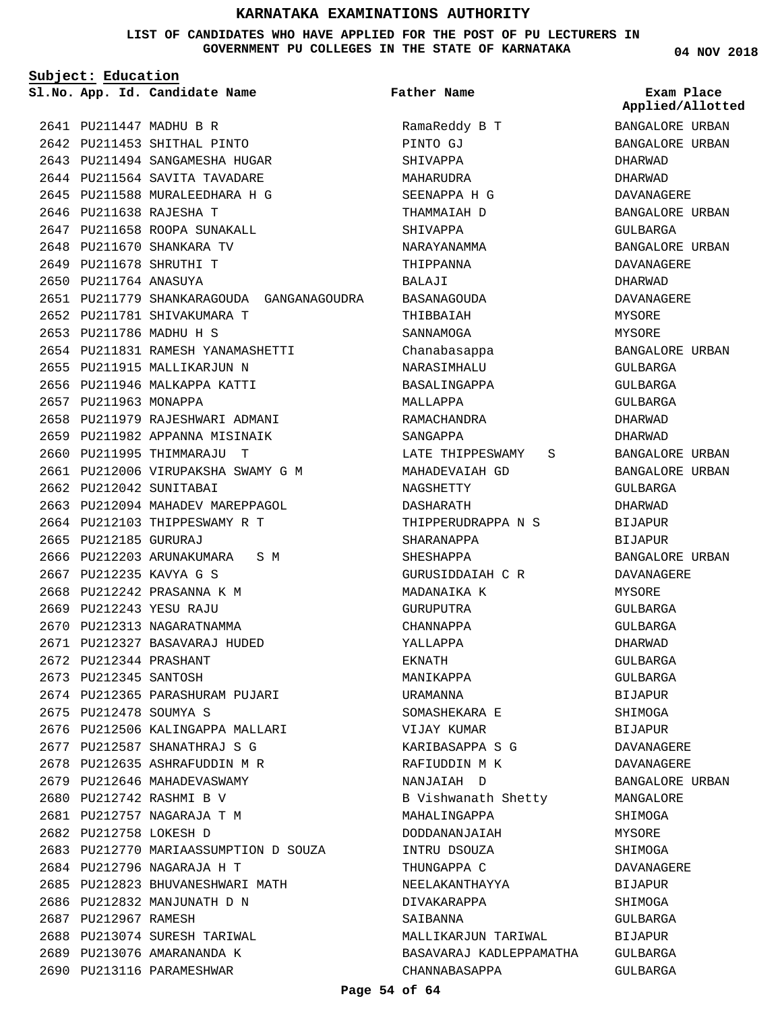**LIST OF CANDIDATES WHO HAVE APPLIED FOR THE POST OF PU LECTURERS IN GOVERNMENT PU COLLEGES IN THE STATE OF KARNATAKA**

**Subject: Education**

**App. Id. Candidate Name Sl.No. Exam Place**

PU211447 MADHU B R 2641 2642 PU211453 SHITHAL PINTO 2643 PU211494 SANGAMESHA HUGAR 2644 PU211564 SAVITA TAVADARE 2645 PU211588 MURALEEDHARA H G

2646 PU211638 RAJESHA T

2647 PU211658 ROOPA SUNAKALL 2648 PU211670 SHANKARA TV PU211678 SHRUTHI T 2649 2650 PU211764 ANASUYA

2652 PU211781 SHIVAKUMARA T 2653 PU211786 MADHU H S

2655 PU211915 MALLIKARJUN N 2656 PU211946 MALKAPPA KATTI

2657 PU211963 MONAPPA

2662 PU212042 SUNITABAI

2665 PU212185 GURURAJ

2667 PU212235 KAVYA G S 2668 PU212242 PRASANNA K M PU212243 YESU RAJU 2669 2670 PU212313 NAGARATNAMMA PU212327 BASAVARAJ HUDED 2671

PU212344 PRASHANT 2672 2673 PU212345 SANTOSH

2675 PU212478 SOUMYA S

PU211831 RAMESH YANAMASHETTI 2654

2658 PU211979 RAJESHWARI ADMANI 2659 PU211982 APPANNA MISINAIK 2660 PU211995 THIMMARAJU T

2661 PU212006 VIRUPAKSHA SWAMY G M

2663 PU212094 MAHADEV MAREPPAGOL 2664 PU212103 THIPPESWAMY R T

2666 PU212203 ARUNAKUMARA S M

2674 PU212365 PARASHURAM PUJARI

2676 PU212506 KALINGAPPA MALLARI PU212587 SHANATHRAJ S G 2677 PU212635 ASHRAFUDDIN M R 2678 2679 PU212646 MAHADEVASWAMY 2680 PU212742 RASHMI B V PU212757 NAGARAJA T M 2681 2682 PU212758 LOKESH D

2683 PU212770 MARIAASSUMPTION D SOUZA

2685 PU212823 BHUVANESHWARI MATH

PU212796 NAGARAJA H T 2684

2686 PU212832 MANJUNATH D N

2688 PU213074 SURESH TARIWAL 2689 PU213076 AMARANANDA K 2690 PU213116 PARAMESHWAR

2687 PU212967 RAMESH

2651 PU211779 SHANKARAGOUDA GANGANAGOUDRA

**Father Name**

RamaReddy B T PINTO GJ SHIVAPPA MAHARUDRA SEENAPPA H G THAMMAIAH D SHIVAPPA NARAYANAMMA THIPPANNA BALAJI BASANAGOUDA THIBBAIAH SANNAMOGA Chanabasappa NARASIMHALU BASALINGAPPA MALLAPPA RAMACHANDRA SANGAPPA LATE THIPPESWAMY S MAHADEVAIAH GD NAGSHETTY DASHARATH THIPPERUDRAPPA N S SHARANAPPA SHESHAPPA GURUSIDDAIAH C R MADANAIKA K GURUPUTRA CHANNAPPA YALLAPPA EKNATH MANIKAPPA URAMANNA SOMASHEKARA E VIJAY KUMAR KARIBASAPPA S G RAFIUDDIN M K NANJAIAH D B Vishwanath Shetty MAHALINGAPPA DODDANANJAIAH INTRU DSOUZA THUNGAPPA C NEELAKANTHAYYA DIVAKARAPPA SAIRANNA MALLIKARJUN TARIWAL BASAVARAJ KADLEPPAMATHA CHANNABASAPPA

**04 NOV 2018**

BANGALORE URBAN BANGALORE URBAN DHARWAD DHARWAD DAVANAGERE BANGALORE URBAN GULBARGA BANGALORE URBAN DAVANAGERE DHARWAD DAVANAGERE MYSORE MYSORE BANGALORE URBAN GULBARGA GULBARGA GULBARGA DHARWAD DHARWAD BANGALORE URBAN BANGALORE URBAN GULBARGA DHARWAD BIJAPUR BIJAPUR BANGALORE URBAN DAVANAGERE MYSORE GULBARGA GULBARGA DHARWAD GULBARGA GULBARGA BIJAPUR SHIMOGA BIJAPUR DAVANAGERE DAVANAGERE BANGALORE URBAN MANGALORE SHIMOGA MYSORE SHIMOGA DAVANAGERE BIJAPUR SHIMOGA GULBARGA BIJAPUR GULBARGA GULBARGA **Applied/Allotted**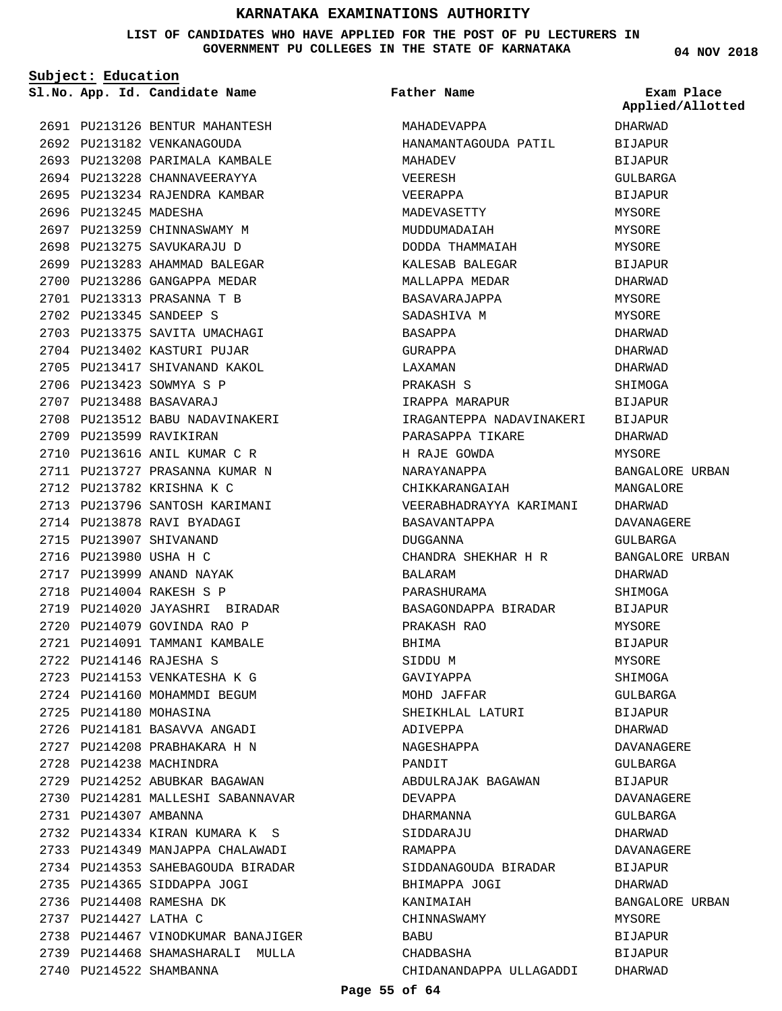#### **LIST OF CANDIDATES WHO HAVE APPLIED FOR THE POST OF PU LECTURERS IN GOVERNMENT PU COLLEGES IN THE STATE OF KARNATAKA**

**Subject: Education**

**04 NOV 2018**

|                       | Sl.No. App. Id. Candidate Name                                                                                | Father Name                                                     | Exam Place<br>Applied/Allotted |
|-----------------------|---------------------------------------------------------------------------------------------------------------|-----------------------------------------------------------------|--------------------------------|
|                       | 2691 PU213126 BENTUR MAHANTESH                                                                                | MAHADEVAPPA                                                     | DHARWAD                        |
|                       | 2692 PU213182 VENKANAGOUDA                                                                                    | HANAMANTAGOUDA PATIL BIJAPUR                                    |                                |
|                       | 2693 PU213208 PARIMALA KAMBALE                                                                                | MAHADEV                                                         | BIJAPUR                        |
|                       | 2694 PU213228 CHANNAVEERAYYA                                                                                  | VEERESH                                                         | GULBARGA                       |
|                       | 2695 PU213234 RAJENDRA KAMBAR                                                                                 | VEERAPPA                                                        | <b>BIJAPUR</b>                 |
| 2696 PU213245 MADESHA |                                                                                                               | MADEVASETTY                                                     | MYSORE                         |
|                       | 2697 PU213259 CHINNASWAMY M                                                                                   | MUDDUMADAIAH                                                    | MYSORE                         |
|                       | 2698 PU213275 SAVUKARAJU D                                                                                    | DODDA THAMMAIAH                                                 | MYSORE                         |
|                       | 2699 PU213283 AHAMMAD BALEGAR                                                                                 | KALESAB BALEGAR                                                 | BIJAPUR                        |
|                       | 2700 PU213286 GANGAPPA MEDAR                                                                                  | MALLAPPA MEDAR                                                  | DHARWAD                        |
|                       | 2701 PU213313 PRASANNA T B                                                                                    | BASAVARAJAPPA                                                   | MYSORE                         |
|                       | 2702 PU213345 SANDEEP S                                                                                       | SADASHIVA M                                                     | MYSORE                         |
|                       | 2703 PU213375 SAVITA UMACHAGI                                                                                 | BASAPPA                                                         | DHARWAD                        |
|                       | 2704 PU213402 KASTURI PUJAR                                                                                   | GURAPPA                                                         | DHARWAD                        |
|                       | 2705 PU213417 SHIVANAND KAKOL                                                                                 | LAXAMAN                                                         | DHARWAD                        |
|                       | 2706 PU213423 SOWMYA S P                                                                                      | PRAKASH S                                                       | SHIMOGA                        |
|                       | 2707 PU213488 BASAVARAJ                                                                                       | IRAPPA MARAPUR                                                  | BIJAPUR                        |
|                       |                                                                                                               | 2708 PU213512 BABU NADAVINAKERI KARANTEPPA NADAVINAKERI BIJAPUR |                                |
|                       | 2709 PU213599 RAVIKIRAN                                                                                       | PARASAPPA TIKARE                                                | DHARWAD                        |
|                       | 2710 PU213616 ANIL KUMAR C R                                                                                  | H RAJE GOWDA                                                    | MYSORE                         |
|                       | 2711 PU213727 PRASANNA KUMAR N                                                                                | NARAYANAPPA                                                     | BANGALORE URBAN                |
|                       | 2712 PU213782 KRISHNA K C                                                                                     | CHIKKARANGAIAH                                                  | MANGALORE                      |
|                       | 2713 PU213796 SANTOSH KARIMANI                                                                                | VEERABHADRAYYA KARIMANI                                         | DHARWAD                        |
|                       | 2714 PU213878 RAVI BYADAGI                                                                                    | BASAVANTAPPA                                                    | DAVANAGERE                     |
|                       | 2715 PU213907 SHIVANAND                                                                                       | DUGGANNA                                                        | GULBARGA                       |
|                       | 2716 PU213980 USHA H C                                                                                        | CHANDRA SHEKHAR H R BANGALORE URBAN                             |                                |
|                       | 2717 PU213999 ANAND NAYAK                                                                                     | BALARAM                                                         | DHARWAD                        |
|                       | 2718 PU214004 RAKESH S P                                                                                      | PARASHURAMA                                                     | SHIMOGA                        |
|                       | 2719 PU214020 JAYASHRI BIRADAR                                                                                | BASAGONDAPPA BIRADAR                                            | BIJAPUR                        |
|                       | 2720 PU214079 GOVINDA RAO P                                                                                   | PRAKASH RAO                                                     | MYSORE                         |
|                       | 2721 PU214091 TAMMANI KAMBALE                                                                                 | BHIMA                                                           | <b>BIJAPUR</b>                 |
|                       | 2722 PU214146 RAJESHA S                                                                                       | SIDDU M                                                         | MYSORE                         |
|                       | 2723 PU214153 VENKATESHA K G                                                                                  | GAVIYAPPA                                                       | SHIMOGA                        |
|                       | 2724 PU214160 MOHAMMDI BEGUM                                                                                  | MOHD JAFFAR                                                     | GULBARGA                       |
|                       | 2725 PU214180 MOHASINA                                                                                        | SHEIKHLAL LATURI                                                | BIJAPUR                        |
|                       | 2726 PU214181 BASAVVA ANGADI                                                                                  | ADIVEPPA                                                        | DHARWAD                        |
|                       | 2727 PU214208 PRABHAKARA H N                                                                                  | NAGESHAPPA                                                      | DAVANAGERE                     |
|                       | 2728 PU214238 MACHINDRA                                                                                       | PANDIT                                                          | GULBARGA                       |
|                       | 2729 PU214252 ABUBKAR BAGAWAN                                                                                 | ABDULRAJAK BAGAWAN                                              |                                |
|                       | 2730 PU214281 MALLESHI SABANNAVAR                                                                             | DEVAPPA                                                         | BIJAPUR<br>DAVANAGERE          |
| 2731 PU214307 AMBANNA |                                                                                                               | DHARMANNA                                                       | GULBARGA                       |
|                       | 2732 PU214334 KIRAN KUMARA KASA SARA SERAMA SERAMA SERAMA SERAMA SERAMA SERAMA SERAMA SERAMA SERAMA SERAMA SE | SIDDARAJU                                                       | DHARWAD                        |
|                       | 2733 PU214349 MANJAPPA CHALAWADI                                                                              | RAMAPPA                                                         | DAVANAGERE                     |
|                       | 2734 PU214353 SAHEBAGOUDA BIRADAR                                                                             | SIDDANAGOUDA BIRADAR                                            | BIJAPUR                        |
|                       |                                                                                                               |                                                                 |                                |
|                       | 2735 PU214365 SIDDAPPA JOGI<br>2736 PU214408 RAMESHA DK                                                       | BHIMAPPA JOGI                                                   | DHARWAD<br>BANGALORE URBAN     |
| 2737 PU214427 LATHA C |                                                                                                               | KANIMAIAH<br>CHINNASWAMY                                        | MYSORE                         |
|                       | 2738 PU214467 VINODKUMAR BANAJIGER                                                                            | BABU                                                            | <b>BIJAPUR</b>                 |
|                       | 2739 PU214468 SHAMASHARALI MULLA                                                                              | CHADBASHA                                                       | <b>BIJAPUR</b>                 |
|                       | 2740 PU214522 SHAMBANNA                                                                                       | CHIDANANDAPPA ULLAGADDI                                         | DHARWAD                        |
|                       |                                                                                                               |                                                                 |                                |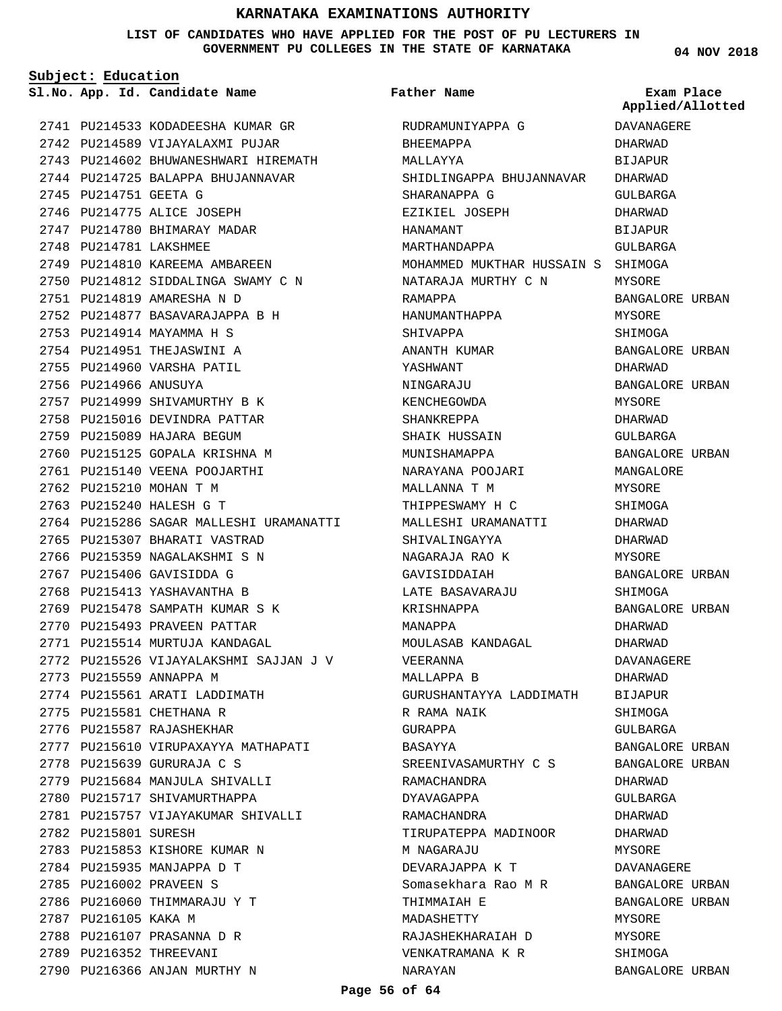#### **LIST OF CANDIDATES WHO HAVE APPLIED FOR THE POST OF PU LECTURERS IN GOVERNMENT PU COLLEGES IN THE STATE OF KARNATAKA**

**Subject: Education**

2741 PU214533 KODADEESHA KUMAR GR 2742 PU214589 VIJAYALAXMI PUJAR 2743 PU214602 BHUWANESHWARI HIREMATH 2744 PU214725 BALAPPA BHUJANNAVAR 2745 PU214751 GEETA G 2746 PU214775 ALICE JOSEPH 2747 PU214780 BHIMARAY MADAR 2748 PU214781 LAKSHMEE 2749 PU214810 KAREEMA AMBAREEN 2750 PU214812 SIDDALINGA SWAMY C N PU214819 AMARESHA N D 2751 PU214877 BASAVARAJAPPA B H 2752 2753 PU214914 MAYAMMA H S 2754 PU214951 THEJASWINI A 2755 PU214960 VARSHA PATIL 2756 PU214966 ANUSUYA 2757 PU214999 SHIVAMURTHY B K 2758 PU215016 DEVINDRA PATTAR 2759 PU215089 HAJARA BEGUM 2760 PU215125 GOPALA KRISHNA M 2761 PU215140 VEENA POOJARTHI 2762 PU215210 MOHAN T M 2763 PU215240 HALESH G T 2764 PU215286 SAGAR MALLESHI URAMANATTI 2765 PU215307 BHARATI VASTRAD 2766 PU215359 NAGALAKSHMI S N 2767 PU215406 GAVISIDDA G 2768 PU215413 YASHAVANTHA B PU215478 SAMPATH KUMAR S K 2769 2770 PU215493 PRAVEEN PATTAR 2771 PU215514 MURTUJA KANDAGAL 2772 PU215526 VIJAYALAKSHMI SAJJAN J V 2773 PU215559 ANNAPPA M 2774 PU215561 ARATI LADDIMATH 2775 PU215581 CHETHANA R 2776 PU215587 RAJASHEKHAR 2777 PU215610 VIRUPAXAYYA MATHAPATI PU215639 GURURAJA C S 2778 2779 PU215684 MANJULA SHIVALLI 2780 PU215717 SHIVAMURTHAPPA 2781 PU215757 VIJAYAKUMAR SHIVALLI 2782 PU215801 SURESH 2783 PU215853 KISHORE KUMAR N 2784 PU215935 MANJAPPA D T 2785 PU216002 PRAVEEN S 2786 PU216060 THIMMARAJU Y T 2787 PU216105 KAKA M 2788 PU216107 PRASANNA D R 2789 PU216352 THREEVANI 2790 PU216366 ANJAN MURTHY N

**App. Id. Candidate Name Sl.No. Exam Place** RUDRAMUNIYAPPA G BHEEMAPPA MALLAYYA SHIDLINGAPPA BHUJANNAVAR DHARWAD SHARANAPPA G EZIKIEL JOSEPH HANAMANT MARTHANDAPPA MOHAMMED MUKTHAR HUSSAIN S SHIMOGA NATARAJA MURTHY C N RAMAPPA HANUMANTHAPPA SHIVAPPA ANANTH KUMAR YASHWANT NINGARAJU KENCHEGOWDA SHANKREPPA SHAIK HUSSAIN MUNISHAMAPPA NARAYANA POOJARI MALLANNA T M THIPPESWAMY H C MALLESHI URAMANATTI SHIVALINGAYYA NAGARAJA RAO K GAVISIDDAIAH LATE BASAVARAJU KRISHNAPPA MANAPPA MOULASAB KANDAGAL VEERANNA MALLAPPA B GURUSHANTAYYA LADDIMATH R RAMA NAIK GURAPPA BASAYYA SREENIVASAMURTHY C S RAMACHANDRA DYAVAGAPPA RAMACHANDRA TIRUPATEPPA MADINOOR M NAGARAJU DEVARAJAPPA K T Somasekhara Rao M R THIMMAIAH E MADASHETTY RAJASHEKHARAIAH D VENKATRAMANA K R NARAYAN **Father Name** DAVANAGERE DHARWAD BIJAPUR GULBARGA DHARWAD BIJAPUR GULBARGA MYSORE BANGALORE URBAN MYSORE SHIMOGA BANGALORE URBAN DHARWAD BANGALORE URBAN MYSORE DHARWAD GULBARGA BANGALORE URBAN MANGALORE MYSORE SHIMOGA DHARWAD DHARWAD MYSORE BANGALORE URBAN SHIMOGA BANGALORE URBAN DHARWAD DHARWAD DAVANAGERE DHARWAD BIJAPUR SHIMOGA GULBARGA BANGALORE URBAN BANGALORE URBAN DHARWAD GULBARGA DHARWAD DHARWAD MYSORE DAVANAGERE BANGALORE URBAN BANGALORE URBAN MYSORE MYSORE SHIMOGA BANGALORE URBAN

**04 NOV 2018**

**Applied/Allotted**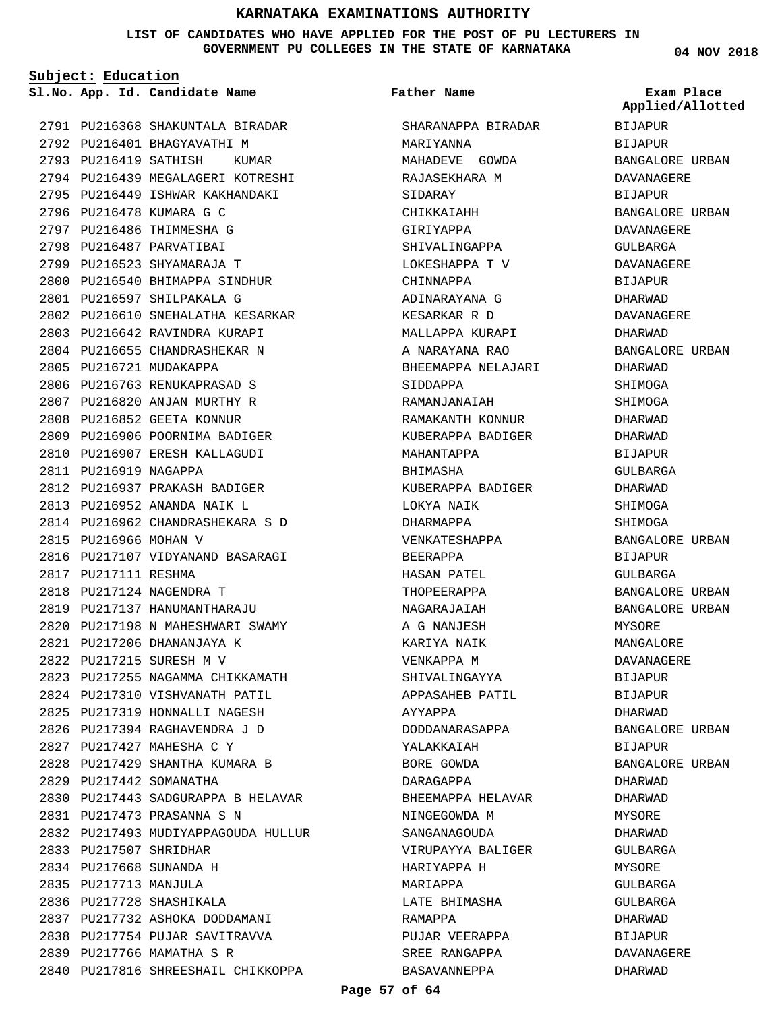**LIST OF CANDIDATES WHO HAVE APPLIED FOR THE POST OF PU LECTURERS IN GOVERNMENT PU COLLEGES IN THE STATE OF KARNATAKA**

**Subject: Education**

**App. Id. Candidate Name Sl.No. Exam Place**

PU216368 SHAKUNTALA BIRADAR 2791 2792 PU216401 BHAGYAVATHI M 2793 PU216419 SATHISH KUMAR 2794 PU216439 MEGALAGERI KOTRESHI 2795 PU216449 ISHWAR KAKHANDAKI 2796 PU216478 KUMARA G C 2797 PU216486 THIMMESHA G 2798 PU216487 PARVATIBAI 2799 PU216523 SHYAMARAJA T 2800 PU216540 BHIMAPPA SINDHUR PU216597 SHILPAKALA G 2801 2802 PU216610 SNEHALATHA KESARKAR 2803 PU216642 RAVINDRA KURAPI 2804 PU216655 CHANDRASHEKAR N 2805 PU216721 MUDAKAPPA 2806 PU216763 RENUKAPRASAD S 2807 PU216820 ANJAN MURTHY R 2808 PU216852 GEETA KONNUR PU216906 PU216907 2811 PU216919 NAGAPPA 2812 PU216937 PRAKASH BADIGER PU216952 ANANDA NAIK L 2813 PU216962 CHANDRASHEKARA S D 2814 2815 PU216966 MOHAN V 2816 PU217107 VIDYANAND BASARAGI 2817 PU217111 RESHMA 2818 PU217124 NAGENDRA T 2819 PU217137 HANUMANTHARAJU 2820 PU217198 N MAHESHWARI SWAMY PU217206 DHANANJAYA K 2821 PU217215 SURESH M V 2822 2823 PU217255 NAGAMMA CHIKKAMATH 2824 PU217310 VISHVANATH PATIL 2825 PU217319 HONNALLI NAGESH PU217394 RAGHAVENDRA J D 2826 PU217427 MAHESHA C Y 2827 2828 PU217429 SHANTHA KUMARA B 2829 PU217442 SOMANATHA 2830 PU217443 SADGURAPPA B HELAVAR PU217473 PRASANNA S N 2831 2832 PU217493 MUDIYAPPAGOUDA HULLUR 2833 PU217507 SHRIDHAR PU217668 SUNANDA H 2834 2835 PU217713 MANJULA 2836 PU217728 SHASHIKALA 2837 PU217732 ASHOKA DODDAMANI 2838 PU217754 PUJAR SAVITRAVVA 2839 PU217766 MAMATHA S R 2840 PU217816 SHREESHAIL CHIKKOPPA POORNIMA BADIGER ERESH KALLAGUDI 2809 2810

SHARANAPPA BIRADAR MARIYANNA MAHADEVE GOWDA RAJASEKHARA M SIDARAY CHIKKAIAHH GIRIYAPPA SHIVALINGAPPA LOKESHAPPA T V CHINNAPPA ADINARAYANA G KESARKAR R D MALLAPPA KURAPI A NARAYANA RAO BHEEMAPPA NELAJARI SIDDAPPA RAMANJANAIAH RAMAKANTH KONNUR KUBERAPPA BADIGER MAHANTAPPA BHIMASHA KUBERAPPA BADIGER LOKYA NAIK DHARMAPPA VENKATESHAPPA BEERAPPA HASAN PATEL THOPEERAPPA NAGARAJAIAH A G NANJESH KARIYA NAIK VENKAPPA M SHIVALINGAYYA APPASAHEB PATIL AYYAPPA DODDANARASAPPA YALAKKAIAH BORE GOWDA DARAGAPPA BHEEMAPPA HELAVAR NINGEGOWDA M SANGANAGOUDA VIRUPAYYA BALIGER HARIYAPPA H MARIAPPA LATE BHIMASHA RAMAPPA PUJAR VEERAPPA SREE RANGAPPA BASAVANNEPPA **Father Name**

**04 NOV 2018**

BIJAPUR BIJAPUR BANGALORE URBAN DAVANAGERE BIJAPUR BANGALORE URBAN DAVANAGERE GULBARGA DAVANAGERE BIJAPUR DHARWAD DAVANAGERE DHARWAD BANGALORE URBAN DHARWAD SHIMOGA SHIMOGA DHARWAD DHARWAD BIJAPUR GULBARGA DHARWAD SHIMOGA SHIMOGA BANGALORE URBAN BIJAPUR GULBARGA BANGALORE URBAN BANGALORE URBAN MYSORE MANGALORE DAVANAGERE BIJAPUR BIJAPUR DHARWAD BANGALORE URBAN BIJAPUR BANGALORE URBAN DHARWAD DHARWAD MYSORE DHARWAD GULBARGA **MYSORE** CIII.RARCA GULBARGA DHARWAD BIJAPUR DAVANAGERE DHARWAD **Applied/Allotted**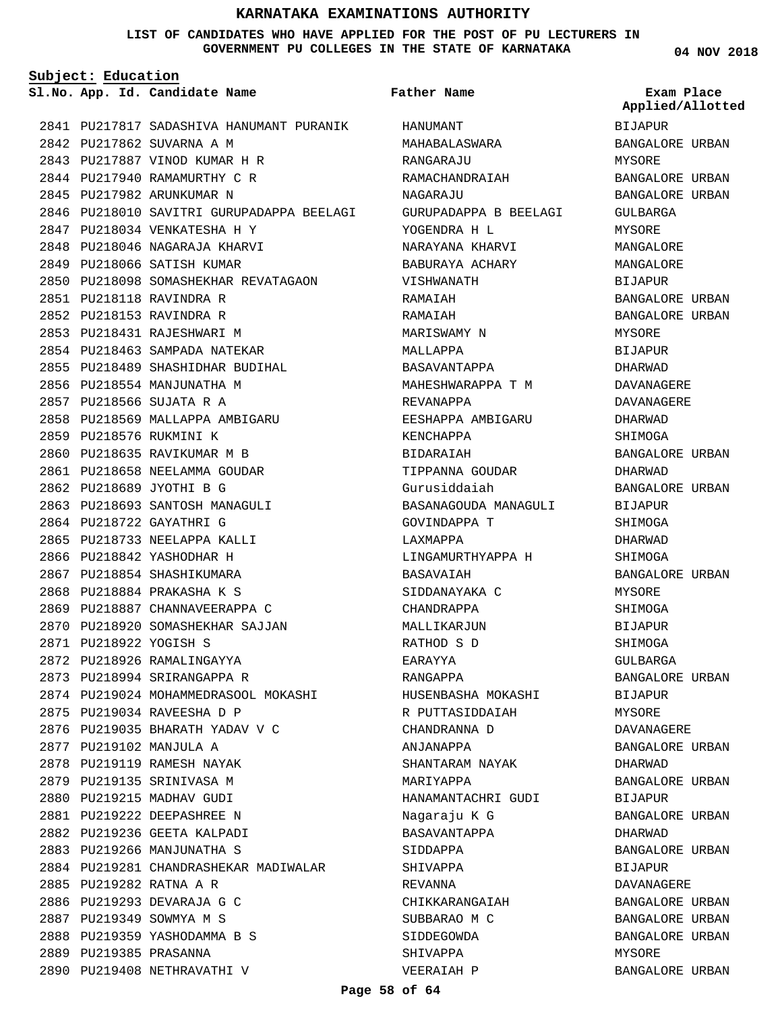#### **LIST OF CANDIDATES WHO HAVE APPLIED FOR THE POST OF PU LECTURERS IN GOVERNMENT PU COLLEGES IN THE STATE OF KARNATAKA**

**Father Name**

**Subject: Education**

**App. Id. Candidate Name Sl.No. Exam Place**

2841 PU217817 SADASHIVA HANUMANT PURANIK 2842 PU217862 SUVARNA A M PU217887 VINOD KUMAR H R 2843 2844 PU217940 RAMAMURTHY C R 2845 PU217982 ARUNKUMAR N 2846 PU218010 SAVITRI GURUPADAPPA BEELAGI 2847 PU218034 VENKATESHA H Y 2848 PU218046 NAGARAJA KHARVI 2849 PU218066 SATISH KUMAR 2850 PU218098 SOMASHEKHAR REVATAGAON PU218118 RAVINDRA R 2851 2852 PU218153 RAVINDRA R 2853 PU218431 RAJESHWARI M 2854 PU218463 SAMPADA NATEKAR 2855 PU218489 SHASHIDHAR BUDIHAL 2856 PU218554 MANJUNATHA M PU218566 SUJATA R A 2857 2858 PU218569 MALLAPPA AMBIGARU 2859 PU218576 RUKMINI K 2860 PU218635 RAVIKUMAR M B 2861 PU218658 NEELAMMA GOUDAR PU218689 JYOTHI B G 2862 2863 PU218693 SANTOSH MANAGULI 2864 PU218722 GAYATHRI G 2865 PU218733 NEELAPPA KALLI 2866 PU218842 YASHODHAR H 2867 PU218854 SHASHIKUMARA PU218884 PRAKASHA K S 2868 2869 PU218887 CHANNAVEERAPPA C 2870 PU218920 SOMASHEKHAR SAJJAN PU218922 YOGISH S 2871 2872 PU218926 RAMALINGAYYA 2873 PU218994 SRIRANGAPPA R 2874 PU219024 MOHAMMEDRASOOL MOKASHI 2875 PU219034 RAVEESHA D P 2876 PU219035 BHARATH YADAV V C 2877 PU219102 MANJULA A 2878 PU219119 RAMESH NAYAK 2879 PU219135 SRINIVASA M 2880 PU219215 MADHAV GUDI PU219222 DEEPASHREE N 2881 2882 PU219236 GEETA KALPADI 2883 PU219266 MANJUNATHA S 2884 PU219281 CHANDRASHEKAR MADIWALAR PU219282 RATNA A R 2885 2886 PU219293 DEVARAJA G C 2887 PU219349 SOWMYA M S 2888 PU219359 YASHODAMMA B S 2889 PU219385 PRASANNA 2890 PU219408 NETHRAVATHI V

HANUMANT MAHABALASWARA RANGARAJU RAMACHANDRAIAH NAGARAJU GURUPADAPPA B BEELAGI YOGENDRA H L NARAYANA KHARVI BABURAYA ACHARY VISHWANATH RAMAIAH RAMAIAH MARISWAMY N MALLAPPA BASAVANTAPPA MAHESHWARAPPA T M REVANAPPA EESHAPPA AMBIGARU KENCHAPPA BIDARAIAH TIPPANNA GOUDAR Gurusiddaiah BASANAGOUDA MANAGULI GOVINDAPPA T LAXMAPPA LINGAMURTHYAPPA H **BASAVAIAH** SIDDANAYAKA C CHANDRAPPA MALLIKARJUN RATHOD S D EARAYYA RANGAPPA HUSENBASHA MOKASHI R PUTTASIDDAIAH CHANDRANNA D ANJANAPPA SHANTARAM NAYAK MARIYAPPA HANAMANTACHRI GUDI Nagaraju K G BASAVANTAPPA SIDDAPPA SHIVAPPA REVANNA CHIKKARANGAIAH SUBBARAO M C SIDDEGOWDA SHIVAPPA VEERAIAH P

**04 NOV 2018**

BIJAPUR BANGALORE URBAN MYSORE BANGALORE URBAN BANGALORE URBAN GULBARGA MYSORE MANGALORE MANGALORE BIJAPUR BANGALORE URBAN BANGALORE URBAN MYSORE BIJAPUR DHARWAD DAVANAGERE DAVANAGERE DHARWAD SHIMOGA BANGALORE URBAN DHARWAD BANGALORE URBAN BIJAPUR SHIMOGA DHARWAD SHIMOGA BANGALORE URBAN MYSORE SHIMOGA BIJAPUR SHIMOGA GULBARGA BANGALORE URBAN BIJAPUR MYSORE DAVANAGERE BANGALORE URBAN DHARWAD BANGALORE URBAN BIJAPUR BANGALORE URBAN DHARWAD BANGALORE URBAN BIJAPUR DAVANAGERE BANGALORE URBAN BANGALORE URBAN BANGALORE URBAN MYSORE BANGALORE URBAN **Applied/Allotted**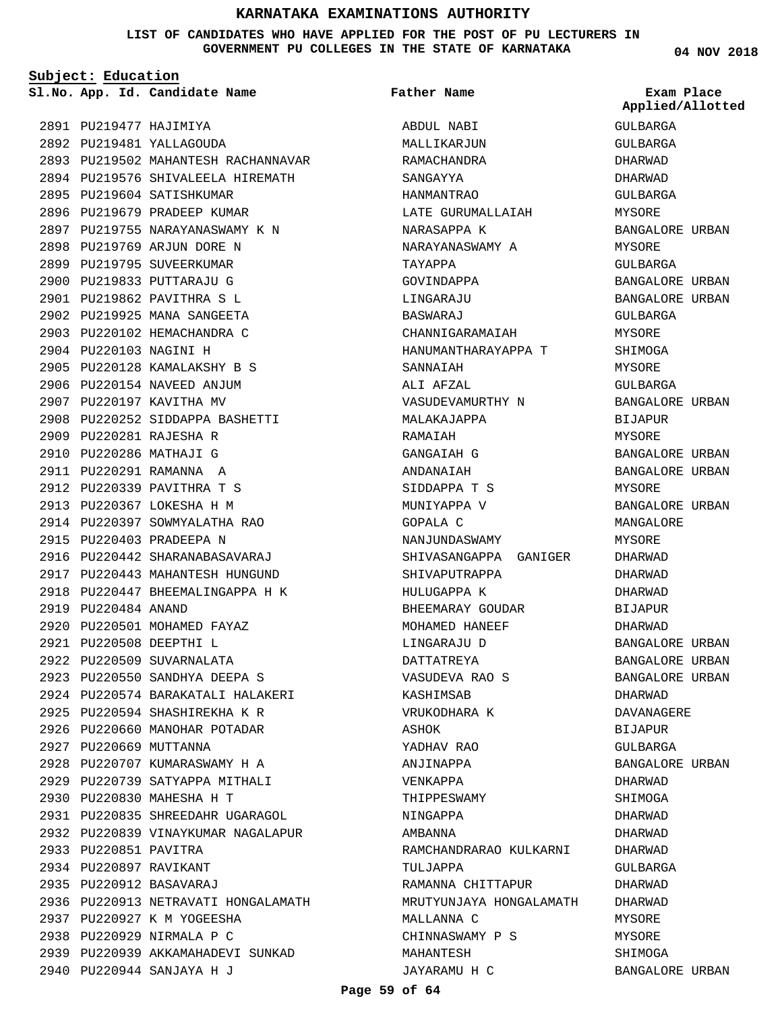#### **LIST OF CANDIDATES WHO HAVE APPLIED FOR THE POST OF PU LECTURERS IN GOVERNMENT PU COLLEGES IN THE STATE OF KARNATAKA**

**Subject: Education**

2895 PU219604 SATISHKUMAR 2896 PU219679 PRADEEP KUMAR 2897 PU219755 NARAYANASWAMY K N

2898 PU219769 ARJUN DORE N 2899 PU219795 SUVEERKUMAR 2900 PU219833 PUTTARAJU G PU219862 PAVITHRA S L 2901 2902 PU219925 MANA SANGEETA 2903 PU220102 HEMACHANDRA C

2904 PU220103 NAGINI H

PU220281 RAJESHA R 2909 2910 PU220286 MATHAJI G 2911 PU220291 RAMANNA A PU220339 PAVITHRA T S 2912 2913 PU220367 LOKESHA H M 2914 PU220397 SOWMYALATHA RAO

2915 PU220403 PRADEEPA N

2919 PU220484 ANAND

2927 PU220669 MUTTANNA

2933 PU220851 PAVITRA 2934 PU220897 RAVIKANT PU220912 BASAVARAJ 2935

PU220830 MAHESHA H T 2930

2937 PU220927 K M YOGEESHA 2938 PU220929 NIRMALA P C

PU220944 SANJAYA H J 2940

2928 PU220707 KUMARASWAMY H A 2929 PU220739 SATYAPPA MITHALI

PU220835 SHREEDAHR UGARAGOL 2931 2932 PU220839 VINAYKUMAR NAGALAPUR

2936 PU220913 NETRAVATI HONGALAMATH

2939 PU220939 AKKAMAHADEVI SUNKAD

PU220442 SHARANABASAVARAJ 2916 2917 PU220443 MAHANTESH HUNGUND PU220447 BHEEMALINGAPPA H K 2918

2920 PU220501 MOHAMED FAYAZ PU220508 DEEPTHI L 2921 2922 PU220509 SUVARNALATA PU220550 SANDHYA DEEPA S 2923 PU220574 BARAKATALI HALAKERI 2924 PU220594 SHASHIREKHA K R 2925 2926 PU220660 MANOHAR POTADAR

PU220128 KAMALAKSHY B S 2905 2906 PU220154 NAVEED ANJUM 2907 PU220197 KAVITHA MV

PU220252 SIDDAPPA BASHETTI 2908

2893 PU219502 MAHANTESH RACHANNAVAR 2894 PU219576 SHIVALEELA HIREMATH

PU219477 HAJIMIYA 2891 PU219481 YALLAGOUDA 2892

**App. Id. Candidate Name Sl.No. Exam Place** ABDUL NABI MALLIKARJUN RAMACHANDRA SANGAYYA HANMANTRAO LATE GURUMALLAIAH NARASAPPA K NARAYANASWAMY A TAYAPPA GOVINDAPPA LINGARAJU BASWARAJ CHANNIGARAMAIAH HANUMANTHARAYAPPA T SANNAIAH ALI AFZAL VASUDEVAMURTHY N MALAKAJAPPA RAMAIAH GANGAIAH G ANDANAIAH SIDDAPPA T S MUNIYAPPA V GOPALA C NANJUNDASWAMY SHIVASANGAPPA GANIGER SHIVAPUTRAPPA HULUGAPPA K BHEEMARAY GOUDAR MOHAMED HANEEF LINGARAJU D DATTATREYA VASUDEVA RAO S KASHIMSAB VRUKODHARA K **A**SHOK YADHAV RAO ANJINAPPA VENKAPPA THIPPESWAMY NINGAPPA AMBANNA RAMCHANDRARAO KULKARNI TIILTAPPA RAMANNA CHITTAPUR MRUTYUNJAYA HONGALAMATH MALLANNA C CHINNASWAMY P S MAHANTESH JAYARAMU H C **Father Name**

**04 NOV 2018**

|                        | Exam Place       |
|------------------------|------------------|
|                        | Applied/Allotted |
| GULBARGA               |                  |
| GULBARGA               |                  |
| DHARWAD                |                  |
| DHARWAD                |                  |
| GULBARGA               |                  |
| MYSORE                 |                  |
| BANGALORE URBAN        |                  |
| MYSORE                 |                  |
| GULBARGA               |                  |
| BANGALORE URBAN        |                  |
| BANGALORE URBAN        |                  |
| GULBARGA               |                  |
| MYSORE                 |                  |
| SHIMOGA                |                  |
| MYSORE                 |                  |
| GULBARGA               |                  |
| BANGALORE URBAN        |                  |
| <b>BIJAPUR</b>         |                  |
| MYSORE                 |                  |
| <b>BANGALORE URBAN</b> |                  |
| BANGALORE URBAN        |                  |
| MYSORE                 |                  |
| BANGALORE URBAN        |                  |
| MANGALORE              |                  |
| MYSORE                 |                  |
| DHARWAD                |                  |
| DHARWAD                |                  |
| DHARWAD                |                  |
| BIJAPUR                |                  |
| DHARWAD                |                  |
| <b>BANGALORE URBAN</b> |                  |
| BANGALORE URBAN        |                  |
| BANGALORE URBAN        |                  |
| DHARWAD                |                  |
| DAVANAGERE             |                  |
| <b>BIJAPUR</b>         |                  |
| GULBARGA               |                  |
| BANGALORE URBAN        |                  |
| DHARWAD                |                  |
| SHIMOGA                |                  |
| DHARWAD                |                  |
| DHARWAD                |                  |
| DHARWAD                |                  |
| GULBARGA               |                  |
| DHARWAD                |                  |
| DHARWAD                |                  |
| MYSORE                 |                  |
| MYSORE                 |                  |
| SHIMOGA                |                  |
|                        |                  |

BANGALORE URBAN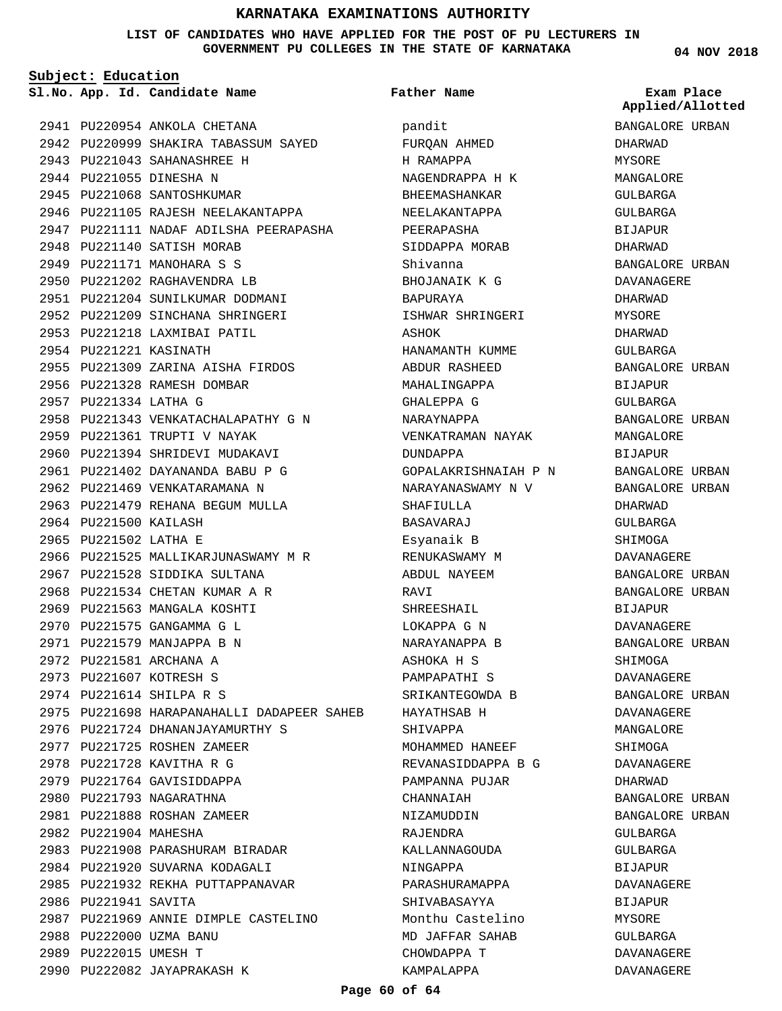#### **LIST OF CANDIDATES WHO HAVE APPLIED FOR THE POST OF PU LECTURERS IN GOVERNMENT PU COLLEGES IN THE STATE OF KARNATAKA**

**Subject: Education**

**App. Id. Candidate Name Sl.No. Exam Place**

2941 PU220954 ANKOLA CHETANA 2942 PU220999 SHAKIRA TABASSUM SAYED PU221043 SAHANASHREE H 2943 2944 PU221055 DINESHA N 2945 PU221068 SANTOSHKUMAR 2946 PU221105 RAJESH NEELAKANTAPPA 2947 PU221111 NADAF ADILSHA PEERAPASHA 2948 PU221140 SATISH MORAB 2949 PU221171 MANOHARA S S 2950 PU221202 RAGHAVENDRA LB 2951 PU221204 SUNILKUMAR DODMANI 2952 PU221209 SINCHANA SHRINGERI 2953 PU221218 LAXMIBAI PATIL 2954 PU221221 KASINATH 2955 PU221309 ZARINA AISHA FIRDOS 2956 PU221328 RAMESH DOMBAR 2957 PU221334 LATHA G 2958 PU221343 VENKATACHALAPATHY G N 2959 PU221361 TRUPTI V NAYAK 2960 PU221394 SHRIDEVI MUDAKAVI PU221402 DAYANANDA BABU P G 2961 2962 PU221469 VENKATARAMANA N 2963 PU221479 REHANA BEGUM MULLA 2964 PU221500 KAILASH 2965 PU221502 LATHA E 2966 PU221525 MALLIKARJUNASWAMY M R 2967 PU221528 SIDDIKA SULTANA 2968 PU221534 CHETAN KUMAR A R 2969 PU221563 MANGALA KOSHTI PU221575 GANGAMMA G L 2970 2971 PU221579 MANJAPPA B N 2972 PU221581 ARCHANA A 2973 PU221607 KOTRESH S 2974 PU221614 SHILPA R S 2975 PU221698 HARAPANAHALLI DADAPEER SAHEB 2976 PU221724 DHANANJAYAMURTHY S 2977 PU221725 ROSHEN ZAMEER 2978 PU221728 KAVITHA R G 2979 PU221764 GAVISIDDAPPA 2980 PU221793 NAGARATHNA PU221888 ROSHAN ZAMEER 2981 2982 PU221904 MAHESHA 2983 PU221908 PARASHURAM BIRADAR 2984 PU221920 SUVARNA KODAGALI 2985 PU221932 REKHA PUTTAPPANAVAR 2986 PU221941 SAVITA PU221969 ANNIE DIMPLE CASTELINO 2987 2988 PU222000 UZMA BANU 2989 PU222015 UMESH T 2990 PU222082 JAYAPRAKASH K

pandit FURQAN AHMED H RAMAPPA NAGENDRAPPA H K BHEEMASHANKAR NEELAKANTAPPA PEERAPASHA SIDDAPPA MORAB Shivanna BHOJANAIK K G BAPURAYA ISHWAR SHRINGERI ASHOK HANAMANTH KUMME ABDUR RASHEED MAHALINGAPPA GHALEPPA G NARAYNAPPA VENKATRAMAN NAYAK DUNDAPPA GOPALAKRISHNAIAH P N NARAYANASWAMY N V SHAFIULLA BASAVARAJ Esyanaik B RENUKASWAMY M ABDUL NAYEEM RAVI SHREESHAIL LOKAPPA G N NARAYANAPPA B ASHOKA H S PAMPAPATHI S SRIKANTEGOWDA B HAYATHSAB H SHIVAPPA MOHAMMED HANEEF REVANASIDDAPPA B G PAMPANNA PUJAR CHANNAIAH NIZAMUDDIN RAJENDRA KALLANNAGOUDA NINGAPPA PARASHURAMAPPA SHIVABASAYYA Monthu Castelino MD JAFFAR SAHAB CHOWDAPPA T KAMPALAPPA **Father Name**

#### **04 NOV 2018**

**Applied/Allotted**

BANGALORE URBAN DHARWAD MYSORE MANGALORE GULBARGA GULBARGA BIJAPUR DHARWAD BANGALORE URBAN DAVANAGERE DHARWAD MYSORE DHARWAD GULBARGA BANGALORE URBAN BIJAPUR GULBARGA BANGALORE URBAN MANGALORE BIJAPUR BANGALORE URBAN BANGALORE URBAN DHARWAD GULBARGA SHIMOGA DAVANAGERE BANGALORE URBAN BANGALORE URBAN BIJAPUR DAVANAGERE BANGALORE URBAN SHIMOGA DAVANAGERE BANGALORE URBAN DAVANAGERE MANGALORE SHIMOGA DAVANAGERE DHARWAD BANGALORE URBAN BANGALORE URBAN GULBARGA GULBARGA **BIJAPUR** DAVANAGERE BIJAPUR MYSORE GULBARGA DAVANAGERE

DAVANAGERE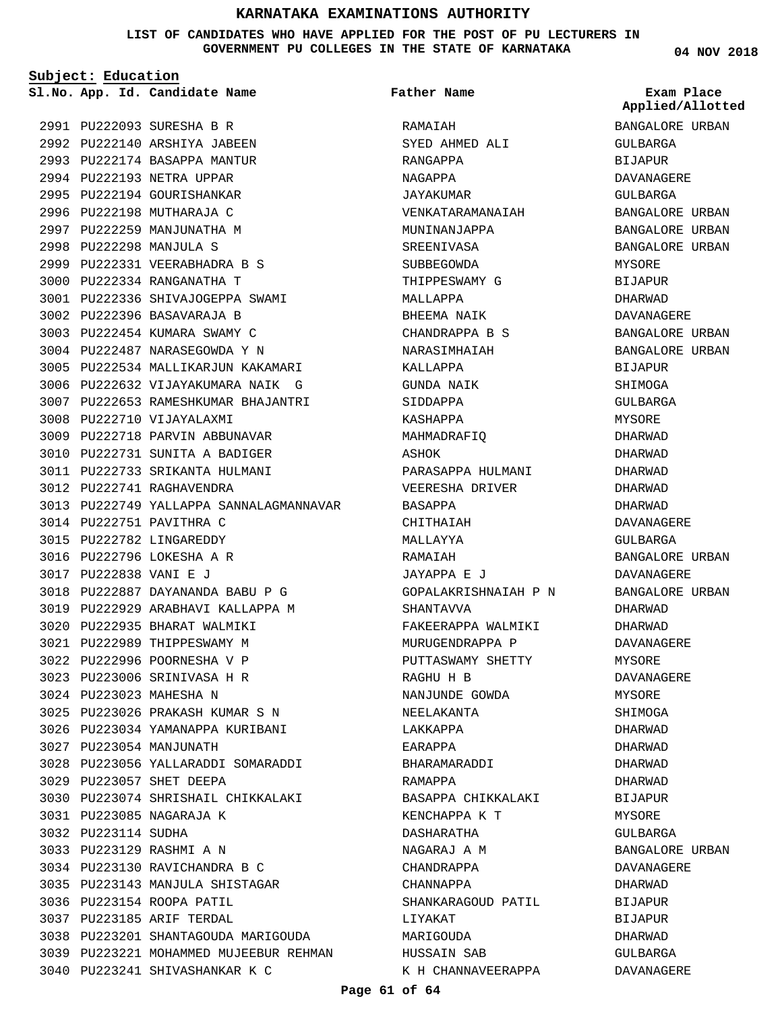**LIST OF CANDIDATES WHO HAVE APPLIED FOR THE POST OF PU LECTURERS IN GOVERNMENT PU COLLEGES IN THE STATE OF KARNATAKA**

**Father Name**

**Subject: Education**

PU222093 SURESHA B R 2991 2992 PU222140 ARSHIYA JABEEN 2993 PU222174 BASAPPA MANTUR **App. Id. Candidate Name Sl.No. Exam Place**

2994 PU222193 NETRA UPPAR 2995 PU222194 GOURISHANKAR 2996 PU222198 MUTHARAJA C 2997 PU222259 MANJUNATHA M PU222298 MANJULA S 2998

PU222331 VEERABHADRA B S 2999 PU222334 RANGANATHA T 3000

3002 PU222396 BASAVARAJA B 3003 PU222454 KUMARA SWAMY C 3004 PU222487 NARASEGOWDA Y N

3008 PU222710 VIJAYALAXMI

3012 PU222741 RAGHAVENDRA

3014 PU222751 PAVITHRA C 3015 PU222782 LINGAREDDY 3016 PU222796 LOKESHA A R PU222838 VANI E J 3017

3009 PU222718 PARVIN ABBUNAVAR 3010 PU222731 SUNITA A BADIGER 3011 PU222733 SRIKANTA HULMANI

PU222887 DAYANANDA BABU P G 3018 3019 PU222929 ARABHAVI KALLAPPA M

PU223026 PRAKASH KUMAR S N 3025 3026 PU223034 YAMANAPPA KURIBANI

PU223056 YALLARADDI SOMARADDI 3028

3030 PU223074 SHRISHAIL CHIKKALAKI

3038 PU223201 SHANTAGOUDA MARIGOUDA 3039 PU223221 MOHAMMED MUJEEBUR REHMAN

3027 PU223054 MANJUNATH

PU223057 SHET DEEPA 3029

PU223085 NAGARAJA K 3031

3033 PU223129 RASHMI A N

3036 PU223154 ROOPA PATIL PU223185 ARIF TERDAL 3037

PU223130 RAVICHANDRA B C 3034 PU223143 MANJULA SHISTAGAR 3035

3040 PU223241 SHIVASHANKAR K C

3032 PU223114 SUDHA

3020 PU222935 BHARAT WALMIKI 3021 PU222989 THIPPESWAMY M PU222996 POORNESHA V P 3022 PU223006 SRINIVASA H R 3023 3024 PU223023 MAHESHA N

PU222336 SHIVAJOGEPPA SWAMI 3001

3005 PU222534 MALLIKARJUN KAKAMARI 3006 PU222632 VIJAYAKUMARA NAIK G 3007 PU222653 RAMESHKUMAR BHAJANTRI

3013 PU222749 YALLAPPA SANNALAGMANNAVAR

RAMAIAH SYED AHMED ALI RANGAPPA NAGAPPA JAYAKUMAR VENKATARAMANAIAH MUNINANJAPPA SREENIVASA SUBBEGOWDA THIPPESWAMY G MALLAPPA BHEEMA NAIK CHANDRAPPA B S NARASIMHAIAH KALLAPPA GUNDA NAIK SIDDAPPA KASHAPPA MAHMADRAFIQ A SHUK PARASAPPA HULMANI VEERESHA DRIVER BASAPPA CHITHAIAH MALLAYYA RAMAIAH JAYAPPA E J GOPALAKRISHNAIAH P N SHANTAVVA FAKEERAPPA WALMIKI MURUGENDRAPPA P PUTTASWAMY SHETTY RAGHU H B NANJUNDE GOWDA NEELAKANTA LAKKAPPA EARAPPA BHARAMARADDI RAMAPPA BASAPPA CHIKKALAKI KENCHAPPA K T DASHARATHA NAGARAJ A M CHANDRAPPA CHANNAPPA SHANKARAGOUD PATIL LIYAKAT MARIGOUDA HUSSAIN SAB K H CHANNAVEERAPPA **04 NOV 2018**

BANGALORE URBAN GULBARGA BIJAPUR DAVANAGERE GULBARGA BANGALORE URBAN BANGALORE URBAN BANGALORE URBAN MYSORE BIJAPUR DHARWAD DAVANAGERE BANGALORE URBAN BANGALORE URBAN BIJAPUR SHIMOGA GULBARGA MYSORE DHARWAD DHARWAD DHARWAD DHARWAD DHARWAD DAVANAGERE GULBARGA BANGALORE URBAN DAVANAGERE BANGALORE URBAN DHARWAD DHARWAD DAVANAGERE MYSORE DAVANAGERE MYSORE SHIMOGA DHARWAD DHARWAD DHARWAD DHARWAD BIJAPUR MYSORE GULBARGA BANGALORE URBAN DAVANAGERE DHARWAD BIJAPUR BIJAPUR DHARWAD GULBARGA DAVANAGERE **Applied/Allotted**

#### **Page 61 of 64**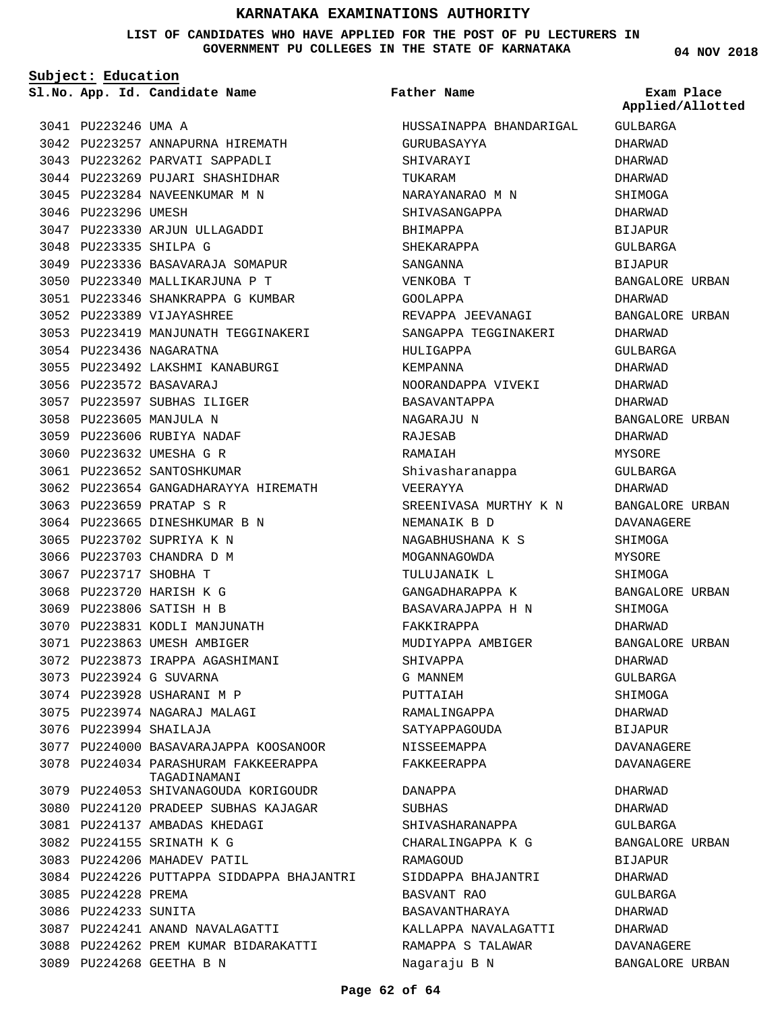#### **LIST OF CANDIDATES WHO HAVE APPLIED FOR THE POST OF PU LECTURERS IN GOVERNMENT PU COLLEGES IN THE STATE OF KARNATAKA**

**Subject: Education**

3077 3078

**App. Id. Candidate Name Sl.No. Exam Place**

```
Father Name
```
3041 PU223246 UMA A 3042 PU223257 ANNAPURNA HIREMATH 3043 PU223262 PARVATI SAPPADLI 3044 PU223269 PUJARI SHASHIDHAR 3045 PU223284 NAVEENKUMAR M N 3046 PU223296 UMESH 3047 PU223330 ARJUN ULLAGADDI 3048 PU223335 SHILPA G 3049 PU223336 BASAVARAJA SOMAPUR 3050 PU223340 MALLIKARJUNA P T PU223346 SHANKRAPPA G KUMBAR 3051 PU223389 VIJAYASHREE 3052 3053 PU223419 MANJUNATH TEGGINAKERI 3054 PU223436 NAGARATNA PU223492 LAKSHMI KANABURGI 3055 3056 PU223572 BASAVARAJ 3057 PU223597 SUBHAS ILIGER 3058 PU223605 MANJULA N 3059 PU223606 RUBIYA NADAF 3060 PU223632 UMESHA G R 3061 PU223652 SANTOSHKUMAR 3062 PU223654 GANGADHARAYYA HIREMATH 3063 PU223659 PRATAP S R 3064 PU223665 DINESHKUMAR B N 3065 PU223702 SUPRIYA K N 3066 PU223703 CHANDRA D M 3067 PU223717 SHOBHA T 3068 PU223720 HARISH K G 3069 PU223806 SATISH H B 3070 PU223831 KODLI MANJUNATH 3071 PU223863 UMESH AMBIGER 3072 PU223873 IRAPPA AGASHIMANI PU223924 G SUVARNA 3073 3074 PU223928 USHARANI M P 3075 PU223974 NAGARAJ MALAGI 3076 PU223994 SHAILAJA PU224000 PU224034 3079 PU224053 SHIVANAGOUDA KORIGOUDR 3080 PU224120 PRADEEP SUBHAS KAJAGAR PU224137 AMBADAS KHEDAGI 3081 PU224155 SRINATH K G 3082 3083 PU224206 MAHADEV PATIL 3084 PU224226 PUTTAPPA SIDDAPPA BHAJANTRI 3085 PU224228 PREMA 3086 PU224233 SUNITA 3087 PU224241 ANAND NAVALAGATTI 3088 PU224262 PREM KUMAR BIDARAKATTI 3089 PU224268 GEETHA B N BASAVARAJAPPA KOOSANOOR PARASHURAM FAKKEERAPPA TAGADINAMANI

HUSSAINAPPA BHANDARIGAL GURUBASAYYA SHIVARAYI TUKARAM NARAYANARAO M N SHIVASANGAPPA BHIMAPPA SHEKARAPPA SANGANNA VENKOBA T GOOLAPPA REVAPPA JEEVANAGI SANGAPPA TEGGINAKERI HULIGAPPA KEMPANNA NOORANDAPPA VIVEKI BASAVANTAPPA NAGARAJU N RAJESAB RAMAIAH Shivasharanappa VEERAYYA SREENIVASA MURTHY K N NEMANAIK B D NAGABHUSHANA K S MOGANNAGOWDA TULUJANAIK L GANGADHARAPPA K BASAVARAJAPPA H N FAKKIRAPPA MUDIYAPPA AMBIGER SHIVAPPA G MANNEM PUTTAIAH RAMALINGAPPA SATYAPPAGOUDA NISSEEMAPPA FAKKEERAPPA DANAPPA SUBHAS SHIVASHARANAPPA CHARALINGAPPA K G RAMAGOUD SIDDAPPA BHAJANTRI BASVANT RAO BASAVANTHARAYA KALLAPPA NAVALAGATTI

**04 NOV 2018**

GULBARGA DHARWAD DHARWAD DHARWAD SHIMOGA DHARWAD BIJAPUR GULBARGA **BIJAPUR** BANGALORE URBAN DHARWAD BANGALORE URBAN DHARWAD GULBARGA DHARWAD DHARWAD DHARWAD BANGALORE URBAN DHARWAD MYSORE GULBARGA DHARWAD BANGALORE URBAN DAVANAGERE SHIMOGA MYSORE **SHIMOGA** BANGALORE URBAN SHIMOGA DHARWAD BANGALORE URBAN DHARWAD GULBARGA SHIMOGA DHARWAD BIJAPUR DAVANAGERE DAVANAGERE DHARWAD DHARWAD GULBARGA BANGALORE URBAN BIJAPUR DHARWAD GULBARGA **Applied/Allotted**

DHARWAD DHARWAD DAVANAGERE BANGALORE URBAN

#### **Page 62 of 64**

RAMAPPA S TALAWAR

Nagaraju B N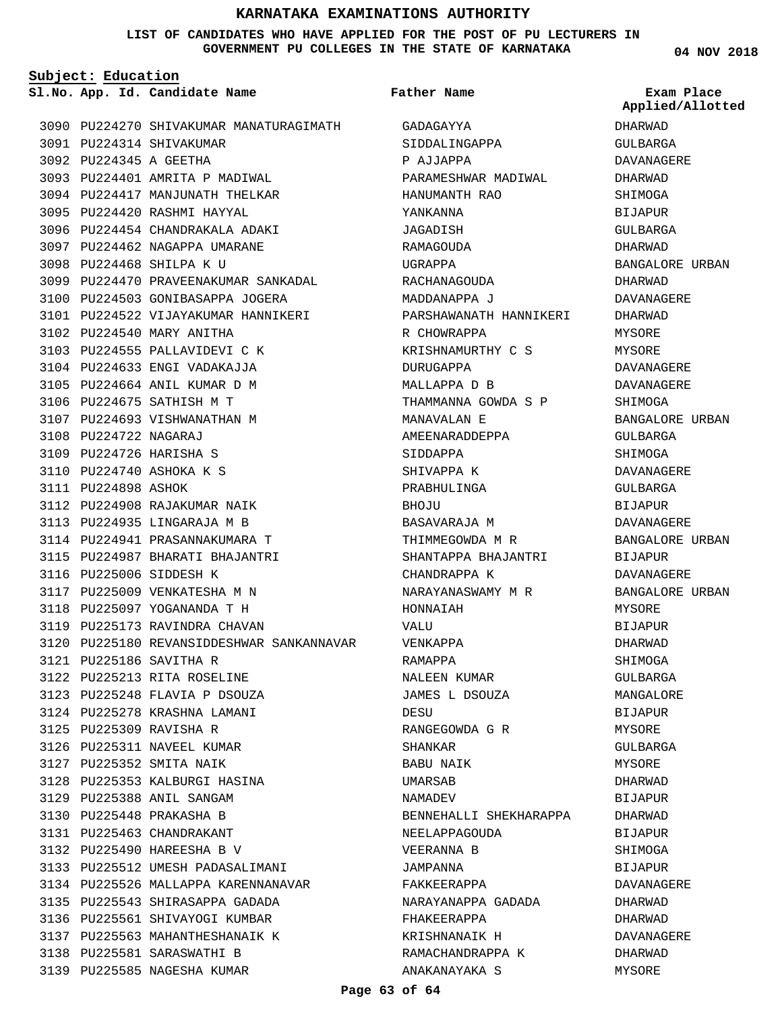#### **LIST OF CANDIDATES WHO HAVE APPLIED FOR THE POST OF PU LECTURERS IN GOVERNMENT PU COLLEGES IN THE STATE OF KARNATAKA**

**Subject: Education**

**App. Id. Candidate Name Sl.No. Exam Place**

PU224270 SHIVAKUMAR MANATURAGIMATH GADAGAYYA 3090 3091 PU224314 SHIVAKUMAR PU224345 A GEETHA 3092 3093 PU224401 AMRITA P MADIWAL 3094 PU224417 MANJUNATH THELKAR 3095 PU224420 RASHMI HAYYAL 3096 PU224454 CHANDRAKALA ADAKI 3097 PU224462 NAGAPPA UMARANE 3098 PU224468 SHILPA K U 3099 PU224470 PRAVEENAKUMAR SANKADAL 3100 PU224503 GONIBASAPPA JOGERA 3101 PU224522 VIJAYAKUMAR HANNIKERI 3102 PU224540 MARY ANITHA 3103 PU224555 PALLAVIDEVI C K 3104 PU224633 ENGI VADAKAJJA 3105 PU224664 ANIL KUMAR D M 3106 PU224675 SATHISH M T 3107 PU224693 VISHWANATHAN M 3108 PU224722 NAGARAJ 3109 PU224726 HARISHA S 3110 PU224740 ASHOKA K S 3111 PU224898 ASHOK 3112 PU224908 RAJAKUMAR NAIK 3113 PU224935 LINGARAJA M B 3114 PU224941 PRASANNAKUMARA T 3115 PU224987 BHARATI BHAJANTRI 3116 PU225006 SIDDESH K 3117 PU225009 VENKATESHA M N 3118 PU225097 YOGANANDA T H 3119 PU225173 RAVINDRA CHAVAN 3120 PU225180 REVANSIDDESHWAR SANKANNAVAR PU225186 SAVITHA R 3121 PU225213 RITA ROSELINE 3122 3123 PU225248 FLAVIA P DSOUZA 3124 PU225278 KRASHNA LAMANI 3125 PU225309 RAVISHA R 3126 PU225311 NAVEEL KUMAR 3127 PU225352 SMITA NAIK 3128 PU225353 KALBURGI HASINA PU225388 ANIL SANGAM 3129 3130 PU225448 PRAKASHA B PU225463 CHANDRAKANT 3131 PU225490 HAREESHA B V 3132 3133 PU225512 UMESH PADASALIMANI 3134 PU225526 MALLAPPA KARENNANAVAR PU225543 SHIRASAPPA GADADA 3135 3136 PU225561 SHIVAYOGI KUMBAR 3137 PU225563 MAHANTHESHANAIK K 3138 PU225581 SARASWATHI B 3139 PU225585 NAGESHA KUMAR

**Father Name**

SIDDALINGAPPA P AJJAPPA PARAMESHWAR MADIWAL HANUMANTH RAO YANKANNA JAGADISH RAMAGOUDA UGRAPPA RACHANAGOUDA MADDANAPPA J PARSHAWANATH HANNIKERI R CHOWRAPPA KRISHNAMURTHY C S DURUGAPPA MALLAPPA D B THAMMANNA GOWDA S P MANAVALAN E AMEENARADDEPPA SIDDAPPA SHIVAPPA K PRABHULINGA **BHOJU** BASAVARAJA M THIMMEGOWDA M R SHANTAPPA BHAJANTRI CHANDRAPPA K NARAYANASWAMY M R HONNAIAH VALU VENKAPPA RAMAPPA NALEEN KUMAR JAMES L DSOUZA DESU RANGEGOWDA G R SHANKAR BABU NAIK UMARSAB NAMADEV BENNEHALLI SHEKHARAPPA NEELAPPAGOUDA VEERANNA B JAMPANNA FAKKEERAPPA NARAYANAPPA GADADA FHAKEERAPPA KRISHNANAIK H RAMACHANDRAPPA K

**04 NOV 2018**

**Applied/Allotted**

DHARWAD GULBARGA DAVANAGERE DHARWAD SHIMOGA BIJAPUR GULBARGA DHARWAD BANGALORE URBAN DHARWAD DAVANAGERE DHARWAD MYSORE MYSORE DAVANAGERE DAVANAGERE SHIMOGA BANGALORE URBAN GULBARGA SHIMOGA DAVANAGERE GULBARGA BIJAPUR DAVANAGERE BANGALORE URBAN BIJAPUR DAVANAGERE BANGALORE URBAN MYSORE BIJAPUR DHARWAD SHIMOGA GULBARGA MANGALORE BIJAPUR **MYSORE** GULBARGA MYSORE DHARWAD BIJAPUR DHARWAD BIJAPUR SHIMOGA BIJAPUR DAVANAGERE DHARWAD DHARWAD DAVANAGERE DHARWAD

MYSORE

**Page 63 of 64**

ANAKANAYAKA S